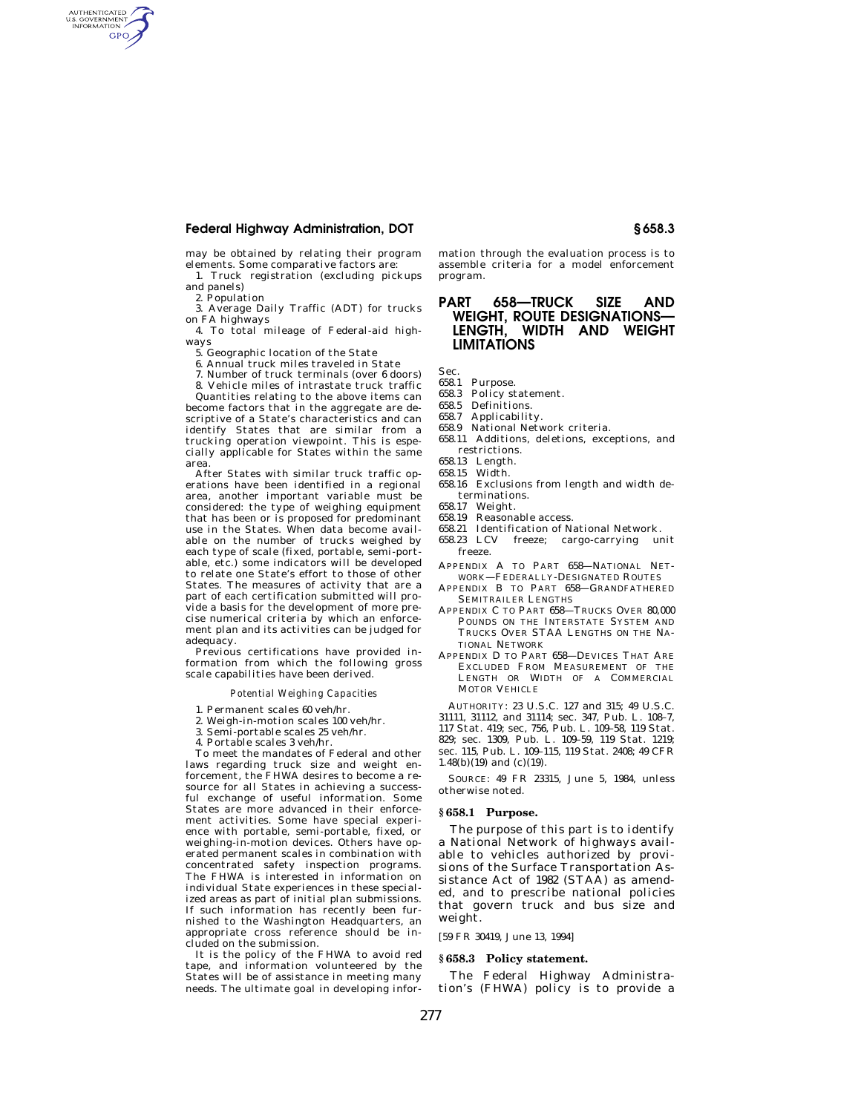# **Federal Highway Administration, DOT § 658.3**

may be obtained by relating their program elements. Some comparative factors are:

1. Truck registration (excluding pickups and panels)

2. Population

AUTHENTICATED<br>U.S. GOVERNMENT<br>INFORMATION **GPO** 

> 3. Average Daily Traffic (ADT) for trucks on FA highways

> 4. To total mileage of Federal-aid highways

5. Geographic location of the State

6. Annual truck miles traveled in State

7. Number of truck terminals (over 6 doors) 8. Vehicle miles of intrastate truck traffic

Quantities relating to the above items can

become factors that in the aggregate are descriptive of a State's characteristics and can identify States that are similar from a trucking operation viewpoint. This is especially applicable for States within the same area.

After States with similar truck traffic operations have been identified in a regional area, another important variable must be considered: the type of weighing equipment that has been or is proposed for predominant use in the States. When data become available on the number of trucks weighed by each type of scale (fixed, portable, semi-portable, etc.) some indicators will be developed to relate one State's effort to those of other States. The measures of activity that are a part of each certification submitted will provide a basis for the development of more precise numerical criteria by which an enforcement plan and its activities can be judged for adequacy.

Previous certifications have provided information from which the following gross scale capabilities have been derived.

# *Potential Weighing Capacities*

1. Permanent scales 60 veh/hr.

- 2. Weigh-in-motion scales 100 veh/hr.
- 3. Semi-portable scales 25 veh/hr.
- 4. Portable scales 3 veh/hr.

To meet the mandates of Federal and other laws regarding truck size and weight enforcement, the FHWA desires to become a resource for all States in achieving a successful exchange of useful information. Some States are more advanced in their enforcement activities. Some have special experience with portable, semi-portable, fixed, or weighing-in-motion devices. Others have operated permanent scales in combination with concentrated safety inspection programs. The FHWA is interested in information on individual State experiences in these specialized areas as part of initial plan submissions. If such information has recently been furnished to the Washington Headquarters, an appropriate cross reference should be included on the submission.

It is the policy of the FHWA to avoid red tape, and information volunteered by the States will be of assistance in meeting many needs. The ultimate goal in developing information through the evaluation process is to assemble criteria for a model enforcement program.

# **PART 658—TRUCK SIZE AND WEIGHT, ROUTE DESIGNATIONS— LENGTH, WIDTH AND WEIGHT LIMITATIONS**

Sec.

- 658.1 Purpose.<br>658.3 Policy st Policy statement.
- 
- 658.5 Definitions.
- 658.7 Applicability<br>658.9 National Nets
- National Network criteria.
- 658.11 Additions, deletions, exceptions, and restrictions.
- 658.13 Length.
- 658.15 Width.
- 658.16 Exclusions from length and width determinations.
- 658.17 Weight.
- 658.19 Reasonable access.
- 658.21 Identification of National Network. 658.23 LCV freeze; cargo-carrying unit freeze.

APPENDIX A TO PART 658—NATIONAL NET-WORK—FEDERALLY-DESIGNATED ROUTES

- APPENDIX B TO PART 658—GRANDFATHERED SEMITRAILER LENGTHS
- APPENDIX C TO PART 658—TRUCKS OVER 80,000 POUNDS ON THE INTERSTATE SYSTEM AND TRUCKS OVER STAA LENGTHS ON THE NA-TIONAL NETWORK
- APPENDIX D TO PART 658—DEVICES THAT ARE EXCLUDED FROM MEASUREMENT OF THE LENGTH OR WIDTH OF A COMMERCIAL MOTOR VEHICLE

AUTHORITY: 23 U.S.C. 127 and 315; 49 U.S.C. 31111, 31112, and 31114; sec. 347, Pub. L. 108–7, 117 Stat. 419; sec, 756, Pub. L. 109–58, 119 Stat. 829; sec. 1309, Pub. L. 109–59, 119 Stat. 1219; sec. 115, Pub. L. 109–115, 119 Stat. 2408; 49 CFR 1.48(b)(19) and (c)(19).

SOURCE: 49 FR 23315, June 5, 1984, unless otherwise noted.

# **§ 658.1 Purpose.**

The purpose of this part is to identify a National Network of highways available to vehicles authorized by provisions of the Surface Transportation Assistance Act of 1982 (STAA) as amended, and to prescribe national policies that govern truck and bus size and weight.

[59 FR 30419, June 13, 1994]

**§ 658.3 Policy statement.** 

The Federal Highway Administration's (FHWA) policy is to provide a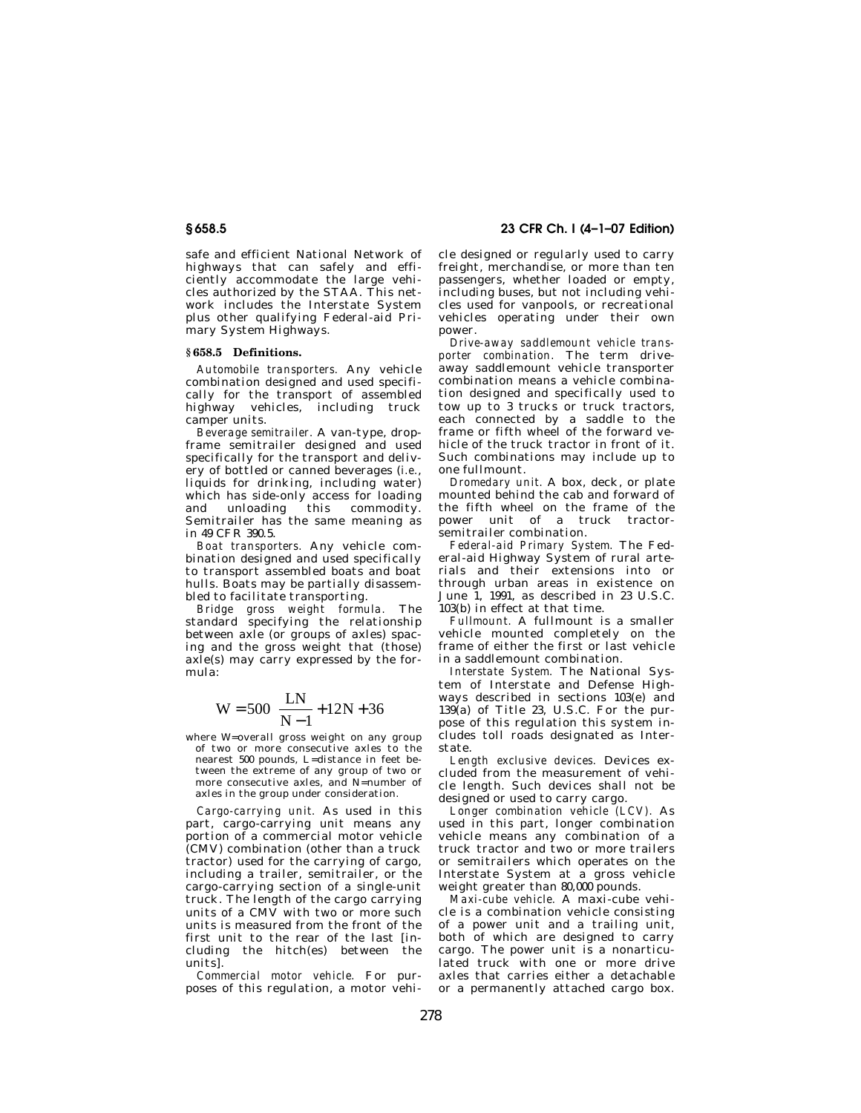safe and efficient National Network of highways that can safely and efficiently accommodate the large vehicles authorized by the STAA. This network includes the Interstate System plus other qualifying Federal-aid Primary System Highways.

# **§ 658.5 Definitions.**

*Automobile transporters.* Any vehicle combination designed and used specifically for the transport of assembled highway vehicles, including truck camper units.

*Beverage semitrailer.* A van-type, dropframe semitrailer designed and used specifically for the transport and delivery of bottled or canned beverages (*i.e.*, liquids for drinking, including water) which has side-only access for loading and unloading this commodity. Semitrailer has the same meaning as in 49 CFR 390.5.

*Boat transporters.* Any vehicle combination designed and used specifically to transport assembled boats and boat hulls. Boats may be partially disassembled to facilitate transporting.

*Bridge gross weight formula.* The standard specifying the relationship between axle (or groups of axles) spacing and the gross weight that (those) axle(s) may carry expressed by the formula:

$$
W = 500 \left( \frac{LN}{N-1} + 12N + 36 \right)
$$

where W=overall gross weight on any group of two or more consecutive axles to the nearest 500 pounds, L=distance in feet between the extreme of any group of two or more consecutive axles, and N=number of axles in the group under consideration.

*Cargo-carrying unit.* As used in this part, cargo-carrying unit means any portion of a commercial motor vehicle (CMV) combination (other than a truck tractor) used for the carrying of cargo, including a trailer, semitrailer, or the cargo-carrying section of a single-unit truck. The length of the cargo carrying units of a CMV with two or more such units is measured from the front of the first unit to the rear of the last [including the hitch(es) between the units].

*Commercial motor vehicle.* For purposes of this regulation, a motor vehi-

**§ 658.5 23 CFR Ch. I (4–1–07 Edition)** 

cle designed or regularly used to carry freight, merchandise, or more than ten passengers, whether loaded or empty, including buses, but not including vehicles used for vanpools, or recreational vehicles operating under their own power.

*Drive-away saddlemount vehicle transporter combination.* The term driveaway saddlemount vehicle transporter combination means a vehicle combination designed and specifically used to tow up to 3 trucks or truck tractors, each connected by a saddle to the frame or fifth wheel of the forward vehicle of the truck tractor in front of it. Such combinations may include up to one fullmount.

*Dromedary unit.* A box, deck, or plate mounted behind the cab and forward of the fifth wheel on the frame of the power unit of a truck tractorsemitrailer combination.

*Federal-aid Primary System.* The Federal-aid Highway System of rural arterials and their extensions into or through urban areas in existence on June 1, 1991, as described in 23 U.S.C. 103(b) in effect at that time.

*Fullmount.* A fullmount is a smaller vehicle mounted completely on the frame of either the first or last vehicle in a saddlemount combination.

*Interstate System.* The National System of Interstate and Defense Highways described in sections 103(e) and  $139(a)$  of Title 23, U.S.C. For the purpose of this regulation this system includes toll roads designated as Interstate.

*Length exclusive devices.* Devices excluded from the measurement of vehicle length. Such devices shall not be designed or used to carry cargo.

*Longer combination vehicle (LCV).* As used in this part, longer combination vehicle means any combination of a truck tractor and two or more trailers or semitrailers which operates on the Interstate System at a gross vehicle weight greater than 80,000 pounds.

*Maxi-cube vehicle.* A maxi-cube vehicle is a combination vehicle consisting of a power unit and a trailing unit, both of which are designed to carry cargo. The power unit is a nonarticulated truck with one or more drive axles that carries either a detachable or a permanently attached cargo box.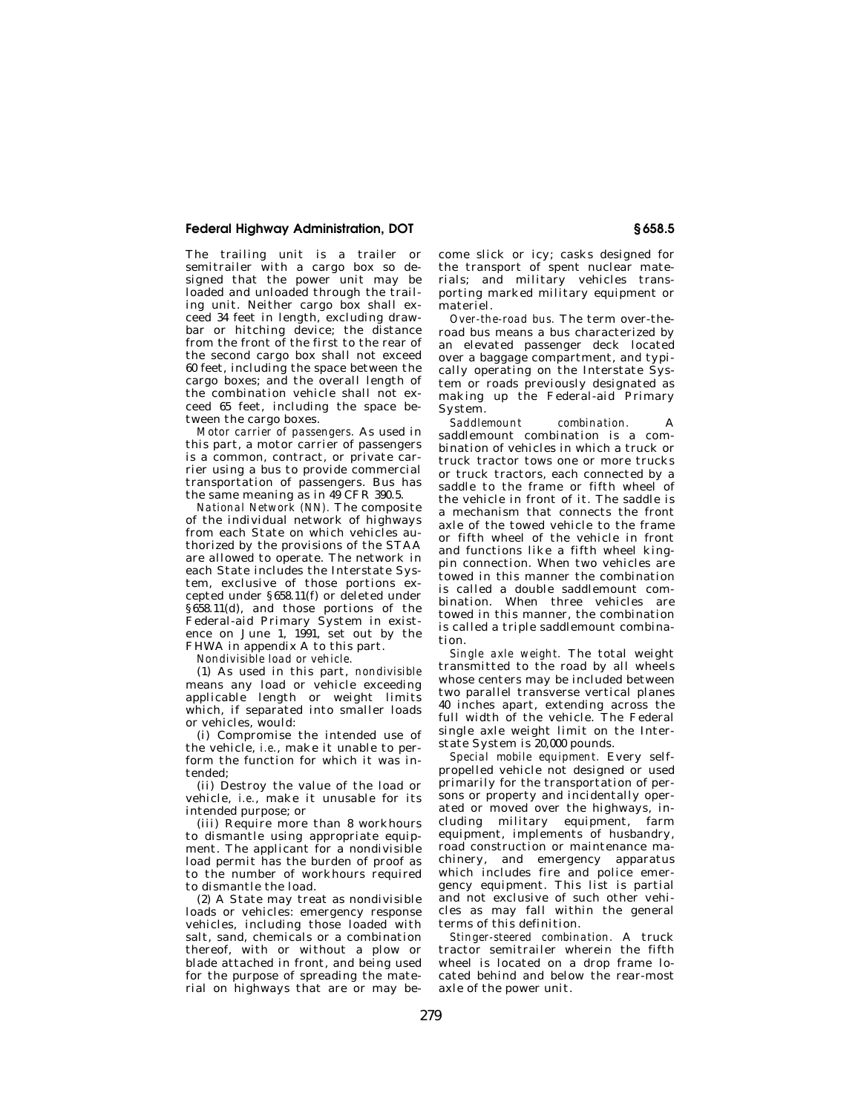# **Federal Highway Administration, DOT § 658.5**

The trailing unit is a trailer or semitrailer with a cargo box so designed that the power unit may be loaded and unloaded through the trailing unit. Neither cargo box shall exceed 34 feet in length, excluding drawbar or hitching device; the distance from the front of the first to the rear of the second cargo box shall not exceed 60 feet, including the space between the cargo boxes; and the overall length of the combination vehicle shall not exceed 65 feet, including the space between the cargo boxes.

*Motor carrier of passengers.* As used in this part, a motor carrier of passengers is a common, contract, or private carrier using a bus to provide commercial transportation of passengers. Bus has the same meaning as in 49 CFR 390.5.

*National Network (NN).* The composite of the individual network of highways from each State on which vehicles authorized by the provisions of the STAA are allowed to operate. The network in each State includes the Interstate System, exclusive of those portions excepted under §658.11(f) or deleted under §658.11(d), and those portions of the Federal-aid Primary System in existence on June 1, 1991, set out by the FHWA in appendix A to this part.

*Nondivisible load or vehicle.* 

(1) As used in this part, *nondivisible*  means any load or vehicle exceeding applicable length or weight limits which, if separated into smaller loads or vehicles, would:

(i) Compromise the intended use of the vehicle, *i.e.*, make it unable to perform the function for which it was intended;

(ii) Destroy the value of the load or vehicle, *i.e.*, make it unusable for its intended purpose; or

(iii) Require more than 8 workhours to dismantle using appropriate equipment. The applicant for a nondivisible load permit has the burden of proof as to the number of workhours required to dismantle the load.

(2) A State may treat as nondivisible loads or vehicles: emergency response vehicles, including those loaded with salt, sand, chemicals or a combination thereof, with or without a plow or blade attached in front, and being used for the purpose of spreading the material on highways that are or may be-

come slick or icy; casks designed for the transport of spent nuclear materials; and military vehicles transporting marked military equipment or materiel.

*Over-the-road bus.* The term over-theroad bus means a bus characterized by an elevated passenger deck located over a baggage compartment, and typically operating on the Interstate System or roads previously designated as making up the Federal-aid Primary System.

*Saddlemount combination.* A saddlemount combination is a combination of vehicles in which a truck or truck tractor tows one or more trucks or truck tractors, each connected by a saddle to the frame or fifth wheel of the vehicle in front of it. The saddle is a mechanism that connects the front axle of the towed vehicle to the frame or fifth wheel of the vehicle in front and functions like a fifth wheel kingpin connection. When two vehicles are towed in this manner the combination is called a double saddlemount combination. When three vehicles are towed in this manner, the combination is called a triple saddlemount combination.

*Single axle weight.* The total weight transmitted to the road by all wheels whose centers may be included between two parallel transverse vertical planes 40 inches apart, extending across the full width of the vehicle. The Federal single axle weight limit on the Interstate System is 20,000 pounds.

*Special mobile equipment.* Every selfpropelled vehicle not designed or used primarily for the transportation of persons or property and incidentally operated or moved over the highways, including military equipment, farm equipment, implements of husbandry, road construction or maintenance machinery, and emergency apparatus which includes fire and police emergency equipment. This list is partial and not exclusive of such other vehicles as may fall within the general terms of this definition.

*Stinger-steered combination.* A truck tractor semitrailer wherein the fifth wheel is located on a drop frame located behind and below the rear-most axle of the power unit.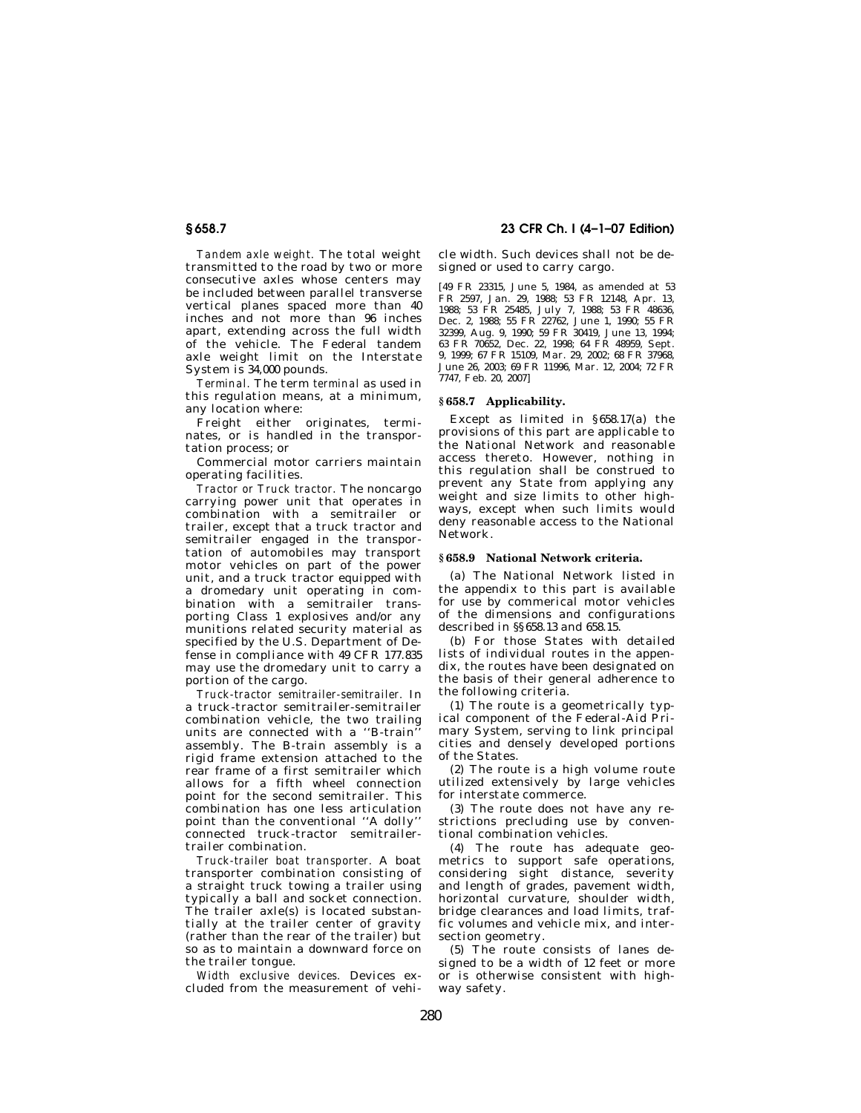*Tandem axle weight.* The total weight transmitted to the road by two or more consecutive axles whose centers may be included between parallel transverse vertical planes spaced more than 40 inches and not more than 96 inches apart, extending across the full width of the vehicle. The Federal tandem axle weight limit on the Interstate System is 34,000 pounds.

*Terminal.* The term *terminal* as used in this regulation means, at a minimum, any location where:

Freight either originates, terminates, or is handled in the transportation process; or

Commercial motor carriers maintain operating facilities.

*Tractor or Truck tractor.* The noncargo carrying power unit that operates in combination with a semitrailer or trailer, except that a truck tractor and semitrailer engaged in the transportation of automobiles may transport motor vehicles on part of the power unit, and a truck tractor equipped with a dromedary unit operating in combination with a semitrailer transporting Class 1 explosives and/or any munitions related security material as specified by the U.S. Department of Defense in compliance with 49 CFR 177.835 may use the dromedary unit to carry a portion of the cargo.

*Truck-tractor semitrailer-semitrailer.* In a truck-tractor semitrailer-semitrailer combination vehicle, the two trailing units are connected with a ''B-train'' assembly. The B-train assembly is a rigid frame extension attached to the rear frame of a first semitrailer which allows for a fifth wheel connection point for the second semitrailer. This combination has one less articulation point than the conventional ''A dolly'' connected truck-tractor semitrailertrailer combination.

*Truck-trailer boat transporter.* A boat transporter combination consisting of a straight truck towing a trailer using typically a ball and socket connection. The trailer axle(s) is located substantially at the trailer center of gravity (rather than the rear of the trailer) but so as to maintain a downward force on the trailer tongue.

*Width exclusive devices.* Devices excluded from the measurement of vehi-

# **§ 658.7 23 CFR Ch. I (4–1–07 Edition)**

cle width. Such devices shall not be designed or used to carry cargo.

[49 FR 23315, June 5, 1984, as amended at 53 FR 2597, Jan. 29, 1988; 53 FR 12148, Apr. 13, 1988; 53 FR 25485, July 7, 1988; 53 FR 48636, Dec. 2, 1988; 55 FR 22762, June 1, 1990; 55 FR 32399, Aug. 9, 1990; 59 FR 30419, June 13, 1994; 63 FR 70652, Dec. 22, 1998; 64 FR 48959, Sept. 9, 1999; 67 FR 15109, Mar. 29, 2002; 68 FR 37968, June 26, 2003; 69 FR 11996, Mar. 12, 2004; 72 FR 7747, Feb. 20, 2007]

# **§ 658.7 Applicability.**

Except as limited in §658.17(a) the provisions of this part are applicable to the National Network and reasonable access thereto. However, nothing in this regulation shall be construed to prevent any State from applying any weight and size limits to other highways, except when such limits would deny reasonable access to the National Network.

# **§ 658.9 National Network criteria.**

(a) The National Network listed in the appendix to this part is available for use by commerical motor vehicles of the dimensions and configurations described in §§658.13 and 658.15.

(b) For those States with detailed lists of individual routes in the appendix, the routes have been designated on the basis of their general adherence to the following criteria.

(1) The route is a geometrically typical component of the Federal-Aid Primary System, serving to link principal cities and densely developed portions of the States.

(2) The route is a high volume route utilized extensively by large vehicles for interstate commerce.

(3) The route does not have any restrictions precluding use by conventional combination vehicles.

(4) The route has adequate geometrics to support safe operations, considering sight distance, severity and length of grades, pavement width, horizontal curvature, shoulder width, bridge clearances and load limits, traffic volumes and vehicle mix, and intersection geometry.

(5) The route consists of lanes designed to be a width of 12 feet or more or is otherwise consistent with highway safety.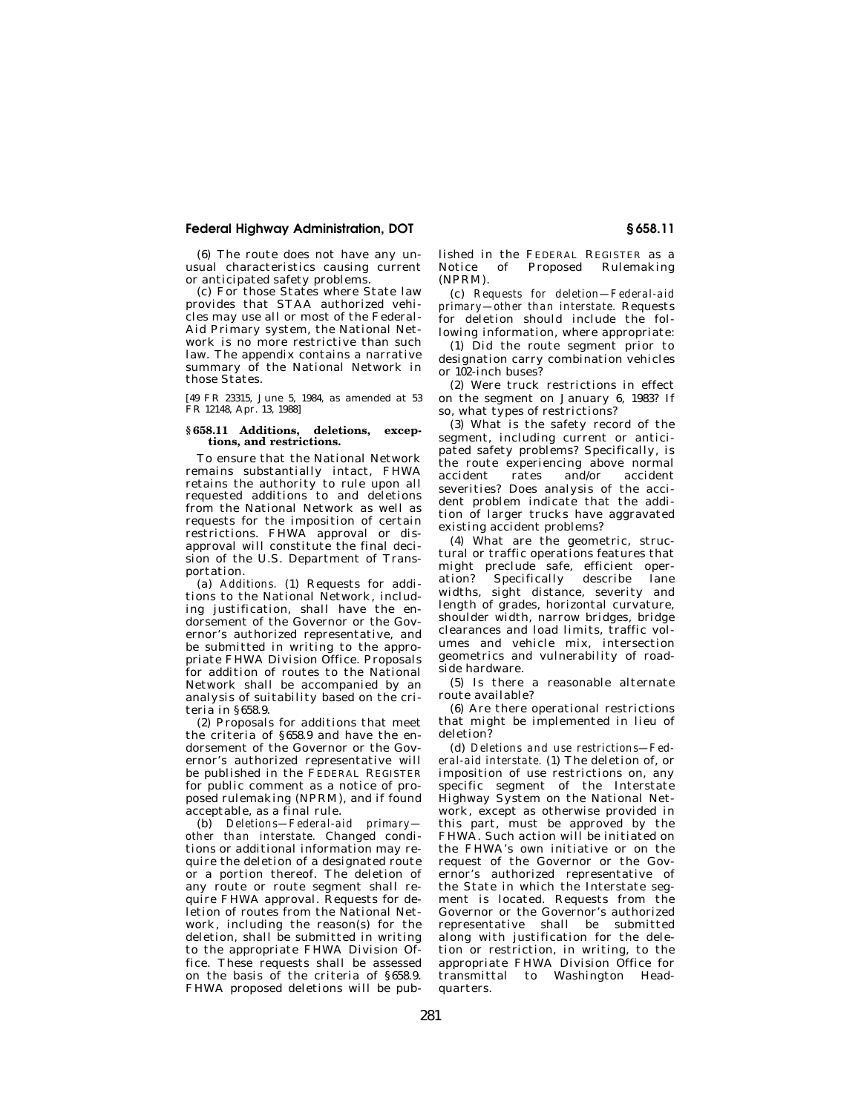# **Federal Highway Administration, DOT § 658.11**

(6) The route does not have any unusual characteristics causing current or anticipated safety problems.

(c) For those States where State law provides that STAA authorized vehicles may use all or most of the Federal-Aid Primary system, the National Network is no more restrictive than such law. The appendix contains a narrative summary of the National Network in those States.

[49 FR 23315, June 5, 1984, as amended at 53 FR 12148, Apr. 13, 1988]

# **§ 658.11 Additions, deletions, excep-tions, and restrictions.**

To ensure that the National Network remains substantially intact, FHWA retains the authority to rule upon all requested additions to and deletions from the National Network as well as requests for the imposition of certain restrictions. FHWA approval or disapproval will constitute the final decision of the U.S. Department of Transportation.

(a) *Additions.* (1) Requests for additions to the National Network, including justification, shall have the endorsement of the Governor or the Governor's authorized representative, and be submitted in writing to the appropriate FHWA Division Office. Proposals for addition of routes to the National Network shall be accompanied by an analysis of suitability based on the criteria in §658.9.

(2) Proposals for additions that meet the criteria of §658.9 and have the endorsement of the Governor or the Governor's authorized representative will be published in the FEDERAL REGISTER for public comment as a notice of proposed rulemaking (NPRM), and if found acceptable, as a final rule.

(b) *Deletions—Federal-aid primary other than interstate.* Changed conditions or additional information may require the deletion of a designated route or a portion thereof. The deletion of any route or route segment shall require FHWA approval. Requests for deletion of routes from the National Network, including the reason(s) for the deletion, shall be submitted in writing to the appropriate FHWA Division Office. These requests shall be assessed on the basis of the criteria of §658.9. FHWA proposed deletions will be published in the FEDERAL REGISTER as a Notice of Proposed Rulemaking (NPRM).

(c) *Requests for deletion—Federal-aid primary—other than interstate.* Requests for deletion should include the following information, where appropriate:

(1) Did the route segment prior to designation carry combination vehicles or 102-inch buses?

(2) Were truck restrictions in effect on the segment on January 6, 1983? If so, what types of restrictions?

(3) What is the safety record of the segment, including current or anticipated safety problems? Specifically, is the route experiencing above normal<br>accident rates and/or accident accident rates and/or accident severities? Does analysis of the accident problem indicate that the addition of larger trucks have aggravated existing accident problems?

(4) What are the geometric, structural or traffic operations features that might preclude safe, efficient oper-<br>ation? Specifically describe lane Specifically describe widths, sight distance, severity and length of grades, horizontal curvature, shoulder width, narrow bridges, bridge clearances and load limits, traffic volumes and vehicle mix, intersection geometrics and vulnerability of roadside hardware.

(5) Is there a reasonable alternate route available?

(6) Are there operational restrictions that might be implemented in lieu of deletion?

(d) *Deletions and use restrictions—Federal-aid interstate.* (1) The deletion of, or imposition of use restrictions on, any specific segment of the Interstate Highway System on the National Network, except as otherwise provided in this part, must be approved by the FHWA. Such action will be initiated on the FHWA's own initiative or on the request of the Governor or the Governor's authorized representative of the State in which the Interstate segment is located. Requests from the Governor or the Governor's authorized representative shall be submitted along with justification for the deletion or restriction, in writing, to the appropriate FHWA Division Office for transmittal to Washington Headquarters.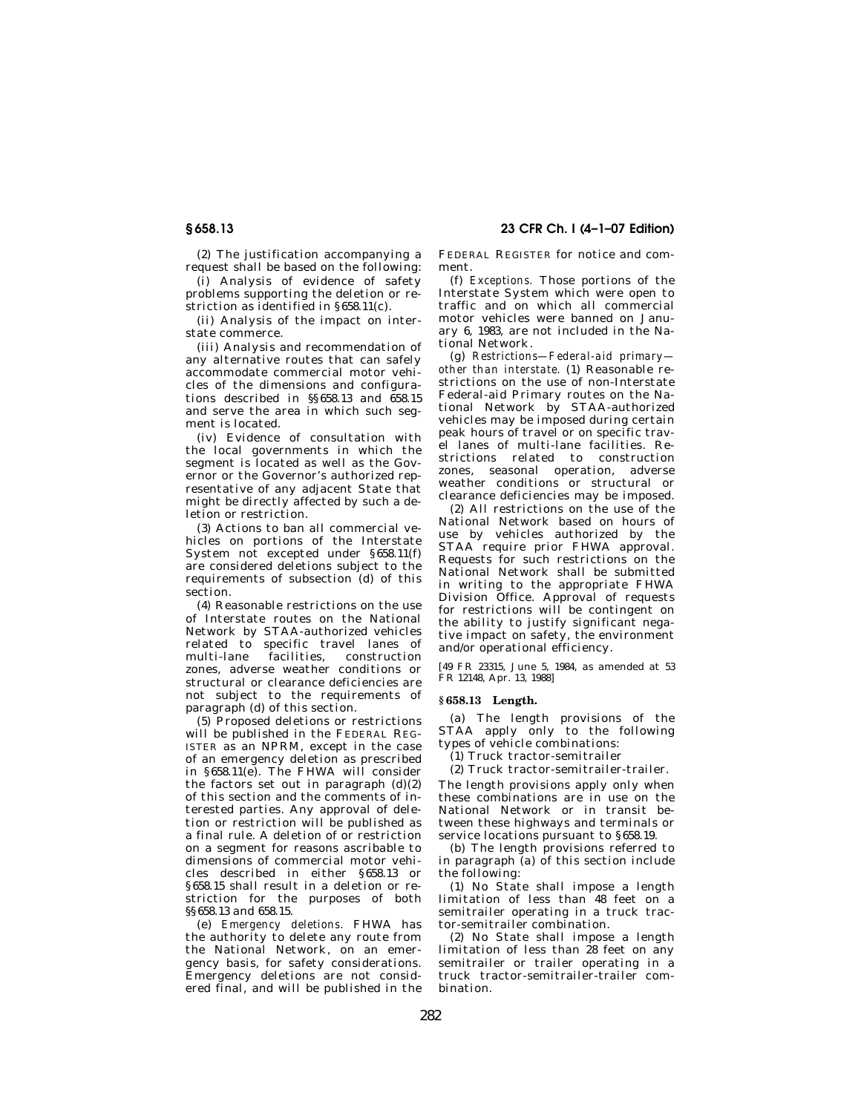(2) The justification accompanying a request shall be based on the following:

(i) Analysis of evidence of safety problems supporting the deletion or restriction as identified in §658.11(c).

(ii) Analysis of the impact on interstate commerce.

(iii) Analysis and recommendation of any alternative routes that can safely accommodate commercial motor vehicles of the dimensions and configurations described in §§658.13 and 658.15 and serve the area in which such segment is located.

(iv) Evidence of consultation with the local governments in which the segment is located as well as the Governor or the Governor's authorized representative of any adjacent State that might be directly affected by such a deletion or restriction.

(3) Actions to ban all commercial vehicles on portions of the Interstate System not excepted under §658.11(f) are considered deletions subject to the requirements of subsection (d) of this section.

(4) Reasonable restrictions on the use of Interstate routes on the National Network by STAA-authorized vehicles related to specific travel lanes of multi-lane facilities, construction zones, adverse weather conditions or structural or clearance deficiencies are not subject to the requirements of paragraph (d) of this section.

(5) Proposed deletions or restrictions will be published in the FEDERAL REG-ISTER as an NPRM, except in the case of an emergency deletion as prescribed in §658.11(e). The FHWA will consider the factors set out in paragraph (d)(2) of this section and the comments of interested parties. Any approval of deletion or restriction will be published as a final rule. A deletion of or restriction on a segment for reasons ascribable to dimensions of commercial motor vehicles described in either §658.13 or §658.15 shall result in a deletion or restriction for the purposes of both §§658.13 and 658.15.

(e) *Emergency deletions.* FHWA has the authority to delete any route from the National Network, on an emergency basis, for safety considerations. Emergency deletions are not considered final, and will be published in the FEDERAL REGISTER for notice and comment.

(f) *Exceptions.* Those portions of the Interstate System which were open to traffic and on which all commercial motor vehicles were banned on January 6, 1983, are not included in the National Network.

(g) *Restrictions—Federal-aid primary other than interstate.* (1) Reasonable restrictions on the use of non-Interstate Federal-aid Primary routes on the National Network by STAA-authorized vehicles may be imposed during certain peak hours of travel or on specific travel lanes of multi-lane facilities. Restrictions related to construction zones, seasonal operation, adverse weather conditions or structural or clearance deficiencies may be imposed.

(2) All restrictions on the use of the National Network based on hours of use by vehicles authorized by the STAA require prior FHWA approval. Requests for such restrictions on the National Network shall be submitted in writing to the appropriate FHWA Division Office. Approval of requests for restrictions will be contingent on the ability to justify significant negative impact on safety, the environment and/or operational efficiency.

[49 FR 23315, June 5, 1984, as amended at 53 FR 12148, Apr. 13, 1988]

# **§ 658.13 Length.**

(a) The length provisions of the STAA apply only to the following types of vehicle combinations:

(1) Truck tractor-semitrailer

(2) Truck tractor-semitrailer-trailer.

The length provisions apply only when these combinations are in use on the National Network or in transit between these highways and terminals or service locations pursuant to §658.19.

(b) The length provisions referred to in paragraph (a) of this section include the following:

(1) No State shall impose a length limitation of less than 48 feet on a semitrailer operating in a truck tractor-semitrailer combination.

(2) No State shall impose a length limitation of less than 28 feet on any semitrailer or trailer operating in a truck tractor-semitrailer-trailer combination.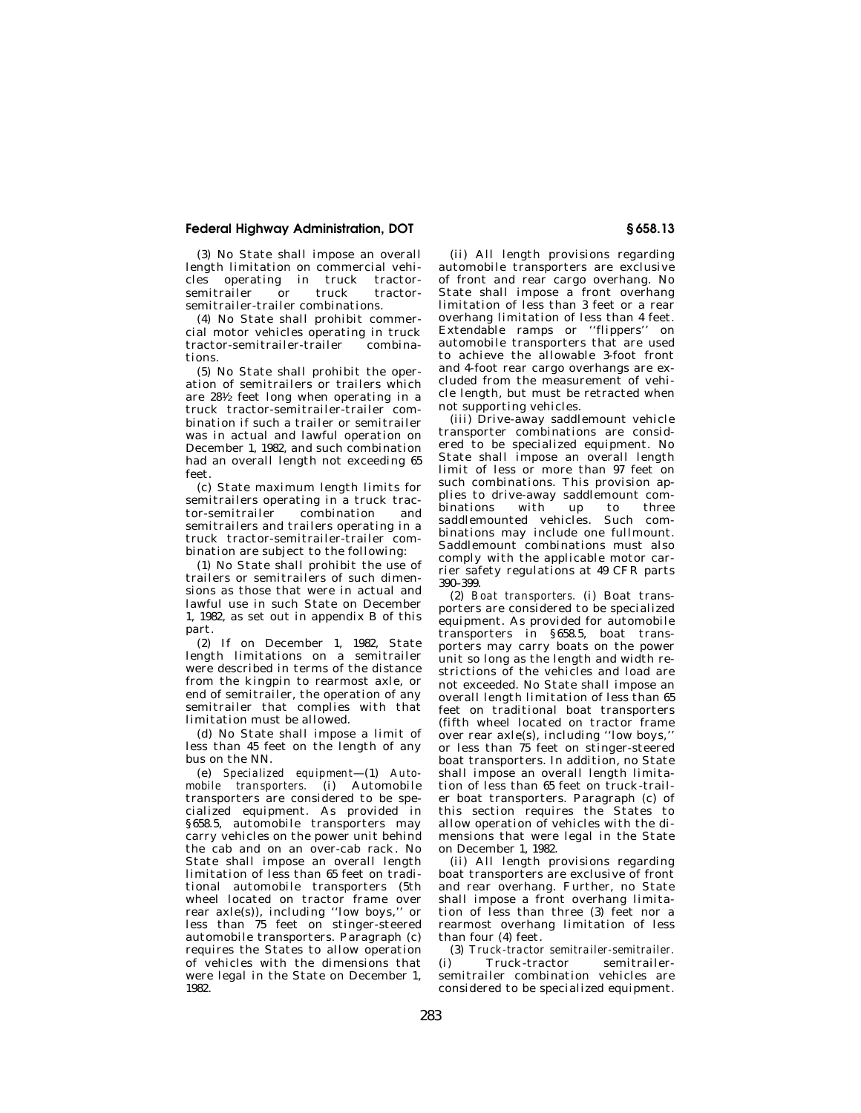# **Federal Highway Administration, DOT § 658.13**

(3) No State shall impose an overall length limitation on commercial vehicles operating in truck tractorsemitrailer or truck tractorsemitrailer-trailer combinations.

(4) No State shall prohibit commercial motor vehicles operating in truck tractor-semitrailer-trailer combinations.

(5) No State shall prohibit the operation of semitrailers or trailers which are 281⁄2 feet long when operating in a truck tractor-semitrailer-trailer combination if such a trailer or semitrailer was in actual and lawful operation on December 1, 1982, and such combination had an overall length not exceeding 65 feet.

(c) State maximum length limits for semitrailers operating in a truck tractor-semitrailer combination and semitrailers and trailers operating in a truck tractor-semitrailer-trailer combination are subject to the following:

(1) No State shall prohibit the use of trailers or semitrailers of such dimensions as those that were in actual and lawful use in such State on December 1, 1982, as set out in appendix B of this part.

(2) If on December 1, 1982, State length limitations on a semitrailer were described in terms of the distance from the kingpin to rearmost axle, or end of semitrailer, the operation of any semitrailer that complies with that limitation must be allowed.

(d) No State shall impose a limit of less than 45 feet on the length of any bus on the NN.

(e) *Specialized equipment*—(1) *Automobile transporters.* (i) Automobile transporters are considered to be specialized equipment. As provided in §658.5, automobile transporters may carry vehicles on the power unit behind the cab and on an over-cab rack. No State shall impose an overall length limitation of less than 65 feet on traditional automobile transporters (5th wheel located on tractor frame over rear axle(s)), including ''low boys,'' or less than 75 feet on stinger-steered automobile transporters. Paragraph (c) requires the States to allow operation of vehicles with the dimensions that were legal in the State on December 1, 1982.

(ii) All length provisions regarding automobile transporters are exclusive of front and rear cargo overhang. No State shall impose a front overhang limitation of less than 3 feet or a rear overhang limitation of less than 4 feet. Extendable ramps or ''flippers'' on automobile transporters that are used to achieve the allowable 3-foot front and 4-foot rear cargo overhangs are excluded from the measurement of vehicle length, but must be retracted when not supporting vehicles.

(iii) Drive-away saddlemount vehicle transporter combinations are considered to be specialized equipment. No State shall impose an overall length limit of less or more than 97 feet on such combinations. This provision applies to drive-away saddlemount com-<br>binations with up to three  $binations$  with up to saddlemounted vehicles. Such combinations may include one fullmount. Saddlemount combinations must also comply with the applicable motor carrier safety regulations at 49 CFR parts 390–399.

(2) *Boat transporters.* (i) Boat transporters are considered to be specialized equipment. As provided for automobile transporters in §658.5, boat transporters may carry boats on the power unit so long as the length and width restrictions of the vehicles and load are not exceeded. No State shall impose an overall length limitation of less than 65 feet on traditional boat transporters (fifth wheel located on tractor frame over rear axle(s), including ''low boys,'' or less than 75 feet on stinger-steered boat transporters. In addition, no State shall impose an overall length limitation of less than 65 feet on truck-trailer boat transporters. Paragraph (c) of this section requires the States to allow operation of vehicles with the dimensions that were legal in the State on December 1, 1982.

(ii) All length provisions regarding boat transporters are exclusive of front and rear overhang. Further, no State shall impose a front overhang limitation of less than three (3) feet nor a rearmost overhang limitation of less than four (4) feet.

(3) *Truck-tractor semitrailer-semitrailer.*  (i) Truck-tractor semitrailersemitrailer combination vehicles are considered to be specialized equipment.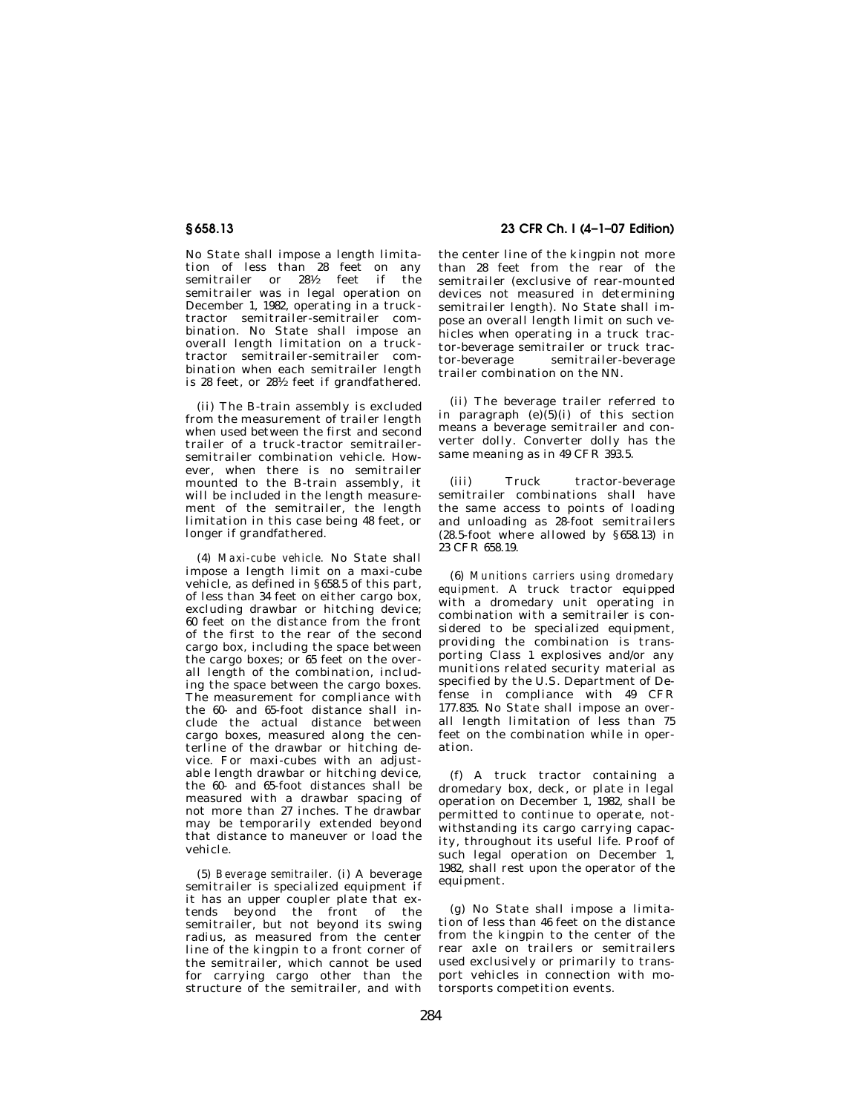No State shall impose a length limitation of less than 28 feet on any semitrailer or 281⁄2 feet if the semitrailer was in legal operation on December 1, 1982, operating in a trucktractor semitrailer-semitrailer combination. No State shall impose an overall length limitation on a trucktractor semitrailer-semitrailer combination when each semitrailer length is 28 feet, or 281⁄2 feet if grandfathered.

(ii) The B-train assembly is excluded from the measurement of trailer length when used between the first and second trailer of a truck-tractor semitrailersemitrailer combination vehicle. However, when there is no semitrailer mounted to the B-train assembly, it will be included in the length measurement of the semitrailer, the length limitation in this case being 48 feet, or longer if grandfathered.

(4) *Maxi-cube vehicle.* No State shall impose a length limit on a maxi-cube vehicle, as defined in §658.5 of this part, of less than 34 feet on either cargo box, excluding drawbar or hitching device; 60 feet on the distance from the front of the first to the rear of the second cargo box, including the space between the cargo boxes; or 65 feet on the overall length of the combination, including the space between the cargo boxes. The measurement for compliance with the 60- and 65-foot distance shall include the actual distance between cargo boxes, measured along the centerline of the drawbar or hitching device. For maxi-cubes with an adjustable length drawbar or hitching device, the 60- and 65-foot distances shall be measured with a drawbar spacing of not more than 27 inches. The drawbar may be temporarily extended beyond that distance to maneuver or load the vehicle.

(5) *Beverage semitrailer.* (i) A beverage semitrailer is specialized equipment if it has an upper coupler plate that extends beyond the front of the semitrailer, but not beyond its swing radius, as measured from the center line of the kingpin to a front corner of the semitrailer, which cannot be used for carrying cargo other than the structure of the semitrailer, and with

the center line of the kingpin not more than 28 feet from the rear of the semitrailer (exclusive of rear-mounted devices not measured in determining semitrailer length). No State shall impose an overall length limit on such vehicles when operating in a truck tractor-beverage semitrailer or truck tractor-beverage semitrailer-beverage trailer combination on the NN.

(ii) The beverage trailer referred to in paragraph  $(e)(5)(i)$  of this section means a beverage semitrailer and converter dolly. Converter dolly has the same meaning as in 49 CFR 393.5.

(iii) Truck tractor-beverage semitrailer combinations shall have the same access to points of loading and unloading as 28-foot semitrailers (28.5-foot where allowed by §658.13) in 23 CFR 658.19.

(6) *Munitions carriers using dromedary equipment.* A truck tractor equipped with a dromedary unit operating in combination with a semitrailer is considered to be specialized equipment, providing the combination is transporting Class 1 explosives and/or any munitions related security material as specified by the U.S. Department of Defense in compliance with 49 CFR 177.835. No State shall impose an overall length limitation of less than 75 feet on the combination while in operation.

(f) A truck tractor containing a dromedary box, deck, or plate in legal operation on December 1, 1982, shall be permitted to continue to operate, notwithstanding its cargo carrying capacity, throughout its useful life. Proof of such legal operation on December 1, 1982, shall rest upon the operator of the equipment.

(g) No State shall impose a limitation of less than 46 feet on the distance from the kingpin to the center of the rear axle on trailers or semitrailers used exclusively or primarily to transport vehicles in connection with motorsports competition events.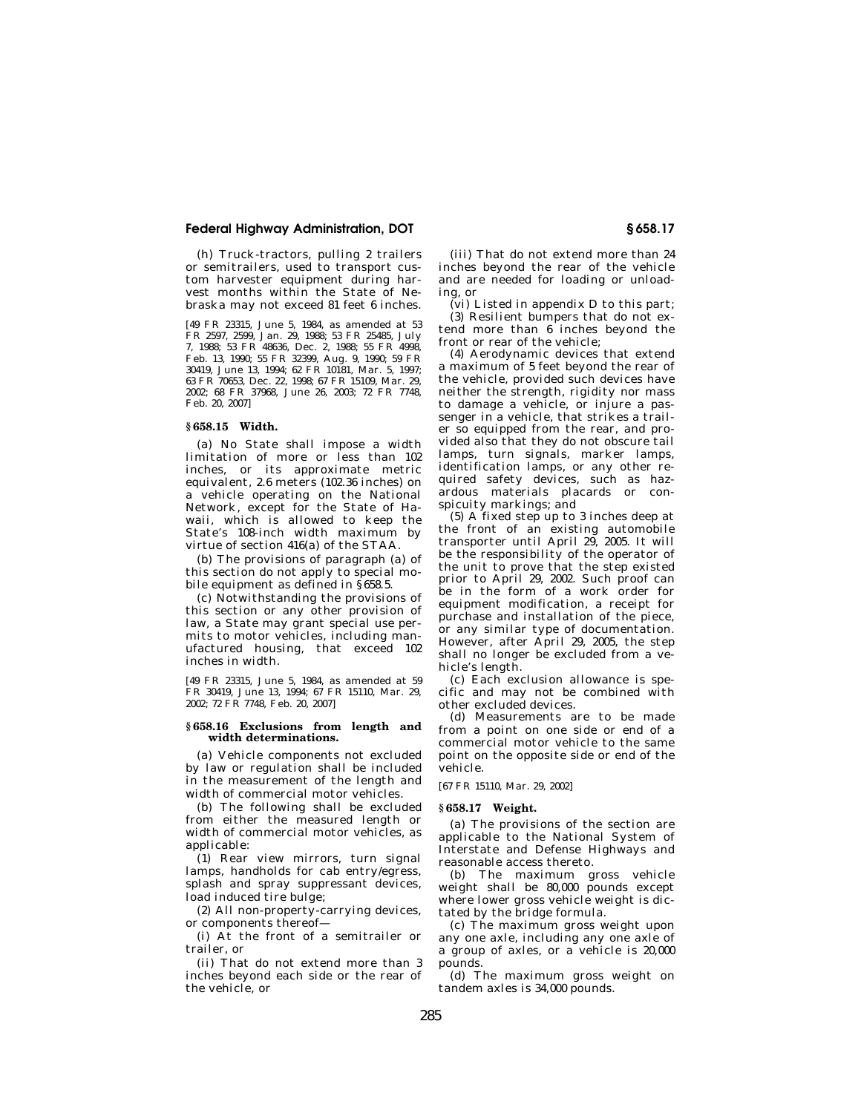# **Federal Highway Administration, DOT § 658.17**

(h) Truck-tractors, pulling 2 trailers or semitrailers, used to transport custom harvester equipment during harvest months within the State of Nebraska may not exceed 81 feet 6 inches.

[49 FR 23315, June 5, 1984, as amended at 53 FR 2597, 2599, Jan. 29, 1988; 53 FR 25485, July 7, 1988; 53 FR 48636, Dec. 2, 1988; 55 FR 4998, Feb. 13, 1990; 55 FR 32399, Aug. 9, 1990; 59 FR 30419, June 13, 1994; 62 FR 10181, Mar. 5, 1997; 63 FR 70653, Dec. 22, 1998; 67 FR 15109, Mar. 29, 2002; 68 FR 37968, June 26, 2003; 72 FR 7748, Feb. 20, 2007]

# **§ 658.15 Width.**

(a) No State shall impose a width limitation of more or less than 102 inches, or its approximate metric equivalent, 2.6 meters (102.36 inches) on a vehicle operating on the National Network, except for the State of Hawaii, which is allowed to keep the State's 108-inch width maximum by virtue of section 416(a) of the STAA.

(b) The provisions of paragraph (a) of this section do not apply to special mobile equipment as defined in §658.5.

(c) Notwithstanding the provisions of this section or any other provision of law, a State may grant special use permits to motor vehicles, including manufactured housing, that exceed 102 inches in width.

[49 FR 23315, June 5, 1984, as amended at 59 FR 30419, June 13, 1994; 67 FR 15110, Mar. 29, 2002; 72 FR 7748, Feb. 20, 2007]

# **§ 658.16 Exclusions from length and width determinations.**

(a) Vehicle components not excluded by law or regulation shall be included in the measurement of the length and width of commercial motor vehicles.

(b) The following shall be excluded from either the measured length or width of commercial motor vehicles, as applicable:

(1) Rear view mirrors, turn signal lamps, handholds for cab entry/egress, splash and spray suppressant devices, load induced tire bulge;

(2) All non-property-carrying devices, or components thereof—

(i) At the front of a semitrailer or trailer, or

(ii) That do not extend more than 3 inches beyond each side or the rear of the vehicle, or

(iii) That do not extend more than 24 inches beyond the rear of the vehicle and are needed for loading or unloading, or

 $\bar{v}(v)$  Listed in appendix D to this part;

(3) Resilient bumpers that do not extend more than 6 inches beyond the front or rear of the vehicle;

(4) Aerodynamic devices that extend a maximum of 5 feet beyond the rear of the vehicle, provided such devices have neither the strength, rigidity nor mass to damage a vehicle, or injure a passenger in a vehicle, that strikes a trailer so equipped from the rear, and provided also that they do not obscure tail lamps, turn signals, marker lamps, identification lamps, or any other required safety devices, such as hazardous materials placards or conspicuity markings; and

(5) A fixed step up to 3 inches deep at the front of an existing automobile transporter until April 29, 2005. It will be the responsibility of the operator of the unit to prove that the step existed prior to April 29, 2002. Such proof can be in the form of a work order for equipment modification, a receipt for purchase and installation of the piece, or any similar type of documentation. However, after April 29, 2005, the step shall no longer be excluded from a vehicle's length.

(c) Each exclusion allowance is specific and may not be combined with other excluded devices.

(d) Measurements are to be made from a point on one side or end of a commercial motor vehicle to the same point on the opposite side or end of the vehicle.

[67 FR 15110, Mar. 29, 2002]

# **§ 658.17 Weight.**

(a) The provisions of the section are applicable to the National System of Interstate and Defense Highways and reasonable access thereto.

(b) The maximum gross vehicle weight shall be 80,000 pounds except where lower gross vehicle weight is dictated by the bridge formula.

(c) The maximum gross weight upon any one axle, including any one axle of a group of axles, or a vehicle is 20,000 pounds.

(d) The maximum gross weight on tandem axles is 34,000 pounds.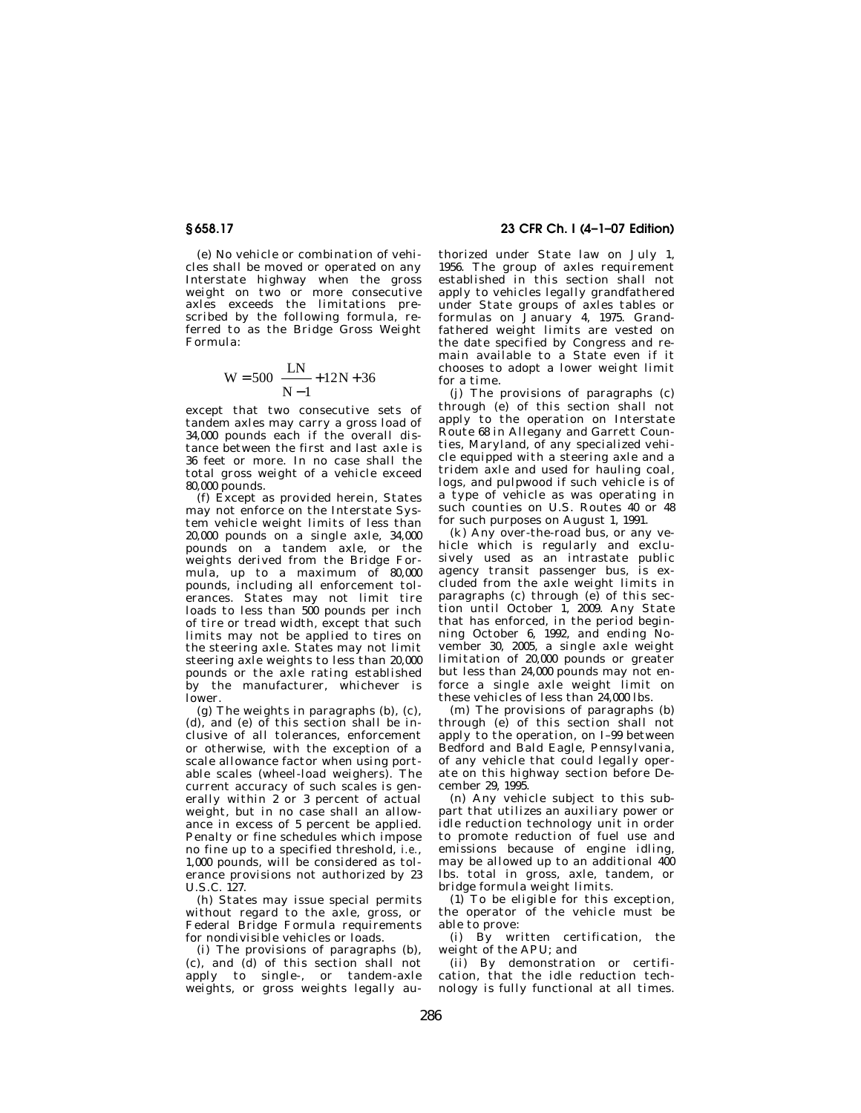(e) No vehicle or combination of vehicles shall be moved or operated on any Interstate highway when the gross weight on two or more consecutive axles exceeds the limitations prescribed by the following formula, referred to as the Bridge Gross Weight Formula:

$$
W = 500 \left( \frac{LN}{N-1} + 12N + 36 \right)
$$

except that two consecutive sets of tandem axles may carry a gross load of 34,000 pounds each if the overall distance between the first and last axle is 36 feet or more. In no case shall the total gross weight of a vehicle exceed 80,000 pounds.

(f) Except as provided herein, States may not enforce on the Interstate System vehicle weight limits of less than 20,000 pounds on a single axle, 34,000 pounds on a tandem axle, or the weights derived from the Bridge Formula, up to a maximum of 80,000 pounds, including all enforcement tolerances. States may not limit tire loads to less than 500 pounds per inch of tire or tread width, except that such limits may not be applied to tires on the steering axle. States may not limit steering axle weights to less than 20,000 pounds or the axle rating established by the manufacturer, whichever is lower.

(g) The weights in paragraphs (b), (c), (d), and (e) of this section shall be inclusive of all tolerances, enforcement or otherwise, with the exception of a scale allowance factor when using portable scales (wheel-load weighers). The current accuracy of such scales is generally within 2 or 3 percent of actual weight, but in no case shall an allowance in excess of 5 percent be applied. Penalty or fine schedules which impose no fine up to a specified threshold, *i.e.*, 1,000 pounds, will be considered as tolerance provisions not authorized by 23 U.S.C. 127.

(h) States may issue special permits without regard to the axle, gross, or Federal Bridge Formula requirements for nondivisible vehicles or loads.

(i) The provisions of paragraphs (b), (c), and (d) of this section shall not apply to single-, or tandem-axle weights, or gross weights legally au-

# **§ 658.17 23 CFR Ch. I (4–1–07 Edition)**

thorized under State law on July 1, 1956. The group of axles requirement established in this section shall not apply to vehicles legally grandfathered under State groups of axles tables or formulas on January 4, 1975. Grandfathered weight limits are vested on the date specified by Congress and remain available to a State even if it chooses to adopt a lower weight limit for a time.

(j) The provisions of paragraphs (c) through (e) of this section shall not apply to the operation on Interstate Route 68 in Allegany and Garrett Counties, Maryland, of any specialized vehicle equipped with a steering axle and a tridem axle and used for hauling coal, logs, and pulpwood if such vehicle is of a type of vehicle as was operating in such counties on U.S. Routes 40 or 48 for such purposes on August 1, 1991.

(k) Any over-the-road bus, or any vehicle which is regularly and exclusively used as an intrastate public agency transit passenger bus, is excluded from the axle weight limits in paragraphs (c) through  $(e)$  of this section until October 1, 2009. Any State that has enforced, in the period beginning October 6, 1992, and ending November 30, 2005, a single axle weight limitation of 20,000 pounds or greater but less than 24,000 pounds may not enforce a single axle weight limit on these vehicles of less than 24,000 lbs.

(m) The provisions of paragraphs (b) through (e) of this section shall not apply to the operation, on I–99 between Bedford and Bald Eagle, Pennsylvania, of any vehicle that could legally operate on this highway section before December 29, 1995.

(n) Any vehicle subject to this subpart that utilizes an auxiliary power or idle reduction technology unit in order to promote reduction of fuel use and emissions because of engine idling, may be allowed up to an additional 400 lbs. total in gross, axle, tandem, or bridge formula weight limits.

(1) To be eligible for this exception, the operator of the vehicle must be able to prove:

(i) By written certification, the weight of the APU; and

(ii) By demonstration or certification, that the idle reduction technology is fully functional at all times.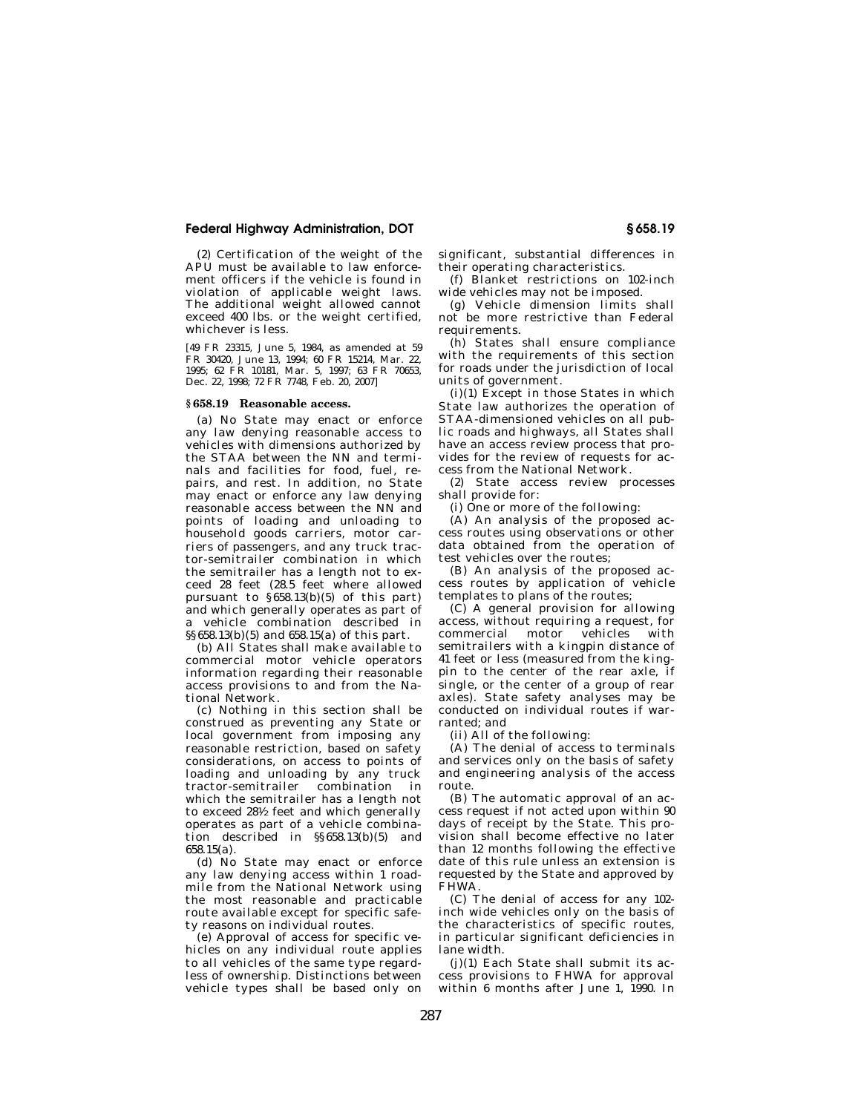# **Federal Highway Administration, DOT § 658.19**

(2) Certification of the weight of the APU must be available to law enforcement officers if the vehicle is found in violation of applicable weight laws. The additional weight allowed cannot exceed 400 lbs. or the weight certified, whichever is less.

[49 FR 23315, June 5, 1984, as amended at 59 FR 30420, June 13, 1994; 60 FR 15214, Mar. 22, 1995; 62 FR 10181, Mar. 5, 1997; 63 FR 70653, Dec. 22, 1998; 72 FR 7748, Feb. 20, 2007]

# **§ 658.19 Reasonable access.**

(a) No State may enact or enforce any law denying reasonable access to vehicles with dimensions authorized by the STAA between the NN and terminals and facilities for food, fuel, repairs, and rest. In addition, no State may enact or enforce any law denying reasonable access between the NN and points of loading and unloading to household goods carriers, motor carriers of passengers, and any truck tractor-semitrailer combination in which the semitrailer has a length not to exceed 28 feet (28.5 feet where allowed pursuant to §658.13(b)(5) of this part) and which generally operates as part of a vehicle combination described in §§658.13(b)(5) and 658.15(a) of this part.

(b) All States shall make available to commercial motor vehicle operators information regarding their reasonable access provisions to and from the National Network.

(c) Nothing in this section shall be construed as preventing any State or local government from imposing any reasonable restriction, based on safety considerations, on access to points of loading and unloading by any truck tractor-semitrailer combination in which the semitrailer has a length not to exceed 281⁄2 feet and which generally operates as part of a vehicle combination described in §§658.13(b)(5) and 658.15(a).

(d) No State may enact or enforce any law denying access within 1 roadmile from the National Network using the most reasonable and practicable route available except for specific safety reasons on individual routes.

(e) Approval of access for specific vehicles on any individual route applies to all vehicles of the same type regardless of ownership. Distinctions between vehicle types shall be based only on significant, substantial differences in their operating characteristics.

(f) Blanket restrictions on 102-inch wide vehicles may not be imposed.

(g) Vehicle dimension limits shall not be more restrictive than Federal requirements.

(h) States shall ensure compliance with the requirements of this section for roads under the jurisdiction of local units of government.

 $(i)(1)$  Except in those States in which State law authorizes the operation of STAA-dimensioned vehicles on all public roads and highways, all States shall have an access review process that provides for the review of requests for access from the National Network.

(2) State access review processes shall provide for:

 $(i)$  One or more of the following:

(A) An analysis of the proposed access routes using observations or other data obtained from the operation of test vehicles over the routes;

(B) An analysis of the proposed access routes by application of vehicle templates to plans of the routes;

(C) A general provision for allowing access, without requiring a request, for motor vehicles with semitrailers with a kingpin distance of 41 feet or less (measured from the kingpin to the center of the rear axle, if single, or the center of a group of rear axles). State safety analyses may be conducted on individual routes if warranted; and

(ii) All of the following:

(A) The denial of access to terminals and services only on the basis of safety and engineering analysis of the access route.

(B) The automatic approval of an access request if not acted upon within 90 days of receipt by the State. This provision shall become effective no later than 12 months following the effective date of this rule unless an extension is requested by the State and approved by FHWA.

(C) The denial of access for any 102 inch wide vehicles only on the basis of the characteristics of specific routes, in particular significant deficiencies in lane width.

(j)(1) Each State shall submit its access provisions to FHWA for approval within 6 months after June 1, 1990. In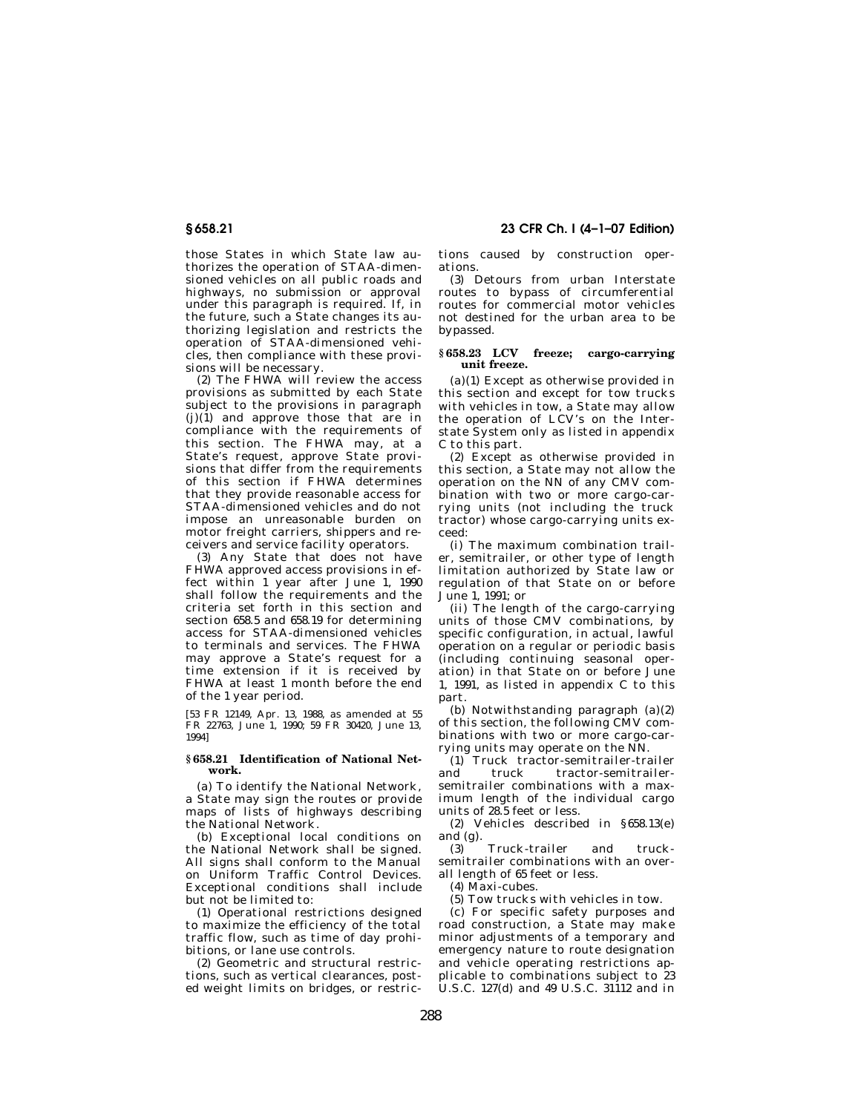**§ 658.21 23 CFR Ch. I (4–1–07 Edition)** 

those States in which State law authorizes the operation of STAA-dimensioned vehicles on all public roads and highways, no submission or approval under this paragraph is required. If, in the future, such a State changes its authorizing legislation and restricts the operation of STAA-dimensioned vehicles, then compliance with these provisions will be necessary.

(2) The FHWA will review the access provisions as submitted by each State subject to the provisions in paragraph (j)(1) and approve those that are in compliance with the requirements of this section. The FHWA may, at a State's request, approve State provisions that differ from the requirements of this section if FHWA determines that they provide reasonable access for STAA-dimensioned vehicles and do not impose an unreasonable burden on motor freight carriers, shippers and receivers and service facility operators.

(3) Any State that does not have FHWA approved access provisions in effect within 1 year after June 1, 1990 shall follow the requirements and the criteria set forth in this section and section 658.5 and 658.19 for determining access for STAA-dimensioned vehicles to terminals and services. The FHWA may approve a State's request for a time extension if it is received by FHWA at least 1 month before the end of the 1 year period.

[53 FR 12149, Apr. 13, 1988, as amended at 55 FR 22763, June 1, 1990; 59 FR 30420, June 13, 1994]

# **§ 658.21 Identification of National Network.**

(a) To identify the National Network, a State may sign the routes or provide maps of lists of highways describing the National Network.

(b) Exceptional local conditions on the National Network shall be signed. All signs shall conform to the Manual on Uniform Traffic Control Devices. Exceptional conditions shall include but not be limited to:

(1) Operational restrictions designed to maximize the efficiency of the total traffic flow, such as time of day prohibitions, or lane use controls.

(2) Geometric and structural restrictions, such as vertical clearances, posted weight limits on bridges, or restrictions caused by construction operations.

(3) Detours from urban Interstate routes to bypass of circumferential routes for commercial motor vehicles not destined for the urban area to be bypassed.

# **§ 658.23 LCV freeze; cargo-carrying unit freeze.**

(a)(1) Except as otherwise provided in this section and except for tow trucks with vehicles in tow, a State may allow the operation of LCV's on the Interstate System only as listed in appendix C to this part.

(2) Except as otherwise provided in this section, a State may not allow the operation on the NN of any CMV combination with two or more cargo-carrying units (not including the truck tractor) whose cargo-carrying units exceed:

(i) The maximum combination trailer, semitrailer, or other type of length limitation authorized by State law or regulation of that State on or before June 1, 1991; or

(ii) The length of the cargo-carrying units of those CMV combinations, by specific configuration, in actual, lawful operation on a regular or periodic basis (including continuing seasonal operation) in that State on or before June 1, 1991, as listed in appendix C to this part.

(b) Notwithstanding paragraph (a)(2) of this section, the following CMV combinations with two or more cargo-carrying units may operate on the NN.

(1) Truck tractor-semitrailer-trailer and truck tractor-semitrailersemitrailer combinations with a maximum length of the individual cargo units of 28.5 feet or less.

(2) Vehicles described in §658.13(e) and  $(g)$ .<br> $(3)$ 

Truck-trailer and trucksemitrailer combinations with an overall length of 65 feet or less.

(4) Maxi-cubes.

(5) Tow trucks with vehicles in tow.

(c) For specific safety purposes and road construction, a State may make minor adjustments of a temporary and emergency nature to route designation and vehicle operating restrictions applicable to combinations subject to 23 U.S.C. 127(d) and 49 U.S.C. 31112 and in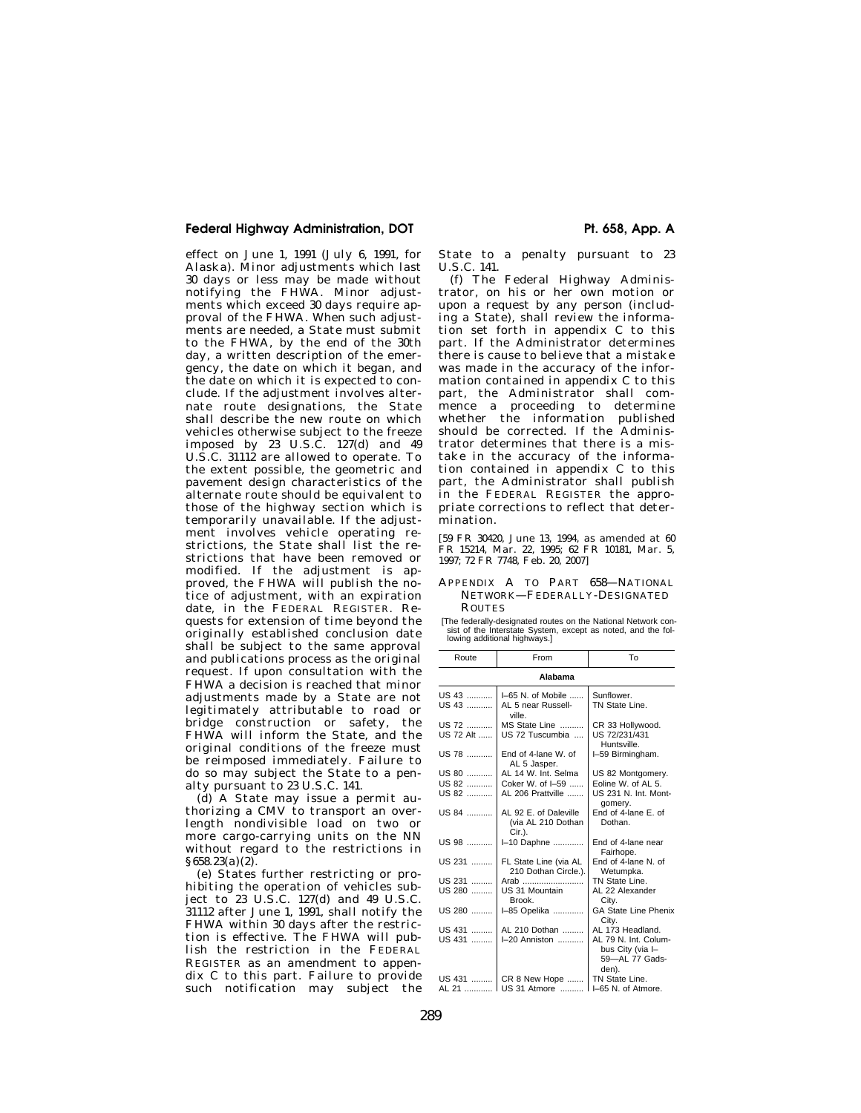# Federal Highway Administration, DOT **Pr. 658, App. A**

effect on June 1, 1991 (July 6, 1991, for Alaska). Minor adjustments which last 30 days or less may be made without notifying the FHWA. Minor adjustments which exceed 30 days require approval of the FHWA. When such adjustments are needed, a State must submit to the FHWA, by the end of the 30th day, a written description of the emergency, the date on which it began, and the date on which it is expected to conclude. If the adjustment involves alternate route designations, the State shall describe the new route on which vehicles otherwise subject to the freeze imposed by 23 U.S.C. 127(d) and 49 U.S.C. 31112 are allowed to operate. To the extent possible, the geometric and pavement design characteristics of the alternate route should be equivalent to those of the highway section which is temporarily unavailable. If the adjustment involves vehicle operating restrictions, the State shall list the restrictions that have been removed or modified. If the adjustment is approved, the FHWA will publish the notice of adjustment, with an expiration date, in the FEDERAL REGISTER. Requests for extension of time beyond the originally established conclusion date shall be subject to the same approval and publications process as the original request. If upon consultation with the FHWA a decision is reached that minor adjustments made by a State are not legitimately attributable to road or bridge construction or safety, the FHWA will inform the State, and the original conditions of the freeze must be reimposed immediately. Failure to do so may subject the State to a penalty pursuant to 23 U.S.C. 141.

(d) A State may issue a permit authorizing a CMV to transport an overlength nondivisible load on two or more cargo-carrying units on the NN without regard to the restrictions in  $$658.23(a)(2)$ .

(e) States further restricting or prohibiting the operation of vehicles subject to  $23$  U.S.C. 127(d) and 49 U.S.C. 31112 after June 1, 1991, shall notify the FHWA within 30 days after the restriction is effective. The FHWA will publish the restriction in the FEDERAL REGISTER as an amendment to appendix C to this part. Failure to provide such notification may subject the

State to a penalty pursuant to 23 U.S.C. 141.

(f) The Federal Highway Administrator, on his or her own motion or upon a request by any person (including a State), shall review the information set forth in appendix C to this part. If the Administrator determines there is cause to believe that a mistake was made in the accuracy of the information contained in appendix C to this part, the Administrator shall commence a proceeding to determine whether the information published should be corrected. If the Administrator determines that there is a mistake in the accuracy of the information contained in appendix C to this part, the Administrator shall publish in the FEDERAL REGISTER the appropriate corrections to reflect that determination.

[59 FR 30420, June 13, 1994, as amended at 60 FR 15214, Mar. 22, 1995; 62 FR 10181, Mar. 5, 1997; 72 FR 7748, Feb. 20, 2007]

- APPENDIX A TO PART 658—NATIONAL NETWORK—FEDERALLY-DESIGNATED **ROUTES**
- [The federally-designated routes on the National Network con-sist of the Interstate System, except as noted, and the fol-lowing additional highways.]

| Route              | From                                                  | Tο                                                                  |  |
|--------------------|-------------------------------------------------------|---------------------------------------------------------------------|--|
|                    | Alabama                                               |                                                                     |  |
| $US$ 43<br>$US$ 43 | $I-65$ N. of Mobile<br>AL 5 near Russell-             | Sunflower.<br>TN State Line.                                        |  |
| US 72              | ville.<br>MS State Line                               | CR 33 Hollywood.                                                    |  |
| US 72 Alt          | US 72 Tuscumbia                                       | US 72/231/431<br>Huntsville.                                        |  |
| US 78              | End of 4-lane W. of<br>AL 5 Jasper.                   | I-59 Birmingham.                                                    |  |
| US 80<br>US 82     | AL 14 W. Int. Selma<br>Coker W. of I-59               | US 82 Montgomery.<br>Eoline W. of AL 5.                             |  |
| US 82              | AL 206 Prattville                                     | US 231 N. Int. Mont-                                                |  |
| US 84              | AL 92 E. of Daleville<br>(via AL 210 Dothan<br>Cir.). | gomery.<br>End of 4-lane E. of<br>Dothan.                           |  |
| $US.98$            | I-10 Daphne                                           | End of 4-lane near<br>Fairhope.                                     |  |
| US 231             | FL State Line (via AL<br>210 Dothan Circle.).         | End of 4-lane N. of<br>Wetumpka.                                    |  |
| US 231<br>US 280   | Arab<br>US 31 Mountain<br>Brook.                      | TN State Line.<br>AL 22 Alexander<br>City.                          |  |
| US 280             | I-85 Opelika                                          | <b>GA State Line Phenix</b><br>City.                                |  |
| US 431             | AL 210 Dothan                                         | AL 173 Headland.                                                    |  |
| US 431             | I-20 Anniston                                         | AL 79 N. Int. Colum-<br>bus City (via I-<br>59-AL 77 Gads-<br>den). |  |
| US 431<br>AL 21    | CR 8 New Hope<br>US 31 Atmore                         | TN State Line.<br>I-65 N. of Atmore.                                |  |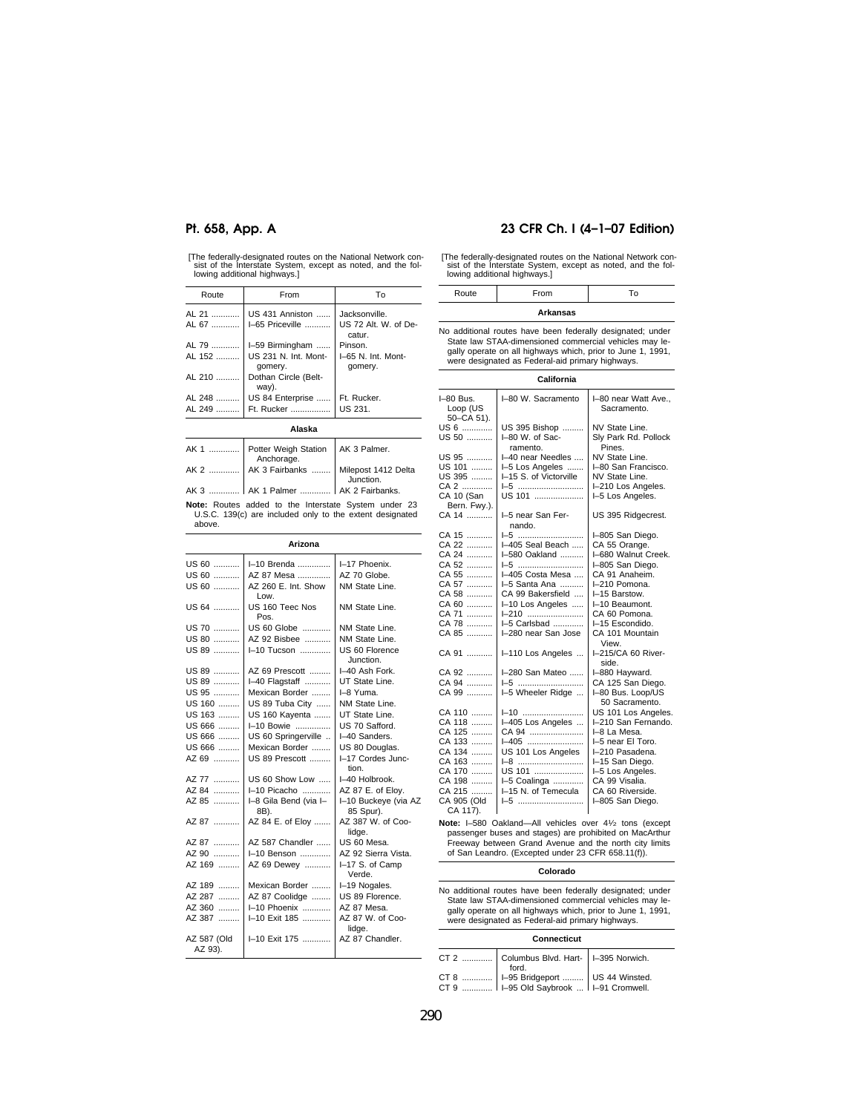[The federally-designated routes on the National Network con-sist of the Interstate System, except as noted, and the fol-lowing additional highways.]

| Route  | From                            | Tο                              |
|--------|---------------------------------|---------------------------------|
| AL 21  | US 431 Anniston                 | Jacksonville.                   |
| AL 67  | I-65 Priceville                 | US 72 Alt. W. of De-<br>catur.  |
| AL 79  | I-59 Birmingham                 | Pinson.                         |
| AL 152 | US 231 N. Int. Mont-<br>gomery. | $I-65$ N. Int. Mont-<br>gomery. |
| AL 210 | Dothan Circle (Belt-<br>way).   |                                 |
| AL 248 | US 84 Enterprise                | Ft. Rucker.                     |
| AL 249 | Ft. Rucker                      | US 231.                         |
| Alaska |                                 |                                 |

|  | AK 1  Potter Weigh Station   AK 3 Palmer.<br>Archorage.<br>AK 2  AK 3 Fairbanks  Milepost 1412 Delta |  |
|--|------------------------------------------------------------------------------------------------------|--|
|  |                                                                                                      |  |
|  | AK 3    AK 1 Palmer    AK 2 Fairbanks.                                                               |  |

**Note:** Routes added to the Interstate System under 23 U.S.C. 139(c) are included only to the extent designated above.

| Arizona                |                               |                                   |
|------------------------|-------------------------------|-----------------------------------|
| US 60                  | I-10 Brenda                   | I-17 Phoenix.                     |
| US 60                  | AZ 87 Mesa                    | AZ 70 Globe.                      |
| US 60                  | AZ 260 E. Int. Show<br>Low.   | NM State Line.                    |
| US 64                  | US 160 Teec Nos<br>Pos.       | NM State Line.                    |
| US 70                  | US 60 Globe                   | NM State Line.                    |
| US 80                  | AZ 92 Bisbee                  | NM State Line.                    |
| US 89                  | I-10 Tucson                   | US 60 Florence<br>Junction.       |
| US 89                  | AZ 69 Prescott                | I-40 Ash Fork.                    |
| US 89                  | I-40 Flagstaff                | UT State Line.                    |
| US 95                  | Mexican Border                | I-8 Yuma.                         |
| US 160                 | US 89 Tuba City               | NM State Line.                    |
| US 163                 | US 160 Kayenta                | UT State Line.                    |
| US 666                 | I-10 Bowie                    | US 70 Safford.                    |
| US 666                 | US 60 Springerville           | I-40 Sanders.                     |
| US 666                 | Mexican Border                | US 80 Douglas.                    |
| AZ 69                  | US 89 Prescott                | I-17 Cordes Junc-<br>tion         |
| AZ 77                  | US 60 Show Low                | I-40 Holbrook.                    |
| AZ 84                  | I-10 Picacho                  | AZ 87 E. of Eloy.                 |
| AZ 85                  | I-8 Gila Bend (via I-<br>8B). | I-10 Buckeye (via AZ<br>85 Spur). |
| AZ 87                  | AZ 84 E. of Eloy              | AZ 387 W. of Coo-<br>lidge.       |
| AZ 87                  | AZ 587 Chandler               | US 60 Mesa.                       |
| AZ 90                  | I-10 Benson                   | AZ 92 Sierra Vista.               |
| AZ 169                 | AZ 69 Dewey                   | I-17 S. of Camp<br>Verde.         |
| AZ 189                 | Mexican Border                | I-19 Nogales.                     |
| AZ 287<br>.            | AZ 87 Coolidge                | US 89 Florence.                   |
| AZ 360<br>.            | I-10 Phoenix                  | AZ 87 Mesa.                       |
| AZ 387<br>.            | I-10 Exit 185                 | AZ 87 W. of Coo-<br>lidge.        |
| AZ 587 (Old<br>AZ 93). | I-10 Exit 175                 | AZ 87 Chandler.                   |

# **Pt. 658, App. A 23 CFR Ch. I (4–1–07 Edition)**

[The federally-designated routes on the National Network con-sist of the Interstate System, except as noted, and the fol-lowing additional highways.]

| Route                                                      | From | Т٥ |
|------------------------------------------------------------|------|----|
| <b>Arkansas</b>                                            |      |    |
| No additional routes have been federally designated; under |      |    |

No additional routes have been federally designated; under State law STAA-dimensioned commercial vehicles may legally operate on all highways which, prior to June 1, 1991, were designated as Federal-aid primary highways.

# **California**

| I-80 Bus.<br>Loop (US<br>50-CA 51). | I-80 W. Sacramento                           | I-80 near Watt Ave<br>Sacramento.                |
|-------------------------------------|----------------------------------------------|--------------------------------------------------|
| US 6<br>US 50                       | US 395 Bishop<br>I-80 W. of Sac-<br>ramento. | NV State Line.<br>Sly Park Rd. Pollock<br>Pines. |
| US 95                               | I-40 near Needles                            | NV State Line.                                   |
| US 101                              | I-5 Los Angeles                              | I-80 San Francisco.                              |
| US 395                              | I-15 S. of Victorville                       | NV State Line.                                   |
| CA 2                                | $I-5$                                        | I-210 Los Angeles.                               |
| CA 10 (San                          | US 101                                       | I-5 Los Angeles.                                 |
| Bern. Fwy.).                        |                                              |                                                  |
| CA 14                               | I-5 near San Fer-<br>nando.                  | US 395 Ridgecrest.                               |
| CA 15                               | 1-5                                          | I-805 San Diego.                                 |
| CA 22                               | I-405 Seal Beach                             | CA 55 Orange.                                    |
| CA 24<br>CA 52                      | I-580 Oakland<br>$I-5$                       | I-680 Walnut Creek.<br>I-805 San Diego.          |
| CA 55                               | I-405 Costa Mesa                             | CA 91 Anaheim.                                   |
| CA 57                               | I-5 Santa Ana                                | I-210 Pomona.                                    |
| CA 58                               | CA 99 Bakersfield                            | I-15 Barstow.                                    |
| CA 60                               | I-10 Los Angeles                             | I-10 Beaumont.                                   |
| CA 71                               | I-210                                        | CA 60 Pomona.                                    |
| CA 78                               | I-5 Carlsbad                                 | I-15 Escondido.                                  |
| CA 85                               | I-280 near San Jose                          | CA 101 Mountain<br>View.                         |
| CA 91                               | I-110 Los Angeles                            | I-215/CA 60 River-<br>side.                      |
| CA 92                               | I-280 San Mateo                              | I-880 Hayward.                                   |
| CA 94                               | 1-5                                          | CA 125 San Diego.                                |
| CA 99                               | I-5 Wheeler Ridge                            | I-80 Bus. Loop/US<br>50 Sacramento.              |
| CA 110                              | I-10                                         | US 101 Los Angeles.                              |
| CA 118                              | I-405 Los Angeles                            | I-210 San Fernando.                              |
| CA 125                              | CA 94                                        | I-8 La Mesa.                                     |
| CA 133                              | 1-405                                        | I-5 near El Toro.                                |
| CA 134                              | US 101 Los Angeles                           | I-210 Pasadena.                                  |
| CA 163                              | 1-8                                          | I-15 San Diego.                                  |
| CA 170                              | US 101                                       | I-5 Los Angeles.                                 |
| CA 198                              | I-5 Coalinga                                 | CA 99 Visalia.                                   |
| CA 215                              | I-15 N. of Temecula                          | CA 60 Riverside.                                 |
| CA 905 (Old                         | 1-5                                          | I-805 San Diego.                                 |
| CA 117).                            |                                              |                                                  |

Note: I-580 Oakland—All vehicles over 4<sup>1</sup>/<sub>2</sub> tons (except passenger buses and stages) are prohibited on MacArthur Freeway between Grand Avenue and the north city limits of San Leandro. (Excepted under 23 CFR 658.11(f)).

# **Colorado**

No additional routes have been federally designated; under State law STAA-dimensioned commercial vehicles may legally operate on all highways which, prior to June 1, 1991, were designated as Federal-aid primary highways.

| Connecticut |                                                                                                                                                 |  |
|-------------|-------------------------------------------------------------------------------------------------------------------------------------------------|--|
|             | CT 2  Columbus Blvd. Hart-   I-395 Norwich.<br>ford.<br>CT 8    -95 Bridgeport    US 44 Winsted.<br>CT 9    1-95 Old Saybrook    1-91 Cromwell. |  |
|             |                                                                                                                                                 |  |
|             |                                                                                                                                                 |  |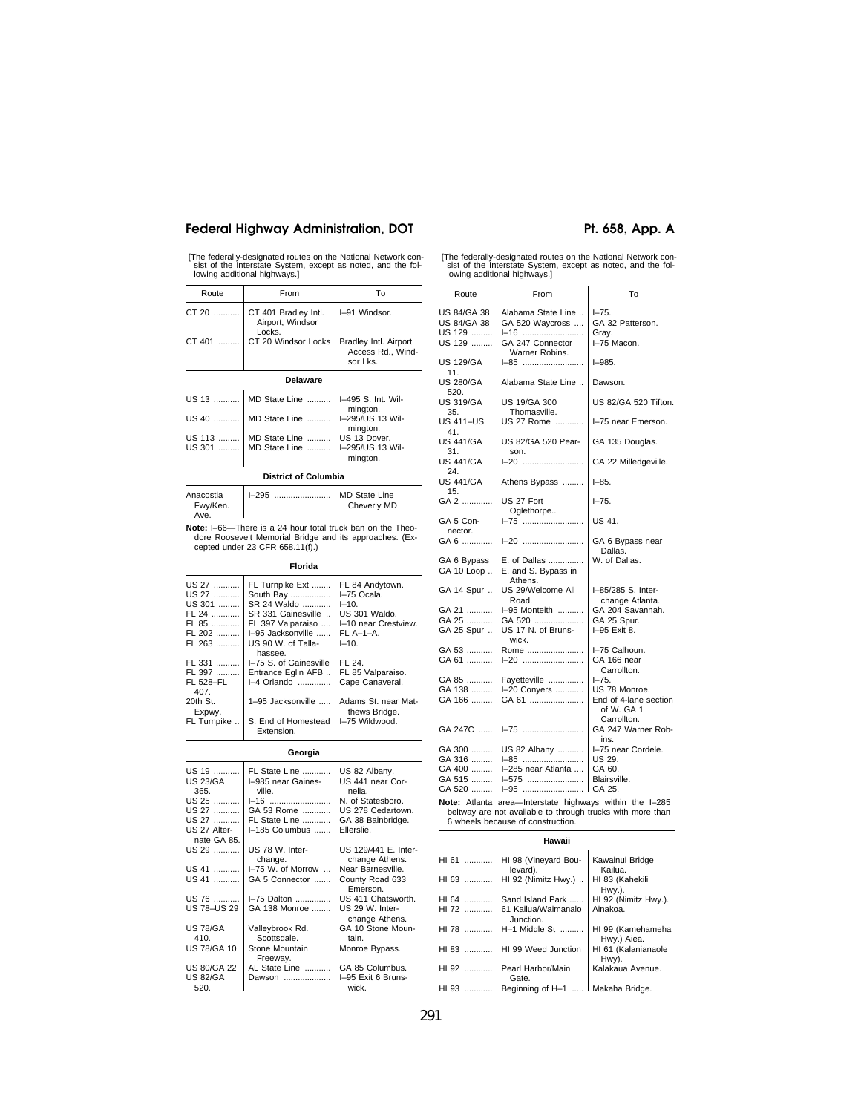# Federal Highway Administration, DOT Pt. 658, App. A

[The federally-designated routes on the National Network con-sist of the Interstate System, except as noted, and the fol-lowing additional highways.]

| Route                                  | From                                                                                                                                                     | To                                                      |
|----------------------------------------|----------------------------------------------------------------------------------------------------------------------------------------------------------|---------------------------------------------------------|
| CT 20                                  | CT 401 Bradley Intl.<br>Airport, Windsor<br>Locks.                                                                                                       | I-91 Windsor.                                           |
| CT 401<br>.                            | CT 20 Windsor Locks                                                                                                                                      | Bradley Intl. Airport<br>Access Rd., Wind-<br>sor Lks.  |
|                                        | Delaware                                                                                                                                                 |                                                         |
| US 13                                  | MD State Line                                                                                                                                            | I-495 S. Int. Wil-                                      |
| US 40                                  | <b>MD State Line</b><br>.                                                                                                                                | mington.<br>I-295/US 13 Wil-<br>mington.                |
| US 113<br>US 301                       | MD State Line<br>MD State Line                                                                                                                           | US 13 Dover.<br>I-295/US 13 Wil-<br>mington.            |
|                                        | <b>District of Columbia</b>                                                                                                                              |                                                         |
| Anacostia<br>Fwy/Ken.<br>Ave.          | I-295                                                                                                                                                    | <b>MD State Line</b><br>Cheverly MD                     |
|                                        | Note: I-66-There is a 24 hour total truck ban on the Theo-<br>dore Roosevelt Memorial Bridge and its approaches. (Ex-<br>cepted under 23 CFR 658.11(f).) |                                                         |
|                                        | Florida                                                                                                                                                  |                                                         |
| <b>US 27</b><br>US 27<br>US 27         | FL Turnpike Ext<br>South Bay                                                                                                                             | FL 84 Andytown.<br>I-75 Ocala.                          |
| US 301                                 | SR 24 Waldo                                                                                                                                              | $I - 10.$                                               |
| FL 24                                  | SR 331 Gainesville                                                                                                                                       | US 301 Waldo.                                           |
| FL 85                                  | FL 397 Valparaiso                                                                                                                                        | I-10 near Crestview.                                    |
| FL 202<br>FL 263                       | I-95 Jacksonville<br>US 90 W. of Talla-<br>hassee.                                                                                                       | FL A-1-A.<br>$-10.$                                     |
| FL 331                                 | I-75 S. of Gainesville                                                                                                                                   | FL 24.                                                  |
| FL 397<br>FL 528-FL<br>407.            | Entrance Eglin AFB<br>I-4 Orlando                                                                                                                        | FL 85 Valparaiso.<br>Cape Canaveral.                    |
| 20th St.<br>Expwy.                     | 1-95 Jacksonville                                                                                                                                        | Adams St. near Mat-<br>thews Bridge.                    |
| FL Turnpike                            | S. End of Homestead<br>Extension.                                                                                                                        | I-75 Wildwood.                                          |
|                                        | Georgia                                                                                                                                                  |                                                         |
| US 19                                  | FL State Line                                                                                                                                            | US 82 Albany.                                           |
| <b>US 23/GA</b><br>365.                | I-985 near Gaines-<br>ville.                                                                                                                             | US 441 near Cor-<br>nelia.                              |
| US 25                                  | 1-16                                                                                                                                                     | N. of Statesboro.                                       |
| <b>US 27</b>                           | GA 53 Rome                                                                                                                                               | US 278 Cedartown.                                       |
|                                        | FL State Line                                                                                                                                            | GA 38 Bainbridge.                                       |
|                                        | I-185 Columbus                                                                                                                                           | Ellerslie.                                              |
| nate GA 85.                            |                                                                                                                                                          |                                                         |
| US 29                                  | US 78 W. Inter-<br>change.                                                                                                                               | US 129/441 E. Inter-<br>change Athens.                  |
| US 41<br>US 41                         | -75 W. of Morrow<br>GA 5 Connector                                                                                                                       | Near Barnesville.<br>County Road 633<br>Emerson.        |
| US 76<br>US 78-US 29                   | I-75 Dalton<br>GA 138 Monroe                                                                                                                             | US 411 Chatsworth.<br>US 29 W. Inter-<br>change Athens. |
| <b>US 78/GA</b>                        | Valleybrook Rd.                                                                                                                                          | GA 10 Stone Moun-                                       |
| 410.<br><b>US 78/GA 10</b>             | Scottsdale.<br>Stone Mountain                                                                                                                            | tain.<br>Monroe Bypass.                                 |
|                                        | Freeway.                                                                                                                                                 |                                                         |
| US 80/GA 22<br><b>US 82/GA</b><br>520. | AL State Line<br>Dawson                                                                                                                                  | GA 85 Columbus.<br>I-95 Exit 6 Bruns-<br>wick.          |

[The federally-designated routes on the National Network con-sist of the Interstate System, except as noted, and the fol-lowing additional highways.]

| Route                                | From                                                                                                                  | To                                     |
|--------------------------------------|-----------------------------------------------------------------------------------------------------------------------|----------------------------------------|
| US 84/GA 38<br>US 84/GA 38<br>US 129 | Alabama State Line<br>GA 520 Waycross                                                                                 | $I - 75.$<br>GA 32 Patterson.          |
| US 129                               | I-16<br>GA 247 Connector<br>Warner Robins.                                                                            | Gray.<br>I-75 Macon.                   |
| <b>US 129/GA</b><br>11.              | $I - 85$                                                                                                              | $-985.$                                |
| <b>US 280/GA</b><br>520.             | Alabama State Line                                                                                                    | Dawson.                                |
| <b>US 319/GA</b><br>35.              | US 19/GA 300<br>Thomasville.                                                                                          | US 82/GA 520 Tifton.                   |
| <b>US 411-US</b><br>41.              | US 27 Rome                                                                                                            | I-75 near Emerson.                     |
| <b>US 441/GA</b><br>31.              | US 82/GA 520 Pear-<br>son.                                                                                            | GA 135 Douglas.                        |
| <b>US 441/GA</b><br>24.              | $I - 20$                                                                                                              | GA 22 Milledgeville.                   |
| <b>US 441/GA</b><br>15.              | Athens Bypass                                                                                                         | $-85.$                                 |
| GA 2                                 | US 27 Fort<br>Oglethorpe                                                                                              | $I - 75.$                              |
| GA 5 Con-<br>nector.                 | I-75                                                                                                                  | US 41.                                 |
| GA 6                                 | $I - 20$                                                                                                              | GA 6 Bypass near<br>Dallas.            |
| GA 6 Bypass<br>GA 10 Loop            | E. of Dallas<br>E. and S. Bypass in<br>Athens.                                                                        | W. of Dallas.                          |
| GA 14 Spur                           | US 29/Welcome All<br>Road.                                                                                            | I-85/285 S. Inter-<br>change Atlanta.  |
| GA 21                                | I-95 Monteith                                                                                                         | GA 204 Savannah.                       |
| GA 25<br>GA 25 Spur                  | GA 520<br>US 17 N. of Bruns-<br>wick.                                                                                 | GA 25 Spur.<br>I-95 Exit 8.            |
| GA 53<br>GA 61                       | Rome<br>I-20                                                                                                          | I-75 Calhoun.<br>GA 166 near           |
| GA 85                                | Fayetteville                                                                                                          | Carrollton.<br>$I - 75.$               |
| GA 138<br>GA 166                     | I-20 Convers<br>GA 61                                                                                                 | US 78 Monroe.<br>End of 4-lane section |
|                                      |                                                                                                                       | of W. GA 1<br>Carrollton.              |
| GA 247C                              | $I - 75$                                                                                                              | GA 247 Warner Rob-<br>ins.             |
| GA 300                               | US 82 Albany                                                                                                          | I-75 near Cordele.                     |
| GA 316                               | I-85                                                                                                                  | US 29.                                 |
| GA 400                               | I-285 near Atlanta                                                                                                    | GA 60.                                 |
| GA 515<br>GA 520                     | 1-575<br>I-95  GA 25.                                                                                                 | Blairsville.                           |
|                                      |                                                                                                                       |                                        |
|                                      | Note: Atlanta area-Interstate highways within the I-285<br>beltway are not available to through trucks with more than |                                        |

6 wheels because of construction.

| Hawaii     |                                    |                                  |
|------------|------------------------------------|----------------------------------|
| HI 61      | HI 98 (Vineyard Bou-<br>levard).   | Kawainui Bridge<br>Kailua.       |
| HI 63      | HI 92 (Nimitz Hwy.)                | HI 83 (Kahekili<br>Hwy.).        |
| HI 64      | Sand Island Park                   | HI 92 (Nimitz Hwy.).             |
| HI 72      | 61 Kailua/Waimanalo<br>Junction.   | Ainakoa.                         |
| HI 78      | H-1 Middle St                      | HI 99 (Kamehameha<br>Hwy.) Aiea. |
| $HI$ 83 $$ | HI 99 Weed Junction                | HI 61 (Kalanianaole<br>Hwv).     |
| HI92       | Pearl Harbor/Main<br>Gate.         | Kalakaua Avenue.                 |
| HI 93      | Beginning of H-1    Makaha Bridge. |                                  |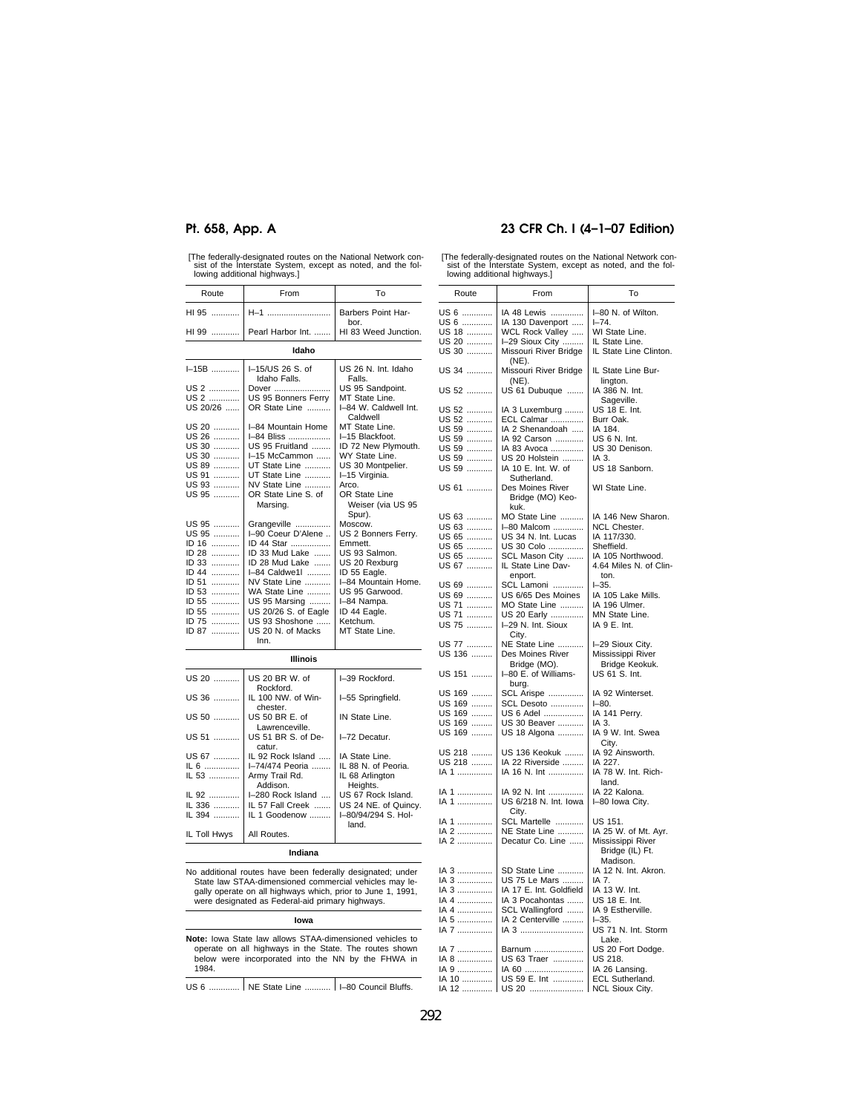[The federally-designated routes on the National Network con-sist of the Interstate System, except as noted, and the fol-lowing additional highways.]

| Route                                                                                                                            | From                                                                                                                                                                                                                           | Т٥                                                                                                                                                                                                |  |
|----------------------------------------------------------------------------------------------------------------------------------|--------------------------------------------------------------------------------------------------------------------------------------------------------------------------------------------------------------------------------|---------------------------------------------------------------------------------------------------------------------------------------------------------------------------------------------------|--|
| HI 95                                                                                                                            | H-1                                                                                                                                                                                                                            | Barbers Point Har-<br>bor.                                                                                                                                                                        |  |
| HI99                                                                                                                             | Pearl Harbor Int.                                                                                                                                                                                                              | HI 83 Weed Junction.                                                                                                                                                                              |  |
|                                                                                                                                  | Idaho                                                                                                                                                                                                                          |                                                                                                                                                                                                   |  |
| I-15B                                                                                                                            | I-15/US 26 S. of<br>Idaho Falls.                                                                                                                                                                                               | US 26 N. Int. Idaho<br>Falls.                                                                                                                                                                     |  |
| US 2<br>US 2<br>US 20/26                                                                                                         | Dover<br>US 95 Bonners Ferry<br>OR State Line                                                                                                                                                                                  | US 95 Sandpoint.<br>MT State Line.<br>I-84 W. Caldwell Int.<br>Caldwell                                                                                                                           |  |
| US 20<br>US 26<br>US 30<br>US 30<br>US 89<br>US 91<br>US 93<br>US 95                                                             | I-84 Mountain Home<br>I-84 Bliss<br>US 95 Fruitland<br>I-15 McCammon<br>UT State Line<br>UT State Line<br>NV State Line<br>OR State Line S. of<br>Marsing.                                                                     | MT State Line.<br>I-15 Blackfoot.<br>ID 72 New Plymouth.<br>WY State Line.<br>US 30 Montpelier.<br>I-15 Virginia.<br>Arco.<br>OR State Line<br>Weiser (via US 95<br>Spur).                        |  |
| US 95<br>US 95<br>ID 16<br>ID 28<br>ID 33<br>ID 44<br>ID 51<br>.<br>ID 53<br>ID 55<br>.<br>ID 55<br>.<br>ID 75<br><br>ID 87<br>. | Grangeville<br>I-90 Coeur D'Alene<br>ID 44 Star<br>ID 33 Mud Lake<br>ID 28 Mud Lake<br>I-84 Caldwe11<br>NV State Line<br>WA State Line<br>US 95 Marsing<br>US 20/26 S. of Eagle<br>US 93 Shoshone<br>US 20 N. of Macks<br>Inn. | Moscow.<br>US 2 Bonners Ferry.<br>Emmett.<br>US 93 Salmon.<br>US 20 Rexburg<br>ID 55 Eagle.<br>I-84 Mountain Home.<br>US 95 Garwood.<br>I-84 Nampa.<br>ID 44 Eagle.<br>Ketchum.<br>MT State Line. |  |
|                                                                                                                                  | <b>Illinois</b>                                                                                                                                                                                                                |                                                                                                                                                                                                   |  |
| US 20                                                                                                                            | US 20 BR W. of<br>Rockford.                                                                                                                                                                                                    | I-39 Rockford.                                                                                                                                                                                    |  |
| US 36                                                                                                                            | IL 100 NW. of Win-<br>chester.                                                                                                                                                                                                 | I-55 Springfield.                                                                                                                                                                                 |  |
| US 50                                                                                                                            | US 50 BR E. of<br>Lawrenceville.                                                                                                                                                                                               | IN State Line.                                                                                                                                                                                    |  |
| US 51                                                                                                                            | US 51 BR S. of De-<br>catur.                                                                                                                                                                                                   | I-72 Decatur.                                                                                                                                                                                     |  |
| US 67<br>IL 6<br>IL 53                                                                                                           | IL 92 Rock Island<br>I-74/474 Peoria<br>Army Trail Rd.<br>Addison.                                                                                                                                                             | IA State Line.<br>IL 88 N. of Peoria.<br>IL 68 Arlington<br>Heights.                                                                                                                              |  |
| IL 92<br>IL 336<br>IL 394                                                                                                        | I-280 Rock Island<br>IL 57 Fall Creek<br>IL 1 Goodenow                                                                                                                                                                         | US 67 Rock Island.<br>US 24 NE. of Quincy.<br>I-80/94/294 S. Hol-<br>land.                                                                                                                        |  |
| <b>IL Toll Hwys</b>                                                                                                              | All Routes.                                                                                                                                                                                                                    |                                                                                                                                                                                                   |  |
| Indiana                                                                                                                          |                                                                                                                                                                                                                                |                                                                                                                                                                                                   |  |
|                                                                                                                                  |                                                                                                                                                                                                                                |                                                                                                                                                                                                   |  |

No additional routes have been federally designated; under State law STAA-dimensioned commercial vehicles may le-gally operate on all highways which, prior to June 1, 1991, were designated as Federal-aid primary highways.

# **Iowa**

Note: Iowa State law allows STAA-dimensioned vehicles to operate on all highways in the State. The routes shown below were incorporated into the NN by the FHWA in 1984.

US 6 ............. | NE State Line ........... | I-80 Council Bluffs.

# **Pt. 658, App. A 23 CFR Ch. I (4–1–07 Edition)**

[The federally-designated routes on the National Network con-sist of the Interstate System, except as noted, and the fol-lowing additional highways.]

| Route          | From                                  | То                                |
|----------------|---------------------------------------|-----------------------------------|
| US 6           | IA 48 Lewis                           | I-80 N. of Wilton.                |
| US 6           | IA 130 Davenport                      | $I - 74.$                         |
| US 18          | WCL Rock Valley                       | WI State Line.                    |
| US 20          | I-29 Sioux City                       | IL State Line.                    |
| US 30          | Missouri River Bridge<br>(NE).        | IL State Line Clinton.            |
| US 34          | Missouri River Bridge<br>(NE).        | IL State Line Bur-<br>lington.    |
| US 52          | US 61 Dubuque                         | IA 386 N. Int.<br>Sageville.      |
| US 52          | IA 3 Luxemburg                        | US 18 E. Int.                     |
| US 52          | <b>ECL Calmar </b>                    | Burr Oak.                         |
| US 59          | IA 2 Shenandoah                       | IA 184.                           |
| US 59<br>US 59 | IA 92 Carson                          | US 6 N. Int.                      |
|                | IA 83 Avoca                           | US 30 Denison.                    |
| US 59<br>US 59 | US 20 Holstein<br>IA 10 E. Int. W. of | IA 3.                             |
|                | Sutherland.                           | US 18 Sanborn.                    |
| US 61          | Des Moines River<br>Bridge (MO) Keo-  | WI State Line.                    |
|                | kuk.                                  |                                   |
| US 63          | MO State Line                         | IA 146 New Sharon.                |
| US 63          | I-80 Malcom                           | NCL Chester.                      |
| US 65          | US 34 N. Int. Lucas                   | IA 117/330.                       |
| US 65          | US 30 Colo                            | Sheffield.                        |
| US 65          | SCL Mason City                        | IA 105 Northwood.                 |
| US 67          | IL State Line Dav-<br>enport.         | 4.64 Miles N. of Clin-<br>ton.    |
| US 69          | <b>SCL Lamoni </b>                    | $I - 35.$                         |
| US 69          | US 6/65 Des Moines                    | IA 105 Lake Mills.                |
| US 71          | MO State Line                         | IA 196 Ulmer.                     |
| US 71          | US 20 Early<br>I-29 N. Int. Sioux     | MN State Line.                    |
| US 75          |                                       | IA 9 E. Int.                      |
| US 77          | City.<br>NE State Line                | I-29 Sioux City.                  |
| US 136         | Des Moines River                      | Mississippi River                 |
|                | Bridge (MO).                          | Bridge Keokuk.                    |
| US 151         | I-80 E. of Williams-<br>burg.         | US 61 S. Int.                     |
| US 169         | <b>SCL Arispe </b>                    | IA 92 Winterset.                  |
| US 169         | SCL Desoto                            | $I - 80.$                         |
| US 169         | US 6 Adel                             | IA 141 Perry.                     |
| US 169         | US 30 Beaver                          | IA 3.                             |
| US 169         | US 18 Algona                          | IA 9 W. Int. Swea<br>City.        |
| US 218         | US 136 Keokuk                         | IA 92 Ainsworth.                  |
| US 218         | IA 22 Riverside                       | IA 227.                           |
| IA 1           | IA 16 N. Int                          | IA 78 W. Int. Rich-               |
|                |                                       | land.                             |
| IA 1           | IA 92 N. Int                          | IA 22 Kalona.                     |
| IA 1           | US 6/218 N. Int. Iowa<br>City.        | I-80 Iowa City.                   |
| IA 1           | SCL Martelle                          | US 151.                           |
| IA 2           | NE State Line                         | IA 25 W. of Mt. Ayr.              |
| IA 2           | Decatur Co. Line                      | Mississippi River                 |
|                |                                       | Bridge (IL) Ft.                   |
|                |                                       | Madison.<br>IA 12 N. Int. Akron.  |
| IA 3<br>IA 3   | SD State Line<br>US 75 Le Mars        | IA 7.                             |
| IA 3           | IA 17 E. Int. Goldfield               | IA 13 W. Int.                     |
| IA 4           | IA 3 Pocahontas                       | US 18 E. Int.                     |
| IA 4           | SCL Wallingford                       | IA 9 Estherville.                 |
| IA 5           | IA 2 Centerville                      | $-35.$                            |
| IA 7           | IA 3                                  | US 71 N. Int. Storm               |
|                |                                       | Lake.                             |
| IA 7           | Barnum                                | US 20 Fort Dodge.                 |
| IA 8           | US 63 Traer                           | US 218.                           |
| IA 9<br>IA 10  | IA 60<br>US 59 E. Int                 | IA 26 Lansing.<br>ECL Sutherland. |
| IA 12          | US 20                                 | NCL Sioux City.                   |
|                |                                       |                                   |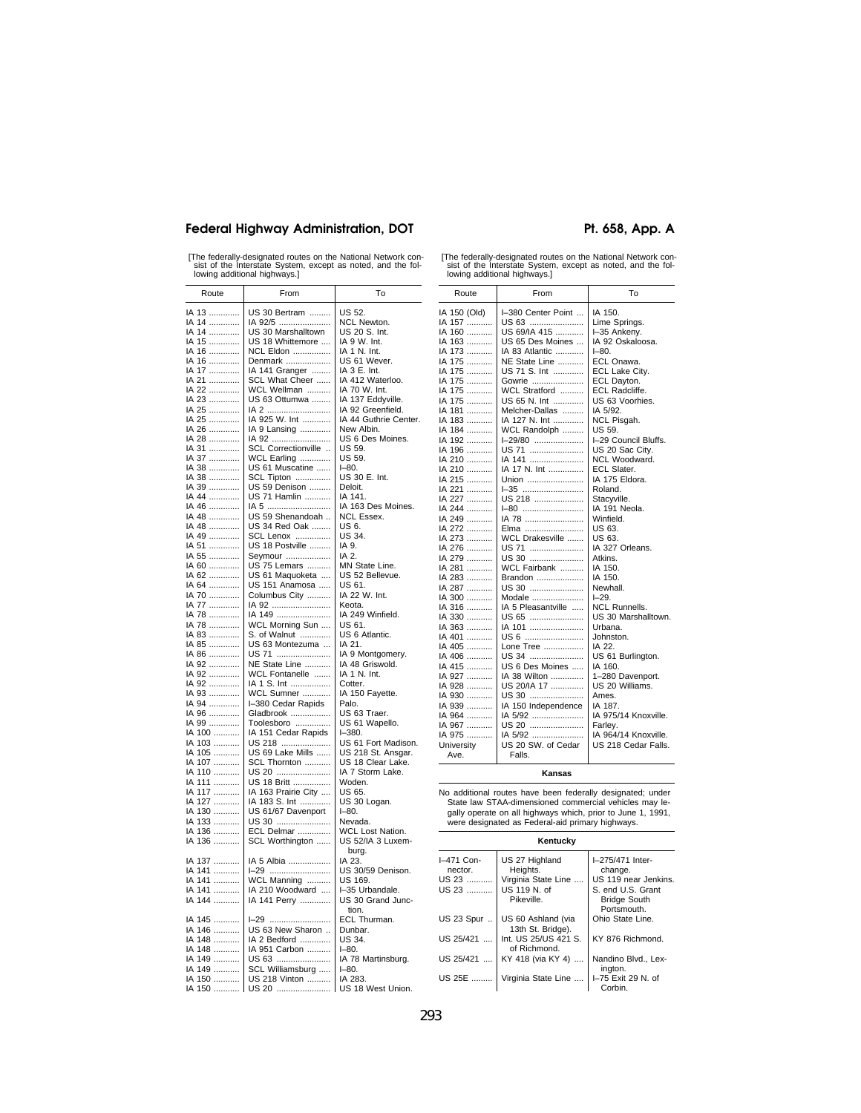# Federal Highway Administration, DOT Pt. 658, App. A

<sup>[</sup>The federally-designated routes on the National Network con-sist of the Interstate System, except as noted, and the fol-lowing additional highways.]

| Route            | From                     | To                                      |
|------------------|--------------------------|-----------------------------------------|
|                  |                          |                                         |
| IA 13<br>IA 14   | US 30 Bertram<br>IA 92/5 | US 52.<br>NCL Newton.                   |
| IA 14            | US 30 Marshalltown       | US 20 S. Int.                           |
| IA 15            | US 18 Whittemore         | IA 9 W. Int.                            |
| IA 16            | <b>NCL Eldon </b>        | IA 1 N. Int.                            |
| IA 16            | Denmark                  | US 61 Wever.                            |
| IA 17            | IA 141 Granger           | IA 3 E. Int.                            |
| IA 21            | SCL What Cheer           | IA 412 Waterloo.                        |
| IA 22            | WCL Wellman              | IA 70 W. Int.                           |
| IA 23<br>IA 25   | US 63 Ottumwa            | IA 137 Eddyville.<br>IA 92 Greenfield.  |
| IA 25            | IA 2<br>IA 925 W. Int    | IA 44 Guthrie Center.                   |
| IA 26            | IA 9 Lansing             | New Albin.                              |
| IA 28            | IA 92                    | US 6 Des Moines.                        |
| IA 31            | SCL Correctionville      | US 59.                                  |
| IA 37            | WCL Earling              | US 59.                                  |
| IA 38            | US 61 Muscatine          | $-80.$                                  |
| IA 38            | <b>SCL Tipton </b>       | US 30 E. Int.                           |
| IA 39            | US 59 Denison            | Deloit.                                 |
| IA 44            | US 71 Hamlin             | IA 141.                                 |
| IA 46<br>IA 48   | IA 5<br>US 59 Shenandoah | IA 163 Des Moines.<br><b>NCL Essex.</b> |
| IA 48            | US 34 Red Oak            | US 6.                                   |
| IA 49            | <b>SCL Lenox </b>        | US 34.                                  |
| IA 51            | US 18 Postville          | IA 9.                                   |
| IA 55            | Seymour                  | IA 2.                                   |
| IA 60            | US 75 Lemars             | MN State Line.                          |
| IA 62            | US 61 Maquoketa          | US 52 Bellevue.                         |
| IA 64            | US 151 Anamosa           | US 61.                                  |
| IA 70            | Columbus City            | IA 22 W. Int.                           |
| IA 77<br>IA 78   | IA 92                    | Keota.                                  |
|                  | IA 149                   | IA 249 Winfield.                        |
| IA 78            | WCL Morning Sun          | US 61.                                  |
| IA 83            | S. of Walnut             | US 6 Atlantic.                          |
| IA 85<br>IA 86   | US 63 Montezuma<br>US 71 | IA 21.<br>IA 9 Montgomery.              |
| IA 92            | NE State Line            | IA 48 Griswold.                         |
| IA 92            | WCL Fontanelle           | IA 1 N. Int.                            |
| IA 92            | IA 1 S. Int              | Cotter.                                 |
| IA 93            | WCL Sumner               | IA 150 Fayette.                         |
| IA 94            | I-380 Cedar Rapids       | Palo.                                   |
| IA 96            | Gladbrook                | US 63 Traer.                            |
| IA 99            | Toolesboro               | US 61 Wapello.                          |
| IA 100           | IA 151 Cedar Rapids      | $-380.$                                 |
| IA 103           | US 218                   | US 61 Fort Madison.                     |
| IA 105           | US 69 Lake Mills         | US 218 St. Ansgar.                      |
| IA 107<br>IA 110 | SCL Thornton<br>US 20    | US 18 Clear Lake.<br>IA 7 Storm Lake.   |
| IA 111           | US 18 Britt              | Woden.                                  |
|                  | IA 163 Prairie City      | US 65.                                  |
| IA 117<br>IA 127 | IA 183 S. Int            | US 30 Logan.                            |
| IA 130           | US 61/67 Davenport       | $I - 80.$                               |
| IA 133           | US 30                    | Nevada.                                 |
| IA 136           | <b>ECL Delmar </b>       | WCL Lost Nation.                        |
| IA 136           | SCL Worthington          | US 52/IA 3 Luxem-                       |
|                  |                          | burg.                                   |
| IA 137 ……….      | IA 5 Albia               | IA 23.                                  |
| IA 141           | I-29<br>WCL Manning      | US 30/59 Denison.                       |
| IA 141<br>IA 141 | IA 210 Woodward          | US 169.<br>I-35 Urbandale.              |
| IA 144           | IA 141 Perry             | US 30 Grand Junc-                       |
|                  |                          | tion.                                   |
| IA 145           | I-29                     | ECL Thurman.                            |
| IA 146           | US 63 New Sharon         | Dunbar.                                 |
| IA 148           | IA 2 Bedford             | US 34.                                  |
| IA 148           | IA 951 Carbon            | $I - 80.$                               |
| IA 149           | US 63                    | IA 78 Martinsburg.                      |
| IA 149           | SCL Williamsburg         | $I - 80.$                               |
| IA 150           | US 218 Vinton            | IA 283.                                 |
| IA 150           | US 20                    | US 18 West Union.                       |

| Route        | From                  | Т٥                   |
|--------------|-----------------------|----------------------|
| IA 150 (Old) | I-380 Center Point    | IA 150.              |
| IA 157       | US 63                 | Lime Springs.        |
| IA 160       | US 69/IA 415          | I-35 Ankeny.         |
| IA 163       | US 65 Des Moines      | IA 92 Oskaloosa.     |
| IA 173       | IA 83 Atlantic        | $-80.$               |
| IA 175       | <b>NE State Line </b> | ECL Onawa.           |
| IA 175       | US 71 S. Int          | ECL Lake City.       |
| IA 175       | Gowrie                | ECL Dayton.          |
| IA 175       | WCL Stratford         | ECL Radcliffe.       |
| IA 175       | US 65 N. Int          | US 63 Voorhies.      |
| IA 181       | Melcher-Dallas        | IA 5/92.             |
| IA 183       | IA 127 N. Int         | NCL Pisgah.          |
| IA 184       | WCL Randolph          | US 59.               |
| IA 192       | I-29/80               | I-29 Council Bluffs. |
| IA 196       | US 71                 | US 20 Sac City.      |
|              |                       |                      |
| IA 210       | IA 141                | NCL Woodward.        |
| IA 210       | IA 17 N. Int          | <b>ECL Slater.</b>   |
| IA 215       | Union                 | IA 175 Eldora.       |
| IA 221       | $I - 35$              | Roland.              |
| IA 227       | US 218                | Stacyville.          |
| IA 244       | $I - 80$              | IA 191 Neola.        |
| IA 249       | IA 78                 | Winfield.            |
| IA 272       | Elma                  | US 63.               |
| IA 273       | WCL Drakesville       | US 63.               |
| IA 276       | US 71                 | IA 327 Orleans.      |
| IA 279       | US 30                 | Atkins.              |
| IA 281       | WCL Fairbank          | IA 150.              |
| IA 283       | Brandon               | IA 150.              |
| IA 287       | $US 30$               | Newhall.             |
| IA 300       | Modale                | $1 - 29.$            |
| IA 316       | IA 5 Pleasantville    | <b>NCL Runnells.</b> |
| IA 330       | US 65                 | US 30 Marshalltown.  |
| IA 363       | IA 101                | Urbana.              |
| IA 401       | US 6                  | Johnston.            |
| IA 405       | Lone Tree             | IA 22.               |
| IA 406       | US 34                 | US 61 Burlington.    |
| IA 415       | US 6 Des Moines       | IA 160.              |
| IA 927       | IA 38 Wilton          | 1-280 Davenport.     |
| IA 928       | US 20/IA 17           | US 20 Williams.      |
| IA 930       | US 30                 | Ames.                |
| $IA.939$     | IA 150 Independence   | IA 187.              |
| IA 964       | IA 5/92               | IA 975/14 Knoxville. |
| IA 967       | US 20                 | Farley.              |
| IA 975       | IA 5/92               | IA 964/14 Knoxville. |
| University   | US 20 SW, of Cedar    | US 218 Cedar Falls.  |
| Ave.         | Falls.                |                      |

# **Kansas**

No additional routes have been federally designated; under State law STAA-dimensioned commercial vehicles may le-gally operate on all highways which, prior to June 1, 1991, were designated as Federal-aid primary highways.

| Kentucky              |                                         |                                                         |
|-----------------------|-----------------------------------------|---------------------------------------------------------|
| I-471 Con-<br>nector. | US 27 Highland<br>Heights.              | I-275/471 Inter-<br>change.                             |
| $US23$                | Virginia State Line                     | US 119 near Jenkins.                                    |
| $US23$                | US 119 N. of<br>Pikeville.              | S. end U.S. Grant<br><b>Bridge South</b><br>Portsmouth. |
| US 23 Spur            | US 60 Ashland (via<br>13th St. Bridge). | Ohio State Line.                                        |
| $US 25/421$           | Int. US 25/US 421 S.<br>of Richmond.    | KY 876 Richmond.                                        |
| US 25/421             | KY 418 (via KY 4)                       | Nandino Blvd., Lex-<br>ington.                          |
| US 25E                | Virginia State Line                     | I-75 Exit 29 N. of<br>Corbin.                           |

<sup>[</sup>The federally-designated routes on the National Network con-sist of the Interstate System, except as noted, and the fol-lowing additional highways.]  $\overline{\phantom{a}}$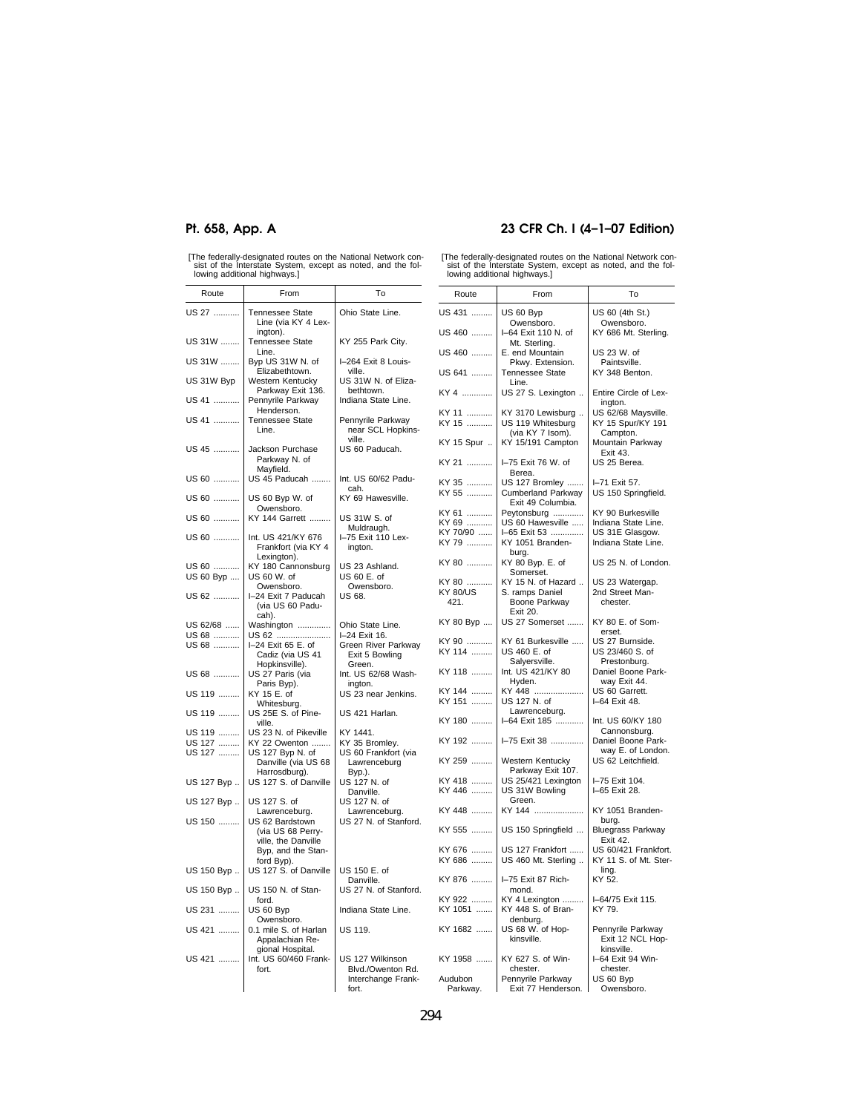[The federally-designated routes on the National Network con-sist of the Interstate System, except as noted, and the fol-lowing additional highways.]

| Route                           | From                                                                                            | То                                                                   |
|---------------------------------|-------------------------------------------------------------------------------------------------|----------------------------------------------------------------------|
| US 27                           | <b>Tennessee State</b><br>Line (via KY 4 Lex-                                                   | Ohio State Line.                                                     |
| US 31W                          | ington).<br><b>Tennessee State</b><br>Line.                                                     | KY 255 Park City.                                                    |
| US 31W                          | Byp US 31W N. of<br>Elizabethtown.                                                              | I-264 Exit 8 Louis-<br>ville.                                        |
| US 31W Byp                      | Western Kentucky<br>Parkway Exit 136.                                                           | US 31W N. of Eliza-<br>bethtown.                                     |
| US 41                           | Pennyrile Parkway<br>Henderson.                                                                 | Indiana State Line.                                                  |
| US 41                           | <b>Tennessee State</b><br>Line.                                                                 | Pennyrile Parkway<br>near SCL Hopkins-<br>ville.                     |
| US 45                           | Jackson Purchase<br>Parkway N. of<br>Mayfield.                                                  | US 60 Paducah.                                                       |
| US 60                           | US 45 Paducah                                                                                   | Int. US 60/62 Padu-<br>cah.                                          |
| US 60                           | US 60 Byp W. of<br>Owensboro.                                                                   | KY 69 Hawesville.                                                    |
| <b>US 60</b><br>1.1.1.1.1.1.1.1 | KY 144 Garrett                                                                                  | US 31W S. of<br>Muldraugh.                                           |
| US 60                           | Int. US 421/KY 676<br>Frankfort (via KY 4<br>Lexington).                                        | I-75 Exit 110 Lex-<br>ington.                                        |
| US 60<br>US 60 Byp              | KY 180 Cannonsburg<br>US 60 W. of                                                               | US 23 Ashland.<br>US 60 E. of                                        |
| US 62                           | Owensboro.<br>I-24 Exit 7 Paducah                                                               | Owensboro.<br>US 68.                                                 |
|                                 | (via US 60 Padu-<br>cah).                                                                       |                                                                      |
| US 62/68                        | Washington                                                                                      | Ohio State Line.                                                     |
| US 68<br>US 68                  | US 62<br>I-24 Exit 65 E. of<br>Cadiz (via US 41<br>Hopkinsville).                               | I-24 Exit 16.<br>Green River Parkway<br>Exit 5 Bowling<br>Green.     |
| US 68                           | US 27 Paris (via<br>Paris Byp).                                                                 | Int. US 62/68 Wash-<br>ington.                                       |
| US 119                          | KY 15 E. of<br>Whitesburg.                                                                      | US 23 near Jenkins.                                                  |
| US 119                          | US 25E S. of Pine-<br>ville.                                                                    | US 421 Harlan.                                                       |
| US 119<br>US 127                | US 23 N. of Pikeville<br>KY 22 Owenton                                                          | KY 1441.<br>KY 35 Bromley.                                           |
| <b>US 127</b><br>               | US 127 Byp N. of                                                                                | US 60 Frankfort (via                                                 |
|                                 | Danville (via US 68<br>Harrosdburg).                                                            | Lawrenceburg<br>Byp.).                                               |
| US 127 Byp                      | US 127 S. of Danville                                                                           | US 127 N. of<br>Danville.                                            |
| US 127 Byp                      | US 127 S. of<br>Lawrenceburg.                                                                   | US 127 N. of                                                         |
| US 150                          | US 62 Bardstown<br>(via US 68 Perry-<br>ville, the Danville<br>Byp, and the Stan-<br>ford Byp). | Lawrenceburg.<br>US 27 N. of Stanford.                               |
| US 150 Byp                      | US 127 S. of Danville                                                                           | US 150 E. of<br>Danville.                                            |
| US 150 Byp                      | US 150 N. of Stan-<br>ford.                                                                     | US 27 N. of Stanford.                                                |
| US 231                          | US 60 Byp<br>Owensboro.                                                                         | Indiana State Line.                                                  |
| US 421                          | 0.1 mile S. of Harlan<br>Appalachian Re-<br>gional Hospital.                                    | US 119.                                                              |
| US 421                          | Int. US 60/460 Frank-<br>fort.                                                                  | US 127 Wilkinson<br>Blvd./Owenton Rd.<br>Interchange Frank-<br>fort. |

# **Pt. 658, App. A 23 CFR Ch. I (4–1–07 Edition)**

[The federally-designated routes on the National Network con-sist of the Interstate System, except as noted, and the fol-lowing additional highways.]

| Route                      | From                                        | То                                       |
|----------------------------|---------------------------------------------|------------------------------------------|
| US 431                     | US 60 Byp<br>Owensboro.                     | US 60 (4th St.)<br>Owensboro.            |
| US 460                     | -64 Exit 110 N. of<br>Mt. Sterling.         | KY 686 Mt. Sterling.                     |
| US 460                     | E. end Mountain<br>Pkwy. Extension.         | US 23 W. of<br>Paintsville.              |
| US 641<br>                 | <b>Tennessee State</b><br>Line.             | KY 348 Benton.                           |
| KY 4<br>.                  | US 27 S. Lexington                          | Entire Circle of Lex-<br>ington.         |
| KY 11<br>.                 | KY 3170 Lewisburg                           | US 62/68 Maysville.                      |
| KY 15<br>.                 | US 119 Whitesburg                           | KY 15 Spur/KY 191                        |
|                            | (via KY 7 Isom).                            | Campton.                                 |
| KY 15 Spur                 | KY 15/191 Campton                           | Mountain Parkway                         |
|                            |                                             | Exit 43.                                 |
| KY 21<br>                  | I-75 Exit 76 W. of<br>Berea.                | US 25 Berea.                             |
| KY 35<br>.<br>KY 55<br>.   | US 127 Bromley<br><b>Cumberland Parkway</b> | I-71 Exit 57.<br>US 150 Springfield.     |
|                            | Exit 49 Columbia.                           |                                          |
| KY 61<br><br>KY 69         | Peytonsburg<br>US 60 Hawesville             | KY 90 Burkesville<br>Indiana State Line. |
| KY 70/90                   | I-65 Exit 53                                | US 31E Glasgow.                          |
| KY 79                      | KY 1051 Branden-<br>burg.                   | Indiana State Line.                      |
| KY 80                      | KY 80 Byp. E. of<br>Somerset.               | US 25 N. of London.                      |
| KY 80                      | KY 15 N. of Hazard                          | US 23 Watergap.                          |
| <b>KY 80/US</b>            | S. ramps Daniel                             | 2nd Street Man-                          |
| 421.                       | Boone Parkway                               | chester.                                 |
| KY 80 Byp                  | Exit 20.<br>US 27 Somerset                  | KY 80 E. of Som-                         |
|                            |                                             | erset.                                   |
| KY 90<br>KY 114            | KY 61 Burkesville<br>US 460 E. of           | US 27 Burnside.<br>US 23/460 S. of       |
|                            | Salyersville.                               | Prestonburg.                             |
| KY 118                     | Int. US 421/KY 80                           | Daniel Boone Park-                       |
|                            | Hyden.                                      | way Exit 44.                             |
| KY 144<br>.                | KY 448                                      | US 60 Garrett.                           |
| KY 151<br>.                | US 127 N. of                                | I-64 Exit 48.                            |
|                            | Lawrenceburg.                               |                                          |
| KY 180                     | I-64 Exit 185                               | Int. US 60/KY 180                        |
|                            |                                             | Cannonsburg.                             |
| KY 192                     | I-75 Exit 38                                | Daniel Boone Park-<br>way E. of London.  |
| KY 259                     | Western Kentucky                            | US 62 Leitchfield.                       |
|                            |                                             |                                          |
| KY 418                     | Parkway Exit 107.<br>US 25/421 Lexington    | I-75 Exit 104.                           |
| KY 446<br>1.1.1.1.1.1      | US 31W Bowling                              | I-65 Exit 28.                            |
|                            | Green.                                      |                                          |
| KY 448<br>.                | KY 144                                      | KY 1051 Branden-<br>burg.                |
| KY 555                     | US 150 Springfield                          | <b>Bluegrass Parkway</b><br>Exit 42.     |
| KY 676                     | US 127 Frankfort                            | US 60/421 Frankfort.                     |
| KY 686                     | US 460 Mt. Sterling                         | KY 11 S. of Mt. Ster-<br>ling.           |
| KY 876<br>1, 1, 1, 1, 1, 1 | I-75 Exit 87 Rich-<br>mond.                 | KY 52.                                   |
| KY 922                     | KY 4 Lexington                              | I-64/75 Exit 115.                        |
| KY 1051                    | KY 448 S. of Bran-                          | KY 79.                                   |
|                            | denburg.                                    |                                          |
| KY 1682                    | US 68 W. of Hop-<br>kinsville.              | Pennyrile Parkway<br>Exit 12 NCL Hop-    |
| KY 1958                    | KY 627 S. of Win-                           | kinsville.<br>I-64 Exit 94 Win-          |
|                            | chester.                                    | chester.                                 |
| Audubon                    | Pennyrile Parkway                           | US 60 Byp                                |
| Parkway.                   | Exit 77 Henderson.                          | Owensboro.                               |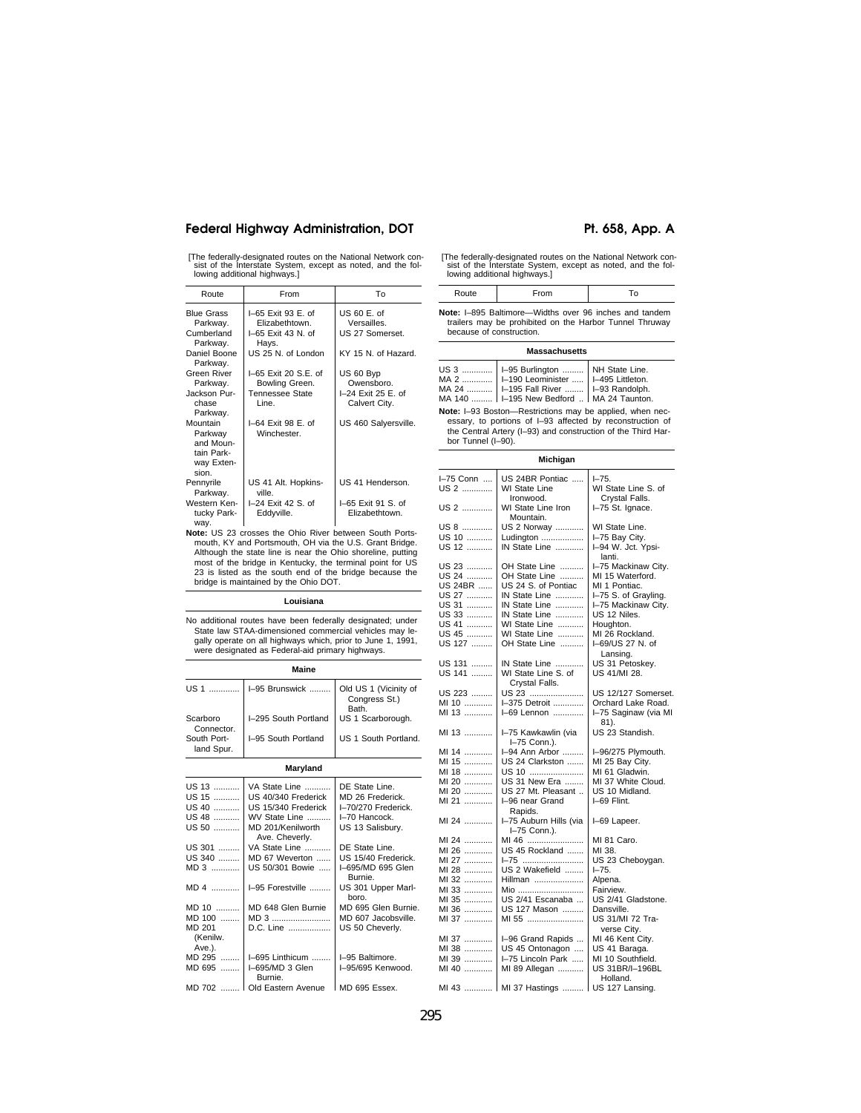# Federal Highway Administration, DOT **Pt. 658, App. A**

[The federally-designated routes on the National Network con-sist of the Interstate System, except as noted, and the fol-lowing additional highways.]

| Route                                                                 | From                                                    | To                                   |
|-----------------------------------------------------------------------|---------------------------------------------------------|--------------------------------------|
| <b>Blue Grass</b><br>Parkway.                                         | $I-65$ Exit 93 E. of<br>Elizabethtown.                  | US 60 E. of<br>Versailles.           |
| Cumberland<br>Parkway.                                                | I-65 Exit 43 N. of<br>Hays.                             | US 27 Somerset.                      |
| Daniel Boone<br>Parkway.                                              | US 25 N. of London                                      | KY 15 N. of Hazard.                  |
| Green River<br>Parkway.                                               | I-65 Exit 20 S.E. of<br>Bowling Green.                  | US 60 Byp<br>Owensboro.              |
| Jackson Pur-<br>chase<br>Parkway.                                     | <b>Tennessee State</b><br>Line.                         | $-24$ Exit 25 E. of<br>Calvert City. |
| Mountain<br>Parkway<br>and Moun-<br>tain Park-<br>way Exten-<br>sion. | I-64 Exit 98 E. of<br>Winchester.                       | US 460 Salversville.                 |
| Pennyrile<br>Parkway.                                                 | US 41 Alt. Hopkins-<br>ville.                           | US 41 Henderson.                     |
| Western Ken-<br>tucky Park-<br>way.                                   | $I - 24$ Exit 42 S. of<br>Eddyville.                    | I-65 Exit 91 S. of<br>Elizabethtown. |
|                                                                       | Note: US 23 crosses the Ohio River between South Ports- |                                      |

mouth, KY and Portsmouth, OH via the U.S. Grant Bridge. Although the state line is near the Ohio shoreline, putting most of the bridge in Kentucky, the terminal point for US 23 is listed as the south end of the bridge because the bridge is maintained by the Ohio DOT.

**Louisiana** 

No additional routes have been federally designated; under State law STAA-dimensioned commercial vehicles may legally operate on all highways which, prior to June 1, 1991, were designated as Federal-aid primary highways.

| Maine                                                                              |                                                                                                                                                                                               |                                                                                                                                                                                               |
|------------------------------------------------------------------------------------|-----------------------------------------------------------------------------------------------------------------------------------------------------------------------------------------------|-----------------------------------------------------------------------------------------------------------------------------------------------------------------------------------------------|
| $US 1$                                                                             | I-95 Brunswick                                                                                                                                                                                | Old US 1 (Vicinity of<br>Congress St.)<br>Bath.                                                                                                                                               |
| Scarboro<br>Connector.                                                             | I-295 South Portland                                                                                                                                                                          | US 1 Scarborough.                                                                                                                                                                             |
| South Port-<br>land Spur.                                                          | I-95 South Portland                                                                                                                                                                           | US 1 South Portland.                                                                                                                                                                          |
|                                                                                    | Maryland                                                                                                                                                                                      |                                                                                                                                                                                               |
| US 13<br>US 15<br>US 40<br>US 48<br>$US 50$<br>US 301<br>US 340<br>$MD3$<br>$MD 4$ | VA State Line<br>US 40/340 Frederick<br>US 15/340 Frederick<br>WV State Line<br>MD 201/Kenilworth<br>Ave. Cheverly.<br>VA State Line<br>MD 67 Weverton<br>US 50/301 Bowie<br>I-95 Forestville | DE State Line.<br>MD 26 Frederick.<br>I-70/270 Frederick.<br>I-70 Hancock.<br>US 13 Salisbury.<br>DE State Line.<br>US 15/40 Frederick.<br>I-695/MD 695 Glen<br>Burnie.<br>US 301 Upper Marl- |
| $MD 10$<br>$MD 100$<br>MD 201<br>(Kenilw.<br>Ave.).<br>MD 295                      | MD 648 Glen Burnie<br>MD 3<br>D.C. Line<br>I-695 Linthicum                                                                                                                                    | boro.<br>MD 695 Glen Burnie.<br>MD 607 Jacobsville.<br>US 50 Cheverly.<br>I-95 Baltimore.                                                                                                     |
| MD 695                                                                             | I-695/MD 3 Glen<br>Burnie.                                                                                                                                                                    | I-95/695 Kenwood.                                                                                                                                                                             |
| MD 702                                                                             | Old Eastern Avenue                                                                                                                                                                            | MD 695 Essex.                                                                                                                                                                                 |

[The federally-designated routes on the National Network con-sist of the Interstate System, except as noted, and the fol-lowing additional highways.]

| . |  |
|---|--|
|   |  |

**Note:** I–895 Baltimore—Widths over 96 inches and tandem trailers may be prohibited on the Harbor Tunnel Thruway because of construction.

| <b>Massachusetts</b> |                                                                                                                                                                         |  |
|----------------------|-------------------------------------------------------------------------------------------------------------------------------------------------------------------------|--|
|                      | US 3    I–95 Burlington    NH State Line.<br>MA 2    I–190 Leominister    I–95 Littleton.<br>MA 24    I–195 Fall River    I–93 Randolph.<br>MA 140    I–195 New Bedford |  |

**Note:** I–93 Boston—Restrictions may be applied, when necessary, to portions of I–93 affected by reconstruction of the Central Artery (I–93) and construction of the Third Har-bor Tunnel (I–90).

| Michigan  |                                        |                              |
|-----------|----------------------------------------|------------------------------|
| I-75 Conn | US 24BR Pontiac                        | $I - 75.$                    |
| US 2      | <b>WI State Line</b>                   | WI State Line S. of          |
|           | Ironwood.                              | Crystal Falls.               |
| US 2      | WI State Line Iron                     | I-75 St. Ignace.             |
|           | Mountain.                              |                              |
| US 8      | US 2 Norway                            | WI State Line.               |
| US 10     | Ludington                              | I-75 Bay City.               |
| US 12     | IN State Line                          | I-94 W. Jct. Ypsi-           |
|           |                                        | lanti.                       |
| US 23     | OH State Line                          | I-75 Mackinaw City.          |
| US 24     | OH State Line                          | MI 15 Waterford.             |
| US 24BR   | US 24 S. of Pontiac                    | MI 1 Pontiac.                |
| US 27     | IN State Line                          | I-75 S. of Grayling.         |
| US 31     | IN State Line                          | I-75 Mackinaw City.          |
| US 33     | IN State Line                          | US 12 Niles.                 |
| US 41     | WI State Line                          | Houghton.                    |
| US 45     | WI State Line                          | MI 26 Rockland.              |
| US 127    | OH State Line                          | I-69/US 27 N. of             |
|           |                                        | Lansing.                     |
| US 131    | IN State Line                          | US 31 Petoskey.              |
| US 141    | WI State Line S. of                    | US 41/MI 28.                 |
|           | Crystal Falls.                         |                              |
| US 223    | US 23                                  | US 12/127 Somerset.          |
| MI 10     | I-375 Detroit                          | Orchard Lake Road.           |
| $M113$    | I-69 Lennon                            | I-75 Saginaw (via MI<br>81). |
| MI 13     | I-75 Kawkawlin (via<br>I-75 Conn.).    | US 23 Standish.              |
| MI 14     | I-94 Ann Arbor                         | I-96/275 Plymouth.           |
| MI 15     | US 24 Clarkston                        | MI 25 Bay City.              |
| MI 18     | US 10                                  | MI 61 Gladwin.               |
| MI 20     | US 31 New Era                          | MI 37 White Cloud.           |
| MI 20     | US 27 Mt. Pleasant                     | US 10 Midland.               |
| MI 21     | I-96 near Grand<br>Rapids.             | I-69 Flint.                  |
| MI 24     | I-75 Auburn Hills (via<br>I-75 Conn.). | I-69 Lapeer.                 |
| MI 24     | MI 46                                  | MI 81 Caro.                  |
| MI 26     | US 45 Rockland                         | MI 38.                       |
| MI 27     | I-75                                   | US 23 Cheboygan.             |
| MI 28     | US 2 Wakefield                         | $I - 75.$                    |
| MI 32     | Hillman                                | Alpena.                      |
| MI 33     | Mio                                    | Fairview.                    |
| MI 35     | US 2/41 Escanaba                       | US 2/41 Gladstone.           |
| MI 36     | US 127 Mason                           | Dansville.                   |
| MI 37     | MI 55                                  | US 31/MI 72 Tra-             |
|           |                                        | verse City.                  |
| MI 37     | I-96 Grand Rapids                      | MI 46 Kent City.             |
| MI 38     | US 45 Ontonagon                        | US 41 Baraga.                |
| MI 39     | I-75 Lincoln Park                      | MI 10 Southfield.            |
| $M140$    | MI 89 Allegan                          | US 31BR/I-196BL<br>Holland.  |
|           | MI 43    MI 37 Hastings                | US 127 Lansing.              |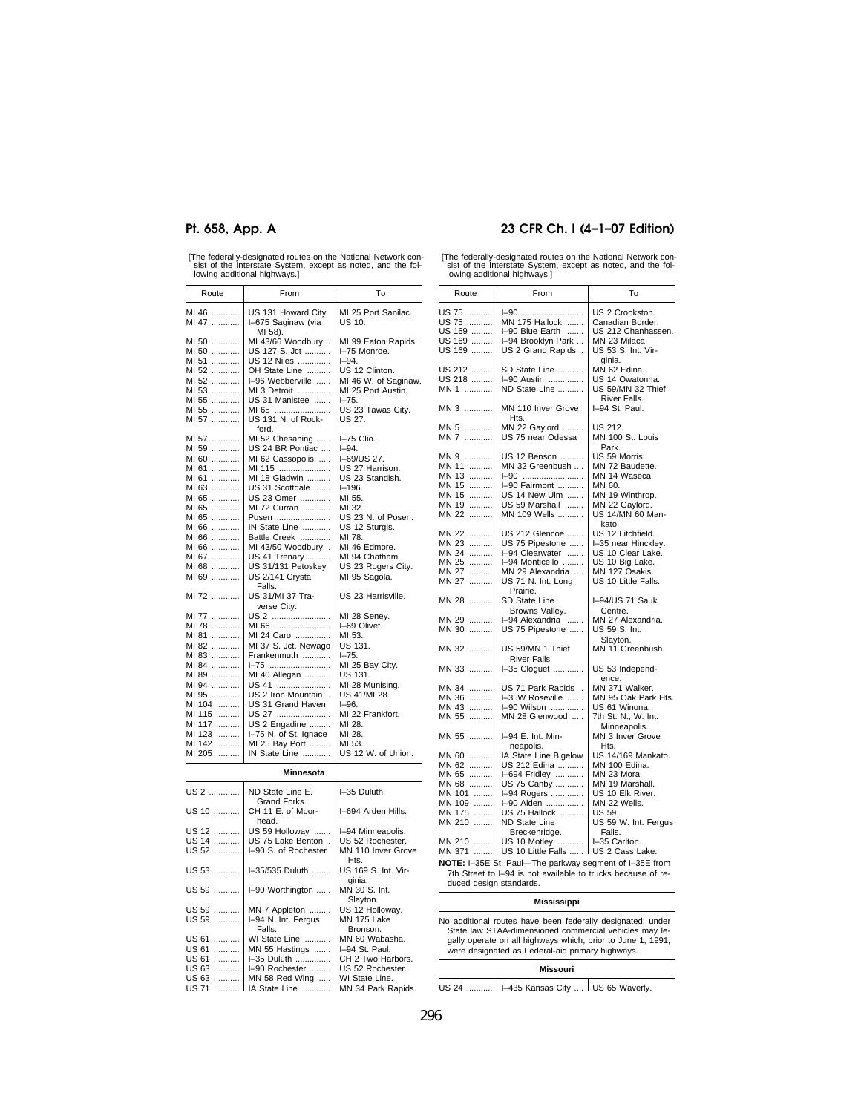[The federally-designated routes on the National Network con-sist of the Interstate System, except as noted, and the fol-lowing additional highways.]

| Route     | From                       | Т٥                       |
|-----------|----------------------------|--------------------------|
| MI 46     | US 131 Howard City         | MI 25 Port Sanilac.      |
| MI 47     | I-675 Saginaw (via         | <b>US 10.</b>            |
|           |                            |                          |
|           | MI 58).                    |                          |
| MI 50     | MI 43/66 Woodbury          | MI 99 Eaton Rapids.      |
| $M150$    | US 127 S. Jct              | I-75 Monroe.             |
| MI 51     | US 12 Niles                | $-94.$                   |
| MI 52     | OH State Line              | US 12 Clinton.           |
| MI 52     | I-96 Webberville           | MI 46 W. of Saginaw.     |
| MI 53     | MI 3 Detroit               | MI 25 Port Austin.       |
| MI 55     | US 31 Manistee             | $I - 75.$                |
| MI 55     | MI 65                      | US 23 Tawas City.        |
| MI 57     | US 131 N. of Rock-         | US 27.                   |
|           | ford.                      |                          |
| MI 57     | MI 52 Chesaning            | I-75 Clio.               |
| MI 59     | US 24 BR Pontiac           | $I - 94.$                |
| MI 60     | MI 62 Cassopolis           | I-69/US 27.              |
| MI 61     | MI 115                     | US 27 Harrison.          |
| MI 61     | MI 18 Gladwin              | US 23 Standish.          |
| MI 63     | US 31 Scottdale            | $I - 196.$               |
| MI 65     | US 23 Omer                 | MI 55.                   |
| MI 65     | MI 72 Curran               | MI 32.                   |
| MI 65     | Posen                      | US 23 N. of Posen.       |
|           | IN State Line              |                          |
| MI 66     |                            | US 12 Sturgis.<br>MI 78. |
| MI 66     | Battle Creek               |                          |
| MI 66     | MI 43/50 Woodbury          | MI 46 Edmore.            |
| MI 67     | US 41 Trenary              | MI 94 Chatham.           |
| $M168$    | US 31/131 Petoskey         | US 23 Rogers City.       |
| $M169$    | US 2/141 Crystal<br>Falls. | MI 95 Sagola.            |
| MI 72     | US 31/MI 37 Tra-           | US 23 Harrisville.       |
|           | verse City.                |                          |
| MI 77     | US 2                       | MI 28 Seney.             |
| MI 78     | MI 66                      | I-69 Olivet.             |
| MI 81     | MI 24 Caro                 | MI 53.                   |
| MI 82     | MI 37 S. Jct. Newago       | US 131.                  |
| MI 83     | Frankenmuth                | $I - 75.$                |
| MI 84     | $I - 75$                   |                          |
|           |                            | MI 25 Bay City.          |
| MI 89     | MI 40 Allegan              | US 131.                  |
| MI 94     | US 41                      | MI 28 Munising.          |
| MI 95     | US 2 Iron Mountain         | US 41/MI 28.             |
| MI 104    | US 31 Grand Haven          | $-96.$                   |
| MI 115    | US 27                      | MI 22 Frankfort.         |
| MI 117    | US 2 Engadine              | MI 28.                   |
| MI 123    | I-75 N. of St. Ignace      | MI 28.                   |
| MI 142    | MI 25 Bay Port             | MI 53.                   |
| MI 205    | IN State Line              | US 12 W. of Union.       |
| Minnesota |                            |                          |

US 2 ............. ND State Line E.

US 10 ........... CH 11 E. of Moorhead.

US 59 ........... | I-90 Worthington

US 59 ........... | I-94 N. Int. Fergus Falls.<br>WI State Line

Grand Forks.

US 12 ........... US 59 Holloway ....... I–94 Minneapolis. US 14 ........... US 75 Lake Benton .. US 52 Rochester.<br>US 52 ........... | I–90 S. of Rochester | MN 110 Inver Grove

US 53 ........... I–35/535 Duluth ........ US 169 S. Int. Vir-

Slayton. US 59 ........... MN 7 Appleton ......... US 12 Holloway.

US 61 ........... | WI State Line ........... | MN 60 Wabasha.<br>US 61 ........... | MN 55 Hastings ....... | I-94 St. Paul. MN 55 Hastings<br>I–35 Duluth ....... US 61 ........... | I–35 Duluth ................. | CH 2 Two Harbors.<br>US 63 ........... | I–90 Rochester ......... | US 52 Rochester. US 63 ........... I–90 Rochester ......... US 52 Rochester. MN 58 Red Wing US 71 ........... | IA State Line ............. | MN 34 Park Rapids.

I–35 Duluth.

...<br>Hts.

ginia.<br>MN 30 S. Int.

MN 175 Lake Bronson.

I–694 Arden Hills.

#### US 169 ......... | I–94 Brooklyn Park ... | MN 23 Milaca.<br>US 169 ......... | US 2 Grand Rapids .. | US 53 S. Int. Vir-US 2 Grand Rapids ginia. US 212 ......... SD State Line ........... MN 62 Edina. US 218 ......... | I–90 Austin ................ | US 14 Owatonna.<br>MN 1 ............ | ND State Line ........... | US 59/MN 32 Thi US 59/MN 32 Thief River Falls. MN 3 ............ MN 110 Inver Grove Hts. MN 5 ............ MN 22 Gaylord ......... US 212. I–94 St. Paul. MN 7 ............ US 75 near Odessa MN 100 St. Louis Park.<br>US 59 Morris MN 9 ............. US 12 Benson .......... US 59 Morris.<br>MN 11 .......... MN 32 Greenbush .... MN 72 Baudette. MN 11 .......... MN 32 Greenbush .<br>MN 13 .......... | I-90 ...................... MN 13 .......... | I–90 ............................. | MN 14 Waseca.<br>MN 15 .......... | I–90 Fairmont ........... | MN 60. MN 15 ........... | I–90 Fairmont ............ | MN 60.<br>MN 15 .......... | US 14 New Ulm ....... | MN 19 Winthrop. MN 15 .......... US 14 New Ulm ....... MN 19 Winthrop<br>MN 19 .......... US 59 Marshall ........ MN 22 Gaylord. MN 19 .......... US 59 Marshall ........ MN 22 Gaylord. US 14/MN 60 Mankato.<br>US 12 Litchfield. MN 22 .......... US 212 Glencoe .<br>MN 23 .......... US 75 Pipestone MN 23 .......... US 75 Pipestone ...... | I-35 near Hinckley.<br>MN 24 .......... | I-94 Clearwater ........ | US 10 Clear Lake. MN 24 .......... I–94 Clearwater ........ US 10 Clear Lake. MN 25 .......... | I–94 Monticello ......... | US 10 Big Lake.<br>MN 27 .......... | MN 29 Alexandria .... | MN 127 Osakis. MN 27 .......... MN 29 Alexandria .... MN 127 Osakis. US 71 N. Int. Long Prairie. US 10 Little Falls. MN 28 .......... SD State Line Browns Valley<br>I-94 Alexandria I–94/US 71 Sauk Centre. MN 29 .......... I–94 Alexandria ........ MN 27 Alexandria. MN 30 .......... US 75 Pipestone ...... US 59 S. Int. Slayton. MN 32 .......... US 59/MN 1 Thief River Falls.<br>I-35 Cloguet MN 11 Greenbush. MN 33 .......... I–35 Cloguet ............. US 53 Independence. MN 34 .......... US 71 Park Rapids .. MN 371 Walker. MN 36 .......... I–35W Roseville ....... MN 95 Oak Park Hts. MN 43 .......... | I–90 Wilson ............... | US 61 Winona.<br>MN 55 .......... | MN 28 Glenwood ..... | 7th St. N., W. Int. MN 28 Glenwood Minneapolis. MN 3 Inver Grove MN 55 .......... I–94 E. Int. Minneapolis. Hts.<br>US 14/169 Mankato MN 60 .......... | IA State Line Bigelow<br>MN 62 .......... | US 212 Edina .......... MN 62 .......... US 212 Edina ........... MN 100 Edina. MN 65 .......... | I–694 Fridley ............ | MN 23 Mora.<br>MN 68 .......... | US 75 Canby ............ | MN 19 Marsh MN 68 .......... US 75 Canby ............ | MN 19 Marshall.<br>MN 101 ........ | I-94 Rogers ............... US 10 Elk River MN 101 ........ | I–94 Rogers ............... | US 10 Elk River.<br>MN 109 | I–90 Alden MN 109 ........ | I–90 Alden ................ | MN 22 Wells.<br>MN 175 ........ | US 75 Hallock .......... | US 59. MN 175 ........ US 75 Hallock .......... US 59. **ND State Line** Breckenridge. US 59 W. Int. Fergus Falls.<br>I-35 Carlton MN 210 ........ US 10 Motley MN 371 ........ US 10 Little Falls ...... US 2 Cass Lake. **NOTE:** I–35E St. Paul—The parkway segment of I–35E from 7th Street to I–94 is not available to trucks because of reduced design standards. **Mississippi**

No additional routes have been federally designated; under State law STAA-dimensioned commercial vehicles may legally operate on all highways which, prior to June 1, 1991, were designated as Federal-aid primary highways.

#### **Missouri**

US 24 ........... | I-435 Kansas City .... | US 65 Waverly.

# **Pt. 658, App. A 23 CFR Ch. I (4–1–07 Edition)**

US 75 ........... MN 175 Hallock ........ Canadian Border. US 169 ......... I–90 Blue Earth ........ US 212 Chanhassen.

[The federally-designated routes on the National Network con-sist of the Interstate System, except as noted, and the fol-lowing additional highways.]

Route | From | To US 75 ........... I–90 .......................... US 2 Crookston.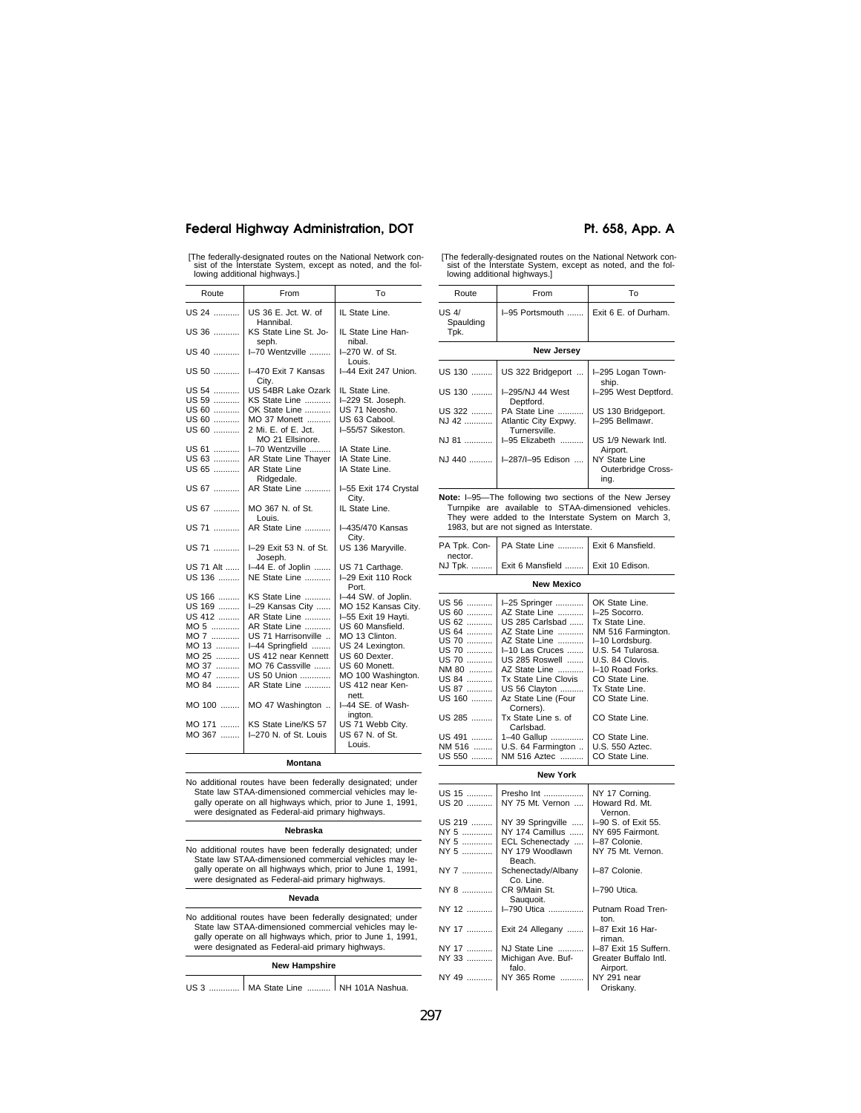# Federal Highway Administration, DOT **Pt. 658, App. A**

<sup>[</sup>The federally-designated routes on the National Network con-sist of the Interstate System, except as noted, and the fol-lowing additional highways.]

| Route     | From                                    | Т٥                             |
|-----------|-----------------------------------------|--------------------------------|
| US 24     | US 36 E. Jct. W. of<br>Hannibal.        | IL State Line.                 |
| US 36     | KS State Line St. Jo-<br>seph.          | IL State Line Han-<br>nibal.   |
| US 40     | I-70 Wentzville                         | I-270 W. of St.                |
| US 50     | I-470 Exit 7 Kansas<br>City.            | Louis.<br>I-44 Exit 247 Union. |
| US 54     | US 54BR Lake Ozark                      | IL State Line.                 |
| US 59     | KS State Line                           | I-229 St. Joseph.              |
| US 60     | OK State Line                           | US 71 Neosho.                  |
| US 60     | MO 37 Monett                            | US 63 Cabool.                  |
|           |                                         |                                |
| US 60     | 2 Mi. E. of E. Jct.<br>MO 21 Ellsinore. | I-55/57 Sikeston.              |
| US 61     | I-70 Wentzville                         | IA State Line.                 |
| US 63     | AR State Line Thayer                    | IA State Line.                 |
| US 65     | <b>AR State Line</b>                    | IA State Line.                 |
|           | Ridgedale.                              |                                |
| US 67     | AR State Line                           | I-55 Exit 174 Crystal<br>City. |
| US 67     | MO 367 N. of St.                        | IL State Line.                 |
| US 71     | Louis.<br>AR State Line                 | I-435/470 Kansas<br>City.      |
| US 71     | I-29 Exit 53 N. of St.                  | US 136 Maryville.              |
| US 71 Alt | Joseph.<br>I-44 E. of Joplin            | US 71 Carthage.                |
| US 136    | NE State Line                           | I-29 Exit 110 Rock             |
|           |                                         | Port.                          |
| US 166    | KS State Line                           | I-44 SW. of Joplin.            |
| US 169    | I-29 Kansas City                        | MO 152 Kansas City.            |
| US 412    | AR State Line                           | I-55 Exit 19 Havti.            |
| MO 5      | AR State Line                           | US 60 Mansfield.               |
|           | US 71 Harrisonville                     | MO 13 Clinton.                 |
| MO 7      |                                         |                                |
| MO 13     | I-44 Springfield                        | US 24 Lexington.               |
| MO 25     | US 412 near Kennett                     | US 60 Dexter.                  |
| MO 37     | MO 76 Cassville                         | US 60 Monett.                  |
| MO 47     | US 50 Union                             | MO 100 Washington.             |
|           |                                         | US 412 near Ken-               |
| MO 84     | AR State Line                           | nett.                          |
| MO 100    | MO 47 Washington                        | I-44 SE, of Wash-<br>ington.   |
| MO 171    | KS State Line/KS 57                     | US 71 Webb City.               |
|           |                                         |                                |
| MO 367    | I-270 N. of St. Louis                   | US 67 N. of St.<br>Louis.      |
|           |                                         |                                |

# **Montana**

No additional routes have been federally designated; under State law STAA-dimensioned commercial vehicles may le-gally operate on all highways which, prior to June 1, 1991, were designated as Federal-aid primary highways.

# **Nebraska**

No additional routes have been federally designated; under State law STAA-dimensioned commercial vehicles may le-gally operate on all highways which, prior to June 1, 1991, were designated as Federal-aid primary highways.

# **Nevada**

No additional routes have been federally designated; under State law STAA-dimensioned commercial vehicles may legally operate on all highways which, prior to June 1, 1991, were designated as Federal-aid primary highways.

# **New Hampshire**

| US 3 | MA State Line    NH 101A Nashua. |
|------|----------------------------------|
|      |                                  |

[The federally-designated routes on the National Network con-sist of the Interstate System, except as noted, and the fol-lowing additional highways.]

| Route                                                                                                                                    | From                                                                                                                                                                                                                                                                                                                   | Т٥                                                                                                                                                                                                                                                                                    |
|------------------------------------------------------------------------------------------------------------------------------------------|------------------------------------------------------------------------------------------------------------------------------------------------------------------------------------------------------------------------------------------------------------------------------------------------------------------------|---------------------------------------------------------------------------------------------------------------------------------------------------------------------------------------------------------------------------------------------------------------------------------------|
| <b>US 4/</b><br>Spaulding<br>Tpk.                                                                                                        | I-95 Portsmouth                                                                                                                                                                                                                                                                                                        | Exit 6 E. of Durham.                                                                                                                                                                                                                                                                  |
|                                                                                                                                          | <b>New Jersey</b>                                                                                                                                                                                                                                                                                                      |                                                                                                                                                                                                                                                                                       |
| US 130                                                                                                                                   | US 322 Bridgeport                                                                                                                                                                                                                                                                                                      | I-295 Logan Town-<br>ship.                                                                                                                                                                                                                                                            |
| US 130                                                                                                                                   | I-295/NJ 44 West<br>Deptford.                                                                                                                                                                                                                                                                                          | I-295 West Deptford.                                                                                                                                                                                                                                                                  |
| US 322<br>NJ 42                                                                                                                          | PA State Line<br>Atlantic City Expwy.<br>Turnersville.                                                                                                                                                                                                                                                                 | US 130 Bridgeport.<br>I-295 Bellmawr.                                                                                                                                                                                                                                                 |
| NJ 81                                                                                                                                    | I-95 Elizabeth                                                                                                                                                                                                                                                                                                         | US 1/9 Newark Intl.<br>Airport.                                                                                                                                                                                                                                                       |
| NJ 440                                                                                                                                   | I-287/I-95 Edison                                                                                                                                                                                                                                                                                                      | NY State Line<br>Outerbridge Cross-<br>ing.                                                                                                                                                                                                                                           |
|                                                                                                                                          | Note: I-95-The following two sections of the New Jersey<br>Turnpike are available to STAA-dimensioned vehicles.<br>They were added to the Interstate System on March 3,<br>1983, but are not signed as Interstate.                                                                                                     |                                                                                                                                                                                                                                                                                       |
| PA Tpk. Con-<br>nector.                                                                                                                  | PA State Line                                                                                                                                                                                                                                                                                                          | Exit 6 Mansfield.                                                                                                                                                                                                                                                                     |
| NJ Tpk.                                                                                                                                  | Exit 6 Mansfield                                                                                                                                                                                                                                                                                                       | Exit 10 Edison.                                                                                                                                                                                                                                                                       |
|                                                                                                                                          | <b>New Mexico</b>                                                                                                                                                                                                                                                                                                      |                                                                                                                                                                                                                                                                                       |
| US 56<br>US 60<br>US 62<br>US 64<br>US 70<br>US 70<br>US 70<br>NM 80<br>US 84<br>US 87<br>US 160<br>US 285<br>US 491<br>NM 516<br>US 550 | I-25 Springer<br>AZ State Line<br>US 285 Carlsbad<br>AZ State Line<br>AZ State Line<br>I-10 Las Cruces<br>US 285 Roswell<br>AZ State Line<br><b>Tx State Line Clovis</b><br>US 56 Clayton<br>Az State Line (Four<br>Corners).<br>Tx State Line s. of<br>Carlsbad.<br>1-40 Gallup<br>U.S. 64 Farmington<br>NM 516 Aztec | OK State Line.<br>I-25 Socorro.<br>Tx State Line.<br>NM 516 Farmington.<br>I-10 Lordsburg.<br>U.S. 54 Tularosa.<br>U.S. 84 Clovis.<br>I-10 Road Forks.<br>CO State Line.<br>Tx State Line.<br>CO State Line.<br>CO State Line.<br>CO State Line.<br>U.S. 550 Aztec.<br>CO State Line. |
|                                                                                                                                          | <b>New York</b>                                                                                                                                                                                                                                                                                                        |                                                                                                                                                                                                                                                                                       |
| US 15<br>US 20                                                                                                                           | Presho Int<br>NY 75 Mt. Vernon                                                                                                                                                                                                                                                                                         | NY 17 Corning.<br>Howard Rd. Mt.<br>l <sub>error</sub>                                                                                                                                                                                                                                |

| US 15  | Presho Int         | NY 17 Corning.        |
|--------|--------------------|-----------------------|
| US 20  | NY 75 Mt. Vernon   | Howard Rd. Mt.        |
|        |                    | Vernon.               |
| US 219 | NY 39 Springville  | I-90 S. of Exit 55.   |
| NY 5   | NY 174 Camillus    | NY 695 Fairmont.      |
| NY 5   | ECL Schenectady    | I-87 Colonie.         |
| NY 5   | NY 179 Woodlawn    | NY 75 Mt. Vernon.     |
|        | Beach.             |                       |
| NY 7   | Schenectady/Albany | I-87 Colonie.         |
|        | Co. Line.          |                       |
| NY 8   | CR 9/Main St.      | I-790 Utica.          |
|        | Sauguoit.          |                       |
| NY 12  | I-790 Utica        | Putnam Road Tren-     |
|        |                    | ton.                  |
| NY 17  | Exit 24 Allegany   | I-87 Exit 16 Har-     |
|        |                    | riman.                |
| NY 17  | NJ State Line      | I-87 Exit 15 Suffern. |
| NY 33  | Michigan Ave. Buf- | Greater Buffalo Intl. |
|        | falo.              | Airport.              |
| NY 49  | NY 365 Rome        | NY 291 near           |
|        |                    | Oriskany.             |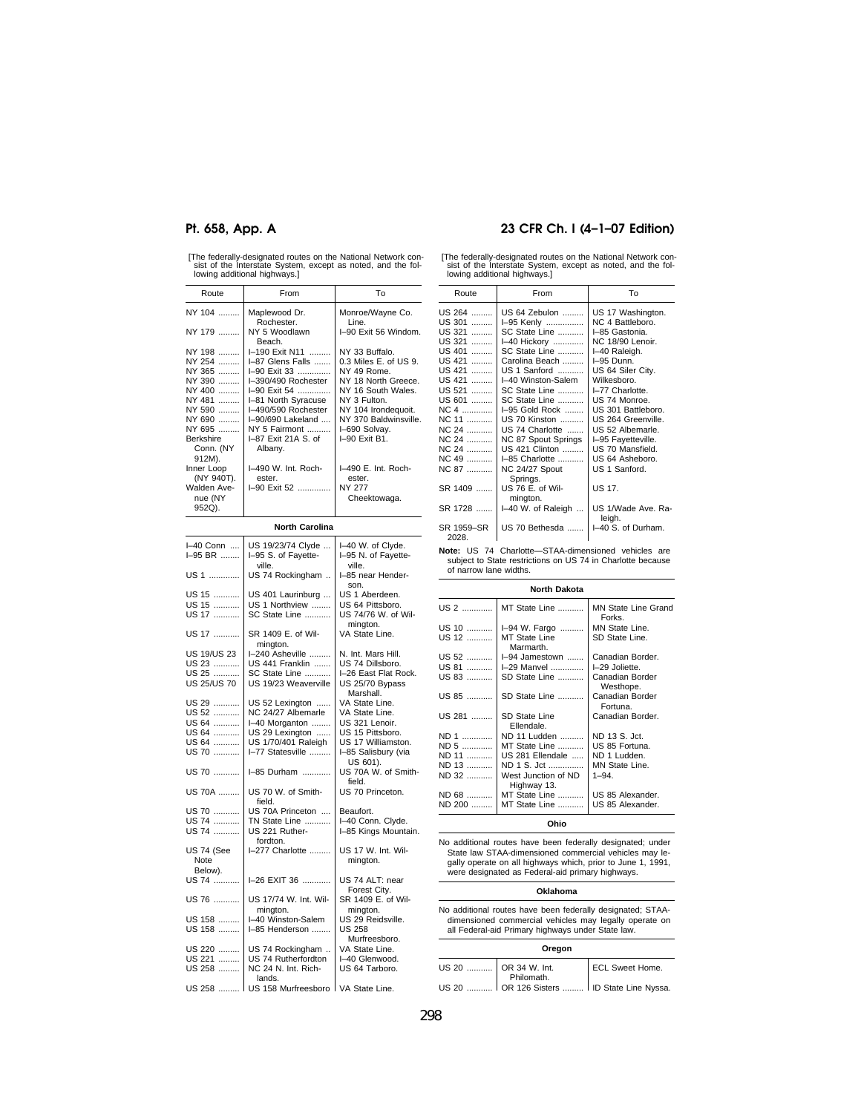[The federally-designated routes on the National Network con-sist of the Interstate System, except as noted, and the fol-lowing additional highways.]

| Route                                                                                                                                          | From                                                                                                                                                                                                           | Т٥                                                                                                                                                                                                    |
|------------------------------------------------------------------------------------------------------------------------------------------------|----------------------------------------------------------------------------------------------------------------------------------------------------------------------------------------------------------------|-------------------------------------------------------------------------------------------------------------------------------------------------------------------------------------------------------|
| NY 104                                                                                                                                         | Maplewood Dr.<br>Rochester.                                                                                                                                                                                    | Monroe/Wayne Co.<br>Line.                                                                                                                                                                             |
| NY 179                                                                                                                                         | NY 5 Woodlawn<br>Beach.                                                                                                                                                                                        | I-90 Exit 56 Windom.                                                                                                                                                                                  |
| NY 198<br>NT 150<br>NY 254<br>NY 254<br>NY 365<br>NY 390<br>NY 401<br>NY 590<br>NY 590<br>NY 690<br>NY 695<br>Berkshire<br>Conn. (NY<br>912M). | I-190 Exit N11<br>I-87 Glens Falls<br>I-90 Exit 33<br>-390/490 Rochester<br>I-90 Exit 54<br>I-81 North Syracuse<br>I-490/590 Rochester<br>I-90/690 Lakeland<br>NY 5 Fairmont<br>I-87 Exit 21A S. of<br>Albany. | NY 33 Buffalo.<br>0.3 Miles E. of US 9.<br>NY 49 Rome.<br>NY 18 North Greece.<br>NY 18 South Wales.<br>NY 3 Fulton.<br>NY 104 Irondequoit.<br>NY 370 Baldwinsville.<br>I-690 Solvay.<br>I-90 Exit B1. |
| Inner Loop<br>(NY 940T).<br>Walden Ave-<br>nue (NY<br>952Q).                                                                                   | I-490 W. Int. Roch-<br>ester.<br>I-90 Exit 52                                                                                                                                                                  | I-490 E. Int. Roch-<br>ester.<br>NY 277<br>Cheektowaga.                                                                                                                                               |
|                                                                                                                                                | <b>North Carolina</b>                                                                                                                                                                                          |                                                                                                                                                                                                       |
| I-40 Conn<br>I-95 BR<br>US 1                                                                                                                   | US 19/23/74 Clyde<br>I-95 S. of Fayette-<br>ville.<br>US 74 Rockingham                                                                                                                                         | I-40 W. of Clyde.<br>I-95 N. of Fayette-<br>ville.<br>I-85 near Hender-                                                                                                                               |
| US 15<br>US 15<br><b>US 17</b><br>.                                                                                                            | US 401 Laurinburg<br>US 1 Northview<br>SC State Line                                                                                                                                                           | son.<br>US 1 Aberdeen.<br>US 64 Pittsboro.<br>US 74/76 W. of Wil-<br>mington.                                                                                                                         |
| <b>US 17</b><br>.<br>US 19/US 23<br>US 23<br>US 25<br>US 25/US 70<br>US 29<br>US 52<br>US 64                                                   | SR 1409 E. of Wil-<br>mington.<br>I-240 Asheville<br>US 441 Franklin<br>SC State Line<br>US 19/23 Weaverville<br>US 52 Lexington<br>NC 24/27 Albemarle<br>-40 Morganton                                        | VA State Line.<br>N. Int. Mars Hill.<br>US 74 Dillsboro.<br>I-26 East Flat Rock.<br>US 25/70 Bypass<br>Marshall.<br>VA State Line.<br>VA State Line.<br>US 321 Lenoir.                                |
| US 64<br>US 64<br>US 70                                                                                                                        | US 29 Lexington<br>US 1/70/401 Raleigh<br>I-77 Statesville                                                                                                                                                     | US 15 Pittsboro.<br>US 17 Williamston.<br>I-85 Salisbury (via<br>US 601).                                                                                                                             |
| US 70<br>US 70A                                                                                                                                | I-85 Durham<br>US 70 W. of Smith-                                                                                                                                                                              | US 70A W. of Smith-<br>field.<br>US 70 Princeton.                                                                                                                                                     |
| US 70<br>US 74<br>US 74                                                                                                                        | field.<br>US 70A Princeton<br>TN State Line<br>US 221 Ruther-<br>fordton.                                                                                                                                      | Beaufort.<br>I-40 Conn. Clyde.<br>I-85 Kings Mountain.                                                                                                                                                |
| US 74 (See<br>Note<br>Below).                                                                                                                  | I-277 Charlotte                                                                                                                                                                                                | US 17 W. Int. Wil-<br>mington.                                                                                                                                                                        |
| US 74                                                                                                                                          | I-26 EXIT 36                                                                                                                                                                                                   | US 74 ALT: near<br>Forest City.                                                                                                                                                                       |
| US 76<br>US 158<br>US 158                                                                                                                      | US 17/74 W. Int. Wil-<br>mington.<br>-40 Winston-Salem<br>I-85 Henderson                                                                                                                                       | SR 1409 E. of Wil-<br>mington.<br>US 29 Reidsville.<br>US 258<br>Murfreesboro.                                                                                                                        |
| US 220<br>US 221<br>US 258                                                                                                                     | US 74 Rockingham<br>US 74 Rutherfordton<br>NC 24 N. Int. Rich-<br>lands.                                                                                                                                       | VA State Line.<br>I-40 Glenwood.<br>US 64 Tarboro.                                                                                                                                                    |
| US 258                                                                                                                                         | US 158 Murfreesboro   VA State Line.                                                                                                                                                                           |                                                                                                                                                                                                       |

# **Pt. 658, App. A 23 CFR Ch. I (4–1–07 Edition)**

[The federally-designated routes on the National Network con-sist of the Interstate System, except as noted, and the fol-lowing additional highways.]

| Route               | From                         | To                           |
|---------------------|------------------------------|------------------------------|
| <b>US 264</b><br>.  | US 64 Zebulon                | US 17 Washington.            |
| <b>US 301</b><br>.  | I-95 Kenly                   | NC 4 Battleboro.             |
| <b>US 321</b><br>.  | SC State Line                | I-85 Gastonia.               |
| US 321              | I-40 Hickory                 | NC 18/90 Lenoir.             |
| $US 401$            | SC State Line                | I-40 Raleigh.                |
| US 421              | Carolina Beach               | I-95 Dunn.                   |
| US 421              | US 1 Sanford                 | US 64 Siler City.            |
| US 421              | I-40 Winston-Salem           | Wilkesboro.                  |
| US 521              | SC State Line                | I-77 Charlotte.              |
| US 601              | <b>SC State Line </b>        | US 74 Monroe.                |
| NC 4                | I-95 Gold Rock               | US 301 Battleboro.           |
| NC 11               | US 70 Kinston                | US 264 Greenville.           |
| NC 24               | US 74 Charlotte              | US 52 Albemarle.             |
| NC 24               | NC 87 Spout Springs          | I-95 Fayetteville.           |
| NC 24               | US 421 Clinton               | US 70 Mansfield.             |
| $NC.49$             | I-85 Charlotte               | US 64 Asheboro.              |
| NC 87               | NC 24/27 Spout<br>Springs.   | US 1 Sanford.                |
| SR 1409             | US 76 E. of Wil-<br>mington. | <b>US 17.</b>                |
| SR 1728             | I-40 W. of Raleigh           | US 1/Wade Ave. Ra-<br>leigh. |
| SR 1959-SR<br>2028. | US 70 Bethesda               | I-40 S. of Durham.           |

**Note:** US 74 Charlotte—STAA-dimensioned vehicles are subject to State restrictions on US 74 in Charlotte because of narrow lane widths.

| <b>North Dakota</b> |                                    |                                      |
|---------------------|------------------------------------|--------------------------------------|
| US 2                | MT State Line                      | <b>MN State Line Grand</b><br>Forks. |
| US 10               | I-94 W. Fargo                      | MN State Line.                       |
| US 12               | MT State Line<br>Marmarth.         | SD State Line.                       |
| US 52               | I-94 Jamestown                     | Canadian Border.                     |
| US 81               | I-29 Manvel                        | I-29 Joliette.                       |
| US 83               | SD State Line                      | Canadian Border<br>Westhope.         |
| US 85               | SD State Line                      | Canadian Border<br>Fortuna.          |
| US 281              | SD State Line<br>Ellendale.        | Canadian Border.                     |
| ND 1                | ND 11 Ludden                       | ND 13 S. Jct.                        |
| ND 5                | MT State Line                      | US 85 Fortuna.                       |
| ND 11               | US 281 Ellendale                   | ND 1 Ludden.                         |
| ND 13               | ND 1 S. Jct                        | MN State Line.                       |
| ND 32               | West Junction of ND<br>Highway 13. | 1-94.                                |
| ND 68               | MT State Line                      | US 85 Alexander.                     |
| ND 200              | MT State Line                      | US 85 Alexander.                     |

# **Ohio**

No additional routes have been federally designated; under State law STAA-dimensioned commercial vehicles may le-gally operate on all highways which, prior to June 1, 1991, were designated as Federal-aid primary highways.

# **Oklahoma**

No additional routes have been federally designated; STAA-dimensioned commercial vehicles may legally operate on all Federal-aid Primary highways under State law.

| Oregon                 |                                             |                        |
|------------------------|---------------------------------------------|------------------------|
| US 20    OR 34 W. Int. |                                             | <b>ECL Sweet Home.</b> |
|                        | US 20  OR 126 Sisters  ID State Line Nyssa. |                        |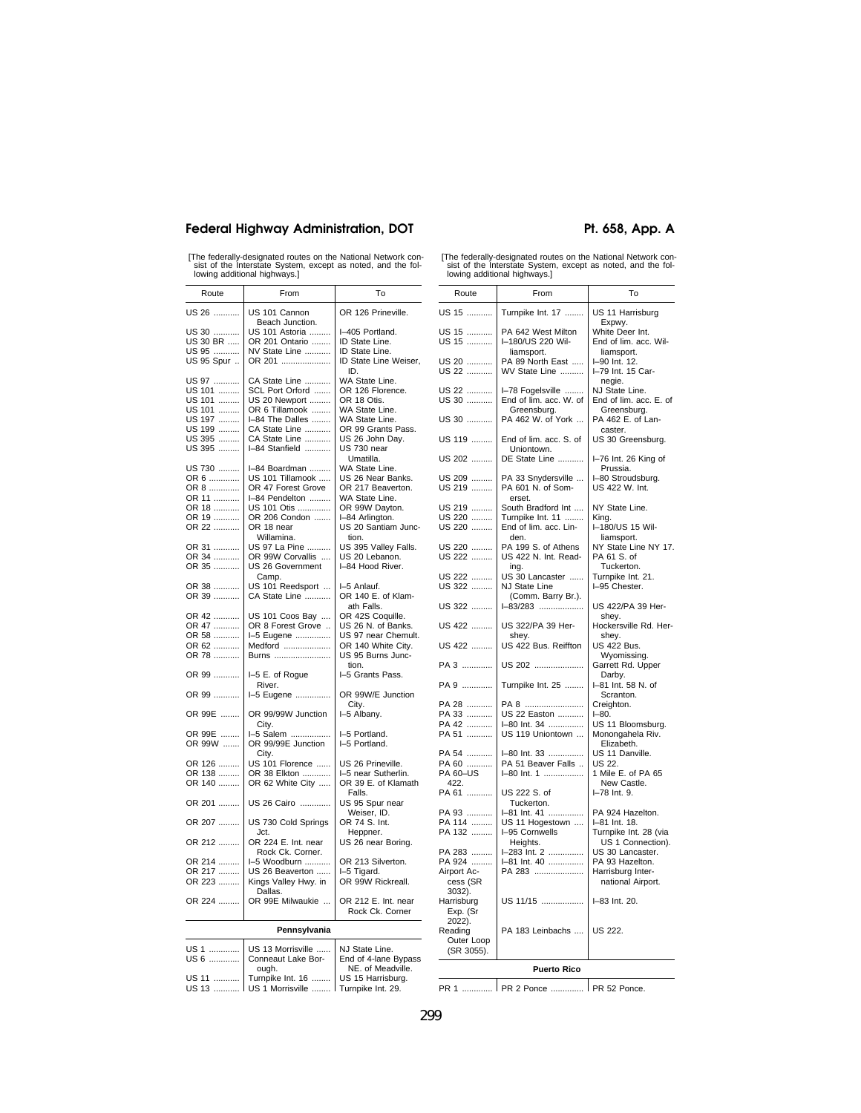# Federal Highway Administration, DOT Pt. 658, App. A

[The federally-designated routes on the National Network con-sist of the Interstate System, except as noted, and the fol-lowing additional highways.]

| Route                                                                                 | From                                                                                                                                                                                                    | To                                                                                                                                                                                                                        |
|---------------------------------------------------------------------------------------|---------------------------------------------------------------------------------------------------------------------------------------------------------------------------------------------------------|---------------------------------------------------------------------------------------------------------------------------------------------------------------------------------------------------------------------------|
| US 26                                                                                 | US 101 Cannon                                                                                                                                                                                           | OR 126 Prineville.                                                                                                                                                                                                        |
| US 30<br>US 30 BR<br>US 95<br>US 95 Spur                                              | Beach Junction.<br>US 101 Astoria<br>OR 201 Ontario<br>NV State Line<br>OR 201                                                                                                                          | I-405 Portland.<br>ID State Line.<br>ID State Line.<br>ID State Line Weiser,                                                                                                                                              |
| US 97<br>US 101<br>US 101<br>US 101<br>US 197<br>US 199<br>US 395<br>US 395           | CA State Line<br>SCL Port Orford<br>US 20 Newport<br>OR 6 Tillamook<br>I-84 The Dalles<br>CA State Line<br>CA State Line<br>I-84 Stanfield                                                              | ID.<br>WA State Line.<br>OR 126 Florence.<br>OR 18 Otis.<br>WA State Line.<br>WA State Line.<br>OR 99 Grants Pass.<br>US 26 John Day.<br>US 730 near                                                                      |
| US 730<br>OR 6<br>OR 8<br>OR 11<br>OR 18<br>OR 18<br>OR 22<br>OR 31<br>OR 34<br>OR 35 | I-84 Boardman<br>US 101 Tillamook<br>OR 47 Forest Grove<br>I-84 Pendelton<br>US 101 Otis<br>OR 206 Condon<br>OR 18 near<br>Willamina.<br>US 97 La Pine<br>OR 99W Corvallis<br>US 26 Government<br>Camp. | Umatilla.<br>WA State Line.<br>US 26 Near Banks.<br>OR 217 Beaverton.<br>WA State Line.<br>OR 99W Dayton.<br>-84 Arlington.<br>US 20 Santiam Junc-<br>tion.<br>US 395 Valley Falls.<br>US 20 Lebanon.<br>I-84 Hood River. |
| OR 38<br>OR 39                                                                        | US 101 Reedsport<br>CA State Line                                                                                                                                                                       | I-5 Anlauf.<br>OR 140 E. of Klam-<br>ath Falls.                                                                                                                                                                           |
| OR 42<br>OR 47<br>OR 58<br>OR 62<br>OR 78                                             | US 101 Coos Bay<br>OR 8 Forest Grove<br>I-5 Eugene<br>Medford<br>Burns                                                                                                                                  | OR 42S Coquille.<br>US 26 N. of Banks.<br>US 97 near Chemult.<br>OR 140 White City.<br>US 95 Burns Junc-<br>tion.                                                                                                         |
| OR 99                                                                                 | I-5 E. of Roque<br>River.                                                                                                                                                                               | I-5 Grants Pass.                                                                                                                                                                                                          |
| OR 99<br>OR 99E                                                                       | I-5 Eugene<br>OR 99/99W Junction                                                                                                                                                                        | OR 99W/E Junction<br>City.<br>I-5 Albany.                                                                                                                                                                                 |
| OR 99E<br>OR 99W                                                                      | City.<br>I-5 Salem<br>OR 99/99E Junction                                                                                                                                                                | I-5 Portland.<br>I-5 Portland.                                                                                                                                                                                            |
| OR 126<br>OR 138<br>OR 140<br>OR 201                                                  | City.<br>US 101 Florence<br>OR 38 Elkton<br>OR 62 White City<br>US 26 Cairo                                                                                                                             | US 26 Prineville.<br>I-5 near Sutherlin.<br>OR 39 E. of Klamath<br>Falls.<br>US 95 Spur near                                                                                                                              |
| OR 207                                                                                | US 730 Cold Springs                                                                                                                                                                                     | Weiser, ID.<br>OR 74 S. Int.                                                                                                                                                                                              |
| OR 212                                                                                | Jct.<br>OR 224 E. Int. near<br>Rock Ck. Corner.                                                                                                                                                         | Heppner.<br>US 26 near Boring.                                                                                                                                                                                            |
|                                                                                       |                                                                                                                                                                                                         |                                                                                                                                                                                                                           |
| OR 214                                                                                | I-5 Woodburn                                                                                                                                                                                            | OR 213 Silverton.                                                                                                                                                                                                         |
| OR 217<br>OR 223                                                                      | US 26 Beaverton<br>Kings Valley Hwy. in<br>Dallas.                                                                                                                                                      | I-5 Tigard.<br>OR 99W Rickreall.                                                                                                                                                                                          |
| OR 224                                                                                | OR 99E Milwaukie                                                                                                                                                                                        | OR 212 E. Int. near<br>Rock Ck. Corner                                                                                                                                                                                    |
|                                                                                       | Pennsylvania                                                                                                                                                                                            |                                                                                                                                                                                                                           |
|                                                                                       |                                                                                                                                                                                                         |                                                                                                                                                                                                                           |
| US 1<br>US 6                                                                          | US 13 Morrisville<br>Conneaut Lake Bor-<br>ough.                                                                                                                                                        | NJ State Line.<br>End of 4-lane Bypass<br>NE. of Meadville.                                                                                                                                                               |
| US 11<br>US 13                                                                        | Turnpike Int. 16<br>US 1 Morrisville                                                                                                                                                                    | US 15 Harrisburg.<br>Turnpike Int. 29.                                                                                                                                                                                    |

[The federally-designated routes on the National Network con-sist of the Interstate System, except as noted, and the fol-lowing additional highways.]

| lowing additional highways.]        |                                                               |                                                                                 |
|-------------------------------------|---------------------------------------------------------------|---------------------------------------------------------------------------------|
| Route                               | From                                                          | To                                                                              |
| US 15                               | Turnpike Int. 17                                              | US 11 Harrisburg<br>Expwy.                                                      |
| US 15<br>US 15                      | PA 642 West Milton<br>I-180/US 220 Wil-<br>liamsport.         | White Deer Int.<br>End of lim. acc. Wil-<br>liamsport.                          |
| US 20<br>US 22                      | PA 89 North East<br>WV State Line                             | I-90 Int. 12.<br>I-79 Int. 15 Car-<br>negie.                                    |
| US 22<br>US 30                      | I-78 Fogelsville<br>End of lim. acc. W. of<br>Greensburg.     | NJ State Line.<br>End of lim. acc. E. of<br>Greensburg.                         |
| US 30                               | PA 462 W. of York                                             | PA 462 E. of Lan-<br>caster.                                                    |
| US 119                              | End of lim. acc. S. of<br>Uniontown.                          | US 30 Greensburg.                                                               |
| US 202                              | DE State Line                                                 | I-76 Int. 26 King of<br>Prussia.                                                |
| US 209<br>US 219                    | PA 33 Snydersville<br>PA 601 N. of Som-<br>erset.             | I-80 Stroudsburg.<br>US 422 W. Int.                                             |
| US 219<br>US 220                    | South Bradford Int<br>Turnpike Int. 11                        | NY State Line.<br>King.                                                         |
| US 220                              | End of lim. acc. Lin-<br>den.                                 | I-180/US 15 Wil-<br>liamsport.                                                  |
| US 220<br>US 222                    | PA 199 S. of Athens<br>US 422 N. Int. Read-                   | NY State Line NY 17.<br>PA 61 S. of<br>Tuckerton.                               |
| US 222<br>US 322                    | ing.<br>US 30 Lancaster<br>NJ State Line                      | Turnpike Int. 21.<br>I-95 Chester.                                              |
| US 322                              | (Comm. Barry Br.).<br>1-83/283                                | US 422/PA 39 Her-                                                               |
| US 422                              | US 322/PA 39 Her-                                             | shey.<br>Hockersville Rd. Her-                                                  |
| US 422                              | shey.<br>US 422 Bus. Reiffton                                 | shey.<br>US 422 Bus.                                                            |
| PA 3                                | US 202                                                        | Wyomissing.<br>Garrett Rd. Upper                                                |
| PA 9                                | Turnpike Int. 25                                              | Darby.<br>I-81 Int. 58 N. of<br>Scranton.                                       |
| PA 28<br>PA 33                      | PA 8<br>US 22 Easton                                          | Creighton.<br>I–80.                                                             |
| PA 42<br>PA 51                      | I-80 Int. 34<br>US 119 Uniontown                              | US 11 Bloomsburg.<br>Monongahela Riv.<br>Elizabeth.                             |
| PA 54<br>PA 60                      | I-80 Int. 33<br>PA 51 Beaver Falls                            | US 11 Danville.<br>US 22.                                                       |
| <b>PA 60-US</b><br>422.             | I-80 Int. 1                                                   | 1 Mile E. of PA 65<br>New Castle.                                               |
| PA 61                               | US 222 S. of<br>Tuckerton.                                    | I-78 Int. 9.                                                                    |
| PA 93<br>PA 114<br>PA 132           | I-81 Int. 41<br>US 11 Hogestown<br>I-95 Cornwells<br>Heights. | PA 924 Hazelton.<br>I-81 Int. 18.<br>Turnpike Int. 28 (via<br>US 1 Connection). |
| PA 283<br>PA 924                    | I-283 Int. 2<br>I-81 Int. 40                                  | US 30 Lancaster.<br>PA 93 Hazelton.                                             |
| Airport Ac-<br>cess (SR<br>3032).   | PA 283                                                        | Harrisburg Inter-<br>national Airport.                                          |
| Harrisburg<br>Exp. (Sr<br>2022).    | US 11/15                                                      | I-83 Int. 20.                                                                   |
| Reading<br>Outer Loop<br>(SR 3055). | PA 183 Leinbachs                                              | <b>US 222.</b>                                                                  |
| <b>Puerto Rico</b>                  |                                                               |                                                                                 |

PR 1 .............. PR 2 Ponce ............... PR 52 Ponce.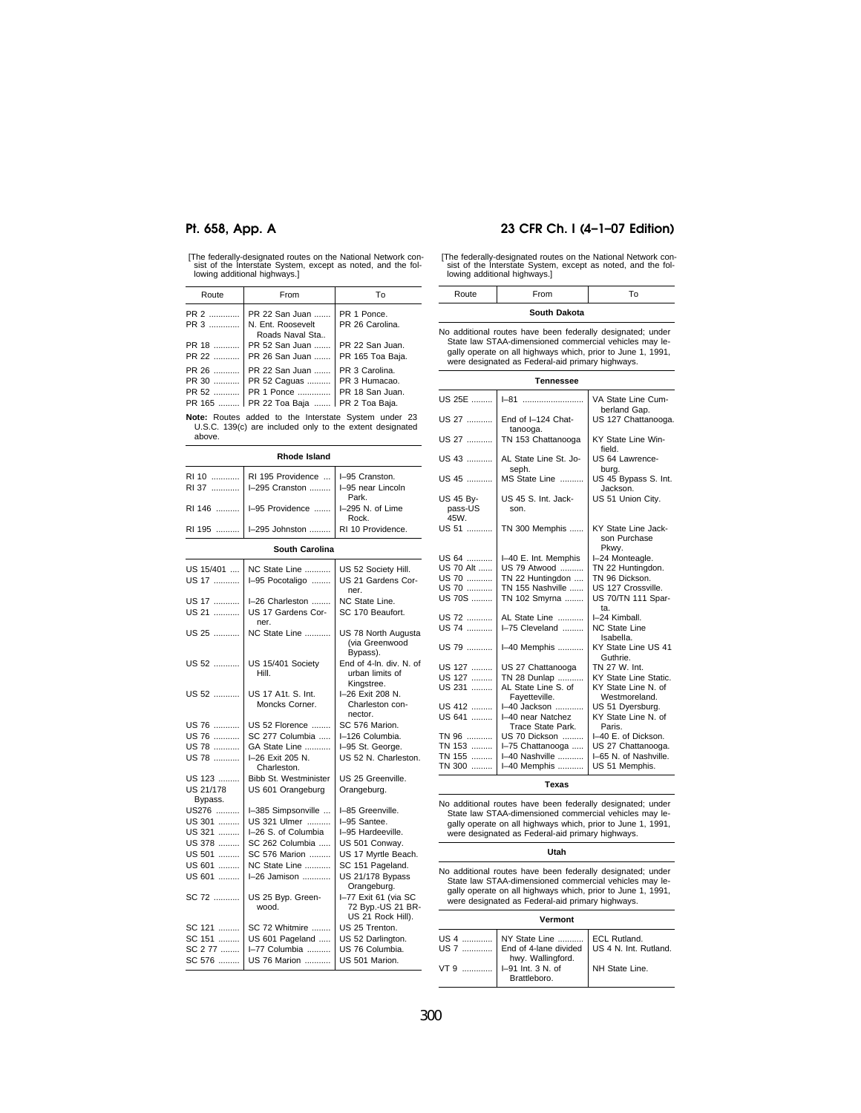[The federally-designated routes on the National Network con-sist of the Interstate System, except as noted, and the fol-lowing additional highways.]

| Route                   | From                                                   | Tο                                                 |
|-------------------------|--------------------------------------------------------|----------------------------------------------------|
| PR 2<br>PR 3            | PR 22 San Juan<br>N. Ent. Roosevelt<br>Roads Naval Sta | PR 1 Ponce.<br>PR 26 Carolina.                     |
| PR 18<br>PR 22          | PR 52 San Juan<br>PR 26 San Juan                       | PR 22 San Juan.<br>PR 165 Toa Baja.                |
| PR 26<br>PR 30<br>PR 52 | PR 22 San Juan<br>PR 52 Caguas<br><b>PR 1 Ponce </b>   | PR 3 Carolina.<br>PR 3 Humacao.<br>PR 18 San Juan. |
| PR 165                  | PR 22 Toa Baja    PR 2 Toa Baja.                       |                                                    |

**Note:** Routes added to the Interstate System under 23 U.S.C. 139(c) are included only to the extent designated above.

|                      | <b>Rhode Island</b>                           |                                                                |
|----------------------|-----------------------------------------------|----------------------------------------------------------------|
| RI 10<br>RI 37       | RI 195 Providence<br>I-295 Cranston           | I-95 Cranston.<br>I-95 near Lincoln<br>Park.                   |
| RI 146               | I-95 Providence                               | I-295 N. of Lime<br>Rock.                                      |
| RI 195               | I-295 Johnston                                | RI 10 Providence.                                              |
|                      | South Carolina                                |                                                                |
| US 15/401<br>US 17   | NC State Line<br>I-95 Pocotaligo              | US 52 Society Hill.<br>US 21 Gardens Cor-<br>ner.              |
| US 17<br>US 21       | I-26 Charleston<br>US 17 Gardens Cor-<br>ner. | NC State Line.<br>SC 170 Beaufort.                             |
| US 25                | NC State Line                                 | US 78 North Augusta<br>(via Greenwood<br>Bypass).              |
| US 52                | US 15/401 Society<br>Hill.                    | End of 4-In. div. N. of<br>urban limits of<br>Kingstree.       |
| US 52                | US 17 A1t. S. Int.<br>Moncks Corner.          | I-26 Exit 208 N.<br>Charleston con-<br>nector.                 |
| US 76                | US 52 Florence                                | SC 576 Marion.                                                 |
| US 76                | SC 277 Columbia                               | I-126 Columbia.                                                |
| US 78                | GA State Line                                 | I-95 St. George.                                               |
| US 78                | I-26 Exit 205 N.<br>Charleston.               | US 52 N. Charleston.                                           |
| US 123               | Bibb St. Westminister                         | US 25 Greenville.                                              |
| US 21/178<br>Bypass. | US 601 Orangeburg                             | Orangeburg.                                                    |
| US276                | I-385 Simpsonville                            | I-85 Greenville.                                               |
| US 301               | US 321 Ulmer                                  | I-95 Santee.                                                   |
| US 321               | I-26 S. of Columbia                           | I-95 Hardeeville.                                              |
| US 378               | SC 262 Columbia                               | US 501 Conway.                                                 |
| US 501               | SC 576 Marion                                 | US 17 Myrtle Beach.                                            |
| US 601               | NC State Line                                 | SC 151 Pageland.                                               |
| US 601               | I-26 Jamison                                  | <b>US 21/178 Bypass</b><br>Orangeburg.                         |
| SC 72                | US 25 Byp. Green-<br>wood.                    | I-77 Exit 61 (via SC<br>72 Byp.-US 21 BR-<br>US 21 Rock Hill). |
| SC 121               | SC 72 Whitmire                                | US 25 Trenton.                                                 |
| SC 151               | US 601 Pageland                               | US 52 Darlington.                                              |
| SC 277               | I-77 Columbia                                 | US 76 Columbia.                                                |
| SC 576               | US 76 Marion                                  | US 501 Marion.                                                 |

# **Pt. 658, App. A 23 CFR Ch. I (4–1–07 Edition)**

[The federally-designated routes on the National Network con-sist of the Interstate System, except as noted, and the fol-lowing additional highways.]

| Route               | From | Тი |  |
|---------------------|------|----|--|
| <b>South Dakota</b> |      |    |  |

No additional routes have been federally designated; under State law STAA-dimensioned commercial vehicles may legally operate on all highways which, prior to June 1, 1991, were designated as Federal-aid primary highways.

| <b>Tennessee</b>             |                                        |                                              |
|------------------------------|----------------------------------------|----------------------------------------------|
| US 25E                       | $I - 81$                               | VA State Line Cum-<br>berland Gap.           |
| US 27                        | End of I-124 Chat-<br>tanooga.         | US 127 Chattanooga.                          |
| US 27                        | TN 153 Chattanooga                     | KY State Line Win-<br>field.                 |
| US 43                        | AL State Line St. Jo-<br>seph.         | US 64 Lawrence-<br>burg.                     |
| US 45                        | MS State Line                          | US 45 Bypass S. Int.<br>Jackson.             |
| US 45 By-<br>pass-US<br>45W. | US 45 S. Int. Jack-<br>son.            | US 51 Union City.                            |
| US 51                        | TN 300 Memphis                         | KY State Line Jack-<br>son Purchase<br>Pkwy. |
| US 64                        | I-40 E. Int. Memphis                   | I-24 Monteagle.                              |
| US 70 Alt                    | US 79 Atwood                           | TN 22 Huntingdon.                            |
| US 70                        | TN 22 Huntingdon                       | TN 96 Dickson.                               |
| US 70                        | TN 155 Nashville                       | US 127 Crossville.                           |
| US 70S                       | TN 102 Smyrna                          | US 70/TN 111 Spar-<br>ta.                    |
| US 72                        | AL State Line                          | I-24 Kimball.                                |
| US 74                        | I-75 Cleveland                         | <b>NC State Line</b><br>Isabella.            |
| US 79                        | I-40 Memphis                           | KY State Line US 41<br>Guthrie.              |
| US 127                       | US 27 Chattanooga                      | TN 27 W. Int.                                |
| US 127                       | TN 28 Dunlap                           | KY State Line Static.                        |
| US 231                       | AL State Line S. of<br>Favetteville.   | KY State Line N. of<br>Westmoreland.         |
| US 412                       | I-40 Jackson                           | US 51 Dyersburg.                             |
| US 641                       | I-40 near Natchez<br>Trace State Park. | KY State Line N. of<br>Paris.                |
| TN 96                        | US 70 Dickson                          | I-40 E. of Dickson.                          |
| TN 153                       | I-75 Chattanooga                       | US 27 Chattanooga.                           |
| TN 155                       | I-40 Nashville                         | I-65 N. of Nashville.                        |
| TN 300                       | I-40 Memphis                           | US 51 Memphis.                               |
|                              |                                        |                                              |

No additional routes have been federally designated; under State law STAA-dimensioned commercial vehicles may legally operate on all highways which, prior to June 1, 1991, were designated as Federal-aid primary highways.

**Texas** 

# **Utah**

No additional routes have been federally designated; under State law STAA-dimensioned commercial vehicles may le-gally operate on all highways which, prior to June 1, 1991, were designated as Federal-aid primary highways.

| Vermont |                                                                                                |                |
|---------|------------------------------------------------------------------------------------------------|----------------|
|         | US 4    NY State Line    ECL Rutland.<br>US 7    End of 4-lane divided   US 4 N. Int. Rutland. |                |
| VT 9    | hwy. Wallingford.<br>  I-91 Int. 3 N. of<br>Brattleboro.                                       | NH State Line. |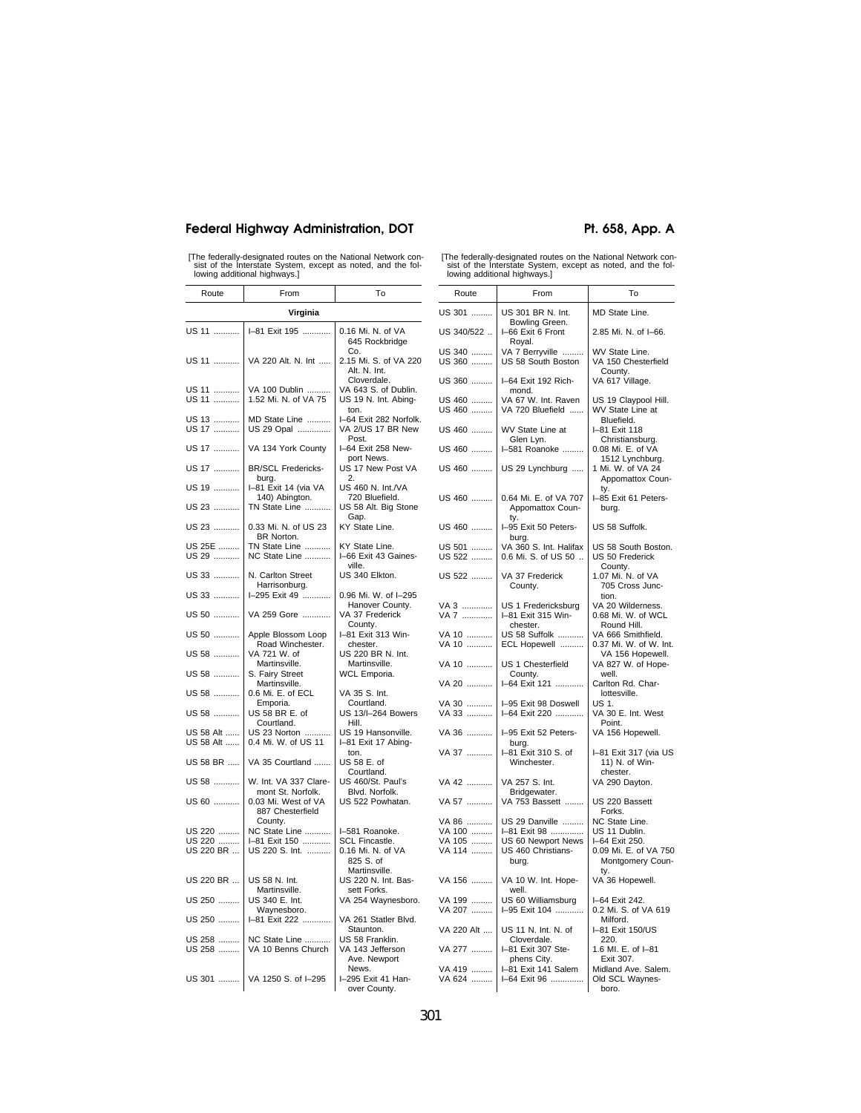# Federal Highway Administration, DOT **PH. 658, App. A**

# [The federally-designated routes on the National Network con-sist of the Interstate System, except as noted, and the fol-lowing additional highways.]

#### Route | From | To **Virginia**  US 11 ........... | I-81 Exit 195 ............ | 0.16 Mi. N. of VA 645 Rockbridge Co. US 11 ........... VA 220 Alt. N. Int ..... 2.15 Mi. S. of VA 220 Alt. N. Int. **Cloverdale** US 11 ........... VA 100 Dublin .......... VA 643 S. of Dublin. US 19 N. Int. Abington. US 13 ........... MD State Line .......... | I–64 Exit 282 Norfolk.<br>US 17 ........... US 29 Opal ............... VA 2/US 17 BR New VA 2/US 17 BR New Post.<br>I-64 Exit 258 New-US 17 ........... | VA 134 York County port News. US 17 New Post VA US 17 ........... BR/SCL Fredericksburg.  $\overline{2}$ US 19 ........... | I-81 Exit 14 (via VA 140) Abington.<br>TN State Line .... US 460 N. Int./VA 720 Bluefield. US 23 ........... | TN State Line ............ | US 58 Alt. Big Stone Gap. US 23 ........... 0.33 Mi. N. of US 23 BR Norton.<br>TN State Line KY State Line. US 25E ......... TN State Line ............ KY State Line.<br>US 29 ........... NC State Line ........... | I–66 Exit 43 G I-66 Exit 43 Gainesville. US 33 ........... | N. Carlton Street Harrisonburg.<br>... 49-295 Exit US 340 Elkton. US 33 ........... I–295 Exit 49 ............ 0.96 Mi. W. of I–295 Hanover County. US 50 ........... VA 259 Gore ............ VA 37 Frederick County. US 50 ........... Apple Blossom Loop Road Winchester. I–81 Exit 313 Winchester. US 58 ........... VA 721 W. of Martinsville. US 220 BR N. Int. Martinsville. US 58 ........... S. Fairy Street Martinsville. WCL Emporia. US 58 ........... 0.6 Mi. E. of ECL Emporia. VA 35 S. Int. Courtland. US 58 ........... US 58 BR E. of Courtland.<br>US 23 Norton US 13/I–264 Bowers Hill. US 58 Alt ...... US 23 Norton ............ US 19 Hansonville.<br>US 58 Alt ...... 0.4 Mi. W. of US 11 -81 Exit 17 Abing-0.4 Mi. W. of US 11 ton.<br>US 58 E. of US 58 BR  $\ldots$ .... VA 35 Courtland Courtland. US 58 ........... | W. Int. VA 337 Clare mont St. Norfolk. US 460/St. Paul's Blvd. Norfolk. US 60 ........... 0.03 Mi. West of VA 887 Chesterfield County. US 522 Powhatan. US 220 ......... NC State Line ........... | I-581 Roanoke.<br>US 220 ......... | I-81 Exit 150 ............ | SCL Fincastle.<br>US 220 BR ... | US 220 S. Int. .......... | 0.16 Mi. N. of V US 220 ......... | I–81 Exit 150 ............ | SCL Fincastle.<br>US 220 BR ... | US 220 S. Int. .......... | 0.16 Mi. N. of VA 825 S. of Martinsville. US 220 N. Int. Bas-US 220 BR  $\ldots$  US 58 N. Int. Martinsville. sett Forks. US 250 ......... US 340 E. Int. Waynesboro.<br>I-81 Exit 222... VA 254 Waynesboro. US 250 ......... | I-81 Exit 222 ............ | VA 261 Statler Blvd. Staunton. US 258 ......... NC State Line ........... US 58 Franklin.<br>US 258 ......... VA 10 Benns Church VA 143 Jefferson VA 10 Benns Church Ave. Newport News.<br>I-295 Exit 41 Han-US 301 ......... | VA 1250 S. of I-295 over County.

[The federally-designated routes on the National Network con-sist of the Interstate System, except as noted, and the fol-lowing additional highways.]

| luwing auuluunal mgmways. |                                                       |                                                                  |
|---------------------------|-------------------------------------------------------|------------------------------------------------------------------|
| Route                     | From                                                  | To                                                               |
| US 301                    | US 301 BR N. Int.<br>Bowling Green.                   | MD State Line.                                                   |
| US 340/522                | I-66 Exit 6 Front<br>Royal.                           | 2.85 Mi. N. of I-66.                                             |
| US 340<br>US 360          | VA 7 Berryville<br>US 58 South Boston                 | WV State Line.<br>VA 150 Chesterfield<br>County.                 |
| US 360                    | I-64 Exit 192 Rich-<br>mond.                          | VA 617 Village.                                                  |
| US 460<br>US 460          | VA 67 W. Int. Raven<br>VA 720 Bluefield               | US 19 Claypool Hill.<br><b>WV State Line at</b><br>Bluefield.    |
| US 460                    | <b>WV State Line at</b><br>Glen Lyn.                  | I-81 Exit 118<br>Christiansburg.                                 |
| US 460                    | I-581 Roanoke                                         | 0.08 Mi. E. of VA<br>1512 Lynchburg.                             |
| US 460                    | US 29 Lynchburg                                       | 1 Mi. W. of VA 24<br>Appomattox Coun-<br>ty.                     |
| US 460                    | 0.64 Mi. E. of VA 707<br>Appomattox Coun-<br>ty.      | I-85 Exit 61 Peters-<br>burg.                                    |
| US 460                    | I-95 Exit 50 Peters-<br>burg.                         | US 58 Suffolk.                                                   |
| US 501<br>US 522          | VA 360 S. Int. Halifax<br>0.6 Mi. S. of US 50         | US 58 South Boston.<br>US 50 Frederick<br>County.                |
| US 522                    | VA 37 Frederick<br>County.                            | 1.07 Mi. N. of VA<br>705 Cross Junc-<br>tion.                    |
| VA 3<br>VA 7              | US 1 Fredericksburg<br>I-81 Exit 315 Win-<br>chester. | VA 20 Wilderness.<br>0.68 Mi. W. of WCL<br>Round Hill.           |
| VA 10<br>VA 10            | US 58 Suffolk<br>ECL Hopewell                         | VA 666 Smithfield.<br>0.37 Mi. W. of W. Int.<br>VA 156 Hopewell. |
| VA 10                     | US 1 Chesterfield<br>County.                          | VA 827 W. of Hope-<br>well.                                      |
| VA 20                     | -64 Exit 121                                          | Carlton Rd. Char-<br>lottesville.                                |
| VA 30<br>VA 33            | I-95 Exit 98 Doswell<br>I-64 Exit 220                 | US 1.<br>VA 30 E. Int. West<br>Point.                            |
| VA 36                     | I-95 Exit 52 Peters-<br>burg.                         | VA 156 Hopewell.                                                 |
| <b>VA 37</b><br>.         | I-81 Exit 310 S. of<br>Winchester.                    | I-81 Exit 317 (via US<br>11) N. of Win-<br>chester.              |
| VA 42                     | VA 257 S. Int.<br>Bridgewater.                        | VA 290 Dayton.                                                   |
| VA 57                     | VA 753 Bassett                                        | US 220 Bassett<br>Forks.                                         |
| VA 86<br>VA 100           | US 29 Danville<br>I-81 Exit 98                        | NC State Line.<br>US 11 Dublin.                                  |
| VA 105<br>VA 114          | US 60 Newport News<br>US 460 Christians-<br>burg.     | I-64 Exit 250.<br>0.09 Mi. E. of VA 750<br>Montgomery Coun-      |
| VA 156                    | VA 10 W. Int. Hope-<br>well                           | ty.<br>VA 36 Hopewell.                                           |
| VA 199<br>VA 207          | US 60 Williamsburg<br>I-95 Exit 104                   | I-64 Exit 242.<br>0.2 Mi. S. of VA 619<br>Milford.               |
| VA 220 Alt                | US 11 N. Int. N. of<br>Cloverdale.                    | I-81 Exit 150/US<br>220.                                         |
| VA 277                    | I-81 Exit 307 Ste-<br>phens City.                     | 1.6 MI. E. of I-81<br>Exit 307.                                  |
|                           | I-81 Exit 141 Salem<br>I-64 Exit 96                   | Midland Ave. Salem.<br>Old SCL Waynes-<br>boro.                  |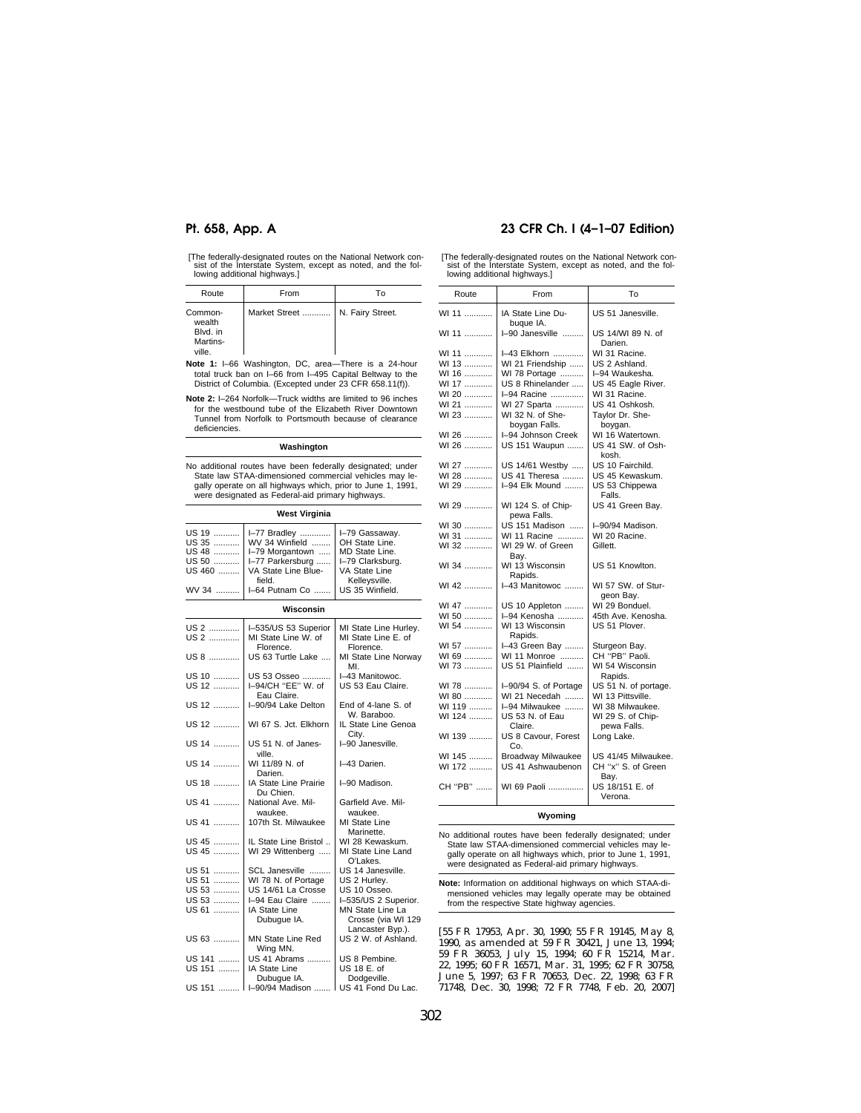[The federally-designated routes on the National Network con-sist of the Interstate System, except as noted, and the fol-lowing additional highways.]

| Route                                               | From          | Т٥               |
|-----------------------------------------------------|---------------|------------------|
| Common-<br>wealth<br>Blvd. in<br>Martins-<br>ville. | Market Street | N. Fairy Street. |

**Note 1:** I–66 Washington, DC, area—There is a 24-hour total truck ban on I–66 from I–495 Capital Beltway to the District of Columbia. (Excepted under 23 CFR 658.11(f)).

**Note 2:** I–264 Norfolk—Truck widths are limited to 96 inches for the westbound tube of the Elizabeth River Downtown Tunnel from Norfolk to Portsmouth because of clearance deficiencies.

#### **Washington**

No additional routes have been federally designated; under State law STAA-dimensioned commercial vehicles may legally operate on all highways which, prior to June 1, 1991, were designated as Federal-aid primary highways.

|                                            | <b>West Virginia</b>                                                                                   |                                                                                                          |
|--------------------------------------------|--------------------------------------------------------------------------------------------------------|----------------------------------------------------------------------------------------------------------|
| US 19<br>US 35<br>US 48<br>US 50<br>US 460 | I-77 Bradley<br>WV 34 Winfield<br>I-79 Morgantown<br>I-77 Parkersburg<br>VA State Line Blue-<br>field. | I-79 Gassaway.<br>OH State Line.<br>MD State Line.<br>I-79 Clarksburg.<br>VA State Line<br>Kelleysville. |
| WV 34                                      | I-64 Putnam Co                                                                                         | US 35 Winfield.                                                                                          |
|                                            | Wisconsin                                                                                              |                                                                                                          |
| US 2<br>US 2                               | I-535/US 53 Superior<br>MI State Line W. of<br>Florence.                                               | MI State Line Hurley.<br>MI State Line E. of<br>Florence.                                                |
| US 8                                       | US 63 Turtle Lake                                                                                      | MI State Line Norway<br>MI.                                                                              |
| US 10<br>US 12                             | US 53 Osseo<br>I-94/CH "EE" W. of<br>Eau Claire.                                                       | I-43 Manitowoc.<br>US 53 Eau Claire.                                                                     |
| US 12                                      | I-90/94 Lake Delton                                                                                    | End of 4-lane S. of<br>W. Baraboo.                                                                       |
| US 12                                      | WI 67 S. Jct. Elkhorn                                                                                  | IL State Line Genoa<br>City.                                                                             |
| US 14                                      | US 51 N. of Janes-<br>ville.                                                                           | I-90 Janesville.                                                                                         |
| US 14                                      | WI 11/89 N. of<br>Darien.                                                                              | I-43 Darien.                                                                                             |
| US 18                                      | IA State Line Prairie<br>Du Chien.                                                                     | I-90 Madison.                                                                                            |
| US 41                                      | National Ave. Mil-<br>waukee.                                                                          | Garfield Ave. Mil-<br>waukee.                                                                            |
| US 41                                      | 107th St. Milwaukee                                                                                    | <b>MI State Line</b><br>Marinette.                                                                       |
| US 45<br>US 45                             | IL State Line Bristol<br>WI 29 Wittenberg                                                              | WI 28 Kewaskum.<br>MI State Line Land<br>O'Lakes.                                                        |
| US 51<br>US 51<br>US 53<br>US 53           | SCL Janesville<br>WI 78 N. of Portage<br>US 14/61 La Crosse<br>I-94 Eau Claire                         | US 14 Janesville.<br>US 2 Hurley.<br>US 10 Osseo.<br>I-535/US 2 Superior.                                |
| US 61                                      | IA State Line<br>Dubuque IA.                                                                           | MN State Line La<br>Crosse (via WI 129<br>Lancaster Byp.).                                               |
| US 63                                      | <b>MN State Line Red</b><br>Wing MN.                                                                   | US 2 W. of Ashland.                                                                                      |
| US 141<br>US 151                           | US 41 Abrams<br>IA State Line<br>Dubuque IA.                                                           | US 8 Pembine.<br>US 18 E. of<br>Dodgeville.                                                              |
| US 151                                     | I-90/94 Madison                                                                                        | US 41 Fond Du Lac.                                                                                       |

# **Pt. 658, App. A 23 CFR Ch. I (4–1–07 Edition)**

[The federally-designated routes on the National Network con-sist of the Interstate System, except as noted, and the fol-lowing additional highways.]

| Route   | From                              | To                               |
|---------|-----------------------------------|----------------------------------|
| WI 11   | IA State Line Du-<br>buque IA.    | US 51 Janesville.                |
| WI 11   | I-90 Janesville                   | US 14/WI 89 N. of<br>Darien.     |
| WI 11   | I-43 Elkhorn                      | WI 31 Racine.                    |
| WI 13   | WI 21 Friendship                  | US 2 Ashland.                    |
| WI 16   | WI 78 Portage                     | I-94 Waukesha.                   |
| WI 17   | US 8 Rhinelander                  | US 45 Eagle River.               |
| WI 20   | I-94 Racine                       | WI 31 Racine.                    |
| WI 21   | WI 27 Sparta                      | US 41 Oshkosh.                   |
| WI 23   | WI 32 N. of She-<br>boygan Falls. | Taylor Dr. She-<br>boygan.       |
| WI 26   | I-94 Johnson Creek                | WI 16 Watertown.                 |
| WI 26   | US 151 Waupun                     | US 41 SW, of Osh-<br>kosh.       |
| WI 27   | US 14/61 Westby                   | US 10 Fairchild.                 |
| WI 28   | US 41 Theresa                     | US 45 Kewaskum.                  |
| WI 29   | I-94 Elk Mound                    | US 53 Chippewa<br>Falls.         |
| WI 29   | WI 124 S. of Chip-<br>pewa Falls. | US 41 Green Bay.                 |
| WI 30   | US 151 Madison                    | I-90/94 Madison.                 |
| WI 31   | WI 11 Racine                      | WI 20 Racine.                    |
| WI 32   | WI 29 W. of Green<br>Bay.         | Gillett.                         |
| WI 34   | WI 13 Wisconsin<br>Rapids.        | US 51 Knowlton.                  |
| WI 42   | I-43 Manitowoc                    | WI 57 SW. of Stur-<br>geon Bay.  |
| WI 47   | US 10 Appleton                    | WI 29 Bonduel.                   |
| WI 50   | I-94 Kenosha                      | 45th Ave. Kenosha.               |
| WI 54   | WI 13 Wisconsin<br>Rapids.        | US 51 Plover.                    |
| WI 57   | I-43 Green Bay                    | Sturgeon Bay.                    |
| WI 69   | WI 11 Monroe                      | CH "PB" Paoli.                   |
| WI 73   | US 51 Plainfield                  | WI 54 Wisconsin<br>Rapids.       |
| WI 78   | I-90/94 S. of Portage             | US 51 N. of portage.             |
| WI 80   | WI 21 Necedah                     | WI 13 Pittsville.                |
| WI 119  | I-94 Milwaukee                    | WI 38 Milwaukee.                 |
| WI 124  | US 53 N. of Eau<br>Claire.        | WI 29 S. of Chip-<br>pewa Falls. |
| WI 139  | US 8 Cavour, Forest<br>Co.        | Long Lake.                       |
| WI 145  | Broadway Milwaukee                | US 41/45 Milwaukee.              |
| WI 172  | US 41 Ashwaubenon                 | CH "x" S. of Green<br>Bay.       |
| CH "PB" | WI 69 Paoli                       | US 18/151 E. of<br>Verona.       |
|         |                                   |                                  |

# **Wyoming**

No additional routes have been federally designated; under State law STAA-dimensioned commercial vehicles may legally operate on all highways which, prior to June 1, 1991, were designated as Federal-aid primary highways.

**Note:** Information on additional highways on which STAA-dimensioned vehicles may legally operate may be obtained from the respective State highway agencies.

[55 FR 17953, Apr. 30, 1990; 55 FR 19145, May 8, 1990, as amended at 59 FR 30421, June 13, 1994; 59 FR 36053, July 15, 1994; 60 FR 15214, Mar. 22, 1995; 60 FR 16571, Mar. 31, 1995; 62 FR 30758, June 5, 1997; 63 FR 70653, Dec. 22, 1998; 63 FR 71748, Dec. 30, 1998; 72 FR 7748, Feb. 20, 2007]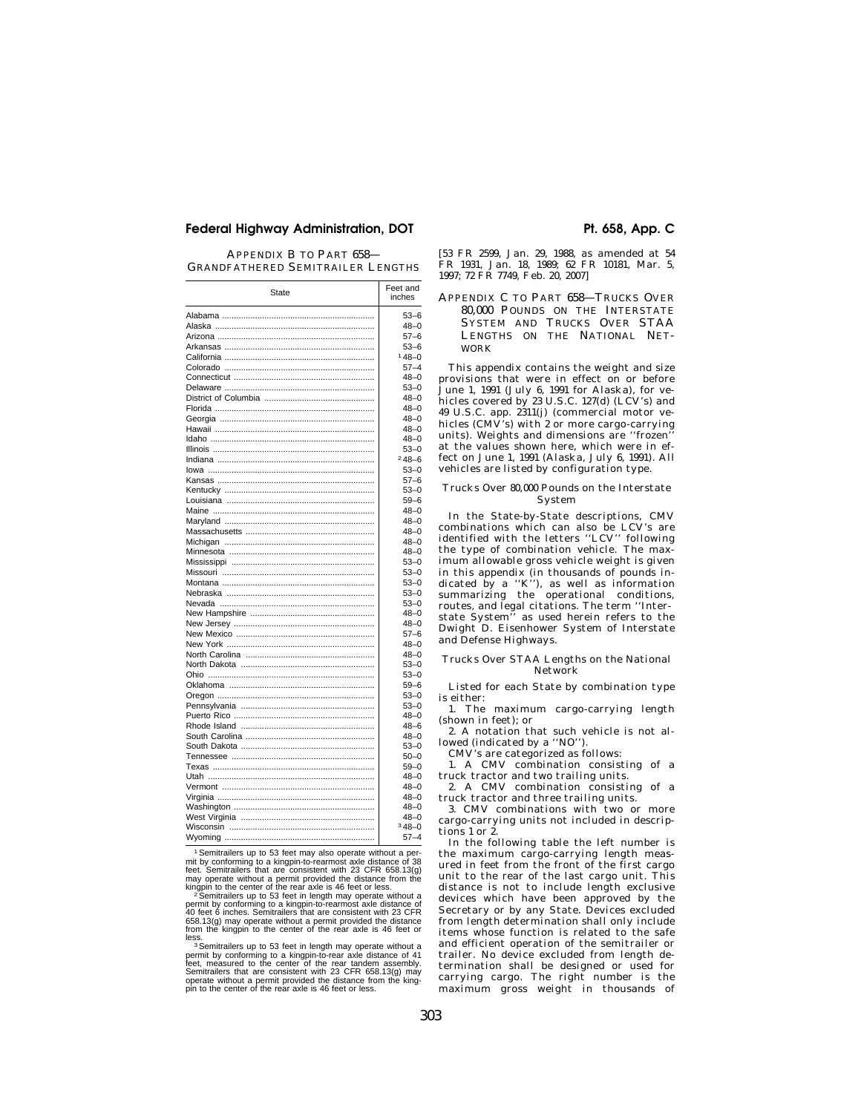# Federal Highway Administration, DOT **PH. 658, App. C**

APPENDIX B TO PART 658—

GRANDFATHERED SEMITRAILER LENGTHS

| <b>State</b> | Feet and<br>inches |
|--------------|--------------------|
|              | $53 - 6$           |
|              | $48 - 0$           |
|              | $57 - 6$           |
|              | $53 - 6$           |
|              | $148 - 0$          |
|              | $57 - 4$           |
|              | $48 - 0$           |
|              | $53 - 0$           |
|              | $48 - 0$           |
|              | $48 - 0$           |
|              | $48 - 0$           |
|              | $48 - 0$           |
|              | $48 - 0$           |
|              | $53 - 0$           |
|              | $248 - 6$          |
|              | $53 - 0$           |
|              | $57 - 6$           |
|              | $53 - 0$           |
|              | $59 - 6$           |
|              | $48 - 0$           |
|              |                    |
|              | $48 - 0$           |
|              | $48 - 0$           |
|              | $48 - 0$           |
|              | $48 - 0$           |
|              | $53 - 0$           |
|              | $53 - 0$           |
|              | $53 - 0$           |
|              | $53 - 0$           |
|              | $53 - 0$           |
|              | $48 - 0$           |
|              | $48 - 0$           |
|              | $57 - 6$           |
|              | $48 - 0$           |
|              | $48 - 0$           |
|              | $53 - 0$           |
|              | $53 - 0$           |
|              | $59 - 6$           |
|              | $53 - 0$           |
|              | $53 - 0$           |
|              | $48 - 0$           |
|              | $48 - 6$           |
|              | $48 - 0$           |
|              | $53 - 0$           |
|              | $50 - 0$           |
|              | $59 - 0$           |
|              | $48 - 0$           |
|              | $48 - 0$           |
|              | $48 - 0$           |
|              | $48 - 0$           |
|              | $48 - 0$           |
|              | $348 - 0$          |
|              | $57 - 4$           |

<sup>1</sup> Semitrailers up to 53 feet may also operate without a per-<br>mit by conforming to a kingpin-to-rearmost axle distance of 38<br>feet. Semitrailers that are consistent with 23 CFR 658.13(g) may operate without a permit provided the distance from the<br>kingpin to the center of the rear axle is 46 feet or less.

kingpin to the center of the rear axle is 46 feet or less.<br><sup>2</sup> Semitrailers up to 53 feet in length may operate without a<br>permit by conforming to a kingpin-to-rearmost axle distance of<br>40 feet 6 inches. Semitrailers that a 658.13(g) may operate without a permit provided the distance from the kingpin to the center of the rear axle is 46 feet or

less.<br><sup>3</sup>Semitrailers up to 53 feet in length may operate without a<br><sup>3</sup>Semitrailers up to a kinemin-to-rear axle distance of 41 permit by conforming to a kingpin-to-rear axle distance of 41 feet, measured to the center of the rear tandem assembly. Semitrailers that are consistent with 23 CFR 658.13(g) may operate without a permit provided the distance from the king-<br>pin to the center of the rear axle is 46 feet or less.

[53 FR 2599, Jan. 29, 1988, as amended at 54 FR 1931, Jan. 18, 1989; 62 FR 10181, Mar. 5, 1997; 72 FR 7749, Feb. 20, 2007]

APPENDIX C TO PART 658—TRUCKS OVER 80,000 POUNDS ON THE INTERSTATE SYSTEM AND TRUCKS OVER STAA LENGTHS ON THE NATIONAL NET-WORK

This appendix contains the weight and size provisions that were in effect on or before June 1, 1991 (July 6, 1991 for Alaska), for vehicles covered by 23 U.S.C. 127(d) (LCV's) and 49 U.S.C. app. 2311(j) (commercial motor vehicles (CMV's) with 2 or more cargo-carrying units). Weights and dimensions are ''frozen'' at the values shown here, which were in effect on June 1, 1991 (Alaska, July 6, 1991). All vehicles are listed by configuration type.

#### Trucks Over 80,000 Pounds on the Interstate System

In the State-by-State descriptions, CMV combinations which can also be LCV's are identified with the letters ''LCV'' following the type of combination vehicle. The maximum allowable gross vehicle weight is given in this appendix (in thousands of pounds indicated by a ''K''), as well as information summarizing the operational conditions, routes, and legal citations. The term ''Interstate System'' as used herein refers to the Dwight D. Eisenhower System of Interstate and Defense Highways.

#### Trucks Over STAA Lengths on the National **Network**

Listed for each State by combination type is either:

1. The maximum cargo-carrying length (shown in feet); or

2. A notation that such vehicle is not allowed (indicated by a ''NO'').

CMV's are categorized as follows:

1. A CMV combination consisting of a truck tractor and two trailing units.

2. A CMV combination consisting of a truck tractor and three trailing units.

3. CMV combinations with two or more cargo-carrying units not included in descriptions 1 or 2.

In the following table the left number is the maximum cargo-carrying length measured in feet from the front of the first cargo unit to the rear of the last cargo unit. This distance is not to include length exclusive devices which have been approved by the Secretary or by any State. Devices excluded from length determination shall only include items whose function is related to the safe and efficient operation of the semitrailer or trailer. No device excluded from length determination shall be designed or used for carrying cargo. The right number is the maximum gross weight in thousands of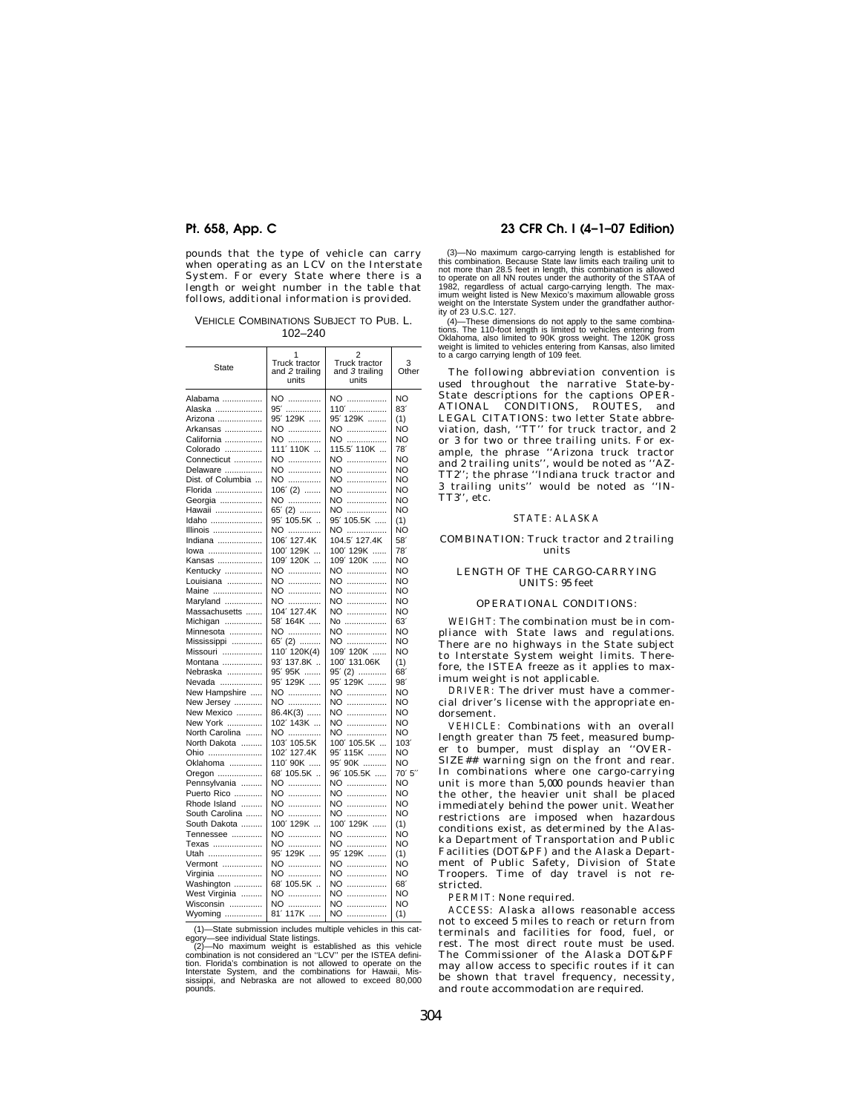pounds that the type of vehicle can carry when operating as an LCV on the Interstate System. For every State where there is a length or weight number in the table that follows, additional information is provided.

VEHICLE COMBINATIONS SUBJECT TO PUB. L. 102–240

| State             | 1<br>Truck tractor<br>and 2 trailing<br>units | 2<br>Truck tractor<br>and 3 trailing<br>units | 3<br>Other     |
|-------------------|-----------------------------------------------|-----------------------------------------------|----------------|
| Alabama           | NO                                            | NO                                            | NO             |
| Alaska            | 95′ ……………                                     | 110′                                          | 83'            |
| Arizona           | 95' 129K                                      | 95' 129K                                      | (1)            |
| Arkansas          | NO                                            | NO                                            | NO             |
| California        | NO                                            | NO                                            | NO             |
| Colorado          | 111' 110K                                     | 115.5' 110K                                   | 78′            |
| Connecticut       | NO                                            | NO                                            | N <sub>O</sub> |
| Delaware          | NO                                            | NO                                            | NO             |
| Dist. of Columbia | NO                                            | NO                                            | NΟ             |
| Florida           | $106' (2)$                                    | NO                                            | NO             |
|                   |                                               |                                               |                |
| Georgia           | NO                                            | NO                                            | NO             |
| Hawaii            | $65' (2)$                                     | NO                                            | NO             |
| Idaho             | 95' 105.5K                                    | 95' 105.5K                                    | (1)            |
| Illinois          | NO                                            | NO                                            | NO             |
| Indiana           | 106' 127.4K                                   | 104.5' 127.4K                                 | 58'            |
| lowa              | 100' 129K                                     | 100' 129K                                     | 78'            |
| Kansas            | 109' 120K                                     | 109' 120K                                     | NO             |
| Kentucky          | NO                                            | NO                                            | <b>NO</b>      |
| Louisiana         | NO.<br>                                       | NO                                            | N <sub>O</sub> |
| Maine             | NO.<br>.                                      | NO                                            | NO             |
| Maryland          | NO                                            | NO                                            | NO             |
| Massachusetts     | 104' 127.4K                                   | NO                                            | NO             |
| Michigan          | 58' 164K                                      | No                                            | 63'            |
| Minnesota         | NO                                            | NO                                            | NO             |
| Mississippi       | $65'$ (2)                                     | NO                                            | NO             |
| Missouri          | 110' 120K(4)                                  | 109' 120K                                     | NO             |
| Montana           | 93' 137.8K                                    | 100' 131.06K                                  | (1)            |
| Nebraska          | 95' 95K                                       | 95′ (2)                                       | 68'            |
| Nevada            | 95' 129K                                      | 95' 129K                                      | 98'            |
| New Hampshire     | NO                                            | NO                                            | NO             |
| New Jersey        | NO                                            | NO                                            | NO             |
| New Mexico        | 86.4K(3)                                      | NO                                            | NO             |
| New York          | 102' 143K                                     | NO                                            | NO             |
| North Carolina    | NO                                            | NO                                            | N <sub>O</sub> |
| North Dakota      | 103' 105.5K                                   | 100' 105.5K                                   | 103'           |
| Ohio              | 102' 127.4K                                   | 95' 115K                                      | NO             |
| Oklahoma          | 110' 90K                                      | 95' 90K                                       | NO             |
| Oregon            | 68′ 105.5K …                                  | 96' 105.5K                                    | 70' 5"         |
| Pennsylvania      | NO                                            | NO                                            | NO             |
| Puerto Rico       | NO.<br>.                                      | NO                                            | NO             |
| Rhode Island      | NO                                            | NO                                            | NΟ             |
| South Carolina    | NO                                            | NO                                            | NO             |
| South Dakota      | 100' 129K                                     | 100' 129K                                     | (1)            |
| Tennessee         | NO                                            | NO                                            | NO             |
| Texas             | NO                                            | NO                                            | NO             |
| Utah              | 95' 129K                                      | 95' 129K                                      | (1)            |
| Vermont           | NO                                            | NO                                            | NO             |
| Virginia          | NO                                            | NO                                            | NO             |
| Washington        | 68' 105.5K                                    | NO                                            | 68'            |
| West Virginia     | NO                                            | NO                                            | NO             |
| Wisconsin         | NO                                            | NO.<br>                                       | NO             |
| Wyoming           | 81' 117K                                      | NO<br>.                                       | (1)            |

(1)—State submission includes multiple vehicles in this cat-

egory—see individual State listings.<br>
(2)—No maximum weight is established as this vehicle<br>
combination is not considered an "LCV" per the ISTEA defini-<br>
tion. Florida's combination is not allowed to operate on the<br>
Inters pounds.

# **Pt. 658, App. C 23 CFR Ch. I (4–1–07 Edition)**

(3)—No maximum cargo-carrying length is established for this combination. Because State law limits each trailing unit to not more than 28.5 feet in length, this combination is allowed to operate on all NN routes under the 1982, regardless of actual cargo-carrying length. The max-imum weight listed is New Mexico's maximum allowable gross weight on the Interstate System under the grandfather author-ity of 23 U.S.C. 127.

(4)—These dimensions do not apply to the same combinations. The 110-foot length is limited to vehicles entering from Oklahoma, also limited to 90K gross weight. The 120K gross weight is limited to 90K gross weight. The 120

The following abbreviation convention is used throughout the narrative State-by-State descriptions for the captions OPER-ATIONAL CONDITIONS, ROUTES, and LEGAL CITATIONS: two letter State abbreviation, dash, ''TT'' for truck tractor, and 2 or 3 for two or three trailing units. For example, the phrase ''Arizona truck tractor and 2 trailing units'', would be noted as ''AZ-TT2''; the phrase ''Indiana truck tractor and 3 trailing units'' would be noted as ''IN-TT3'', etc.

# *STATE: ALASKA*

# COMBINATION: Truck tractor and 2 trailing units

# LENGTH OF THE CARGO-CARRYING UNITS: 95 feet

#### OPERATIONAL CONDITIONS:

*WEIGHT:* The combination must be in compliance with State laws and regulations. There are no highways in the State subject to Interstate System weight limits. Therefore, the ISTEA freeze as it applies to maximum weight is not applicable.

*DRIVER:* The driver must have a commercial driver's license with the appropriate endorsement.

*VEHICLE:* Combinations with an overall length greater than 75 feet, measured bumper to bumper, must display an ''OVER-SIZE## warning sign on the front and rear. In combinations where one cargo-carrying unit is more than 5,000 pounds heavier than the other, the heavier unit shall be placed immediately behind the power unit. Weather restrictions are imposed when hazardous conditions exist, as determined by the Alaska Department of Transportation and Public Facilities (DOT&PF) and the Alaska Department of Public Safety, Division of State Troopers. Time of day travel is not restricted.

*PERMIT:* None required.

*ACCESS:* Alaska allows reasonable access not to exceed 5 miles to reach or return from terminals and facilities for food, fuel, or rest. The most direct route must be used. The Commissioner of the Alaska DOT&PF may allow access to specific routes if it can be shown that travel frequency, necessity, and route accommodation are required.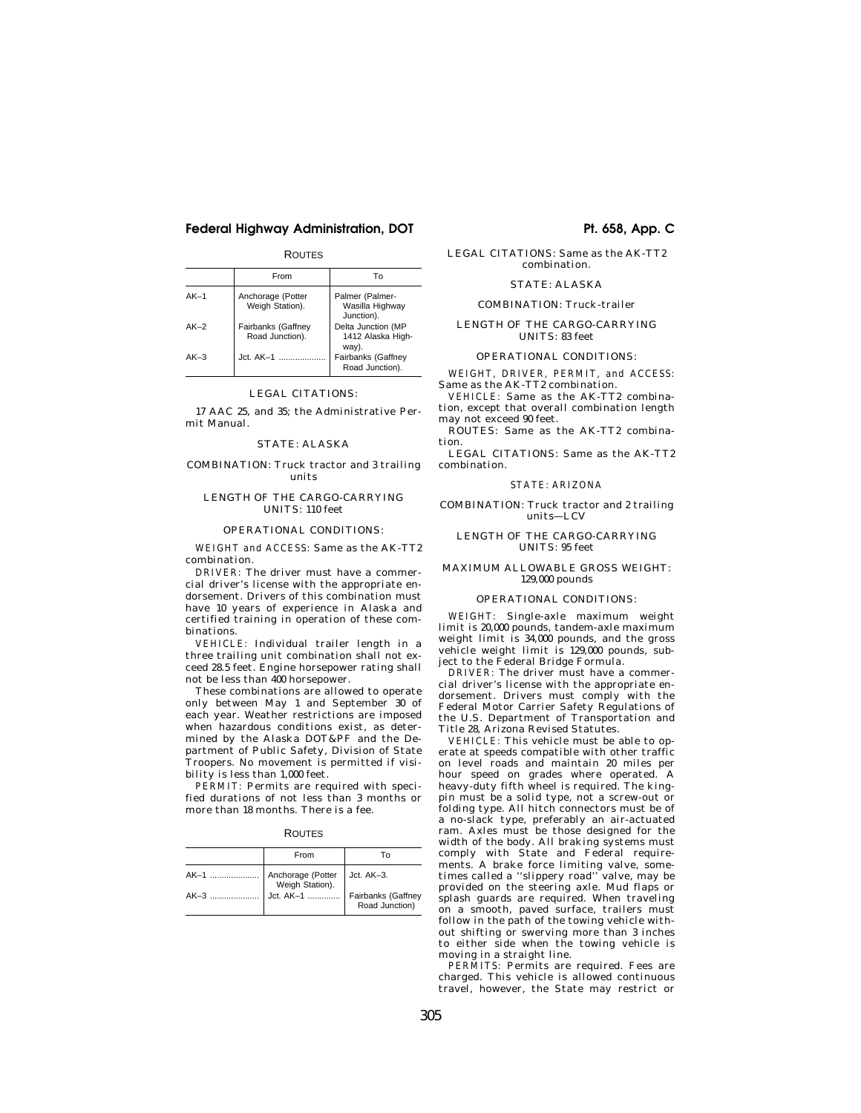# Federal Highway Administration, DOT **Philopheral Prime Pt. 658, App. C**

# **ROUTES**

|        | From                                  | Т٥                                               |
|--------|---------------------------------------|--------------------------------------------------|
| $AK-1$ | Anchorage (Potter<br>Weigh Station).  | Palmer (Palmer-<br>Wasilla Highway<br>Junction). |
| $AK-2$ | Fairbanks (Gaffney<br>Road Junction). | Delta Junction (MP<br>1412 Alaska High-<br>way). |
| $AK-3$ | $Jct. AK-1$                           | Fairbanks (Gaffney<br>Road Junction).            |

# LEGAL CITATIONS:

17 AAC 25, and 35; the Administrative Permit Manual.

#### STATE: ALASKA

#### COMBINATION: Truck tractor and 3 trailing units

# LENGTH OF THE CARGO-CARRYING UNITS: 110 feet

# OPERATIONAL CONDITIONS:

*WEIGHT and ACCESS:* Same as the AK-TT2 combination.

*DRIVER:* The driver must have a commercial driver's license with the appropriate endorsement. Drivers of this combination must have 10 years of experience in Alaska and certified training in operation of these combinations.

*VEHICLE:* Individual trailer length in a three trailing unit combination shall not exceed 28.5 feet. Engine horsepower rating shall not be less than 400 horsepower.

These combinations are allowed to operate only between May 1 and September 30 of each year. Weather restrictions are imposed when hazardous conditions exist, as determined by the Alaska DOT&PF and the Department of Public Safety, Division of State Troopers. No movement is permitted if visibility is less than 1,000 feet.

*PERMIT:* Permits are required with specified durations of not less than 3 months or more than 18 months. There is a fee.

# ROUTES

| From | Т٥             |
|------|----------------|
|      |                |
|      | Road Junction) |

# LEGAL CITATIONS: Same as the AK-TT2 combination.

# STATE: ALASKA

# COMBINATION: Truck-trailer

# LENGTH OF THE CARGO-CARRYING UNITS: 83 feet

# OPERATIONAL CONDITIONS:

*WEIGHT, DRIVER, PERMIT, and ACCESS:*  Same as the AK-TT2 combination.

*VEHICLE:* Same as the AK-TT2 combination, except that overall combination length may not exceed 90 feet.

ROUTES: Same as the AK-TT2 combination.

LEGAL CITATIONS: Same as the AK-TT2 combination.

# *STATE: ARIZONA*

COMBINATION: Truck tractor and 2 trailing units—LCV

#### LENGTH OF THE CARGO-CARRYING UNITS: 95 feet

# MAXIMUM ALLOWABLE GROSS WEIGHT: 129,000 pounds

# OPERATIONAL CONDITIONS:

*WEIGHT:* Single-axle maximum weight limit is 20,000 pounds, tandem-axle maximum weight limit is 34,000 pounds, and the gross vehicle weight limit is 129,000 pounds, subject to the Federal Bridge Formula.

*DRIVER:* The driver must have a commercial driver's license with the appropriate endorsement. Drivers must comply with the Federal Motor Carrier Safety Regulations of the U.S. Department of Transportation and Title 28, Arizona Revised Statutes.

*VEHICLE:* This vehicle must be able to operate at speeds compatible with other traffic on level roads and maintain 20 miles per hour speed on grades where operated. A heavy-duty fifth wheel is required. The kingpin must be a solid type, not a screw-out or folding type. All hitch connectors must be of a no-slack type, preferably an air-actuated ram. Axles must be those designed for the width of the body. All braking systems must comply with State and Federal requirements. A brake force limiting valve, sometimes called a ''slippery road'' valve, may be provided on the steering axle. Mud flaps or splash guards are required. When traveling on a smooth, paved surface, trailers must follow in the path of the towing vehicle without shifting or swerving more than 3 inches to either side when the towing vehicle is moving in a straight line.

*PERMITS:* Permits are required. Fees are charged. This vehicle is allowed continuous travel, however, the State may restrict or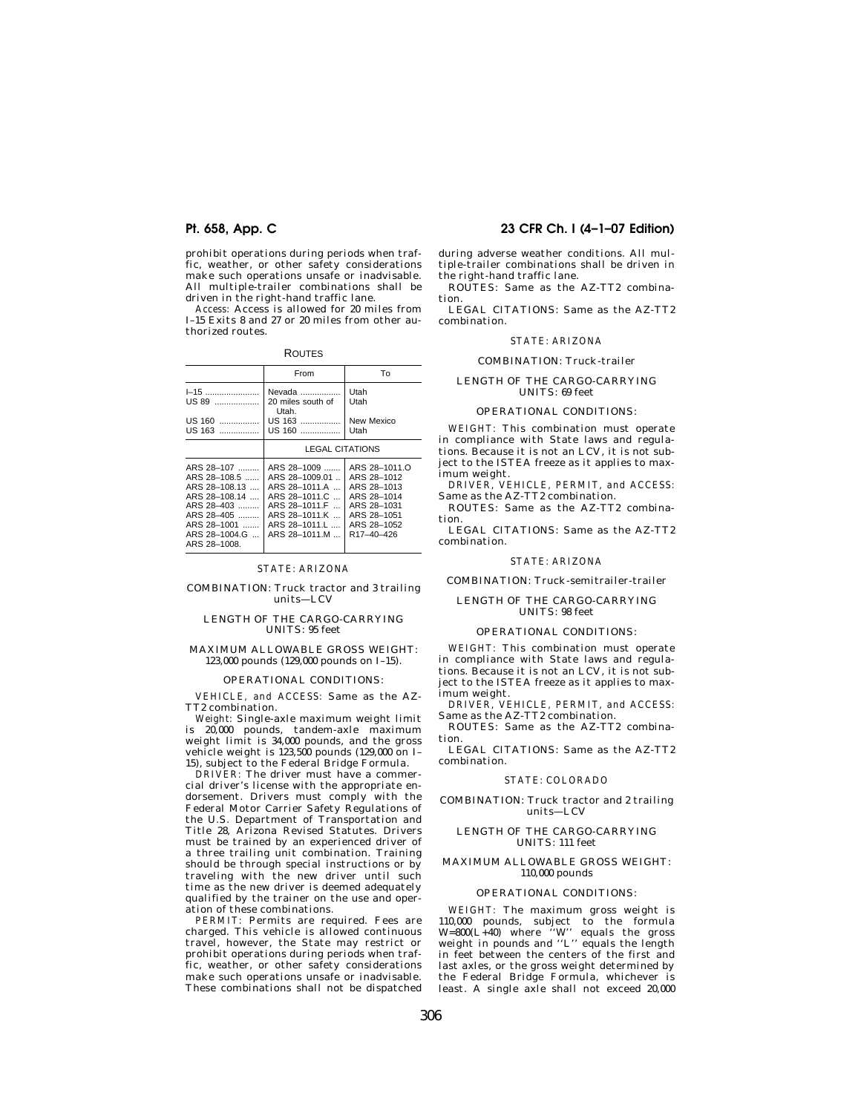prohibit operations during periods when traffic, weather, or other safety considerations make such operations unsafe or inadvisable. All multiple-trailer combinations shall be driven in the right-hand traffic lane.

*Access:* Access is allowed for 20 miles from I–15 Exits 8 and 27 or 20 miles from other authorized routes.

**ROUTES** 

|                                          | From                            | Tο                         |
|------------------------------------------|---------------------------------|----------------------------|
| I-15                                     | Nevada                          | Utah                       |
| $US 89$                                  | 20 miles south of<br>Utah.      | Utah                       |
| US 160<br>US 163                         | US 163<br>US 160                | New Mexico<br>Utah         |
|                                          | <b>LEGAL CITATIONS</b>          |                            |
| ARS 28-107                               | ARS 28-1009                     | ARS 28-1011.O              |
| ARS 28-108.5<br>ARS 28-108.13            | ARS 28-1009.01<br>ARS 28-1011.A | ARS 28-1012<br>ARS 28-1013 |
| ARS 28-108.14                            | ARS 28-1011.C                   | ARS 28-1014                |
| ARS 28-403                               | ARS 28-1011.F                   | ARS 28-1031                |
| ARS 28-405                               | ARS 28-1011.K                   | ARS 28-1051                |
| ARS 28-1001                              | $ARS$ 28-1011.L                 | ARS 28-1052                |
| $ARS$ 28-1004.G $\ldots$<br>ARS 28-1008. | ARS 28-1011.M                   | R <sub>17-40-426</sub>     |
|                                          |                                 |                            |

# *STATE: ARIZONA*

#### COMBINATION: Truck tractor and 3 trailing units—LCV

# LENGTH OF THE CARGO-CARRYING UNITS: 95 feet

# MAXIMUM ALLOWABLE GROSS WEIGHT: 123,000 pounds (129,000 pounds on I–15).

# OPERATIONAL CONDITIONS:

*VEHICLE, and ACCESS:* Same as the AZ-TT2 combination.

*Weight:* Single-axle maximum weight limit is 20,000 pounds, tandem-axle maximum weight limit is 34,000 pounds, and the gross vehicle weight is 123,500 pounds (129,000 on I-15), subject to the Federal Bridge Formula.

*DRIVER:* The driver must have a commercial driver's license with the appropriate endorsement. Drivers must comply with the Federal Motor Carrier Safety Regulations of the U.S. Department of Transportation and Title 28, Arizona Revised Statutes. Drivers must be trained by an experienced driver of a three trailing unit combination. Training should be through special instructions or by traveling with the new driver until such time as the new driver is deemed adequately qualified by the trainer on the use and operation of these combinations.

*PERMIT:* Permits are required. Fees are charged. This vehicle is allowed continuous travel, however, the State may restrict or prohibit operations during periods when traffic, weather, or other safety considerations make such operations unsafe or inadvisable. These combinations shall not be dispatched

# **Pt. 658, App. C 23 CFR Ch. I (4–1–07 Edition)**

during adverse weather conditions. All multiple-trailer combinations shall be driven in the right-hand traffic lane.

ROUTES: Same as the AZ-TT2 combination.

LEGAL CITATIONS: Same as the AZ-TT2 combination.

# *STATE: ARIZONA*

# COMBINATION: Truck-trailer

#### LENGTH OF THE CARGO-CARRYING UNITS: 69 feet

#### OPERATIONAL CONDITIONS:

*WEIGHT:* This combination must operate in compliance with State laws and regulations. Because it is not an LCV, it is not subject to the ISTEA freeze as it applies to maximum weight.

*DRIVER, VEHICLE, PERMIT, and ACCESS:*  Same as the AZ-TT2 combination.

ROUTES: Same as the AZ-TT2 combination.

LEGAL CITATIONS: Same as the AZ-TT2 combination.

# *STATE: ARIZONA*

COMBINATION: Truck-semitrailer-trailer

# LENGTH OF THE CARGO-CARRYING UNITS: 98 feet

# OPERATIONAL CONDITIONS:

*WEIGHT:* This combination must operate in compliance with State laws and regulations. Because it is not an LCV, it is not subject to the ISTEA freeze as it applies to maximum weight.

*DRIVER, VEHICLE, PERMIT, and ACCESS:*  Same as the AZ-TT2 combination.

ROUTES: Same as the AZ-TT2 combination.

LEGAL CITATIONS: Same as the AZ-TT2 combination.

#### *STATE: COLORADO*

#### COMBINATION: Truck tractor and 2 trailing units—LCV

#### LENGTH OF THE CARGO-CARRYING UNITS: 111 feet

# MAXIMUM ALLOWABLE GROSS WEIGHT: 110,000 pounds

# OPERATIONAL CONDITIONS:

*WEIGHT:* The maximum gross weight is 110,000 pounds, subject to the formula  $W=800(L+40)$  where "W" equals the gross weight in pounds and ''L'' equals the length in feet between the centers of the first and last axles, or the gross weight determined by the Federal Bridge Formula, whichever is least. A single axle shall not exceed 20,000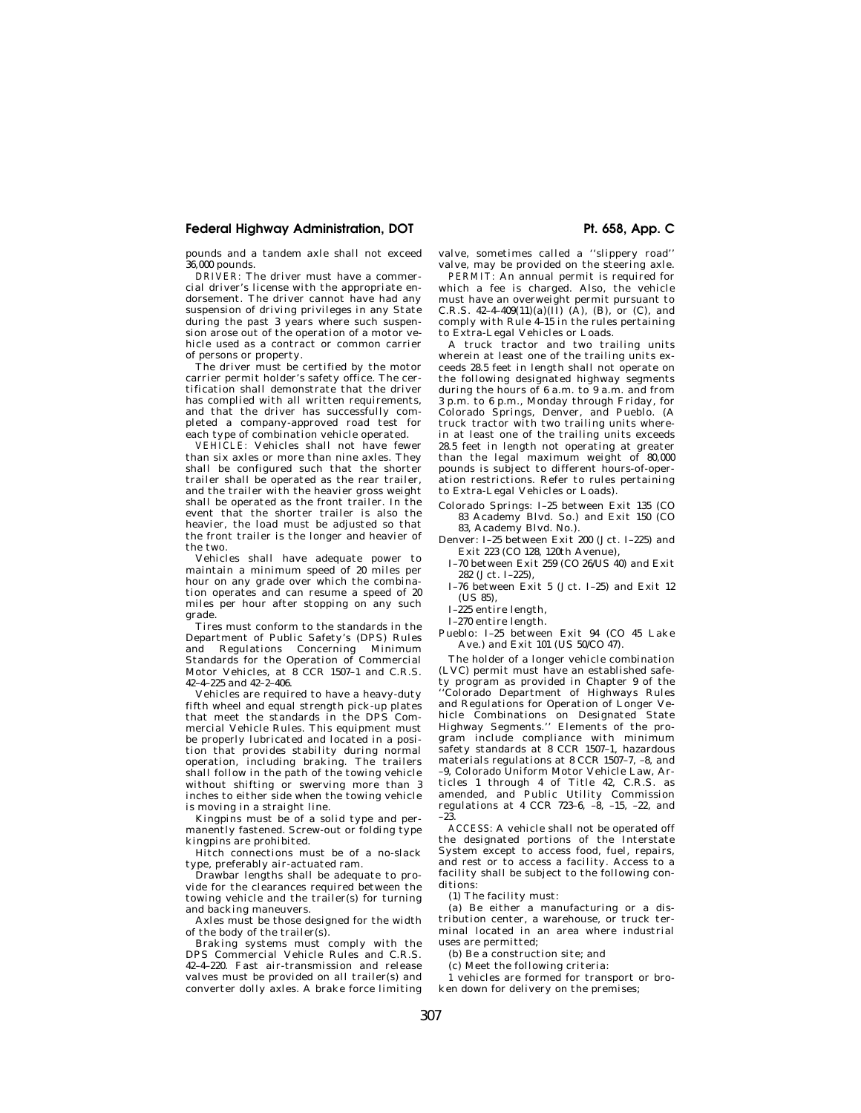# Federal Highway Administration, DOT **Pr. 658, App. C**

pounds and a tandem axle shall not exceed 36,000 pounds.

*DRIVER:* The driver must have a commercial driver's license with the appropriate endorsement. The driver cannot have had any suspension of driving privileges in any State during the past 3 years where such suspension arose out of the operation of a motor vehicle used as a contract or common carrier of persons or property.

The driver must be certified by the motor carrier permit holder's safety office. The certification shall demonstrate that the driver has complied with all written requirements, and that the driver has successfully completed a company-approved road test for each type of combination vehicle operated.

*VEHICLE:* Vehicles shall not have fewer than six axles or more than nine axles. They shall be configured such that the shorter trailer shall be operated as the rear trailer, and the trailer with the heavier gross weight shall be operated as the front trailer. In the event that the shorter trailer is also the heavier, the load must be adjusted so that the front trailer is the longer and heavier of the two.

Vehicles shall have adequate power to maintain a minimum speed of 20 miles per hour on any grade over which the combination operates and can resume a speed of 20 miles per hour after stopping on any such grade.

Tires must conform to the standards in the Department of Public Safety's (DPS) Rules and Regulations Concerning Minimum Standards for the Operation of Commercial Motor Vehicles, at  $\dot{8}$  CCR 1507-1 and C.R.S. 42–4–225 and 42–2–406.

Vehicles are required to have a heavy-duty fifth wheel and equal strength pick-up plates that meet the standards in the DPS Commercial Vehicle Rules. This equipment must be properly lubricated and located in a position that provides stability during normal operation, including braking. The trailers shall follow in the path of the towing vehicle without shifting or swerving more than 3 inches to either side when the towing vehicle is moving in a straight line.

Kingpins must be of a solid type and permanently fastened. Screw-out or folding type kingpins are prohibited.

Hitch connections must be of a no-slack type, preferably air-actuated ram.

Drawbar lengths shall be adequate to provide for the clearances required between the towing vehicle and the trailer(s) for turning and backing maneuvers.

Axles must be those designed for the width of the body of the trailer(s).

Braking systems must comply with the DPS Commercial Vehicle Rules and C.R.S. 42–4–220. Fast air-transmission and release valves must be provided on all trailer(s) and converter dolly axles. A brake force limiting

valve, sometimes called a ''slippery road'' valve, may be provided on the steering axle.

*PERMIT:* An annual permit is required for which a fee is charged. Also, the vehicle must have an overweight permit pursuant to C.R.S.  $42-4-409(11)(a)(\tilde{II})$  (A), (B), or (C), and comply with Rule 4–15 in the rules pertaining to Extra-Legal Vehicles or Loads.

A truck tractor and two trailing units wherein at least one of the trailing units exceeds 28.5 feet in length shall not operate on the following designated highway segments during the hours of 6 a.m. to 9 a.m. and from 3 p.m. to 6 p.m., Monday through Friday, for Colorado Springs, Denver, and Pueblo. (A truck tractor with two trailing units wherein at least one of the trailing units exceeds 28.5 feet in length not operating at greater than the legal maximum weight of 80,000 pounds is subject to different hours-of-operation restrictions. Refer to rules pertaining to Extra-Legal Vehicles or Loads).

Colorado Springs: I–25 between Exit 135 (CO 83 Academy Blvd. So.) and Exit 150 (CO 83, Academy Blvd. No.).

- Denver: I–25 between Exit 200 (Jct. I–225) and Exit 223 (CO 128, 120th Avenue),
	- I–70 between Exit 259 (CO 26/US 40) and Exit 282 (Jct. I–225),
- I–76 between Exit 5 (Jct. I–25) and Exit 12 (US 85),
- I–225 entire length,

I–270 entire length.

Pueblo: I–25 between Exit 94 (CO 45 Lake Ave.) and Exit 101 (US 50/CO 47).

The holder of a longer vehicle combination (LVC) permit must have an established safety program as provided in Chapter 9 of the ''Colorado Department of Highways Rules and Regulations for Operation of Longer Vehicle Combinations on Designated State Highway Segments.'' Elements of the program include compliance with minimum safety standards at 8 CCR 1507-1, hazardous materials regulations at 8 CCR 1507–7, –8, and –9, Colorado Uniform Motor Vehicle Law, Articles 1 through 4 of Title 42, C.R.S. as amended, and Public Utility Commission regulations at 4 CCR 723–6, –8, –15, –22, and  $-23$ 

*ACCESS:* A vehicle shall not be operated off the designated portions of the Interstate System except to access food, fuel, repairs, and rest or to access a facility. Access to a facility shall be subject to the following conditions:

(1) The facility must:

(a) Be either a manufacturing or a distribution center, a warehouse, or truck terminal located in an area where industrial uses are permitted;

(b) Be a construction site; and

(c) Meet the following criteria:

*1* vehicles are formed for transport or broken down for delivery on the premises;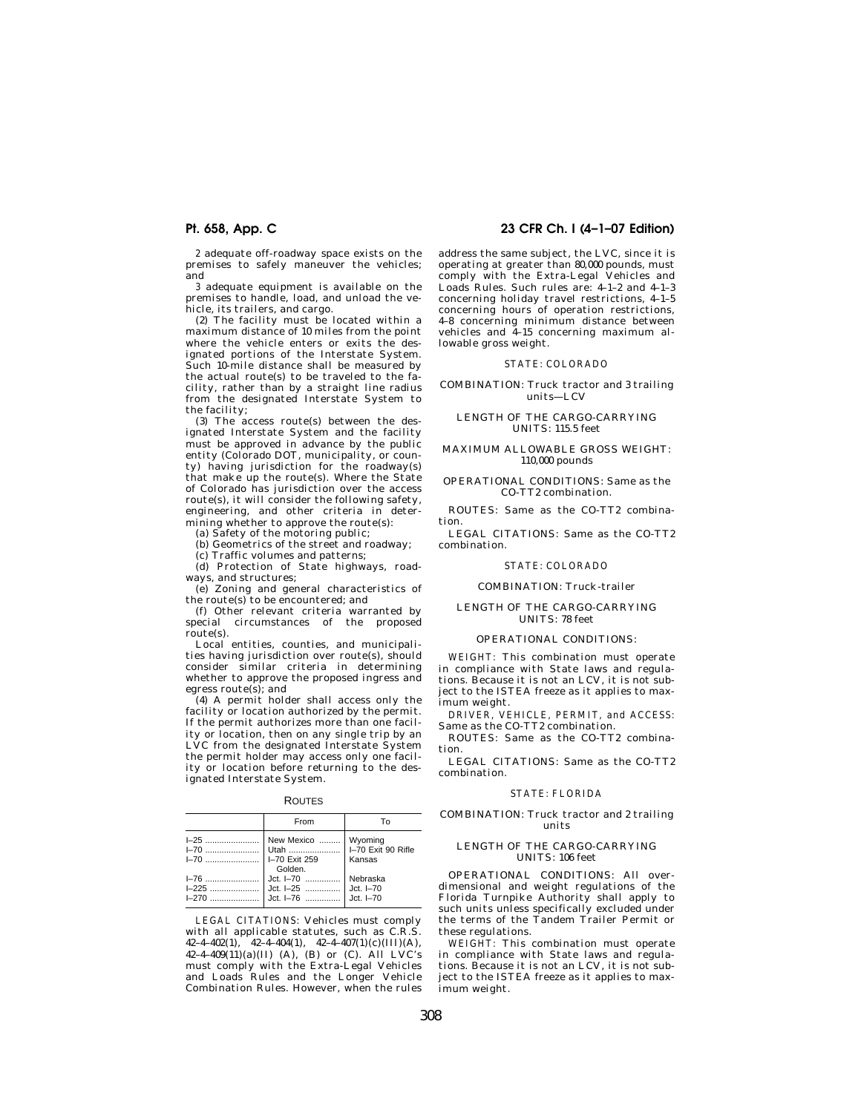*2* adequate off-roadway space exists on the premises to safely maneuver the vehicles; and

*3* adequate equipment is available on the premises to handle, load, and unload the ve-

hicle, its trailers, and cargo. (2) The facility must be located within a maximum distance of 10 miles from the point where the vehicle enters or exits the designated portions of the Interstate System. Such 10-mile distance shall be measured by the actual route(s) to be traveled to the facility, rather than by a straight line radius from the designated Interstate System to the facility;

(3) The access route(s) between the designated Interstate System and the facility must be approved in advance by the public entity (Colorado DOT, municipality, or county) having jurisdiction for the roadway(s) that make up the route(s). Where the State of Colorado has jurisdiction over the access route(s), it will consider the following safety, engineering, and other criteria in determining whether to approve the route(s):

(a) Safety of the motoring public;

(b) Geometrics of the street and roadway;

(c) Traffic volumes and patterns;

(d) Protection of State highways, roadways, and structures;

(e) Zoning and general characteristics of the route(s) to be encountered; and

(f) Other relevant criteria warranted by special circumstances of the proposed route(s).

Local entities, counties, and municipalities having jurisdiction over route(s), should consider similar criteria in determining whether to approve the proposed ingress and egress route(s); and

(4) A permit holder shall access only the facility or location authorized by the permit. If the permit authorizes more than one facility or location, then on any single trip by an LVC from the designated Interstate System the permit holder may access only one facility or location before returning to the designated Interstate System.

**ROUTES** 

|                       | From                                                                                                | Tο     |
|-----------------------|-----------------------------------------------------------------------------------------------------|--------|
| I−70    I−70 Exit 259 | I-25  New Mexico  Wyoming<br>I-70  Utah  I-70 Exit 90 Rifle<br>Golden.                              | Kansas |
|                       | 1-76    Jct. I-70    Nebraska<br>1-225  J Jct. 1-25  J Jct. 1-70<br>I-270    Jct. I-76    Jct. I-70 |        |

*LEGAL CITATIONS:* Vehicles must comply with all applicable statutes, such as C.R.S.  $42-4-402(1)$ ,  $42-4-404(1)$ ,  $42-4-407(1)(c)(III)(A)$ , 42–4–409(11)(a)(II) (A), (B) or (C). All LVC's must comply with the Extra-Legal Vehicles and Loads Rules and the Longer Vehicle Combination Rules. However, when the rules

# **Pt. 658, App. C 23 CFR Ch. I (4–1–07 Edition)**

address the same subject, the LVC, since it is operating at greater than 80,000 pounds, must comply with the Extra-Legal Vehicles and Loads Rules. Such rules are: 4–1–2 and 4–1–3 concerning holiday travel restrictions, 4–1–5 concerning hours of operation restrictions, 4–8 concerning minimum distance between vehicles and 4–15 concerning maximum allowable gross weight.

# *STATE: COLORADO*

COMBINATION: Truck tractor and 3 trailing units—LCV

# LENGTH OF THE CARGO-CARRYING UNITS: 115.5 feet

MAXIMUM ALLOWABLE GROSS WEIGHT: 110,000 pounds

OPERATIONAL CONDITIONS: Same as the CO-TT2 combination.

ROUTES: Same as the CO-TT2 combination.

LEGAL CITATIONS: Same as the CO-TT2 combination.

# *STATE: COLORADO*

# COMBINATION: Truck-trailer

#### LENGTH OF THE CARGO-CARRYING UNITS: 78 feet

# OPERATIONAL CONDITIONS:

*WEIGHT:* This combination must operate in compliance with State laws and regulations. Because it is not an LCV, it is not subject to the ISTEA freeze as it applies to maximum weight.

*DRIVER, VEHICLE, PERMIT, and ACCESS:*  Same as the CO-TT2 combination.

ROUTES: Same as the CO-TT2 combination.

LEGAL CITATIONS: Same as the CO-TT2 combination.

#### *STATE: FLORIDA*

# COMBINATION: Truck tractor and 2 trailing units

# LENGTH OF THE CARGO-CARRYING UNITS: 106 feet

OPERATIONAL CONDITIONS: All overdimensional and weight regulations of the Florida Turnpike Authority shall apply to such units unless specifically excluded under the terms of the Tandem Trailer Permit or these regulations.

*WEIGHT:* This combination must operate in compliance with State laws and regulations. Because it is not an LCV, it is not subject to the ISTEA freeze as it applies to maximum weight.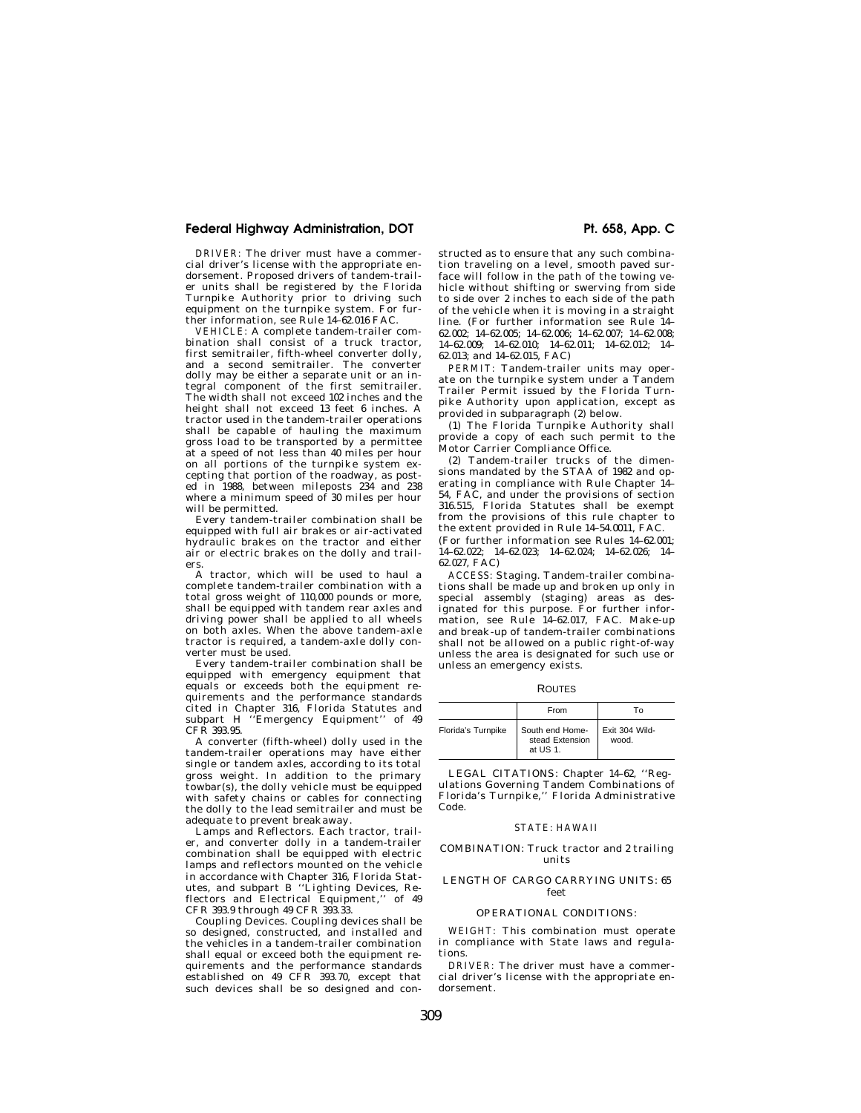# Federal Highway Administration, DOT **Pr. 658, App. C**

*DRIVER:* The driver must have a commercial driver's license with the appropriate endorsement. Proposed drivers of tandem-trailer units shall be registered by the Florida Turnpike Authority prior to driving such equipment on the turnpike system. For further information, see Rule 14–62.016 FAC.

*VEHICLE:* A complete tandem-trailer combination shall consist of a truck tractor, first semitrailer, fifth-wheel converter dolly, and a second semitrailer. The converter dolly may be either a separate unit or an integral component of the first semitrailer. The width shall not exceed 102 inches and the height shall not exceed 13 feet 6 inches. A tractor used in the tandem-trailer operations shall be capable of hauling the maximum gross load to be transported by a permittee at a speed of not less than 40 miles per hour on all portions of the turnpike system excepting that portion of the roadway, as post-ed in 1988, between mileposts 234 and 238 where a minimum speed of 30 miles per hour will be permitted.

Every tandem-trailer combination shall be equipped with full air brakes or air-activated hydraulic brakes on the tractor and either air or electric brakes on the dolly and trailers.

A tractor, which will be used to haul a complete tandem-trailer combination with a total gross weight of 110,000 pounds or more, shall be equipped with tandem rear axles and driving power shall be applied to all wheels on both axles. When the above tandem-axle tractor is required, a tandem-axle dolly converter must be used.

Every tandem-trailer combination shall be equipped with emergency equipment that equals or exceeds both the equipment requirements and the performance standards cited in Chapter 316, Florida Statutes and subpart H ''Emergency Equipment'' of 49 CFR 393.95.

A converter (fifth-wheel) dolly used in the tandem-trailer operations may have either single or tandem axles, according to its total gross weight. In addition to the primary towbar(s), the dolly vehicle must be equipped with safety chains or cables for connecting the dolly to the lead semitrailer and must be adequate to prevent breakaway.

Lamps and Reflectors. Each tractor, trailer, and converter dolly in a tandem-trailer combination shall be equipped with electric lamps and reflectors mounted on the vehicle in accordance with Chapter 316, Florida Stat-In accordance in the utes, and subpart B "Lighting Devices, Re-<br>flectors and Electrical Equipment." of 49 flectors and Electrical Equipment," CFR 393.9 through 49 CFR 393.33.

Coupling Devices. Coupling devices shall be so designed, constructed, and installed and the vehicles in a tandem-trailer combination shall equal or exceed both the equipment requirements and the performance standards established on 49 CFR 393.70, except that such devices shall be so designed and constructed as to ensure that any such combination traveling on a level, smooth paved surface will follow in the path of the towing vehicle without shifting or swerving from side to side over 2 inches to each side of the path of the vehicle when it is moving in a straight line. (For further information see Rule 14– 62.002; 14–62.005; 14–62.006; 14–62.007; 14–62.008; 14–62.009; 14–62.010; 14–62.011; 14–62.012; 14– 62.013; and 14–62.015, FAC)

*PERMIT:* Tandem-trailer units may operate on the turnpike system under a Tandem Trailer Permit issued by the Florida Turnpike Authority upon application, except as provided in subparagraph (2) below.

(1) The Florida Turnpike Authority shall provide a copy of each such permit to the Motor Carrier Compliance Office.

(2) Tandem-trailer trucks of the dimensions mandated by the STAA of 1982 and operating in compliance with Rule Chapter 14– 54, FAC, and under the provisions of section 316.515, Florida Statutes shall be exempt from the provisions of this rule chapter to the extent provided in Rule 14–54.0011, FAC.

(For further information see Rules 14–62.001; 14–62.022; 14–62.023; 14–62.024; 14–62.026; 14– 62.027, FAC)

*ACCESS:* Staging. Tandem-trailer combinations shall be made up and broken up only in special assembly (staging) areas as designated for this purpose. For further information, see Rule 14–62.017, FAC. Make-up and break-up of tandem-trailer combinations shall not be allowed on a public right-of-way unless the area is designated for such use or unless an emergency exists.

**ROUTES** 

|                    | From                                           | Т٥                      |
|--------------------|------------------------------------------------|-------------------------|
| Florida's Turnpike | South end Home-<br>stead Extension<br>at US 1. | Exit 304 Wild-<br>wood. |

LEGAL CITATIONS: Chapter 14–62, ''Regulations Governing Tandem Combinations of Florida's Turnpike,'' Florida Administrative Code.

# *STATE: HAWAII*

# COMBINATION: Truck tractor and 2 trailing units

# LENGTH OF CARGO CARRYING UNITS: 65 feet

# OPERATIONAL CONDITIONS:

*WEIGHT:* This combination must operate in compliance with State laws and regulations.

*DRIVER:* The driver must have a commercial driver's license with the appropriate endorsement.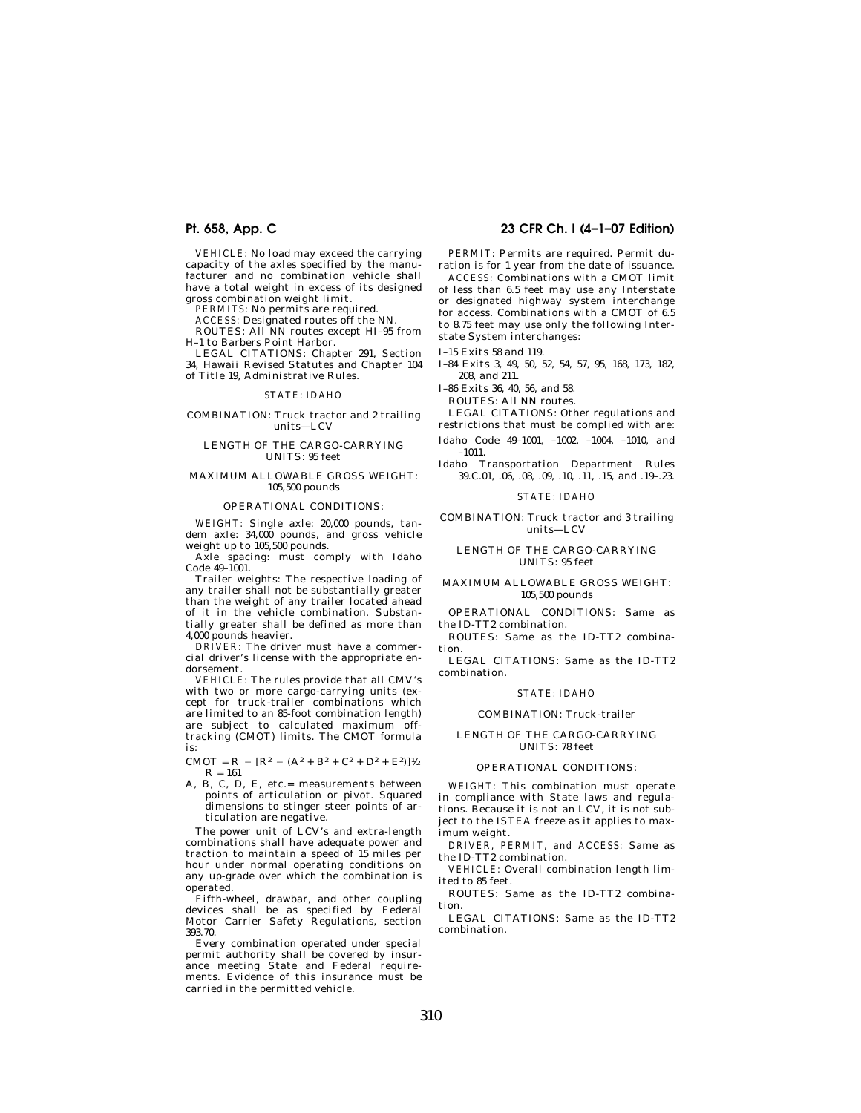*VEHICLE:* No load may exceed the carrying capacity of the axles specified by the manufacturer and no combination vehicle shall have a total weight in excess of its designed gross combination weight limit.

*PERMITS:* No permits are required.

*ACCESS:* Designated routes off the NN. ROUTES: All NN routes except HI–95 from H–1 to Barbers Point Harbor.

LEGAL CITATIONS: Chapter 291, Section 34, Hawaii Revised Statutes and Chapter 104 of Title 19, Administrative Rules.

# *STATE: IDAHO*

# COMBINATION: Truck tractor and 2 trailing units—LCV

#### LENGTH OF THE CARGO-CARRYING UNITS: 95 feet

# MAXIMUM ALLOWABLE GROSS WEIGHT: 105,500 pounds

# OPERATIONAL CONDITIONS:

*WEIGHT:* Single axle: 20,000 pounds, tandem axle: 34,000 pounds, and gross vehicle weight up to 105,500 pounds.

Axle spacing: must comply with Idaho Code 49–1001.

Trailer weights: The respective loading of any trailer shall not be substantially greater than the weight of any trailer located ahead of it in the vehicle combination. Substantially greater shall be defined as more than 4,000 pounds heavier.

*DRIVER:* The driver must have a commercial driver's license with the appropriate endorsement.

*VEHICLE:* The rules provide that all CMV's with two or more cargo-carrying units (except for truck-trailer combinations which are limited to an 85-foot combination length) are subject to calculated maximum offtracking (CMOT) limits. The CMOT formula is:

 $CMOT = R - [R<sup>2</sup> - (A<sup>2</sup> + B<sup>2</sup> + C<sup>2</sup> + D<sup>2</sup> + E<sup>2</sup>)]<sup>1</sup>/<sub>2</sub>$  $R = 161$ 

A, B, C, D, E, etc.= measurements between points of articulation or pivot. Squared dimensions to stinger steer points of articulation are negative.

The power unit of LCV's and extra-length combinations shall have adequate power and traction to maintain a speed of 15 miles per hour under normal operating conditions on any up-grade over which the combination is operated.

Fifth-wheel, drawbar, and other coupling devices shall be as specified by Federal Motor Carrier Safety Regulations, section 393.70.

Every combination operated under special permit authority shall be covered by insurance meeting State and Federal requirements. Evidence of this insurance must be carried in the permitted vehicle.

# **Pt. 658, App. C 23 CFR Ch. I (4–1–07 Edition)**

PERMIT: Permits are required. Permit duration is for 1 year from the date of issuance.

*ACCESS:* Combinations with a CMOT limit of less than 6.5 feet may use any Interstate or designated highway system interchange for access. Combinations with a CMOT of 6.5 to 8.75 feet may use only the following Interstate System interchanges:

I–15 Exits 58 and 119.

I–84 Exits 3, 49, 50, 52, 54, 57, 95, 168, 173, 182, 208, and 211.

I–86 Exits 36, 40, 56, and 58.

ROUTES: All NN routes.

LEGAL CITATIONS: Other regulations and restrictions that must be complied with are:

Idaho Code 49–1001, –1002, –1004, –1010, and –1011.

Idaho Transportation Department Rules 39.C.01, .06, .08, .09, .10, .11, .15, and .19–.23.

*STATE: IDAHO* 

#### COMBINATION: Truck tractor and 3 trailing units—LCV

#### LENGTH OF THE CARGO-CARRYING UNITS: 95 feet

# MAXIMUM ALLOWABLE GROSS WEIGHT: 105,500 pounds

OPERATIONAL CONDITIONS: Same as the ID-TT2 combination.

ROUTES: Same as the ID-TT2 combination.

LEGAL CITATIONS: Same as the ID-TT2 combination.

# *STATE: IDAHO*

# COMBINATION: Truck-trailer

#### LENGTH OF THE CARGO-CARRYING UNITS: 78 feet

#### OPERATIONAL CONDITIONS:

*WEIGHT:* This combination must operate in compliance with State laws and regulations. Because it is not an LCV, it is not subject to the ISTEA freeze as it applies to maximum weight.

*DRIVER, PERMIT, and ACCESS:* Same as the ID-TT2 combination.

*VEHICLE:* Overall combination length limited to 85 feet.

ROUTES: Same as the ID-TT2 combination.

LEGAL CITATIONS: Same as the ID-TT2 combination.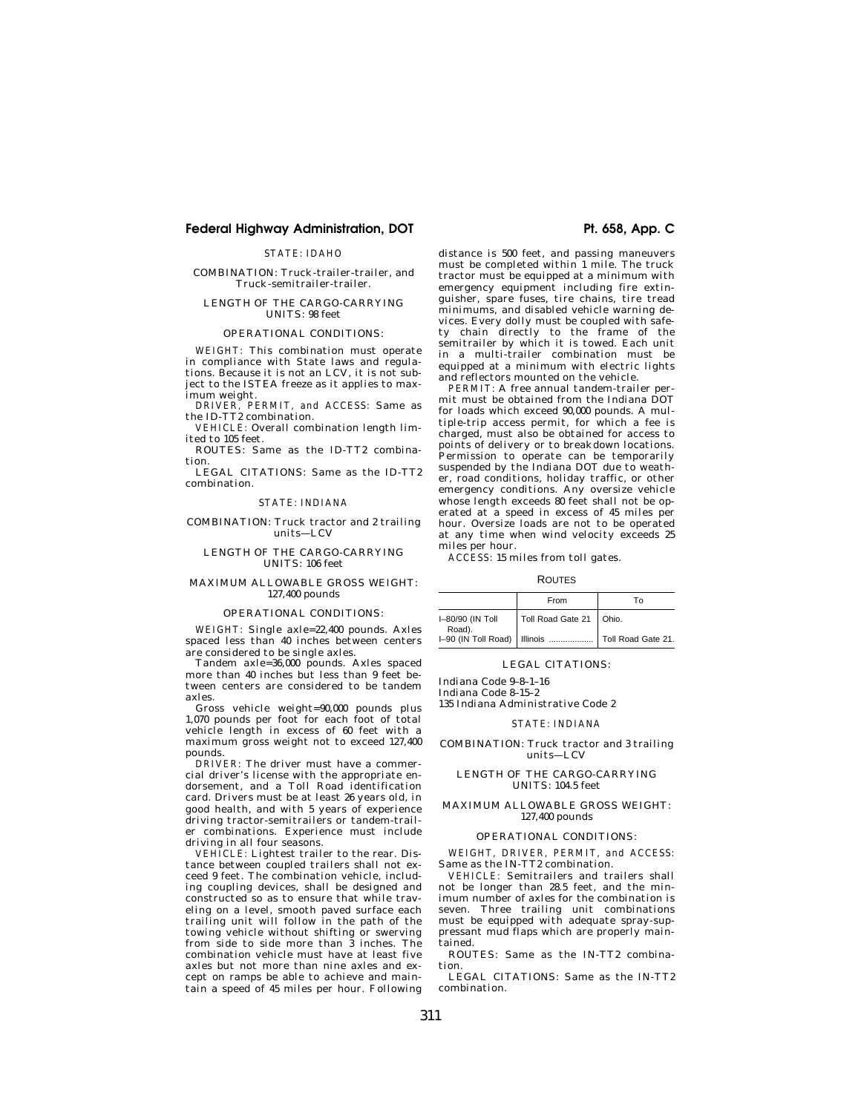# Federal Highway Administration, DOT **Philopheral Philosopheral Philosophera** Pt. 658, App. C

# *STATE: IDAHO*

# COMBINATION: Truck-trailer-trailer, and Truck-semitrailer-trailer.

# LENGTH OF THE CARGO-CARRYING UNITS: 98 feet

#### OPERATIONAL CONDITIONS:

*WEIGHT:* This combination must operate in compliance with State laws and regulations. Because it is not an LCV, it is not subject to the ISTEA freeze as it applies to maximum weight.

*DRIVER, PERMIT, and ACCESS:* Same as the ID-TT2 combination.

*VEHICLE:* Overall combination length limited to 105 feet.

ROUTES: Same as the ID-TT2 combination.

LEGAL CITATIONS: Same as the ID-TT2 combination.

### *STATE: INDIANA*

#### COMBINATION: Truck tractor and 2 trailing units—LCV

#### LENGTH OF THE CARGO-CARRYING UNITS: 106 feet

# MAXIMUM ALLOWABLE GROSS WEIGHT: 127,400 pounds

### OPERATIONAL CONDITIONS:

*WEIGHT:* Single axle=22,400 pounds. Axles spaced less than 40 inches between centers are considered to be single axles.

Tandem axle=36,000 pounds. Axles spaced more than 40 inches but less than 9 feet between centers are considered to be tandem axles.

Gross vehicle weight=90,000 pounds plus 1,070 pounds per foot for each foot of total vehicle length in excess of 60 feet with a maximum gross weight not to exceed 127,400 pounds.

*DRIVER:* The driver must have a commercial driver's license with the appropriate endorsement, and a Toll Road identification card. Drivers must be at least 26 years old, in good health, and with 5 years of experience driving tractor-semitrailers or tandem-trailer combinations. Experience must include driving in all four seasons.

*VEHICLE:* Lightest trailer to the rear. Distance between coupled trailers shall not exceed 9 feet. The combination vehicle, including coupling devices, shall be designed and constructed so as to ensure that while traveling on a level, smooth paved surface each trailing unit will follow in the path of the towing vehicle without shifting or swerving from side to side more than 3 inches. The combination vehicle must have at least five axles but not more than nine axles and except on ramps be able to achieve and maintain a speed of 45 miles per hour. Following

distance is 500 feet, and passing maneuvers must be completed within 1 mile. The truck tractor must be equipped at a minimum with emergency equipment including fire extinguisher, spare fuses, tire chains, tire tread minimums, and disabled vehicle warning devices. Every dolly must be coupled with safety chain directly to the frame of the semitrailer by which it is towed. Each unit in a multi-trailer combination must be equipped at a minimum with electric lights and reflectors mounted on the vehicle.

*PERMIT:* A free annual tandem-trailer permit must be obtained from the Indiana DOT for loads which exceed 90,000 pounds. A multiple-trip access permit, for which a fee is charged, must also be obtained for access to points of delivery or to breakdown locations. Permission to operate can be temporarily suspended by the Indiana DOT due to weather, road conditions, holiday traffic, or other emergency conditions. Any oversize vehicle whose length exceeds 80 feet shall not be operated at a speed in excess of 45 miles per hour. Oversize loads are not to be operated at any time when wind velocity exceeds 25 miles per hour.

*ACCESS:* 15 miles from toll gates.

ROUTES

|                            | From                                                 | Т٥ |
|----------------------------|------------------------------------------------------|----|
| I-80/90 (IN Toll<br>Road). | Toll Road Gate 21   Ohio.                            |    |
|                            | I-90 (IN Toll Road)   Illinois    Toll Road Gate 21. |    |

# LEGAL CITATIONS:

Indiana Code 9–8–1–16

Indiana Code 8–15–2 135 Indiana Administrative Code 2

*STATE: INDIANA* 

COMBINATION: Truck tractor and 3 trailing units—LCV

#### LENGTH OF THE CARGO-CARRYING UNITS: 104.5 feet

# MAXIMUM ALLOWABLE GROSS WEIGHT: 127,400 pounds

# OPERATIONAL CONDITIONS:

*WEIGHT, DRIVER, PERMIT, and ACCESS:*  Same as the IN-TT2 combination.

*VEHICLE:* Semitrailers and trailers shall not be longer than 28.5 feet, and the minimum number of axles for the combination is seven. Three trailing unit combinations must be equipped with adequate spray-suppressant mud flaps which are properly maintained.

ROUTES: Same as the IN-TT2 combination.

LEGAL CITATIONS: Same as the IN-TT2 combination.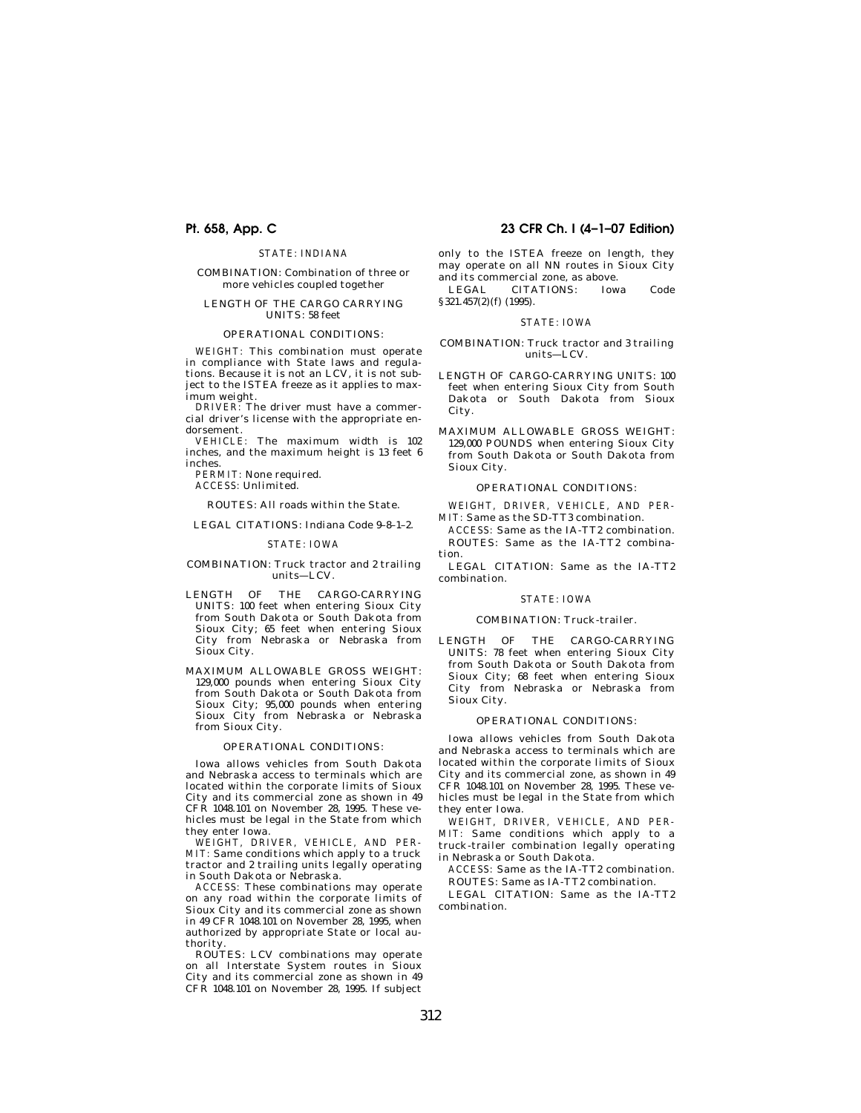# *STATE: INDIANA*

COMBINATION: Combination of three or more vehicles coupled together

# LENGTH OF THE CARGO CARRYING UNITS: 58 feet

OPERATIONAL CONDITIONS:

*WEIGHT:* This combination must operate in compliance with State laws and regulations. Because it is not an LCV, it is not subject to the ISTEA freeze as it applies to maximum weight.

*DRIVER:* The driver must have a commercial driver's license with the appropriate endorsement.

*VEHICLE:* The maximum width is 102 inches, and the maximum height is 13 feet 6 inches.

*PERMIT:* None required.

*ACCESS:* Unlimited.

ROUTES: All roads within the State.

LEGAL CITATIONS: Indiana Code 9–8–1–2.

# *STATE: IOWA*

COMBINATION: Truck tractor and 2 trailing units—LCV.

- LENGTH OF THE CARGO-CARRYING UNITS: 100 feet when entering Sioux City from South Dakota or South Dakota from Sioux City; 65 feet when entering Sioux City from Nebraska or Nebraska from Sioux City.
- MAXIMUM ALLOWABLE GROSS WEIGHT: 129,000 pounds when entering Sioux City from South Dakota or South Dakota from Sioux City; 95,000 pounds when entering Sioux City from Nebraska or Nebraska from Sioux City.

#### OPERATIONAL CONDITIONS:

Iowa allows vehicles from South Dakota and Nebraska access to terminals which are located within the corporate limits of Sioux City and its commercial zone as shown in 49 CFR 1048.101 on November 28, 1995. These vehicles must be legal in the State from which they enter Iowa.

*WEIGHT, DRIVER, VEHICLE, AND PER-MIT:* Same conditions which apply to a truck tractor and 2 trailing units legally operating in South Dakota or Nebraska.

*ACCESS:* These combinations may operate on any road within the corporate limits of Sioux City and its commercial zone as shown in 49 CFR 1048.101 on November 28, 1995, when authorized by appropriate State or local authority.

ROUTES: LCV combinations may operate on all Interstate System routes in Sioux City and its commercial zone as shown in 49 CFR 1048.101 on November 28, 1995. If subject

# **Pt. 658, App. C 23 CFR Ch. I (4–1–07 Edition)**

only to the ISTEA freeze on length, they may operate on all NN routes in Sioux City and its commercial zone, as above.

LEGAL CITATIONS: Iowa Code §321.457(2)(f) (1995).

# *STATE: IOWA*

COMBINATION: Truck tractor and 3 trailing units—LCV.

- LENGTH OF CARGO-CARRYING UNITS: 100 feet when entering Sioux City from South Dakota or South Dakota from Sioux City.
- MAXIMUM ALLOWABLE GROSS WEIGHT: 129,000 POUNDS when entering Sioux City from South Dakota or South Dakota from Sioux City.

# OPERATIONAL CONDITIONS:

*WEIGHT, DRIVER, VEHICLE, AND PER-MIT:* Same as the SD-TT3 combination.

*ACCESS:* Same as the IA-TT2 combination. ROUTES: Same as the IA-TT2 combination.

LEGAL CITATION: Same as the IA-TT2 combination.

#### *STATE: IOWA*

# COMBINATION: Truck-trailer.

LENGTH OF THE CARGO-CARRYING UNITS: 78 feet when entering Sioux City from South Dakota or South Dakota from Sioux City; 68 feet when entering Sioux City from Nebraska or Nebraska from Sioux City.

# OPERATIONAL CONDITIONS:

Iowa allows vehicles from South Dakota and Nebraska access to terminals which are located within the corporate limits of Sioux City and its commercial zone, as shown in 49 CFR 1048.101 on November 28, 1995. These vehicles must be legal in the State from which they enter Iowa.

*WEIGHT, DRIVER, VEHICLE, AND PER-MIT:* Same conditions which apply to a truck-trailer combination legally operating in Nebraska or South Dakota.

*ACCESS:* Same as the IA-TT2 combination. ROUTES: Same as IA-TT2 combination.

LEGAL CITATION: Same as the IA-TT2 combination.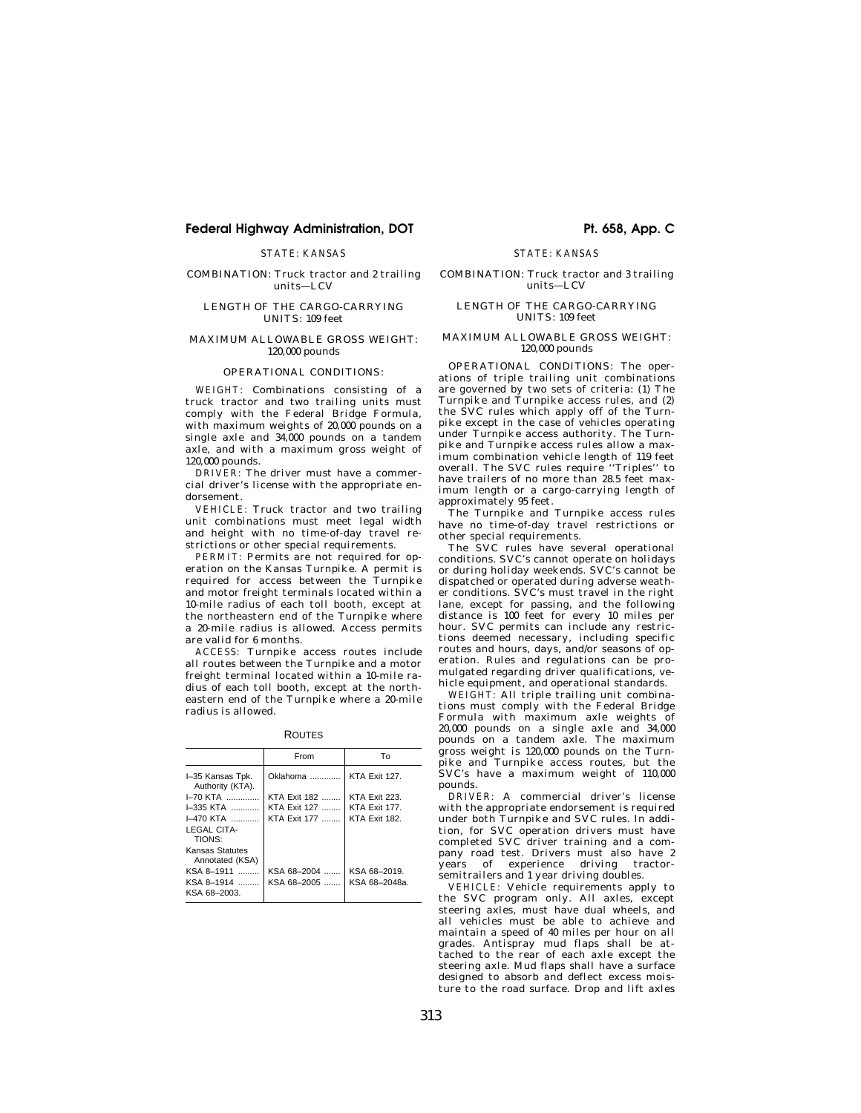# Federal Highway Administration, DOT **Pr. 658, App. C**

# *STATE: KANSAS*

# COMBINATION: Truck tractor and 2 trailing units—LCV

# LENGTH OF THE CARGO-CARRYING UNITS: 109 feet

# MAXIMUM ALLOWABLE GROSS WEIGHT: 120,000 pounds

#### OPERATIONAL CONDITIONS:

*WEIGHT:* Combinations consisting of a truck tractor and two trailing units must comply with the Federal Bridge Formula, with maximum weights of 20,000 pounds on a single axle and 34,000 pounds on a tandem axle, and with a maximum gross weight of 120,000 pounds.

*DRIVER:* The driver must have a commercial driver's license with the appropriate endorsement.

*VEHICLE:* Truck tractor and two trailing unit combinations must meet legal width and height with no time-of-day travel restrictions or other special requirements.

*PERMIT:* Permits are not required for operation on the Kansas Turnpike. A permit is required for access between the Turnpike and motor freight terminals located within a 10-mile radius of each toll booth, except at the northeastern end of the Turnpike where a 20-mile radius is allowed. Access permits are valid for 6 months.

*ACCESS:* Turnpike access routes include all routes between the Turnpike and a motor freight terminal located within a 10-mile radius of each toll booth, except at the northeastern end of the Turnpike where a 20-mile radius is allowed.

**ROUTES** 

|                                      | From         | Tο                   |
|--------------------------------------|--------------|----------------------|
| I-35 Kansas Tpk.<br>Authority (KTA). | Oklahoma     | <b>KTA Exit 127.</b> |
| $I$ –70 KTA                          | KTA Exit 182 | <b>KTA Exit 223.</b> |
| $1 - 335$ KTA                        | KTA Exit 127 | <b>KTA Exit 177.</b> |
| $I - 470$ KTA                        | KTA Exit 177 | <b>KTA Exit 182.</b> |
| <b>LEGAL CITA-</b><br>TIONS:         |              |                      |
| Kansas Statutes<br>Annotated (KSA)   |              |                      |
| KSA 8-1911                           | KSA 68-2004  | KSA 68-2019.         |
| KSA 8–1914                           | KSA 68-2005  | KSA 68-2048a.        |
| KSA 68–2003.                         |              |                      |

# *STATE: KANSAS*

# COMBINATION: Truck tractor and 3 trailing units—LCV

# LENGTH OF THE CARGO-CARRYING UNITS: 109 feet

# MAXIMUM ALLOWABLE GROSS WEIGHT: 120,000 pounds

OPERATIONAL CONDITIONS: The operations of triple trailing unit combinations are governed by two sets of criteria: (1) The Turnpike and Turnpike access rules, and (2) the SVC rules which apply off of the Turnpike except in the case of vehicles operating under Turnpike access authority. The Turnpike and Turnpike access rules allow a maximum combination vehicle length of 119 feet overall. The SVC rules require ''Triples'' to have trailers of no more than 28.5 feet maximum length or a cargo-carrying length of approximately 95 feet.

The Turnpike and Turnpike access rules have no time-of-day travel restrictions or other special requirements.

The SVC rules have several operational conditions. SVC's cannot operate on holidays or during holiday weekends. SVC's cannot be dispatched or operated during adverse weather conditions. SVC's must travel in the right lane, except for passing, and the following distance is 100 feet for every 10 miles per hour. SVC permits can include any restrictions deemed necessary, including specific routes and hours, days, and/or seasons of operation. Rules and regulations can be promulgated regarding driver qualifications, vehicle equipment, and operational standards.

WEIGHT: All triple trailing unit combinations must comply with the Federal Bridge Formula with maximum axle weights of 20,000 pounds on a single axle and 34,000 pounds on a tandem axle. The maximum gross weight is 120,000 pounds on the Turnpike and Turnpike access routes, but the SVC's have a maximum weight of 110,000 pounds.

*DRIVER:* A commercial driver's license with the appropriate endorsement is required under both Turnpike and SVC rules. In addition, for SVC operation drivers must have completed SVC driver training and a company road test. Drivers must also have 2<br>vears of experience driving tractoryears of experience driving semitrailers and 1 year driving doubles.

*VEHICLE:* Vehicle requirements apply to the SVC program only. All axles, except steering axles, must have dual wheels, and all vehicles must be able to achieve and maintain a speed of 40 miles per hour on all grades. Antispray mud flaps shall be attached to the rear of each axle except the steering axle. Mud flaps shall have a surface designed to absorb and deflect excess moisture to the road surface. Drop and lift axles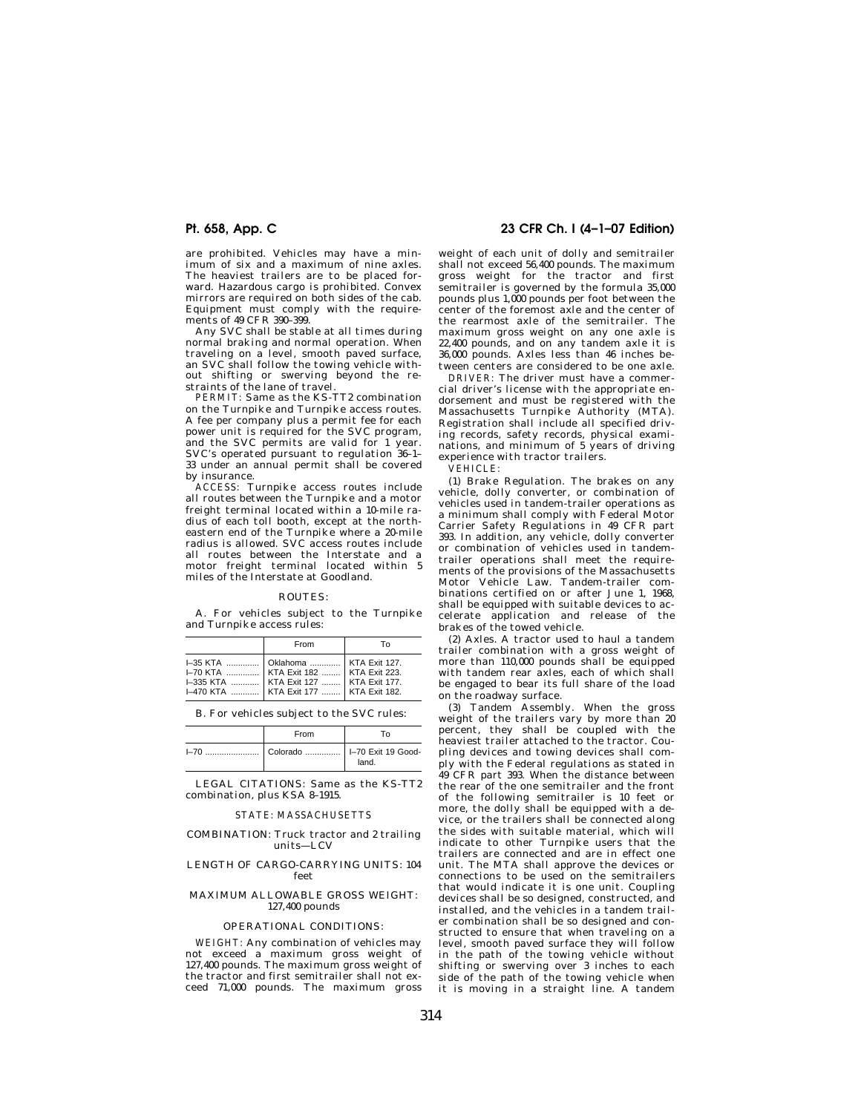are prohibited. Vehicles may have a minimum of six and a maximum of nine axles. The heaviest trailers are to be placed forward. Hazardous cargo is prohibited. Convex mirrors are required on both sides of the cab. Equipment must comply with the requirements of 49 CFR 390-399.

Any SVC shall be stable at all times during normal braking and normal operation. When traveling on a level, smooth paved surface, an SVC shall follow the towing vehicle without shifting or swerving beyond the restraints of the lane of travel.

*PERMIT:* Same as the KS-TT2 combination on the Turnpike and Turnpike access routes. A fee per company plus a permit fee for each power unit is required for the SVC program, and the SVC permits are valid for 1 year. SVC's operated pursuant to regulation 36–1– 33 under an annual permit shall be covered by insurance.

*ACCESS:* Turnpike access routes include all routes between the Turnpike and a motor freight terminal located within a 10-mile radius of each toll booth, except at the northeastern end of the Turnpike where a 20-mile radius is allowed. SVC access routes include all routes between the Interstate and a motor freight terminal located within 5 miles of the Interstate at Goodland.

#### ROUTES:

A. For vehicles subject to the Turnpike and Turnpike access rules:

| From                                                                                                                                                                           | Т٥ |
|--------------------------------------------------------------------------------------------------------------------------------------------------------------------------------|----|
| I-35 KTA    Oklahoma    KTA Exit 127.<br>1-70 KTA    KTA Exit 182    KTA Exit 223.<br>I-335 KTA    KTA Exit 127    KTA Exit 177.<br>I-470 KTA    KTA Exit 177    KTA Exit 182. |    |

B. For vehicles subject to the SVC rules:

|      | From                           |       |
|------|--------------------------------|-------|
| l-70 | Colorado    I-70 Exit 19 Good- | land. |

LEGAL CITATIONS: Same as the KS-TT2 combination, plus KSA 8–1915.

#### *STATE: MASSACHUSETTS*

# COMBINATION: Truck tractor and 2 trailing units—LCV

# LENGTH OF CARGO-CARRYING UNITS: 104 feet

# MAXIMUM ALLOWABLE GROSS WEIGHT: 127,400 pounds

# OPERATIONAL CONDITIONS:

*WEIGHT:* Any combination of vehicles may not exceed a maximum gross weight of 127,400 pounds. The maximum gross weight of the tractor and first semitrailer shall not exceed 71,000 pounds. The maximum gross

# **Pt. 658, App. C 23 CFR Ch. I (4–1–07 Edition)**

weight of each unit of dolly and semitrailer shall not exceed 56,400 pounds. The maximum gross weight for the tractor and first semitrailer is governed by the formula 35,000 pounds plus 1,000 pounds per foot between the center of the foremost axle and the center of the rearmost axle of the semitrailer. The maximum gross weight on any one axle is 22,400 pounds, and on any tandem axle it is 36,000 pounds. Axles less than 46 inches between centers are considered to be one axle.

*DRIVER:* The driver must have a commercial driver's license with the appropriate endorsement and must be registered with the Massachusetts Turnpike Authority (MTA). Registration shall include all specified driving records, safety records, physical examinations, and minimum of 5 years of driving experience with tractor trailers.

*VEHICLE:* 

(1) Brake Regulation. The brakes on any vehicle, dolly converter, or combination of vehicles used in tandem-trailer operations as a minimum shall comply with Federal Motor Carrier Safety Regulations in 49 CFR part 393. In addition, any vehicle, dolly converter or combination of vehicles used in tandemtrailer operations shall meet the requirements of the provisions of the Massachusetts Motor Vehicle Law. Tandem-trailer combinations certified on or after June 1, 1968, shall be equipped with suitable devices to accelerate application and release of the brakes of the towed vehicle.

(2) Axles. A tractor used to haul a tandem trailer combination with a gross weight of more than 110,000 pounds shall be equipped with tandem rear axles, each of which shall be engaged to bear its full share of the load on the roadway surface.

(3) Tandem Assembly. When the gross weight of the trailers vary by more than 20 percent, they shall be coupled with the heaviest trailer attached to the tractor. Coupling devices and towing devices shall comply with the Federal regulations as stated in 49 CFR part 393. When the distance between the rear of the one semitrailer and the front of the following semitrailer is 10 feet or more, the dolly shall be equipped with a device, or the trailers shall be connected along the sides with suitable material, which will indicate to other Turnpike users that the trailers are connected and are in effect one unit. The MTA shall approve the devices or connections to be used on the semitrailers that would indicate it is one unit. Coupling devices shall be so designed, constructed, and installed, and the vehicles in a tandem trailer combination shall be so designed and constructed to ensure that when traveling on a level, smooth paved surface they will follow in the path of the towing vehicle without shifting or swerving over 3 inches to each side of the path of the towing vehicle when it is moving in a straight line. A tandem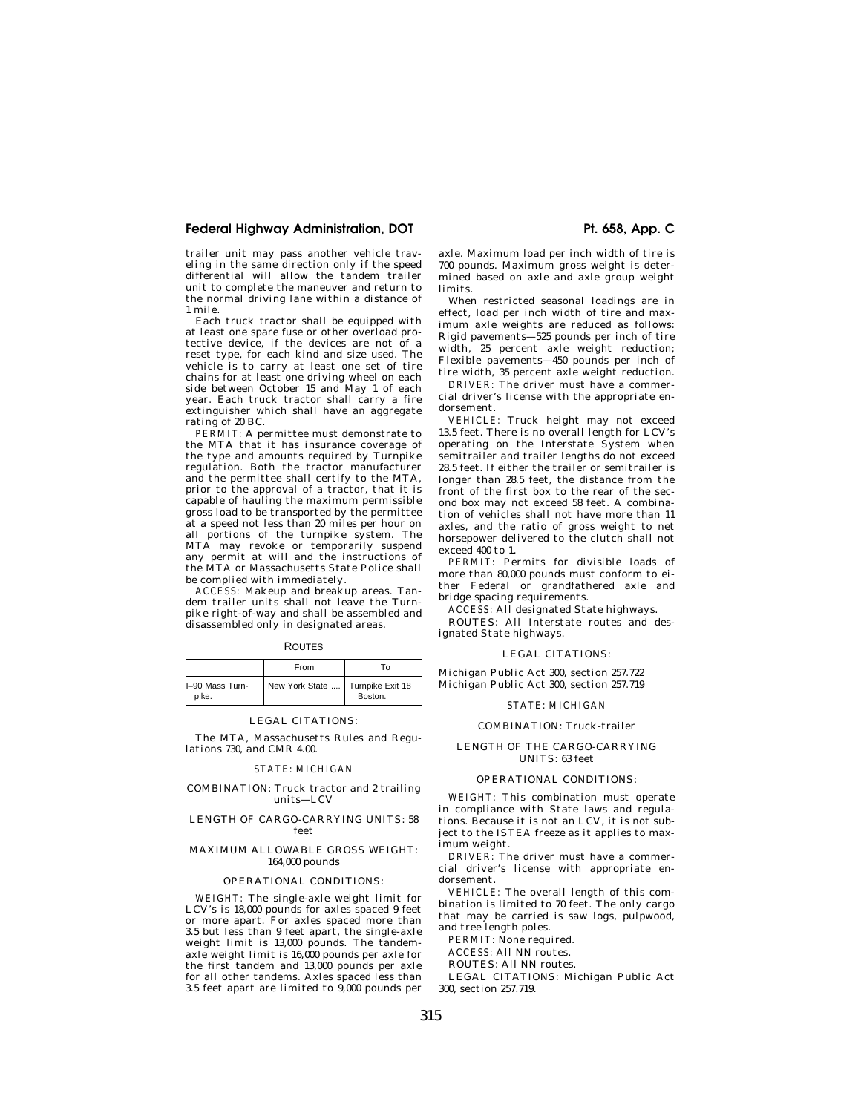# Federal Highway Administration, DOT **Pr. 658, App. C**

trailer unit may pass another vehicle traveling in the same direction only if the speed differential will allow the tandem trailer unit to complete the maneuver and return to the normal driving lane within a distance of 1 mile.

Each truck tractor shall be equipped with at least one spare fuse or other overload protective device, if the devices are not of a reset type, for each kind and size used. The vehicle is to carry at least one set of tire chains for at least one driving wheel on each side between October 15 and May 1 of each year. Each truck tractor shall carry a fire extinguisher which shall have an aggregate rating of 20 BC.

*PERMIT:* A permittee must demonstrate to the MTA that it has insurance coverage of the type and amounts required by Turnpike regulation. Both the tractor manufacturer and the permittee shall certify to the MTA, prior to the approval of a tractor, that it is capable of hauling the maximum permissible gross load to be transported by the permittee at a speed not less than 20 miles per hour on all portions of the turnpike system. The MTA may revoke or temporarily suspend any permit at will and the instructions of the MTA or Massachusetts State Police shall be complied with immediately.

*ACCESS:* Makeup and breakup areas. Tandem trailer units shall not leave the Turnpike right-of-way and shall be assembled and disassembled only in designated areas.

| ч.<br>١ |
|---------|
|---------|

|                          | From                               | Т٥      |
|--------------------------|------------------------------------|---------|
| I-90 Mass Turn-<br>pike. | New York State    Turnpike Exit 18 | Boston. |

#### LEGAL CITATIONS:

The MTA, Massachusetts Rules and Regulations 730, and CMR 4.00.

# *STATE: MICHIGAN*

### COMBINATION: Truck tractor and 2 trailing units—LCV

# LENGTH OF CARGO-CARRYING UNITS: 58 feet

# MAXIMUM ALLOWABLE GROSS WEIGHT: 164,000 pounds

# OPERATIONAL CONDITIONS:

*WEIGHT:* The single-axle weight limit for LCV's is 18,000 pounds for axles spaced 9 feet or more apart. For axles spaced more than 3.5 but less than 9 feet apart, the single-axle weight limit is 13,000 pounds. The tandemaxle weight limit is 16,000 pounds per axle for the first tandem and 13,000 pounds per axle for all other tandems. Axles spaced less than 3.5 feet apart are limited to 9,000 pounds per

axle. Maximum load per inch width of tire is 700 pounds. Maximum gross weight is determined based on axle and axle group weight limits.

When restricted seasonal loadings are in effect, load per inch width of tire and maximum axle weights are reduced as follows: Rigid pavements—525 pounds per inch of tire width, 25 percent axle weight reduction; Flexible pavements—450 pounds per inch of tire width, 35 percent axle weight reduction.

*DRIVER:* The driver must have a commercial driver's license with the appropriate endorsement.

*VEHICLE:* Truck height may not exceed 13.5 feet. There is no overall length for LCV's operating on the Interstate System when semitrailer and trailer lengths do not exceed 28.5 feet. If either the trailer or semitrailer is longer than 28.5 feet, the distance from the front of the first box to the rear of the second box may not exceed 58 feet. A combination of vehicles shall not have more than 11 axles, and the ratio of gross weight to net horsepower delivered to the clutch shall not exceed 400 to 1.

*PERMIT:* Permits for divisible loads of more than 80,000 pounds must conform to either Federal or grandfathered axle and bridge spacing requirements.

*ACCESS:* All designated State highways.

ROUTES: All Interstate routes and designated State highways.

#### LEGAL CITATIONS:

Michigan Public Act 300, section 257.722 Michigan Public Act 300, section 257.719

# *STATE: MICHIGAN*

# COMBINATION: Truck-trailer

# LENGTH OF THE CARGO-CARRYING UNITS: 63 feet

# OPERATIONAL CONDITIONS:

*WEIGHT:* This combination must operate in compliance with State laws and regulations. Because it is not an LCV, it is not subject to the ISTEA freeze as it applies to maximum weight.

*DRIVER:* The driver must have a commercial driver's license with appropriate endorsement.

*VEHICLE:* The overall length of this combination is limited to 70 feet. The only cargo that may be carried is saw logs, pulpwood, and tree length poles.

*PERMIT:* None required.

*ACCESS:* All NN routes.

ROUTES: All NN routes.

LEGAL CITATIONS: Michigan Public Act 300, section 257.719.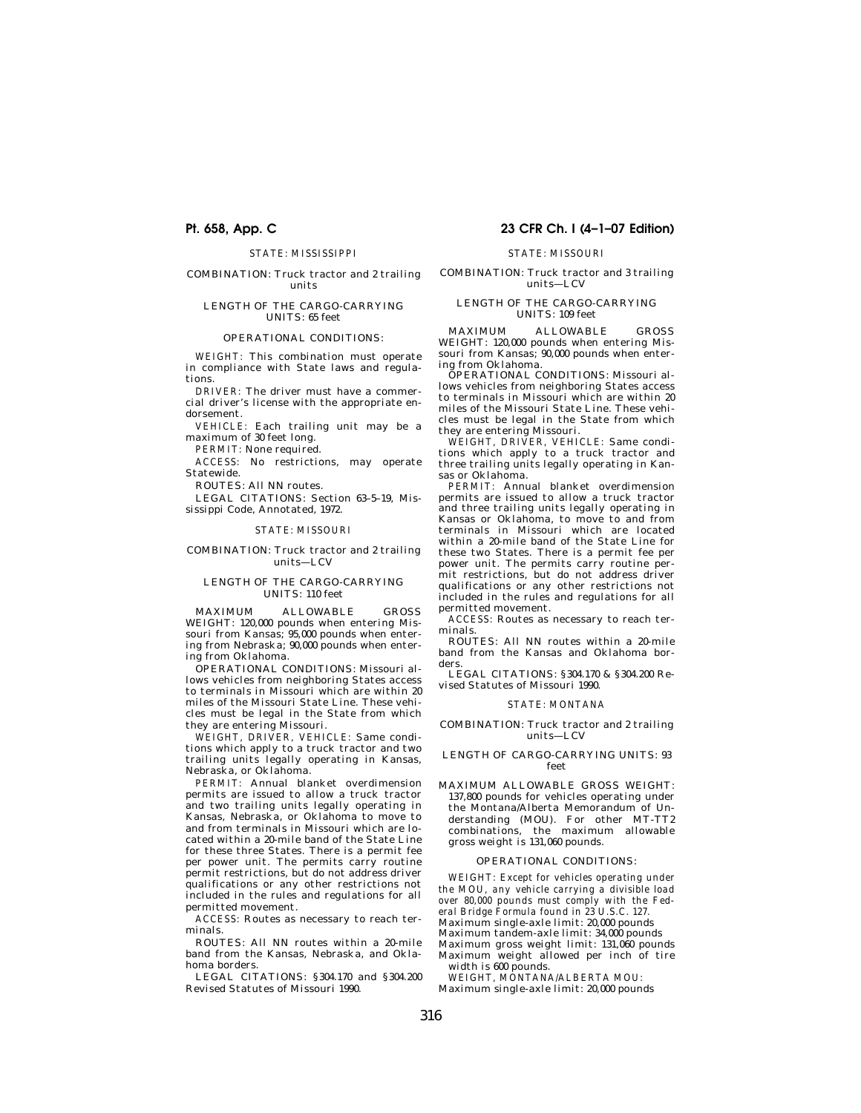# *STATE: MISSISSIPPI*

#### COMBINATION: Truck tractor and 2 trailing units

# LENGTH OF THE CARGO-CARRYING UNITS: 65 feet

# OPERATIONAL CONDITIONS:

*WEIGHT:* This combination must operate in compliance with State laws and regulations.

*DRIVER:* The driver must have a commercial driver's license with the appropriate endorsement.

*VEHICLE:* Each trailing unit may be a maximum of 30 feet long.

*PERMIT:* None required.

*ACCESS:* No restrictions, may operate Statewide.

ROUTES: All NN routes.

LEGAL CITATIONS: Section 63–5–19, Mississippi Code, Annotated, 1972.

#### *STATE: MISSOURI*

#### COMBINATION: Truck tractor and 2 trailing units—LCV

# LENGTH OF THE CARGO-CARRYING UNITS: 110 feet

MAXIMUM ALLOWABLE GROSS WEIGHT: 120,000 pounds when entering Missouri from Kansas; 95,000 pounds when entering from Nebraska; 90,000 pounds when entering from Oklahoma.

OPERATIONAL CONDITIONS: Missouri allows vehicles from neighboring States access to terminals in Missouri which are within 20 miles of the Missouri State Line. These vehicles must be legal in the State from which they are entering Missouri.

*WEIGHT, DRIVER, VEHICLE:* Same conditions which apply to a truck tractor and two trailing units legally operating in Kansas, Nebraska, or Oklahoma.

*PERMIT:* Annual blanket overdimension permits are issued to allow a truck tractor and two trailing units legally operating in Kansas, Nebraska, or Oklahoma to move to and from terminals in Missouri which are located within a 20-mile band of the State Line for these three States. There is a permit fee per power unit. The permits carry routine permit restrictions, but do not address driver qualifications or any other restrictions not included in the rules and regulations for all permitted movement.

*ACCESS:* Routes as necessary to reach terminals.

ROUTES: All NN routes within a 20-mile band from the Kansas, Nebraska, and Oklahoma borders.

LEGAL CITATIONS: §304.170 and §304.200 Revised Statutes of Missouri 1990.

# **Pt. 658, App. C 23 CFR Ch. I (4–1–07 Edition)**

# *STATE: MISSOURI*

#### COMBINATION: Truck tractor and 3 trailing units—LCV

# LENGTH OF THE CARGO-CARRYING UNITS: 109 feet

MAXIMUM ALLOWABLE GROSS WEIGHT: 120,000 pounds when entering Missouri from Kansas; 90,000 pounds when entering from Oklahoma.

OPERATIONAL CONDITIONS: Missouri allows vehicles from neighboring States access to terminals in Missouri which are within 20 miles of the Missouri State Line. These vehicles must be legal in the State from which they are entering Missouri. *WEIGHT, DRIVER, VEHICLE:* Same condi-

tions which apply to a truck tractor and three trailing units legally operating in Kansas or Oklahoma.

*PERMIT:* Annual blanket overdimension permits are issued to allow a truck tractor and three trailing units legally operating in Kansas or Oklahoma, to move to and from terminals in Missouri which are located within a 20-mile band of the State Line for these two States. There is a permit fee per power unit. The permits carry routine permit restrictions, but do not address driver qualifications or any other restrictions not included in the rules and regulations for all permitted movement.

*ACCESS:* Routes as necessary to reach terminals.

ROUTES: All NN routes within a 20-mile band from the Kansas and Oklahoma borders.

LEGAL CITATIONS: §304.170 & §304.200 Revised Statutes of Missouri 1990.

#### *STATE: MONTANA*

# COMBINATION: Truck tractor and 2 trailing units—LCV

#### LENGTH OF CARGO-CARRYING UNITS: 93 feet

MAXIMUM ALLOWABLE GROSS WEIGHT: 137,800 pounds for vehicles operating under the Montana/Alberta Memorandum of Understanding (MOU). For other MT-TT2 combinations, the maximum allowable gross weight is 131,060 pounds.

# OPERATIONAL CONDITIONS:

*WEIGHT: Except for vehicles operating under the MOU, any vehicle carrying a divisible load over 80,000 pounds must comply with the Federal Bridge Formula found in 23 U.S.C. 127.*  Maximum single-axle limit: 20,000 pounds Maximum tandem-axle limit: 34,000 pounds Maximum gross weight limit: 131,060 pounds Maximum weight allowed per inch of tire

width is 600 pounds. *WEIGHT, MONTANA/ALBERTA MOU:*  Maximum single-axle limit: 20,000 pounds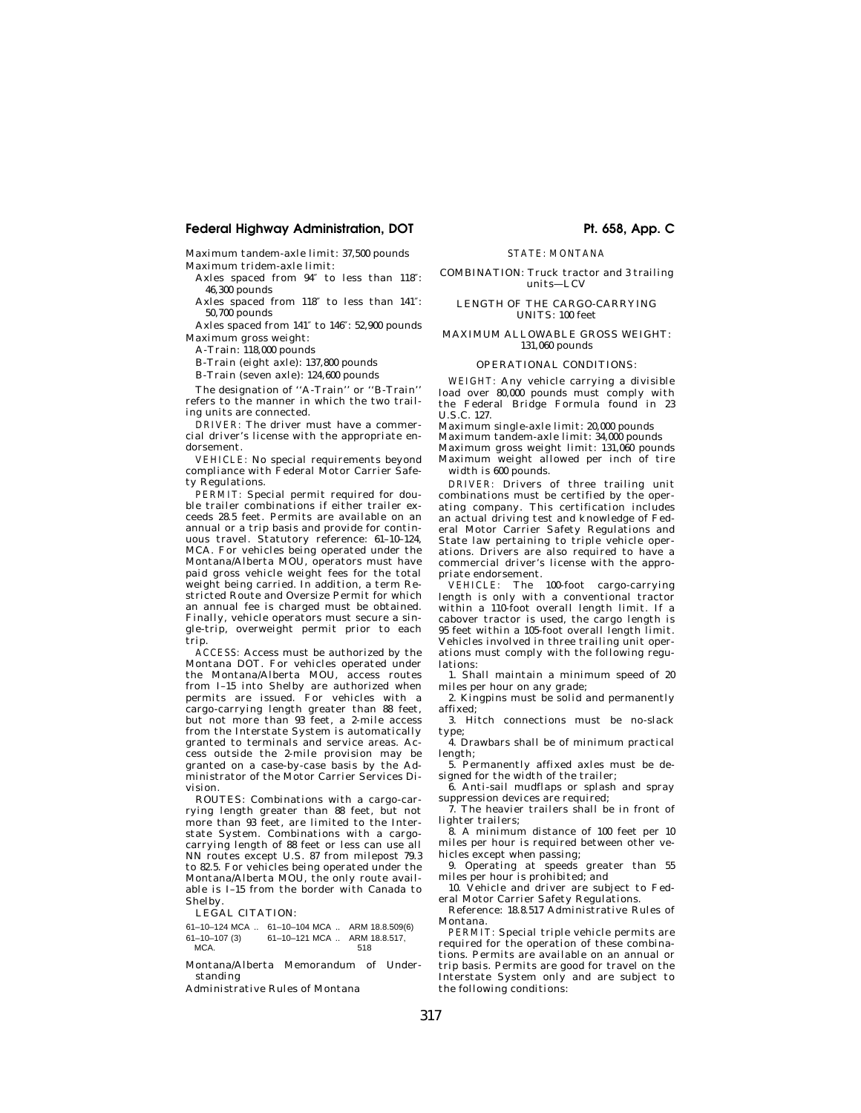# Federal Highway Administration, DOT **Pr. 658, App. C**

Maximum tandem-axle limit: 37,500 pounds Maximum tridem-axle limit:

Axles spaced from 94″ to less than 118″: 46,300 pounds

Axles spaced from 118″ to less than 141″: 50,700 pounds

Axles spaced from 141″ to 146″: 52,900 pounds Maximum gross weight:

A-Train: 118,000 pounds

B-Train (eight axle): 137,800 pounds

B-Train (seven axle): 124,600 pounds

The designation of ''A-Train'' or ''B-Train'' refers to the manner in which the two trailing units are connected.

*DRIVER:* The driver must have a commercial driver's license with the appropriate endorsement.

*VEHICLE:* No special requirements beyond compliance with Federal Motor Carrier Safety Regulations.

*PERMIT:* Special permit required for double trailer combinations if either trailer exceeds 28.5 feet. Permits are available on an annual or a trip basis and provide for continuous travel. Statutory reference: 61–10–124, MCA. For vehicles being operated under the Montana/Alberta MOU, operators must have paid gross vehicle weight fees for the total weight being carried. In addition, a term Restricted Route and Oversize Permit for which an annual fee is charged must be obtained. Finally, vehicle operators must secure a single-trip, overweight permit prior to each trip.

*ACCESS:* Access must be authorized by the Montana DOT. For vehicles operated under the Montana/Alberta MOU, access routes from I–15 into Shelby are authorized when permits are issued. For vehicles with a cargo-carrying length greater than 88 feet, but not more than 93 feet, a 2-mile access from the Interstate System is automatically granted to terminals and service areas. Access outside the 2-mile provision may be granted on a case-by-case basis by the Administrator of the Motor Carrier Services Division.

ROUTES: Combinations with a cargo-carrying length greater than 88 feet, but not more than 93 feet, are limited to the Interstate System. Combinations with a cargocarrying length of 88 feet or less can use all NN routes except U.S. 87 from milepost 79.3 to 82.5. For vehicles being operated under the Montana/Alberta MOU, the only route available is I–15 from the border with Canada to Shelby.

LEGAL CITATION:

61–10–124 MCA .. 61–10–104 MCA .. ARM 18.8.509(6) 61–10–107 (3) MCA. 61–10–121 MCA .. ARM 18.8.517, 518

Montana/Alberta Memorandum of Understanding

Administrative Rules of Montana

# *STATE: MONTANA*

# COMBINATION: Truck tractor and 3 trailing units—LCV

# LENGTH OF THE CARGO-CARRYING UNITS: 100 feet

# MAXIMUM ALLOWABLE GROSS WEIGHT: 131,060 pounds

#### OPERATIONAL CONDITIONS:

*WEIGHT:* Any vehicle carrying a divisible load over 80,000 pounds must comply with the Federal Bridge Formula found in 23 U.S.C. 127.

Maximum single-axle limit: 20,000 pounds Maximum tandem-axle limit: 34,000 pounds Maximum gross weight limit: 131,060 pounds Maximum weight allowed per inch of tire width is 600 pounds.

*DRIVER:* Drivers of three trailing unit combinations must be certified by the operating company. This certification includes an actual driving test and knowledge of Federal Motor Carrier Safety Regulations and State law pertaining to triple vehicle operations. Drivers are also required to have a commercial driver's license with the appropriate endorsement.

*VEHICLE:* The 100-foot cargo-carrying length is only with a conventional tractor within a 110-foot overall length limit. If a cabover tractor is used, the cargo length is 95 feet within a 105-foot overall length limit. Vehicles involved in three trailing unit operations must comply with the following regulations:

1. Shall maintain a minimum speed of 20 miles per hour on any grade;

2. Kingpins must be solid and permanently affixed;

3. Hitch connections must be no-slack type;

4. Drawbars shall be of minimum practical length;

5. Permanently affixed axles must be designed for the width of the trailer;

6. Anti-sail mudflaps or splash and spray suppression devices are required;

7. The heavier trailers shall be in front of lighter trailers;

8. A minimum distance of 100 feet per 10 miles per hour is required between other ve-

hicles except when passing; 9. Operating at speeds greater than 55 miles per hour is prohibited; and

10. Vehicle and driver are subject to Federal Motor Carrier Safety Regulations.

Reference: 18.8.517 Administrative Rules of Montana.

*PERMIT:* Special triple vehicle permits are required for the operation of these combinations. Permits are available on an annual or trip basis. Permits are good for travel on the Interstate System only and are subject to the following conditions: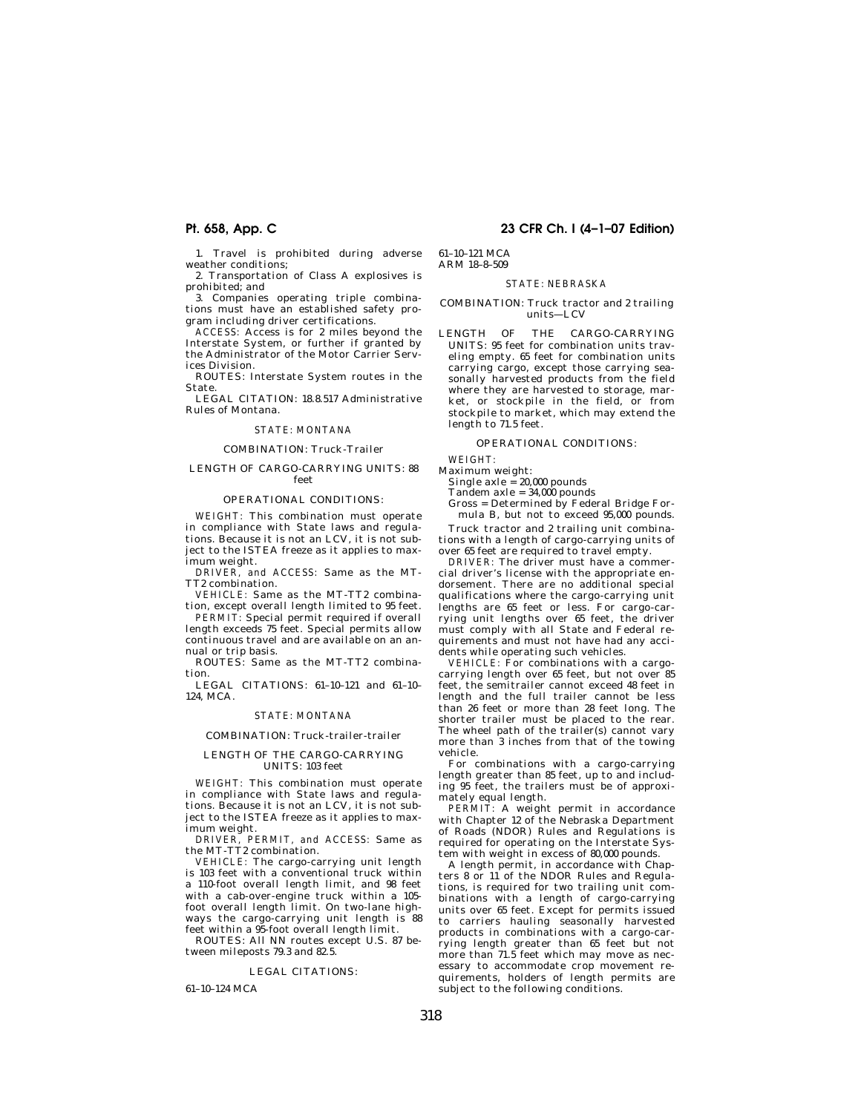1. Travel is prohibited during adverse weather conditions;

2. Transportation of Class A explosives is prohibited; and

3. Companies operating triple combinations must have an established safety program including driver certifications.

*ACCESS:* Access is for 2 miles beyond the Interstate System, or further if granted by the Administrator of the Motor Carrier Services Division.

ROUTES: Interstate System routes in the State.

LEGAL CITATION: 18.8.517 Administrative Rules of Montana.

#### *STATE: MONTANA*

# COMBINATION: Truck-Trailer

### LENGTH OF CARGO-CARRYING UNITS: 88 feet

# OPERATIONAL CONDITIONS:

*WEIGHT:* This combination must operate in compliance with State laws and regulations. Because it is not an LCV, it is not subject to the ISTEA freeze as it applies to maximum weight.

*DRIVER, and ACCESS:* Same as the MT-TT2 combination.

*VEHICLE:* Same as the MT-TT2 combination, except overall length limited to 95 feet.

*PERMIT:* Special permit required if overall length exceeds 75 feet. Special permits allow continuous travel and are available on an annual or trip basis.

ROUTES: Same as the MT-TT2 combination.

LEGAL CITATIONS: 61–10–121 and 61–10– 124, MCA.

# *STATE: MONTANA*

# COMBINATION: Truck-trailer-trailer

# LENGTH OF THE CARGO-CARRYING UNITS: 103 feet

*WEIGHT:* This combination must operate in compliance with State laws and regulations. Because it is not an LCV, it is not subject to the ISTEA freeze as it applies to maximum weight.

*DRIVER, PERMIT, and ACCESS:* Same as the MT-TT2 combination.

*VEHICLE:* The cargo-carrying unit length is 103 feet with a conventional truck within a 110-foot overall length limit, and 98 feet with a cab-over-engine truck within a 105 foot overall length limit. On two-lane highways the cargo-carrying unit length is 88 feet within a 95-foot overall length limit.

ROUTES: All NN routes except U.S. 87 between mileposts 79.3 and 82.5.

# LEGAL CITATIONS:

61–10–124 MCA

# **Pt. 658, App. C 23 CFR Ch. I (4–1–07 Edition)**

61–10–121 MCA

# ARM 18–8–509

# *STATE: NEBRASKA*

# COMBINATION: Truck tractor and 2 trailing units—LCV

LENGTH OF THE CARGO-CARRYING UNITS: 95 feet for combination units traveling empty. 65 feet for combination units carrying cargo, except those carrying seasonally harvested products from the field where they are harvested to storage, market, or stockpile in the field, or from stockpile to market, which may extend the length to 71.5 feet.

# OPERATIONAL CONDITIONS:

*WEIGHT:* 

Maximum weight:

Single  $axle = 20,000$  pounds

Tandem  $axle = 34,000$  pounds

Gross = Determined by Federal Bridge Formula B, but not to exceed 95,000 pounds.

Truck tractor and 2 trailing unit combinations with a length of cargo-carrying units of over 65 feet are required to travel empty.

*DRIVER:* The driver must have a commercial driver's license with the appropriate endorsement. There are no additional special qualifications where the cargo-carrying unit lengths are 65 feet or less. For cargo-carrying unit lengths over 65 feet, the driver must comply with all State and Federal requirements and must not have had any accidents while operating such vehicles.

*VEHICLE:* For combinations with a cargocarrying length over 65 feet, but not over feet, the semitrailer cannot exceed 48 feet in length and the full trailer cannot be less than 26 feet or more than 28 feet long. The shorter trailer must be placed to the rear. The wheel path of the trailer(s) cannot vary more than 3 inches from that of the towing vehicle.

For combinations with a cargo-carrying length greater than 85 feet, up to and including 95 feet, the trailers must be of approximately equal length.

*PERMIT:* A weight permit in accordance with Chapter 12 of the Nebraska Department of Roads (NDOR) Rules and Regulations is required for operating on the Interstate System with weight in excess of 80,000 pounds.

A length permit, in accordance with Chapters 8 or 11 of the NDOR Rules and Regulations, is required for two trailing unit combinations with a length of cargo-carrying units over 65 feet. Except for permits issued to carriers hauling seasonally harvested products in combinations with a cargo-carrying length greater than 65 feet but not more than 71.5 feet which may move as necessary to accommodate crop movement requirements, holders of length permits are subject to the following conditions.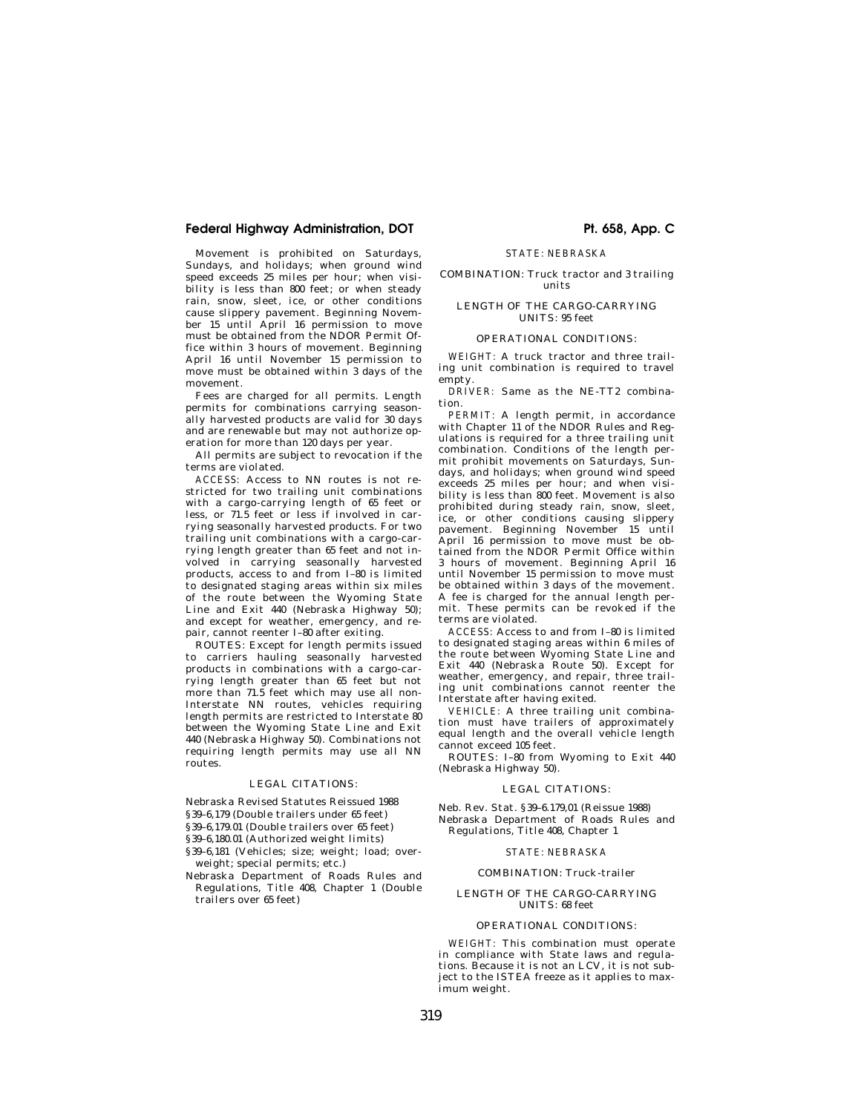# Federal Highway Administration, DOT **Pr. 658, App. C**

Movement is prohibited on Saturdays, Sundays, and holidays; when ground wind speed exceeds 25 miles per hour; when visibility is less than 800 feet; or when steady rain, snow, sleet, ice, or other conditions cause slippery pavement. Beginning November 15 until April 16 permission to move must be obtained from the NDOR Permit Office within 3 hours of movement. Beginning April 16 until November 15 permission to move must be obtained within 3 days of the movement.

Fees are charged for all permits. Length permits for combinations carrying seasonally harvested products are valid for 30 days and are renewable but may not authorize operation for more than 120 days per year.

All permits are subject to revocation if the terms are violated.

*ACCESS:* Access to NN routes is not restricted for two trailing unit combinations with a cargo-carrying length of 65 feet or less, or 71.5 feet or less if involved in carrying seasonally harvested products. For two trailing unit combinations with a cargo-carrying length greater than 65 feet and not involved in carrying seasonally harvested products, access to and from I–80 is limited to designated staging areas within six miles of the route between the Wyoming State Line and Exit 440 (Nebraska Highway 50); and except for weather, emergency, and repair, cannot reenter I–80 after exiting.

ROUTES: Except for length permits issued to carriers hauling seasonally harvested products in combinations with a cargo-carrying length greater than 65 feet but not more than 71.5 feet which may use all non-Interstate NN routes, vehicles requiring length permits are restricted to Interstate 80 between the Wyoming State Line and Exit 440 (Nebraska Highway 50). Combinations not requiring length permits may use all NN routes.

# LEGAL CITATIONS:

Nebraska Revised Statutes Reissued 1988

§39–6,179 (Double trailers under 65 feet)

§39–6,179.01 (Double trailers over 65 feet)

§39–6,180.01 (Authorized weight limits) §39–6,181 (Vehicles; size; weight; load; over-

- weight; special permits; etc.)
- Nebraska Department of Roads Rules and Regulations, Title 408, Chapter 1 (Double trailers over 65 feet)

# *STATE: NEBRASKA*

# COMBINATION: Truck tractor and 3 trailing units

# LENGTH OF THE CARGO-CARRYING UNITS: 95 feet

### OPERATIONAL CONDITIONS:

*WEIGHT:* A truck tractor and three trailing unit combination is required to travel empty.

*DRIVER:* Same as the NE-TT2 combination.

*PERMIT:* A length permit, in accordance with Chapter 11 of the NDOR Rules and Regulations is required for a three trailing unit combination. Conditions of the length permit prohibit movements on Saturdays, Sundays, and holidays; when ground wind speed exceeds 25 miles per hour; and when visibility is less than 800 feet. Movement is also prohibited during steady rain, snow, sleet, ice, or other conditions causing slippery pavement. Beginning November 15 until April 16 permission to move must be obtained from the NDOR Permit Office within 3 hours of movement. Beginning April 16 until November 15 permission to move must be obtained within<sup>3</sup> days of the movement. A fee is charged for the annual length permit. These permits can be revoked if the terms are violated.

*ACCESS:* Access to and from I–80 is limited to designated staging areas within 6 miles of the route between Wyoming State Line and Exit 440 (Nebraska Route 50). Except for weather, emergency, and repair, three trailing unit combinations cannot reenter the Interstate after having exited.

*VEHICLE:* A three trailing unit combination must have trailers of approximately equal length and the overall vehicle length cannot exceed 105 feet.

ROUTES: I–80 from Wyoming to Exit 440 (Nebraska Highway 50).

### LEGAL CITATIONS:

Neb. Rev. Stat. §39–6.179,01 (Reissue 1988) Nebraska Department of Roads Rules and Regulations, Title 408, Chapter 1

# *STATE: NEBRASKA*

# COMBINATION: Truck-trailer

#### LENGTH OF THE CARGO-CARRYING UNITS: 68 feet

# OPERATIONAL CONDITIONS:

*WEIGHT:* This combination must operate in compliance with State laws and regulations. Because it is not an LCV, it is not subject to the ISTEA freeze as it applies to maximum weight.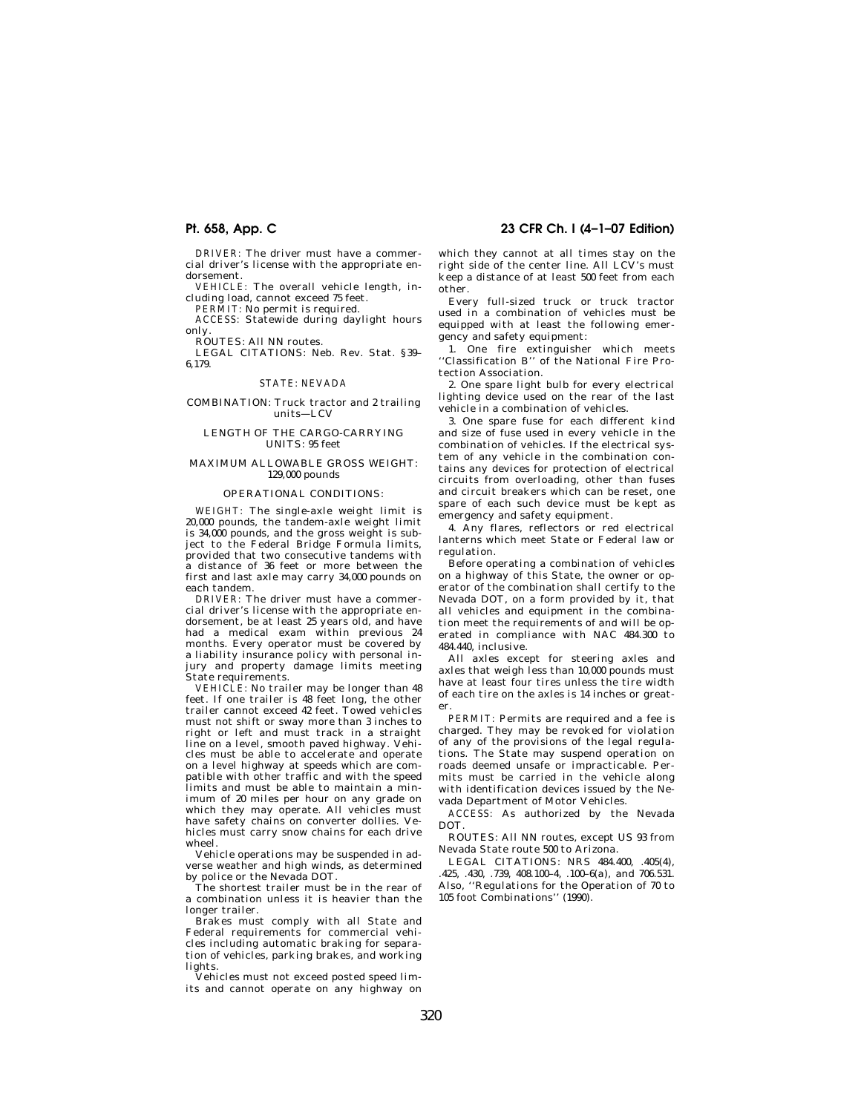*DRIVER:* The driver must have a commercial driver's license with the appropriate endorsement.

*VEHICLE:* The overall vehicle length, including load, cannot exceed 75 feet.

*PERMIT:* No permit is required.

*ACCESS:* Statewide during daylight hours only. ROUTES: All NN routes.

LEGAL CITATIONS: Neb. Rev. Stat. §39– 6,179.

# *STATE: NEVADA*

# COMBINATION: Truck tractor and 2 trailing units—LCV

#### LENGTH OF THE CARGO-CARRYING UNITS: 95 feet

# MAXIMUM ALLOWABLE GROSS WEIGHT: 129,000 pounds

# OPERATIONAL CONDITIONS:

*WEIGHT:* The single-axle weight limit is 20,000 pounds, the tandem-axle weight limit is 34,000 pounds, and the gross weight is subject to the Federal Bridge Formula limits, provided that two consecutive tandems with a distance of 36 feet or more between the first and last axle may carry 34,000 pounds on each tandem.

*DRIVER:* The driver must have a commercial driver's license with the appropriate endorsement, be at least 25 years old, and have had a medical exam within previous 24 months. Every operator must be covered by a liability insurance policy with personal in-jury and property damage limits meeting

State requirements. *VEHICLE:* No trailer may be longer than 48 feet. If one trailer is 48 feet long, the other trailer cannot exceed 42 feet. Towed vehicles must not shift or sway more than 3 inches to right or left and must track in a straight line on a level, smooth paved highway. Vehicles must be able to accelerate and operate on a level highway at speeds which are compatible with other traffic and with the speed limits and must be able to maintain a minimum of 20 miles per hour on any grade on which they may operate. All vehicles must have safety chains on converter dollies. Vehicles must carry snow chains for each drive wheel.

Vehicle operations may be suspended in adverse weather and high winds, as determined by police or the Nevada DOT.

The shortest trailer must be in the rear of a combination unless it is heavier than the longer trailer.

Brakes must comply with all State and Federal requirements for commercial vehicles including automatic braking for separation of vehicles, parking brakes, and working lights.

Vehicles must not exceed posted speed limits and cannot operate on any highway on

# **Pt. 658, App. C 23 CFR Ch. I (4–1–07 Edition)**

which they cannot at all times stay on the right side of the center line. All LCV's must keep a distance of at least 500 feet from each other.

Every full-sized truck or truck tractor used in a combination of vehicles must be equipped with at least the following emergency and safety equipment:

1. One fire extinguisher which meets ''Classification B'' of the National Fire Protection Association.

2. One spare light bulb for every electrical lighting device used on the rear of the last vehicle in a combination of vehicles.

3. One spare fuse for each different kind and size of fuse used in every vehicle in the combination of vehicles. If the electrical system of any vehicle in the combination contains any devices for protection of electrical circuits from overloading, other than fuses and circuit breakers which can be reset, one spare of each such device must be kept as emergency and safety equipment.

4. Any flares, reflectors or red electrical lanterns which meet State or Federal law or regulation.

Before operating a combination of vehicles on a highway of this State, the owner or operator of the combination shall certify to the Nevada DOT, on a form provided by it, that all vehicles and equipment in the combination meet the requirements of and will be operated in compliance with NAC 484.300 to 484.440, inclusive.

All axles except for steering axles and axles that weigh less than 10,000 pounds must have at least four tires unless the tire width of each tire on the axles is 14 inches or greater.

PERMIT: Permits are required and a fee is charged. They may be revoked for violation of any of the provisions of the legal regulations. The State may suspend operation on roads deemed unsafe or impracticable. Permits must be carried in the vehicle along with identification devices issued by the Nevada Department of Motor Vehicles.

*ACCESS:* As authorized by the Nevada DOT.

ROUTES: All NN routes, except US 93 from Nevada State route 500 to Arizona.

LEGAL CITATIONS: NRS 484.400, .405(4), .425, .430, .739, 408.100–4, .100–6(a), and 706.531. Also, ''Regulations for the Operation of 70 to 105 foot Combinations'' (1990).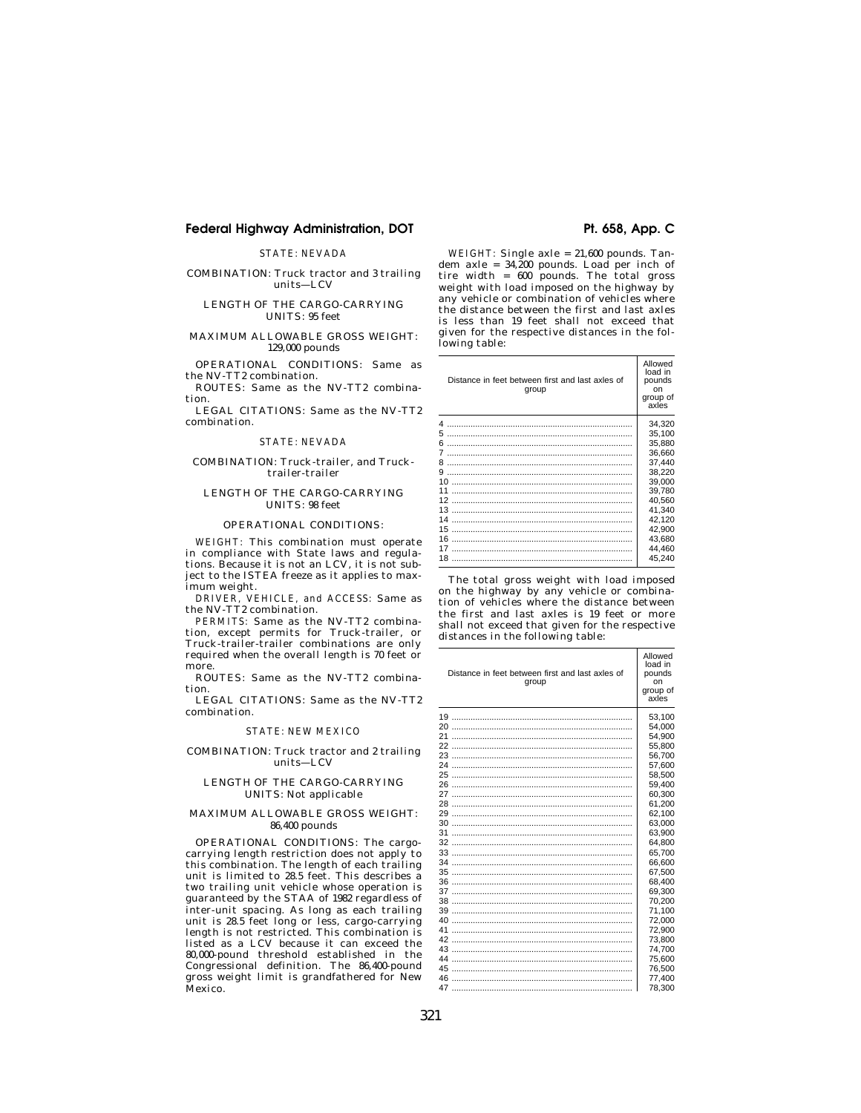# Federal Highway Administration, DOT **Philopheral Philosopheral Philosophera** Pt. 658, App. C

#### *STATE: NEVADA*

# COMBINATION: Truck tractor and 3 trailing units—LCV

# LENGTH OF THE CARGO-CARRYING UNITS: 95 feet

# MAXIMUM ALLOWABLE GROSS WEIGHT: 129,000 pounds

OPERATIONAL CONDITIONS: Same as the NV-TT2 combination.

ROUTES: Same as the NV-TT2 combination.

LEGAL CITATIONS: Same as the NV-TT2 combination.

# *STATE: NEVADA*

# COMBINATION: Truck-trailer, and Trucktrailer-trailer

# LENGTH OF THE CARGO-CARRYING UNITS: 98 feet

# OPERATIONAL CONDITIONS:

*WEIGHT:* This combination must operate in compliance with State laws and regulations. Because it is not an LCV, it is not subject to the ISTEA freeze as it applies to maximum weight.

*DRIVER, VEHICLE, and ACCESS:* Same as the NV-TT2 combination.

*PERMITS:* Same as the NV-TT2 combination, except permits for Truck-trailer, or Truck-trailer-trailer combinations are only required when the overall length is 70 feet or more.

ROUTES: Same as the NV-TT2 combination.

LEGAL CITATIONS: Same as the NV-TT2 combination.

# *STATE: NEW MEXICO*

COMBINATION: Truck tractor and 2 trailing units—LCV

# LENGTH OF THE CARGO-CARRYING UNITS: Not applicable

# MAXIMUM ALLOWABLE GROSS WEIGHT: 86,400 pounds

OPERATIONAL CONDITIONS: The cargocarrying length restriction does not apply to this combination. The length of each trailing unit is limited to 28.5 feet. This describes a two trailing unit vehicle whose operation is guaranteed by the STAA of 1982 regardless of inter-unit spacing. As long as each trailing unit is 28.5 feet long or less, cargo-carrying length is not restricted. This combination is listed as a LCV because it can exceed the 80,000-pound threshold established in the Congressional definition. The 86,400-pound gross weight limit is grandfathered for New Mexico.

*WEIGHT:* Single axle = 21,600 pounds. Tandem axle = 34,200 pounds. Load per inch of tire width = 600 pounds. The total gross weight with load imposed on the highway by any vehicle or combination of vehicles where the distance between the first and last axles is less than 19 feet shall not exceed that given for the respective distances in the following table:

| Distance in feet between first and last axles of<br>group | Allowed<br>load in<br>pounds<br>on<br>group of<br>axles |
|-----------------------------------------------------------|---------------------------------------------------------|
|                                                           | 34.320                                                  |
|                                                           | 35,100                                                  |
|                                                           | 35.880                                                  |
| 7                                                         | 36.660                                                  |
| 8                                                         | 37.440                                                  |
| 9                                                         | 38.220                                                  |
| 10                                                        | 39.000                                                  |
| 11                                                        | 39.780                                                  |
| 12                                                        | 40.560                                                  |
|                                                           | 41.340                                                  |
| 14                                                        | 42.120                                                  |
| 15                                                        | 42.900                                                  |
| 16                                                        | 43.680                                                  |
| 17                                                        | 44.460                                                  |
| 18                                                        | 45.240                                                  |
|                                                           |                                                         |

The total gross weight with load imposed on the highway by any vehicle or combination of vehicles where the distance between the first and last axles is 19 feet or more shall not exceed that given for the respective distances in the following table:

| Distance in feet between first and last axles of<br>group | Allowed<br>load in<br>pounds<br>on<br>group of<br>axles |
|-----------------------------------------------------------|---------------------------------------------------------|
|                                                           | 53,100                                                  |
|                                                           | 54,000                                                  |
| 21                                                        | 54.900                                                  |
|                                                           | 55.800                                                  |
|                                                           | 56.700                                                  |
|                                                           | 57.600                                                  |
|                                                           | 58,500                                                  |
|                                                           | 59.400                                                  |
| 27                                                        | 60.300                                                  |
|                                                           | 61.200                                                  |
| 29                                                        | 62,100                                                  |
| 30                                                        | 63,000                                                  |
| 31                                                        | 63.900                                                  |
|                                                           | 64.800                                                  |
|                                                           | 65.700                                                  |
|                                                           | 66,600                                                  |
|                                                           | 67,500                                                  |
|                                                           | 68.400                                                  |
|                                                           | 69,300                                                  |
|                                                           | 70,200                                                  |
|                                                           | 71,100                                                  |
| 40                                                        | 72,000                                                  |
| 41                                                        | 72.900                                                  |
|                                                           | 73,800                                                  |
|                                                           | 74.700                                                  |
|                                                           | 75,600                                                  |
|                                                           | 76,500                                                  |
|                                                           | 77.400                                                  |
|                                                           | 78.300                                                  |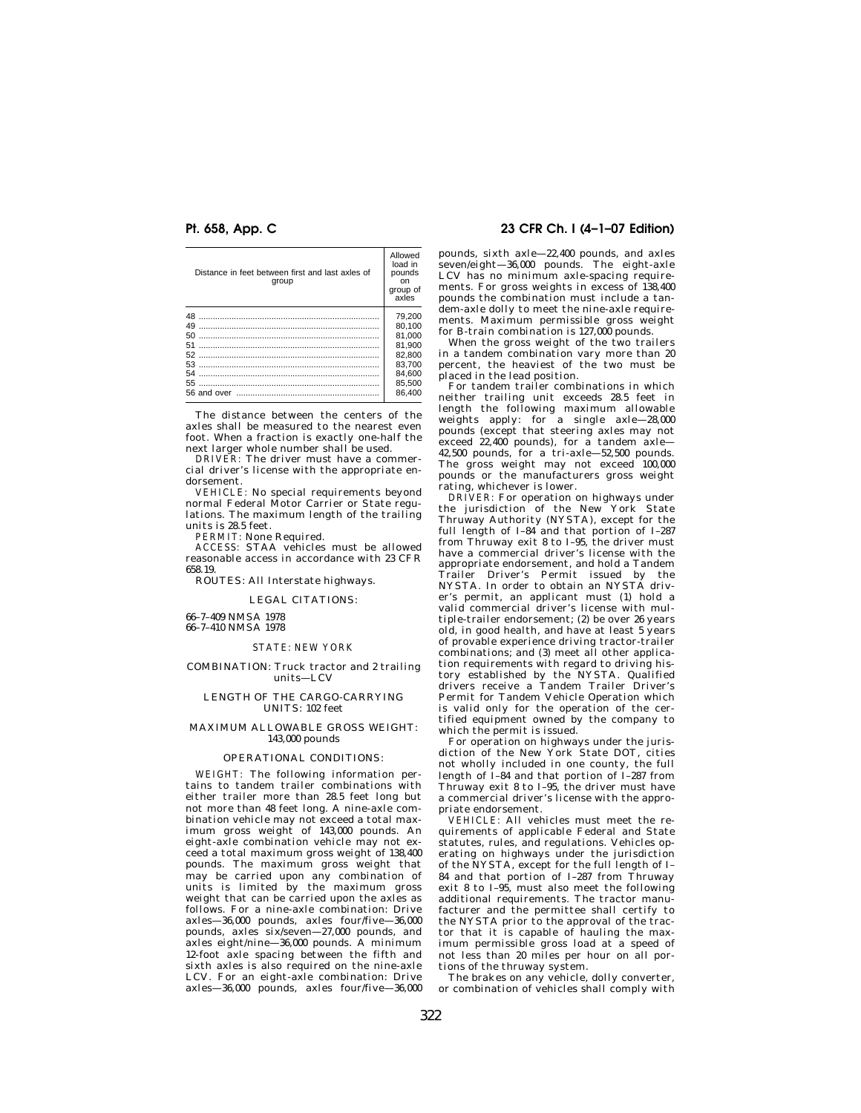| Distance in feet between first and last axles of<br>group | Allowed<br>load in<br>pounds<br>on<br>group of<br>axles |
|-----------------------------------------------------------|---------------------------------------------------------|
|                                                           | 79.200                                                  |
| 49                                                        | 80.100                                                  |
| 50                                                        | 81.000                                                  |
| 51                                                        | 81.900                                                  |
|                                                           | 82.800                                                  |
|                                                           | 83.700                                                  |
|                                                           | 84.600                                                  |
|                                                           | 85.500                                                  |
|                                                           | 86.400                                                  |
|                                                           |                                                         |

The distance between the centers of the axles shall be measured to the nearest even foot. When a fraction is exactly one-half the next larger whole number shall be used.

*DRIVER:* The driver must have a commercial driver's license with the appropriate endorsement.

*VEHICLE:* No special requirements beyond normal Federal Motor Carrier or State regulations. The maximum length of the trailing units is 28.5 feet.

*PERMIT:* None Required.

*ACCESS:* STAA vehicles must be allowed reasonable access in accordance with 23 CFR 658.19.

ROUTES: All Interstate highways.

LEGAL CITATIONS:

66–7–409 NMSA 1978

66–7–410 NMSA 1978

# *STATE: NEW YORK*

#### COMBINATION: Truck tractor and 2 trailing units—LCV

# LENGTH OF THE CARGO-CARRYING UNITS: 102 feet

#### MAXIMUM ALLOWABLE GROSS WEIGHT: 143,000 pounds

# OPERATIONAL CONDITIONS:

*WEIGHT:* The following information pertains to tandem trailer combinations with either trailer more than 28.5 feet long but not more than 48 feet long. A nine-axle combination vehicle may not exceed a total maximum gross weight of 143,000 pounds. An eight-axle combination vehicle may not exceed a total maximum gross weight of 138,400 pounds. The maximum gross weight that may be carried upon any combination of units is limited by the maximum gross weight that can be carried upon the axles as follows. For a nine-axle combination: Drive axles—36,000 pounds, axles four/five—36,000 pounds, axles six/seven—27,000 pounds, and axles eight/nine—36,000 pounds. A minimum 12-foot axle spacing between the fifth and sixth axles is also required on the nine-axle LCV. For an eight-axle combination: Drive axles—36,000 pounds, axles four/five—36,000

# **Pt. 658, App. C 23 CFR Ch. I (4–1–07 Edition)**

pounds, sixth axle—22,400 pounds, and axles seven/eight—36,000 pounds. The eight-axle LCV has no minimum axle-spacing requirements. For gross weights in excess of 138,400 pounds the combination must include a tandem-axle dolly to meet the nine-axle requirements. Maximum permissible gross weight for B-train combination is 127,000 pounds.

When the gross weight of the two trailers in a tandem combination vary more than 20 percent, the heaviest of the two must be placed in the lead position.

For tandem trailer combinations in which neither trailing unit exceeds 28.5 feet in length the following maximum allowable weights apply: for a single axle—28,000 pounds (except that steering axles may not  $\frac{1}{2}$ exceed 22,400 pounds), for a tandem axle-42,500 pounds, for a tri-axle—52,500 pounds. The gross weight may not exceed 100,000 pounds or the manufacturers gross weight rating, whichever is lower.

*DRIVER:* For operation on highways under the jurisdiction of the New York State Thruway Authority (NYSTA), except for the full length of I–84 and that portion of I–287 from Thruway exit 8 to I–95, the driver must have a commercial driver's license with the appropriate endorsement, and hold a Tandem Trailer Driver's Permit issued by the NYSTA. In order to obtain an NYSTA driver's permit, an applicant must (1) hold a valid commercial driver's license with multiple-trailer endorsement; (2) be over 26 years old, in good health, and have at least 5 years of provable experience driving tractor-trailer combinations; and (3) meet all other application requirements with regard to driving history established by the NYSTA. Qualified drivers receive a Tandem Trailer Driver's Permit for Tandem Vehicle Operation which is valid only for the operation of the certified equipment owned by the company to which the permit is issued.

For operation on highways under the jurisdiction of the New York State DOT, cities not wholly included in one county, the full length of I–84 and that portion of I–287 from Thruway exit 8 to I–95, the driver must have a commercial driver's license with the appropriate endorsement.

*VEHICLE:* All vehicles must meet the requirements of applicable Federal and State statutes, rules, and regulations. Vehicles operating on highways under the jurisdiction of the NYSTA, except for the full length of I– 84 and that portion of I–287 from Thruway exit 8 to I–95, must also meet the following additional requirements. The tractor manufacturer and the permittee shall certify to the NYSTA prior to the approval of the tractor that it is capable of hauling the maximum permissible gross load at a speed of not less than 20 miles per hour on all portions of the thruway system.

The brakes on any vehicle, dolly converter, or combination of vehicles shall comply with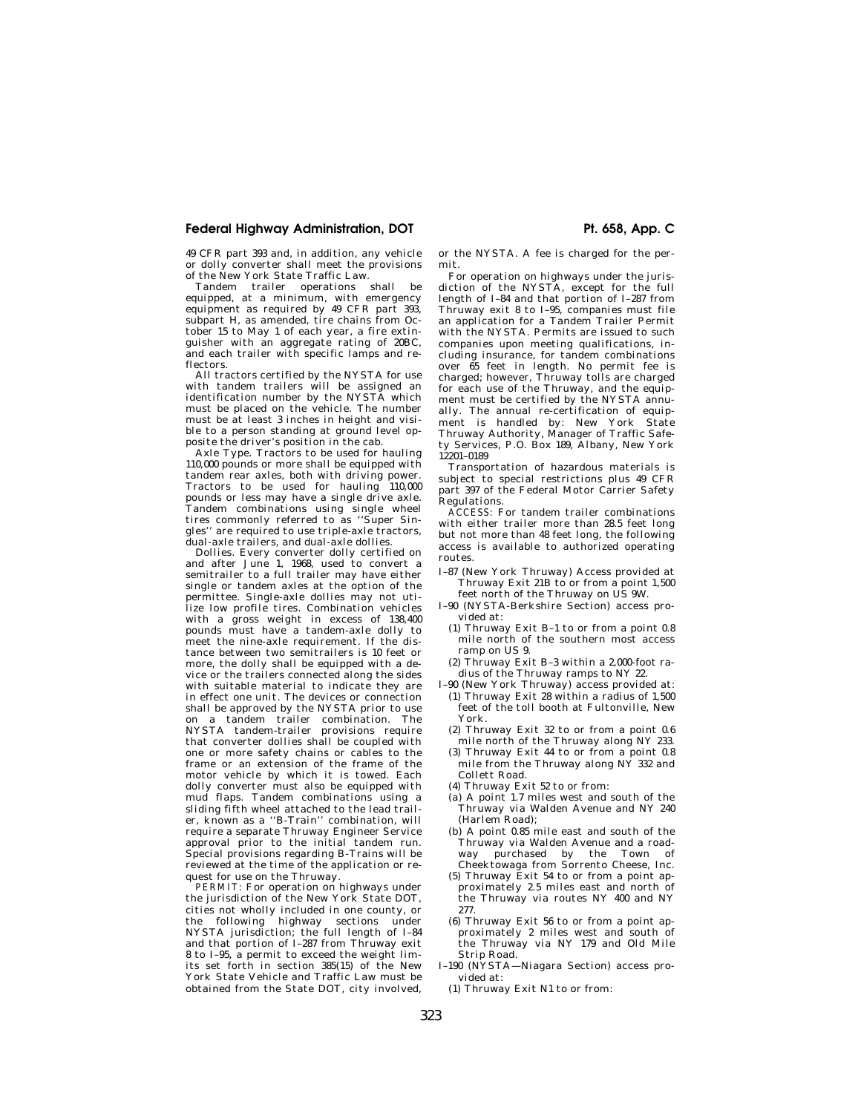# Federal Highway Administration, DOT **Pr. 658, App. C**

49 CFR part 393 and, in addition, any vehicle or dolly converter shall meet the provisions of the New York State Traffic Law.

Tandem trailer operations shall be equipped, at a minimum, with emergency equipment as required by 49 CFR part 393, subpart H, as amended, tire chains from October 15 to May 1 of each year, a fire extinguisher with an aggregate rating of 20BC, and each trailer with specific lamps and reflectors.

All tractors certified by the NYSTA for use with tandem trailers will be assigned an identification number by the NYSTA which must be placed on the vehicle. The number must be at least 3 inches in height and visible to a person standing at ground level opposite the driver's position in the cab.

Axle Type. Tractors to be used for hauling 110,000 pounds or more shall be equipped with tandem rear axles, both with driving power. Tractors to be used for hauling 110,000 pounds or less may have a single drive axle. Tandem combinations using single wheel tires commonly referred to as ''Super Singles'' are required to use triple-axle tractors, dual-axle trailers, and dual-axle dollies.

Dollies. Every converter dolly certified on and after June 1, 1968, used to convert a semitrailer to a full trailer may have either single or tandem axles at the option of the permittee. Single-axle dollies may not utilize low profile tires. Combination vehicles with a gross weight in excess of 138,400 pounds must have a tandem-axle dolly to meet the nine-axle requirement. If the distance between two semitrailers is 10 feet or more, the dolly shall be equipped with a device or the trailers connected along the sides with suitable material to indicate they are in effect one unit. The devices or connection shall be approved by the NYSTA prior to use on a tandem trailer combination. The NYSTA tandem-trailer provisions require that converter dollies shall be coupled with one or more safety chains or cables to the frame or an extension of the frame of the motor vehicle by which it is towed. Each dolly converter must also be equipped with mud flaps. Tandem combinations using a sliding fifth wheel attached to the lead trailer, known as a ''B-Train'' combination, will require a separate Thruway Engineer Service approval prior to the initial tandem run. Special provisions regarding B-Trains will be reviewed at the time of the application or request for use on the Thruway.

*PERMIT:* For operation on highways under the jurisdiction of the New York State DOT, cities not wholly included in one county, or the following highway sections under NYSTA jurisdiction; the full length of I–84 and that portion of I–287 from Thruway exit 8 to I–95, a permit to exceed the weight limits set forth in section 385(15) of the New York State Vehicle and Traffic Law must be obtained from the State DOT, city involved,

or the NYSTA. A fee is charged for the permit.

For operation on highways under the jurisdiction of the NYSTA, except for the full length of I–84 and that portion of I–287 from Thruway exit 8 to I–95, companies must file an application for a Tandem Trailer Permit with the NYSTA. Permits are issued to such companies upon meeting qualifications, including insurance, for tandem combinations over 65 feet in length. No permit fee is charged; however, Thruway tolls are charged for each use of the Thruway, and the equipment must be certified by the NYSTA annually. The annual re-certification of equipment is handled by: New York State Thruway Authority, Manager of Traffic Safety Services, P.O. Box 189, Albany, New York 12201–0189

Transportation of hazardous materials is subject to special restrictions plus 49 CFR part 397 of the Federal Motor Carrier Safety Regulations.

*ACCESS:* For tandem trailer combinations with either trailer more than 28.5 feet long but not more than 48 feet long, the following access is available to authorized operating routes.

- I–87 (New York Thruway) Access provided at Thruway Exit 21B to or from a point 1,500 feet north of the Thruway on US 9W.
- I–90 (NYSTA-Berkshire Section) access provided at:
	- (1) Thruway Exit B–1 to or from a point 0.8 mile north of the southern most access ramp on US 9.
- (2) Thruway Exit B–3 within a 2,000-foot radius of the Thruway ramps to NY 22.
- I–90 (New York Thruway) access provided at: (1) Thruway Exit 28 within a radius of 1,500 feet of the toll booth at Fultonville, New York.
	- (2) Thruway Exit 32 to or from a point 0.6 mile north of the Thruway along NY 233.
	- (3) Thruway Exit 44 to or from a point 0.8 mile from the Thruway along  $N\dot{Y}$  332 and Collett Road.

(4) Thruway Exit 52 to or from:

- (a) A point 1.7 miles west and south of the Thruway via Walden Avenue and NY 240 (Harlem Road);
- (b) A point 0.85 mile east and south of the Thruway via Walden Avenue and a road-<br>way purchased by the Town of way purchased by the Cheektowaga from Sorrento Cheese, Inc.
- (5) Thruway Exit 54 to or from a point approximately 2.5 miles east and north of the Thruway via routes NY 400 and NY 277.
- (6) Thruway Exit 56 to or from a point approximately 2 miles west and south of the Thruway via NY 179 and Old Mile Strip Road.
- I–190 (NYSTA—Niagara Section) access provided at:
	- (1) Thruway Exit N1 to or from: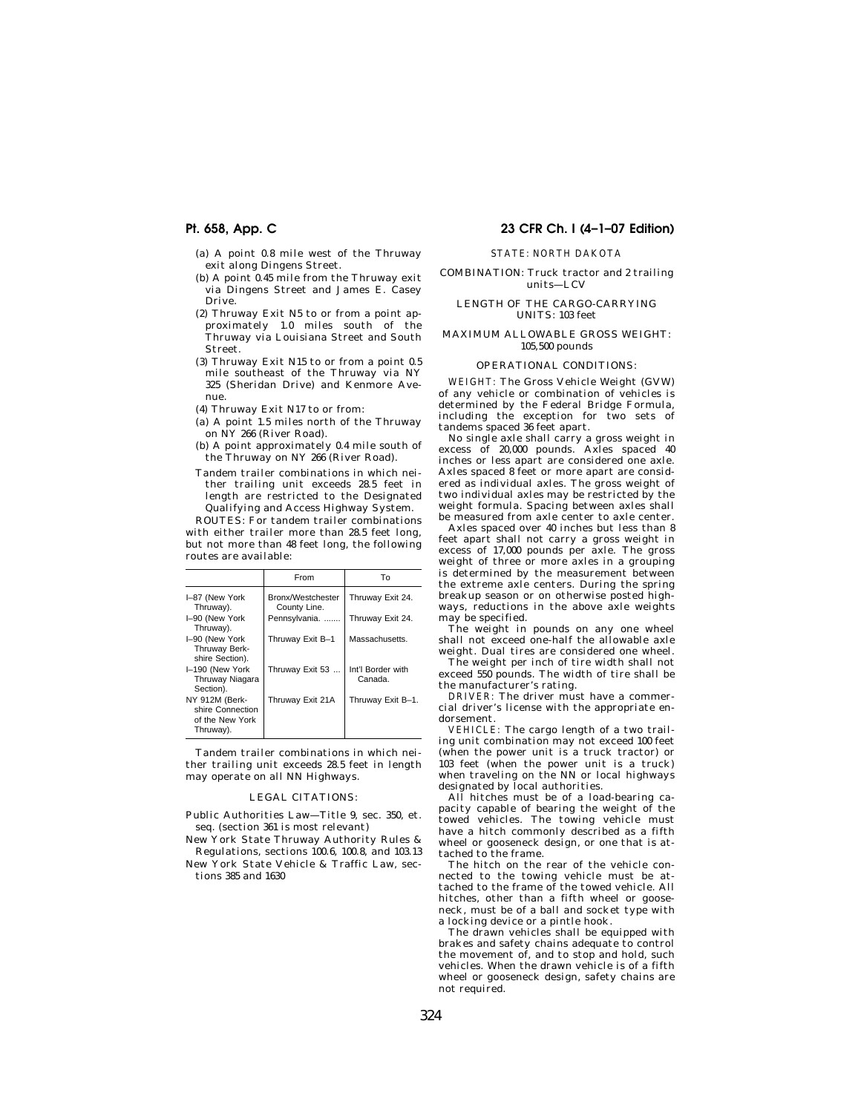(a) A point 0.8 mile west of the Thruway exit along Dingens Street.

- (b) A point 0.45 mile from the Thruway exit via Dingens Street and James E. Casey Drive.
- (2) Thruway Exit N5 to or from a point approximately 1.0 miles south of the Thruway via Louisiana Street and South Street.
- (3) Thruway Exit N15 to or from a point 0.5 mile southeast of the Thruway via NY 325 (Sheridan Drive) and Kenmore Avenue.
- (4) Thruway Exit N17 to or from:
- (a) A point 1.5 miles north of the Thruway on NY 266 (River Road).
- (b) A point approximately 0.4 mile south of the Thruway on NY 266 (River Road).
- Tandem trailer combinations in which neither trailing unit exceeds 28.5 feet in length are restricted to the Designated Qualifying and Access Highway System.

ROUTES: For tandem trailer combinations with either trailer more than 28.5 feet long, but not more than 48 feet long, the following routes are available:

|                                                                    | From                              | To                           |
|--------------------------------------------------------------------|-----------------------------------|------------------------------|
| I-87 (New York<br>Thruway).                                        | Bronx/Westchester<br>County Line. | Thruway Exit 24.             |
| I-90 (New York<br>Thruway).                                        | Pennsylvania.                     | Thruway Exit 24.             |
| I-90 (New York<br>Thruway Berk-<br>shire Section).                 | Thruway Exit B-1                  | Massachusetts.               |
| I-190 (New York<br>Thruway Niagara<br>Section).                    | Thruway Exit 53                   | Int'l Border with<br>Canada. |
| NY 912M (Berk-<br>shire Connection<br>of the New York<br>Thruway). | Thruway Exit 21A                  | Thruway Exit B-1.            |

Tandem trailer combinations in which neither trailing unit exceeds 28.5 feet in length may operate on all NN Highways.

# LEGAL CITATIONS:

- Public Authorities Law—Title 9, sec. 350, et. seq. (section 361 is most relevant)
- New York State Thruway Authority Rules & Regulations, sections 100.6, 100.8, and 103.13 New York State Vehicle & Traffic Law, sec-
- tions 385 and 1630

# **Pt. 658, App. C 23 CFR Ch. I (4–1–07 Edition)**

# *STATE: NORTH DAKOTA*

# COMBINATION: Truck tractor and 2 trailing units—LCV

# LENGTH OF THE CARGO-CARRYING UNITS: 103 feet

# MAXIMUM ALLOWABLE GROSS WEIGHT: 105,500 pounds

#### OPERATIONAL CONDITIONS:

*WEIGHT:* The Gross Vehicle Weight (GVW) of any vehicle or combination of vehicles is determined by the Federal Bridge Formula, including the exception for two sets of tandems spaced 36 feet apart.

No single axle shall carry a gross weight in excess of 20,000 pounds. Axles spaced 40 inches or less apart are considered one axle. Axles spaced 8 feet or more apart are considered as individual axles. The gross weight of two individual axles may be restricted by the weight formula. Spacing between axles shall be measured from axle center to axle center.

Axles spaced over 40 inches but less than 8 feet apart shall not carry a gross weight in excess of 17,000 pounds per axle. The gross weight of three or more axles in a grouping is determined by the measurement between the extreme axle centers. During the spring breakup season or on otherwise posted highways, reductions in the above axle weights may be specified.

The weight in pounds on any one wheel shall not exceed one-half the allowable axle weight. Dual tires are considered one wheel.

The weight per inch of tire width shall not exceed 550 pounds. The width of tire shall be the manufacturer's rating.

*DRIVER:* The driver must have a commercial driver's license with the appropriate endorsement.

*VEHICLE:* The cargo length of a two trailing unit combination may not exceed 100 feet (when the power unit is a truck tractor) or 103 feet (when the power unit is a truck) when traveling on the NN or local highways designated by local authorities.

All hitches must be of a load-bearing capacity capable of bearing the weight of the towed vehicles. The towing vehicle must have a hitch commonly described as a fifth wheel or gooseneck design, or one that is attached to the frame.

The hitch on the rear of the vehicle connected to the towing vehicle must be attached to the frame of the towed vehicle. All hitches, other than a fifth wheel or gooseneck, must be of a ball and socket type with a locking device or a pintle hook.

The drawn vehicles shall be equipped with brakes and safety chains adequate to control the movement of, and to stop and hold, such vehicles. When the drawn vehicle is of a fifth wheel or gooseneck design, safety chains are not required.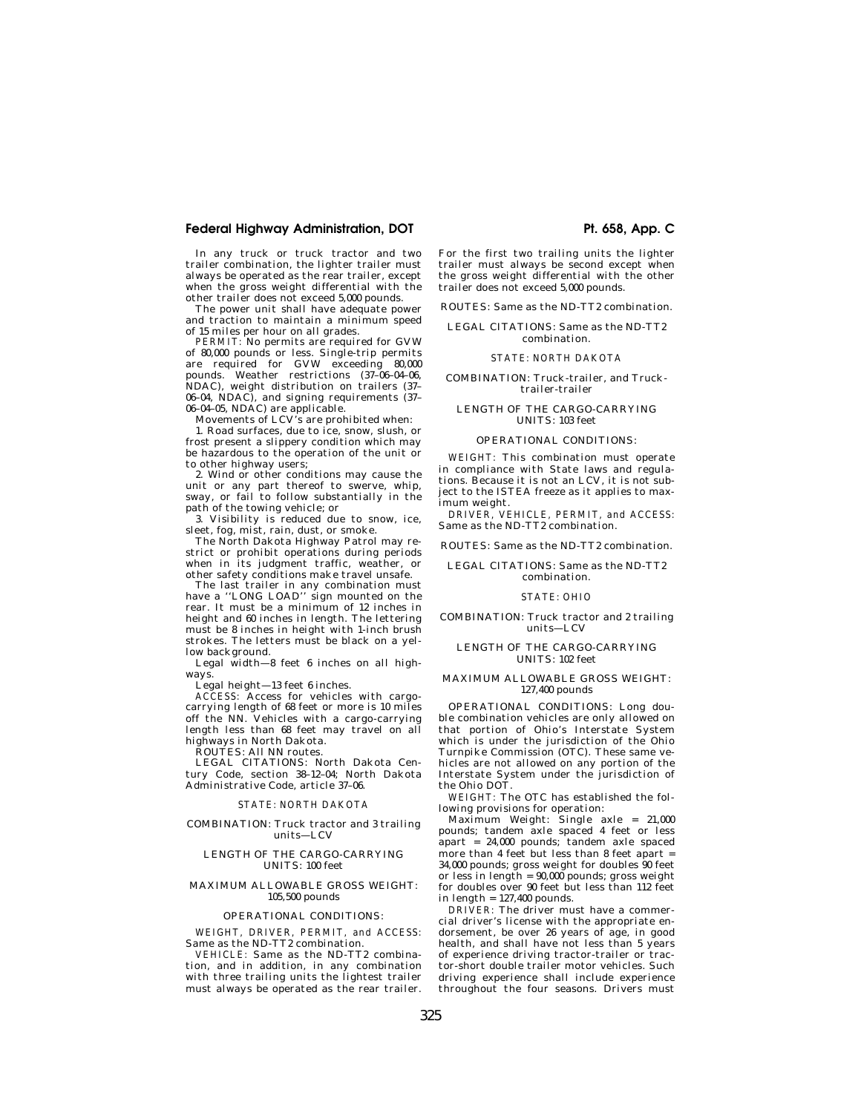# Federal Highway Administration, DOT **Pr. 658, App. C**

In any truck or truck tractor and two trailer combination, the lighter trailer must always be operated as the rear trailer, except when the gross weight differential with the other trailer does not exceed 5,000 pounds.

The power unit shall have adequate power and traction to maintain a minimum speed of 15 miles per hour on all grades.

*PERMIT:* No permits are required for GVW of 80,000 pounds or less. Single-trip permits<br>are required for GVW exceeding 80,000<br>pounds. Weather restrictions (37–06-04–06,<br>NDAC), weight distribution on trailers (37– 06–04, NDAC), and signing requirements (37– 06–04–05, NDAC) are applicable.

Movements of LCV's are prohibited when:

1. Road surfaces, due to ice, snow, slush, or frost present a slippery condition which may be hazardous to the operation of the unit or to other highway users;

2. Wind or other conditions may cause the unit or any part thereof to swerve, whip, sway, or fail to follow substantially in the path of the towing vehicle; or

3. Visibility is reduced due to snow, ice, sleet, fog, mist, rain, dust, or smoke.

The North Dakota Highway Patrol may restrict or prohibit operations during periods when in its judgment traffic, weather, or other safety conditions make travel unsafe.

The last trailer in any combination must have a ''LONG LOAD'' sign mounted on the rear. It must be a minimum of 12 inches in height and 60 inches in length. The lettering must be 8 inches in height with 1-inch brush strokes. The letters must be black on a yellow background.

Legal width—8 feet 6 inches on all highways.

Legal height—13 feet 6 inches.

*ACCESS:* Access for vehicles with cargocarrying length of 68 feet or more is 10 miles off the NN. Vehicles with a cargo-carrying length less than 68 feet may travel on all highways in North Dakota.

ROUTES: All NN routes.

LEGAL CITATIONS: North Dakota Century Code, section 38–12–04; North Dakota Administrative Code, article 37–06.

#### *STATE: NORTH DAKOTA*

#### COMBINATION: Truck tractor and 3 trailing units—LCV

# LENGTH OF THE CARGO-CARRYING UNITS: 100 feet

# MAXIMUM ALLOWABLE GROSS WEIGHT: 105,500 pounds

# OPERATIONAL CONDITIONS:

*WEIGHT, DRIVER, PERMIT, and ACCESS:*  Same as the ND-TT2 combination.

*VEHICLE:* Same as the ND-TT2 combination, and in addition, in any combination with three trailing units the lightest trailer must always be operated as the rear trailer.

For the first two trailing units the lighter trailer must always be second except when the gross weight differential with the other trailer does not exceed 5,000 pounds.

ROUTES: Same as the ND-TT2 combination.

LEGAL CITATIONS: Same as the ND-TT2 combination.

#### *STATE: NORTH DAKOTA*

COMBINATION: Truck-trailer, and Trucktrailer-trailer

#### LENGTH OF THE CARGO-CARRYING UNITS: 103 feet

# OPERATIONAL CONDITIONS:

*WEIGHT:* This combination must operate in compliance with State laws and regulations. Because it is not an LCV, it is not subject to the ISTEA freeze as it applies to maximum weight.

*DRIVER, VEHICLE, PERMIT, and ACCESS:*  Same as the ND-TT2 combination.

ROUTES: Same as the ND-TT2 combination.

### LEGAL CITATIONS: Same as the ND-TT2 combination.

#### *STATE: OHIO*

# COMBINATION: Truck tractor and 2 trailing units—LCV

# LENGTH OF THE CARGO-CARRYING UNITS: 102 feet

# MAXIMUM ALLOWABLE GROSS WEIGHT: 127,400 pounds

OPERATIONAL CONDITIONS: Long double combination vehicles are only allowed on that portion of Ohio's Interstate System which is under the jurisdiction of the Ohio Turnpike Commission (OTC). These same vehicles are not allowed on any portion of the Interstate System under the jurisdiction of the Ohio DOT.

*WEIGHT:* The OTC has established the following provisions for operation:

Maximum Weight: Single axle = 21,000 pounds; tandem axle spaced 4 feet or less  $apart = 24,000$  pounds; tandem axle spaced more than 4 feet but less than 8 feet apart = 34,000 pounds; gross weight for doubles 90 feet or less in length = 90,000 pounds; gross weight for doubles over 90 feet but less than 112 feet in length  $= 127,400$  pounds.

*DRIVER:* The driver must have a commercial driver's license with the appropriate endorsement, be over 26 years of age, in good health, and shall have not less than 5 years of experience driving tractor-trailer or tractor-short double trailer motor vehicles. Such driving experience shall include experience throughout the four seasons. Drivers must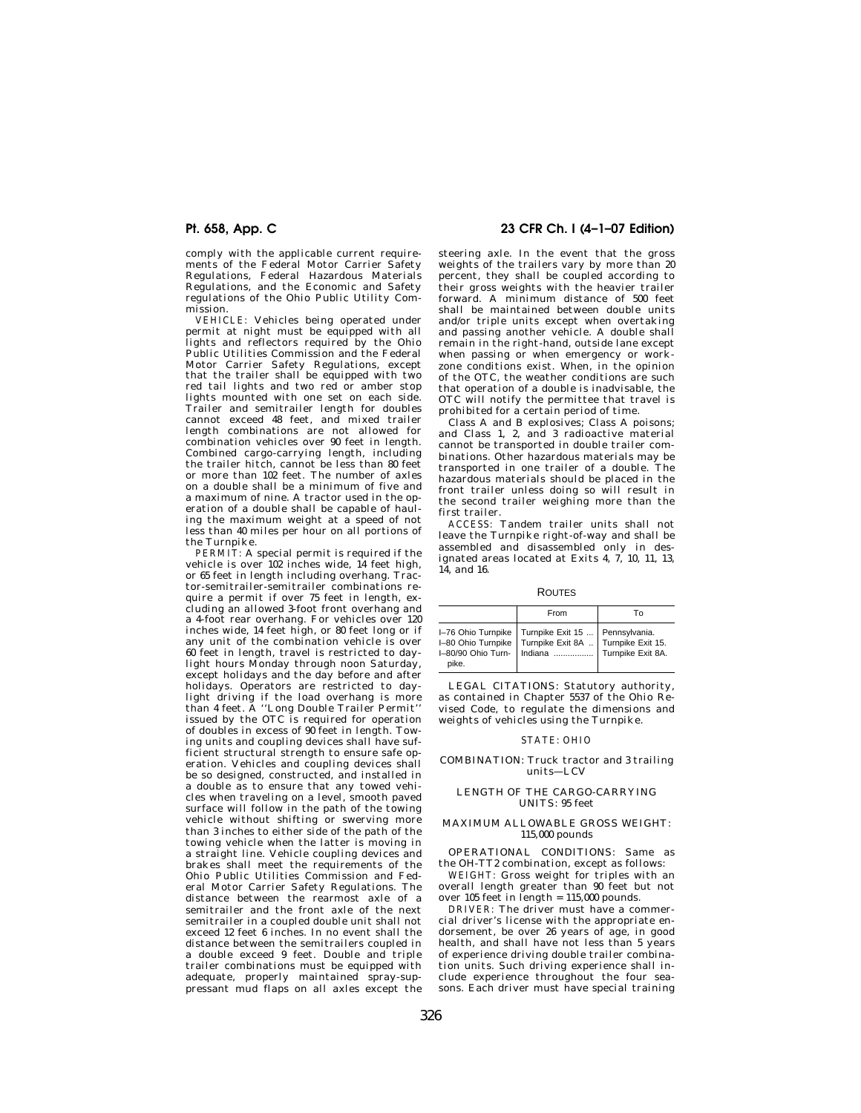comply with the applicable current requirements of the Federal Motor Carrier Safety Regulations, Federal Hazardous Materials Regulations, and the Economic and Safety regulations of the Ohio Public Utility Commission.

*VEHICLE:* Vehicles being operated under permit at night must be equipped with all lights and reflectors required by the Ohio Public Utilities Commission and the Federal Motor Carrier Safety Regulations, except that the trailer shall be equipped with two red tail lights and two red or amber stop lights mounted with one set on each side. Trailer and semitrailer length for doubles cannot exceed 48 feet, and mixed trailer length combinations are not allowed for combination vehicles over 90 feet in length. Combined cargo-carrying length, including the trailer hitch, cannot be less than 80 feet or more than 102 feet. The number of axles on a double shall be a minimum of five and a maximum of nine. A tractor used in the operation of a double shall be capable of hauling the maximum weight at a speed of not less than 40 miles per hour on all portions of the Turnpike.

*PERMIT:* A special permit is required if the vehicle is over 102 inches wide, 14 feet high, or 65 feet in length including overhang. Tractor-semitrailer-semitrailer combinations require a permit if over 75 feet in length, excluding an allowed 3-foot front overhang and a 4-foot rear overhang. For vehicles over 120 inches wide, 14 feet high, or 80 feet long or if any unit of the combination vehicle is over 60 feet in length, travel is restricted to daylight hours Monday through noon Saturday, except holidays and the day before and after holidays. Operators are restricted to daylight driving if the load overhang is more than 4 feet. A ''Long Double Trailer Permit'' issued by the OTC is required for operation of doubles in excess of 90 feet in length. Towing units and coupling devices shall have sufficient structural strength to ensure safe operation. Vehicles and coupling devices shall be so designed, constructed, and installed in a double as to ensure that any towed vehicles when traveling on a level, smooth paved surface will follow in the path of the towing vehicle without shifting or swerving more than 3 inches to either side of the path of the towing vehicle when the latter is moving in a straight line. Vehicle coupling devices and brakes shall meet the requirements of the Ohio Public Utilities Commission and Federal Motor Carrier Safety Regulations. The distance between the rearmost axle of a semitrailer and the front axle of the next semitrailer in a coupled double unit shall not exceed 12 feet 6 inches. In no event shall the distance between the semitrailers coupled in a double exceed 9 feet. Double and triple trailer combinations must be equipped with adequate, properly maintained spray-suppressant mud flaps on all axles except the

# **Pt. 658, App. C 23 CFR Ch. I (4–1–07 Edition)**

steering axle. In the event that the gross weights of the trailers vary by more than 20 percent, they shall be coupled according to their gross weights with the heavier trailer forward. A minimum distance of 500 feet shall be maintained between double units and/or triple units except when overtaking and passing another vehicle. A double shall remain in the right-hand, outside lane except when passing or when emergency or workzone conditions exist. When, in the opinion of the OTC, the weather conditions are such that operation of a double is inadvisable, the OTC will notify the permittee that travel is prohibited for a certain period of time.

Class A and B explosives; Class A poisons; and Class 1, 2, and 3 radioactive material cannot be transported in double trailer combinations. Other hazardous materials may be transported in one trailer of a double. The hazardous materials should be placed in the front trailer unless doing so will result in the second trailer weighing more than the first trailer.

*ACCESS:* Tandem trailer units shall not leave the Turnpike right-of-way and shall be assembled and disassembled only in designated areas located at Exits 4, 7, 10, 11, 13,  $14$ , and 16.

ROUTES

|       | From                                                                                                                                                                      | Т٥ |
|-------|---------------------------------------------------------------------------------------------------------------------------------------------------------------------------|----|
| pike. | l-76 Ohio Turnpike   Turnpike Exit 15    Pennsylvania.<br>I-80 Ohio Turnpike   Turnpike Exit 8A    Turnpike Exit 15.<br>I-80/90 Ohio Turn-   Indiana    Turnpike Exit 8A. |    |

LEGAL CITATIONS: Statutory authority, as contained in Chapter 5537 of the Ohio Revised Code, to regulate the dimensions and weights of vehicles using the Turnpike.

# *STATE: OHIO*

#### COMBINATION: Truck tractor and 3 trailing units—LCV

# LENGTH OF THE CARGO-CARRYING UNITS: 95 feet

#### MAXIMUM ALLOWABLE GROSS WEIGHT: 115,000 pounds

OPERATIONAL CONDITIONS: Same as the OH-TT2 combination, except as follows:

*WEIGHT:* Gross weight for triples with an overall length greater than 90 feet but not over 105 feet in length = 115,000 pounds.

*DRIVER:* The driver must have a commercial driver's license with the appropriate endorsement, be over 26 years of age, in good health, and shall have not less than 5 years of experience driving double trailer combination units. Such driving experience shall include experience throughout the four seasons. Each driver must have special training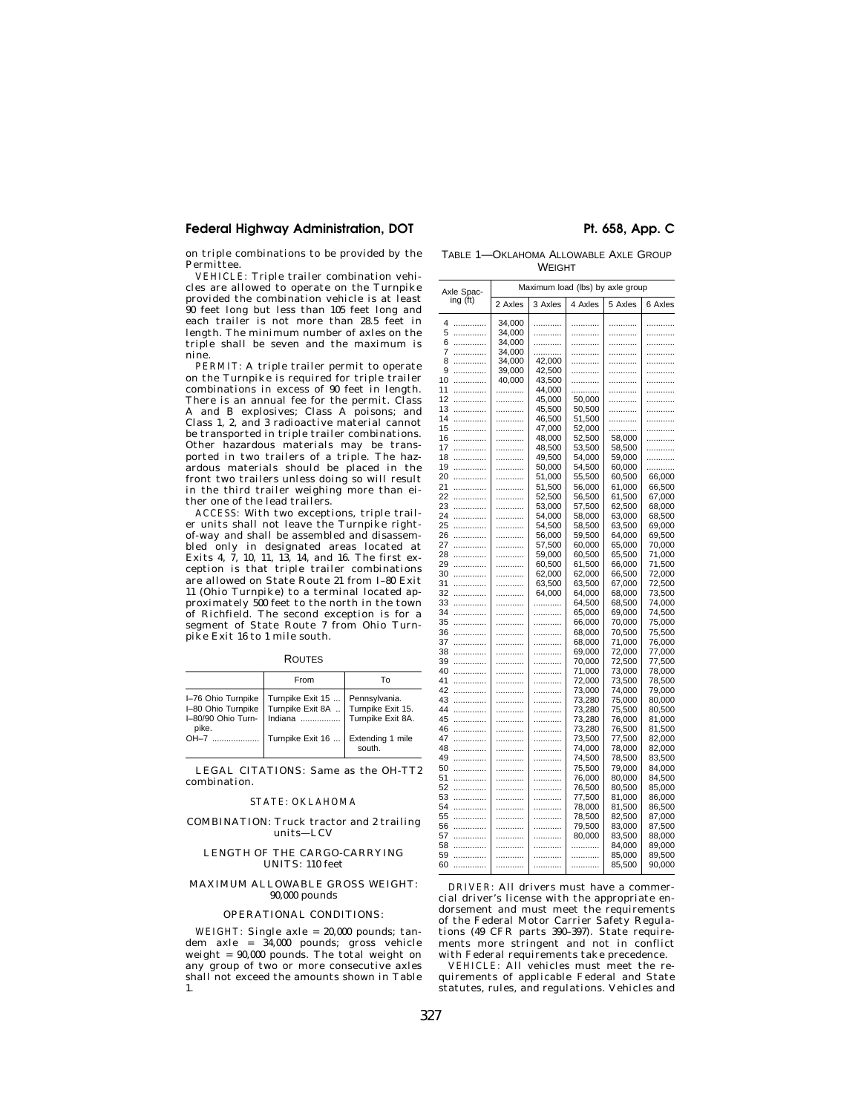# Federal Highway Administration, DOT **Philopheral Philosopheral Philosophera** Pt. 658, App. C

on triple combinations to be provided by the Permittee.

*VEHICLE:* Triple trailer combination vehicles are allowed to operate on the Turnpike provided the combination vehicle is at least 90 feet long but less than 105 feet long and each trailer is not more than 28.5 feet in length. The minimum number of axles on the triple shall be seven and the maximum is nine.

*PERMIT:* A triple trailer permit to operate on the Turnpike is required for triple trailer combinations in excess of 90 feet in length. There is an annual fee for the permit. Class A and B explosives; Class A poisons; and Class 1, 2, and 3 radioactive material cannot be transported in triple trailer combinations. Other hazardous materials may be transported in two trailers of a triple. The hazardous materials should be placed in the front two trailers unless doing so will result in the third trailer weighing more than either one of the lead trailers.

*ACCESS:* With two exceptions, triple trailer units shall not leave the Turnpike rightof-way and shall be assembled and disassembled only in designated areas located at Exits 4, 7, 10, 11, 13, 14, and 16. The first exception is that triple trailer combinations are allowed on State Route 21 from I–80 Exit 11 (Ohio Turnpike) to a terminal located approximately 500 feet to the north in the town of Richfield. The second exception is for a segment of State Route 7 from Ohio Turnpike Exit 16 to 1 mile south.

**ROUTES** 

|       | From                                                                                                                                                                      | Т٥    |
|-------|---------------------------------------------------------------------------------------------------------------------------------------------------------------------------|-------|
| pike. | l-76 Ohio Turnpike   Turnpike Exit 15    Pennsylvania.<br>I-80 Ohio Turnpike   Turnpike Exit 8A    Turnpike Exit 15.<br>I-80/90 Ohio Turn-   Indiana    Turnpike Exit 8A. |       |
|       | Turnpike Exit 16    Extending 1 mile                                                                                                                                      | south |

LEGAL CITATIONS: Same as the OH-TT2 combination.

# *STATE: OKLAHOMA*

# COMBINATION: Truck tractor and 2 trailing units—LCV

# LENGTH OF THE CARGO-CARRYING UNITS: 110 feet

# MAXIMUM ALLOWABLE GROSS WEIGHT: 90,000 pounds

#### OPERATIONAL CONDITIONS:

*WEIGHT:* Single axle = 20,000 pounds; tandem axle = 34,000 pounds; gross vehicle weight = 90,000 pounds. The total weight on any group of two or more consecutive axles shall not exceed the amounts shown in Table 1.

# TABLE 1—OKLAHOMA ALLOWABLE AXLE GROUP WEIGHT

|    | Axle Spac- |         | Maximum load (lbs) by axle group |         |         |         |
|----|------------|---------|----------------------------------|---------|---------|---------|
|    | ing (ft)   | 2 Axles | 3 Axles                          | 4 Axles | 5 Axles | 6 Axles |
| 4  | .          | 34,000  | .                                | .       | .       | .       |
| 5  | .          | 34,000  | .                                | .       | .       | .       |
| 6  | .          | 34,000  |                                  | .       |         | .       |
| 7  | .          | 34,000  | .                                | .       | .       | .       |
| 8  | .          | 34,000  | 42,000                           | .       | .       | .       |
| 9  |            | 39,000  | 42,500                           | .       | .       | .       |
| 10 | .          | 40,000  | 43,500                           | .       | .       | .       |
| 11 |            |         | 44,000                           | .       |         |         |
| 12 | .          | .       | 45,000                           | 50,000  |         | .       |
| 13 | .          | .       | 45,500                           | 50,500  | .       | .       |
|    | .          | .       |                                  |         | .       | .       |
| 14 | .          | .       | 46,500                           | 51,500  | .       | .       |
| 15 | .          | .       | 47,000                           | 52,000  | .       | .       |
| 16 | .          | .       | 48,000                           | 52,500  | 58,000  | .       |
| 17 |            | .       | 48,500                           | 53,500  | 58,500  | .       |
| 18 | .          | .       | 49,500                           | 54,000  | 59,000  | .       |
| 19 |            | .       | 50,000                           | 54,500  | 60,000  | .       |
| 20 | .          | .       | 51,000                           | 55,500  | 60,500  | 66,000  |
| 21 | .          | .       | 51,500                           | 56,000  | 61,000  | 66,500  |
| 22 | .          | .       | 52,500                           | 56,500  | 61,500  | 67,000  |
| 23 | .          | .       | 53,000                           | 57,500  | 62,500  | 68,000  |
| 24 |            | .       | 54,000                           | 58,000  | 63,000  | 68,500  |
| 25 |            | .       | 54,500                           | 58,500  | 63,500  | 69,000  |
| 26 |            | .       | 56,000                           | 59,500  | 64,000  | 69,500  |
| 27 |            |         | 57,500                           | 60,000  | 65,000  | 70,000  |
| 28 |            | .       | 59,000                           | 60,500  | 65,500  | 71,000  |
|    | .          | .       |                                  |         |         |         |
| 29 |            | .       | 60,500                           | 61,500  | 66,000  | 71,500  |
| 30 |            | .       | 62,000                           | 62,000  | 66,500  | 72,000  |
| 31 |            | .       | 63,500                           | 63,500  | 67,000  | 72,500  |
| 32 |            | .       | 64,000                           | 64,000  | 68,000  | 73,500  |
| 33 | .          | .       | .                                | 64,500  | 68,500  | 74,000  |
| 34 |            | .       | .                                | 65,000  | 69,000  | 74,500  |
| 35 | .          | .       | .                                | 66,000  | 70,000  | 75,000  |
| 36 |            | .       |                                  | 68,000  | 70,500  | 75,500  |
| 37 |            | .       |                                  | 68,000  | 71,000  | 76,000  |
| 38 |            | .       |                                  | 69,000  | 72,000  | 77,000  |
| 39 | .          | .       | .                                | 70,000  | 72,500  | 77,500  |
| 40 | .          | .       |                                  | 71,000  | 73,000  | 78,000  |
| 41 |            | .       |                                  | 72,000  | 73,500  | 78,500  |
| 42 | .          | .       |                                  | 73,000  | 74,000  | 79,000  |
| 43 | .          | .       |                                  | 73,280  | 75,000  | 80,000  |
| 44 | .          | .       | .                                | 73,280  | 75,500  | 80,500  |
| 45 |            |         |                                  | 73,280  | 76,000  | 81,000  |
| 46 |            |         |                                  | 73,280  | 76,500  | 81,500  |
| 47 |            | .       |                                  |         |         |         |
|    |            | .       |                                  | 73,500  | 77,500  | 82,000  |
| 48 |            | .       |                                  | 74,000  | 78,000  | 82,000  |
| 49 | .          | .       | .                                | 74,500  | 78,500  | 83,500  |
| 50 | .          | .       |                                  | 75,500  | 79,000  | 84,000  |
| 51 | .          | .       |                                  | 76,000  | 80,000  | 84,500  |
| 52 | .          | .       |                                  | 76,500  | 80,500  | 85,000  |
| 53 |            | .       |                                  | 77,500  | 81,000  | 86,000  |
| 54 |            | .       | .                                | 78,000  | 81,500  | 86,500  |
| 55 | .          | .       | .                                | 78,500  | 82,500  | 87,000  |
| 56 | .          | .       | .                                | 79,500  | 83,000  | 87,500  |
| 57 | .          | .       | .                                | 80,000  | 83,500  | 88,000  |
| 58 | .          | .       | .                                | .       | 84,000  | 89,000  |
| 59 | .          | .       | .                                | .       | 85,000  | 89,500  |
| 60 |            | .       | .                                | .       | 85,500  | 90,000  |
|    |            |         |                                  |         |         |         |

*DRIVER:* All drivers must have a commercial driver's license with the appropriate endorsement and must meet the requirements of the Federal Motor Carrier Safety Regulations (49 CFR parts 390–397). State requirements more stringent and not in conflict with Federal requirements take precedence.

*VEHICLE:* All vehicles must meet the requirements of applicable Federal and State statutes, rules, and regulations. Vehicles and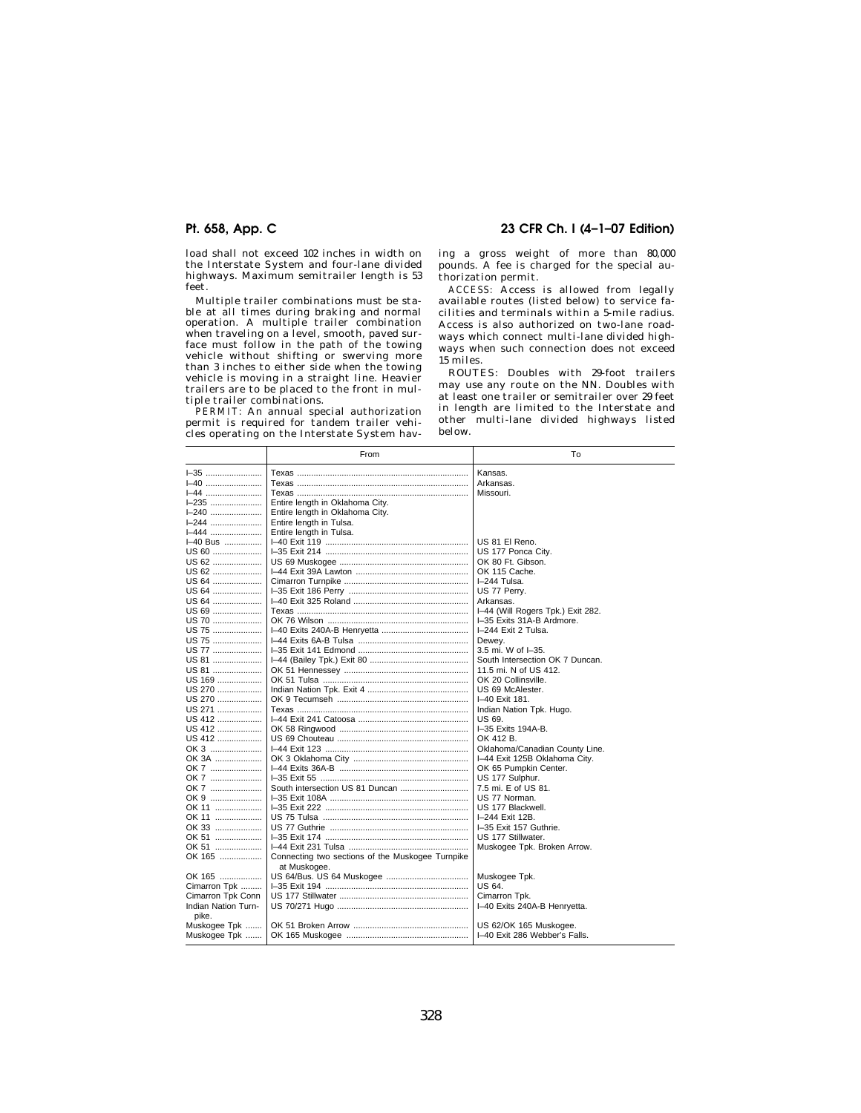load shall not exceed 102 inches in width on the Interstate System and four-lane divided highways. Maximum semitrailer length is 53 feet.

Multiple trailer combinations must be stable at all times during braking and normal operation. A multiple trailer combination when traveling on a level, smooth, paved surface must follow in the path of the towing vehicle without shifting or swerving more than 3 inches to either side when the towing vehicle is moving in a straight line. Heavier trailers are to be placed to the front in multiple trailer combinations.

*PERMIT:* An annual special authorization permit is required for tandem trailer vehicles operating on the Interstate System hav-

# **Pt. 658, App. C 23 CFR Ch. I (4–1–07 Edition)**

ing a gross weight of more than 80,000 pounds. A fee is charged for the special authorization permit.

*ACCESS:* Access is allowed from legally available routes (listed below) to service facilities and terminals within a 5-mile radius. Access is also authorized on two-lane roadways which connect multi-lane divided highways when such connection does not exceed 15 miles.

ROUTES: Doubles with 29-foot trailers may use any route on the NN. Doubles with at least one trailer or semitrailer over 29 feet in length are limited to the Interstate and other multi-lane divided highways listed below.

|                              | From                                             | To                                |
|------------------------------|--------------------------------------------------|-----------------------------------|
| $1 - 35$                     |                                                  | Kansas.                           |
| l-40 ……………………                |                                                  | Arkansas.                         |
| 1-44                         |                                                  | Missouri.                         |
| $1 - 235$                    | Entire length in Oklahoma City.                  |                                   |
| l-240                        | Entire length in Oklahoma City.                  |                                   |
| $1 - 244$                    | Entire length in Tulsa.                          |                                   |
| $I - 444$                    | Entire length in Tulsa.                          |                                   |
| I-40 Bus                     |                                                  | US 81 El Reno.                    |
| US 60                        |                                                  | US 177 Ponca City.                |
| US 62                        |                                                  | OK 80 Ft. Gibson.                 |
| US 62                        |                                                  | OK 115 Cache.                     |
| US 64                        |                                                  | I-244 Tulsa.                      |
| US 64                        |                                                  | US 77 Perry.                      |
| US 64                        |                                                  | Arkansas.                         |
| US 69                        |                                                  |                                   |
|                              |                                                  | I-44 (Will Rogers Tpk.) Exit 282. |
| US 70                        |                                                  | I-35 Exits 31A-B Ardmore.         |
| US 75                        |                                                  | I-244 Exit 2 Tulsa.               |
| US 75                        |                                                  | Dewey.                            |
| US 77                        |                                                  | 3.5 mi. W of I-35.                |
| US 81                        |                                                  | South Intersection OK 7 Duncan.   |
| US 81                        |                                                  | 11.5 mi. N of US 412.             |
| US 169                       |                                                  | OK 20 Collinsville.               |
| US 270                       |                                                  | US 69 McAlester.                  |
| US 270                       |                                                  | I-40 Exit 181.                    |
| US 271                       |                                                  | Indian Nation Tpk. Hugo.          |
| US 412                       |                                                  | US 69.                            |
| US 412                       |                                                  | I-35 Exits 194A-B.                |
| US 412                       |                                                  | OK 412 B.                         |
| OK 3                         |                                                  | Oklahoma/Canadian County Line.    |
| OK 3A                        |                                                  | I-44 Exit 125B Oklahoma City.     |
| OK 7                         |                                                  | OK 65 Pumpkin Center.             |
| OK 7                         |                                                  | US 177 Sulphur.                   |
| OK 7                         |                                                  | 7.5 mi. E of US 81.               |
| OK 9                         |                                                  | US 77 Norman.                     |
| OK 11                        |                                                  | US 177 Blackwell.                 |
| OK 11                        |                                                  | I-244 Exit 12B.                   |
| OK 33                        |                                                  | I-35 Exit 157 Guthrie.            |
| OK 51                        |                                                  | US 177 Stillwater.                |
| OK 51                        |                                                  | Muskogee Tpk. Broken Arrow.       |
| OK 165                       | Connecting two sections of the Muskogee Turnpike |                                   |
|                              | at Muskogee.                                     |                                   |
| OK 165                       |                                                  | Muskogee Tpk.                     |
| Cimarron Tpk                 |                                                  | US 64.                            |
| Cimarron Tpk Conn            |                                                  | Cimarron Tpk.                     |
| Indian Nation Turn-<br>pike. |                                                  | I-40 Exits 240A-B Henryetta.      |
| Muskogee Tpk                 |                                                  | US 62/OK 165 Muskogee.            |
| Muskogee Tpk                 |                                                  | I-40 Exit 286 Webber's Falls.     |
|                              |                                                  |                                   |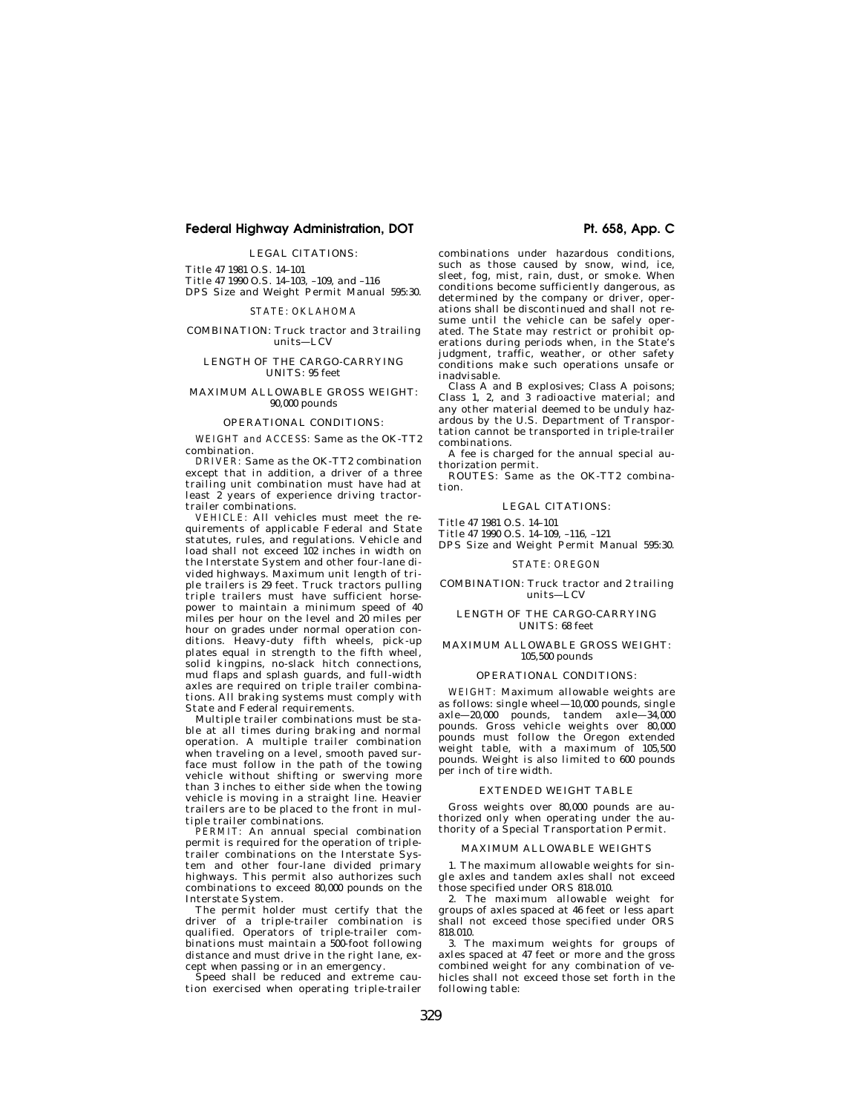# Federal Highway Administration, DOT **Pr. 658, App. C**

LEGAL CITATIONS:

Title 47 1981 O.S. 14–101 Title 47 1990 O.S. 14–103, –109, and –116

DPS Size and Weight Permit Manual 595:30.

# *STATE: OKLAHOMA*

# COMBINATION: Truck tractor and 3 trailing units—LCV

# LENGTH OF THE CARGO-CARRYING UNITS: 95 feet

# MAXIMUM ALLOWABLE GROSS WEIGHT: 90,000 pounds

# OPERATIONAL CONDITIONS:

*WEIGHT and ACCESS:* Same as the OK-TT2 combination.

*DRIVER:* Same as the OK-TT2 combination except that in addition, a driver of a three trailing unit combination must have had at least 2 years of experience driving tractortrailer combinations.

*VEHICLE:* All vehicles must meet the requirements of applicable Federal and State statutes, rules, and regulations. Vehicle and load shall not exceed 102 inches in width on the Interstate System and other four-lane divided highways. Maximum unit length of triple trailers is 29 feet. Truck tractors pulling triple trailers must have sufficient horsepower to maintain a minimum speed of 40 miles per hour on the level and 20 miles per hour on grades under normal operation conditions. Heavy-duty fifth wheels, pick-up plates equal in strength to the fifth wheel, solid kingpins, no-slack hitch connections, mud flaps and splash guards, and full-width axles are required on triple trailer combinations. All braking systems must comply with State and Federal requirements.

Multiple trailer combinations must be stable at all times during braking and normal operation. A multiple trailer combination when traveling on a level, smooth paved surface must follow in the path of the towing vehicle without shifting or swerving more than 3 inches to either side when the towing vehicle is moving in a straight line. Heavier trailers are to be placed to the front in multiple trailer combinations.

*PERMIT:* An annual special combination permit is required for the operation of tripletrailer combinations on the Interstate System and other four-lane divided primary highways. This permit also authorizes such combinations to exceed 80,000 pounds on the Interstate System.

The permit holder must certify that the driver of a triple-trailer combination is qualified. Operators of triple-trailer combinations must maintain a 500-foot following distance and must drive in the right lane, except when passing or in an emergency.

Speed shall be reduced and extreme caution exercised when operating triple-trailer

combinations under hazardous conditions, such as those caused by snow, wind, ice, sleet, fog, mist, rain, dust, or smoke. When conditions become sufficiently dangerous, as determined by the company or driver, operations shall be discontinued and shall not resume until the vehicle can be safely operated. The State may restrict or prohibit operations during periods when, in the State's judgment, traffic, weather, or other safety conditions make such operations unsafe or inadvisable.

Class A and B explosives; Class A poisons; Class 1, 2, and 3 radioactive material; and any other material deemed to be unduly hazardous by the U.S. Department of Transportation cannot be transported in triple-trailer combinations.

A fee is charged for the annual special authorization permit.

ROUTES: Same as the OK-TT2 combination.

#### LEGAL CITATIONS:

Title 47 1981 O.S. 14–101

Title 47 1990 O.S. 14–109, –116, –121

DPS Size and Weight Permit Manual 595:30.

# *STATE: OREGON*

### COMBINATION: Truck tractor and 2 trailing units—LCV

# LENGTH OF THE CARGO-CARRYING UNITS: 68 feet

# MAXIMUM ALLOWABLE GROSS WEIGHT: 105,500 pounds

#### OPERATIONAL CONDITIONS:

*WEIGHT:* Maximum allowable weights are as follows: single wheel—10,000 pounds, single axle—20,000 pounds, tandem axle—34,000 pounds. Gross vehicle weights over 80,000 pounds must follow the Oregon extended weight table, with a maximum of 105,500 pounds. Weight is also limited to 600 pounds per inch of tire width.

# EXTENDED WEIGHT TABLE

Gross weights over 80,000 pounds are authorized only when operating under the authority of a Special Transportation Permit.

# MAXIMUM ALLOWABLE WEIGHTS

1. The maximum allowable weights for single axles and tandem axles shall not exceed those specified under ORS 818.010.

2. The maximum allowable weight for groups of axles spaced at 46 feet or less apart shall not exceed those specified under ORS 818.010.

3. The maximum weights for groups of axles spaced at 47 feet or more and the gross combined weight for any combination of vehicles shall not exceed those set forth in the following table: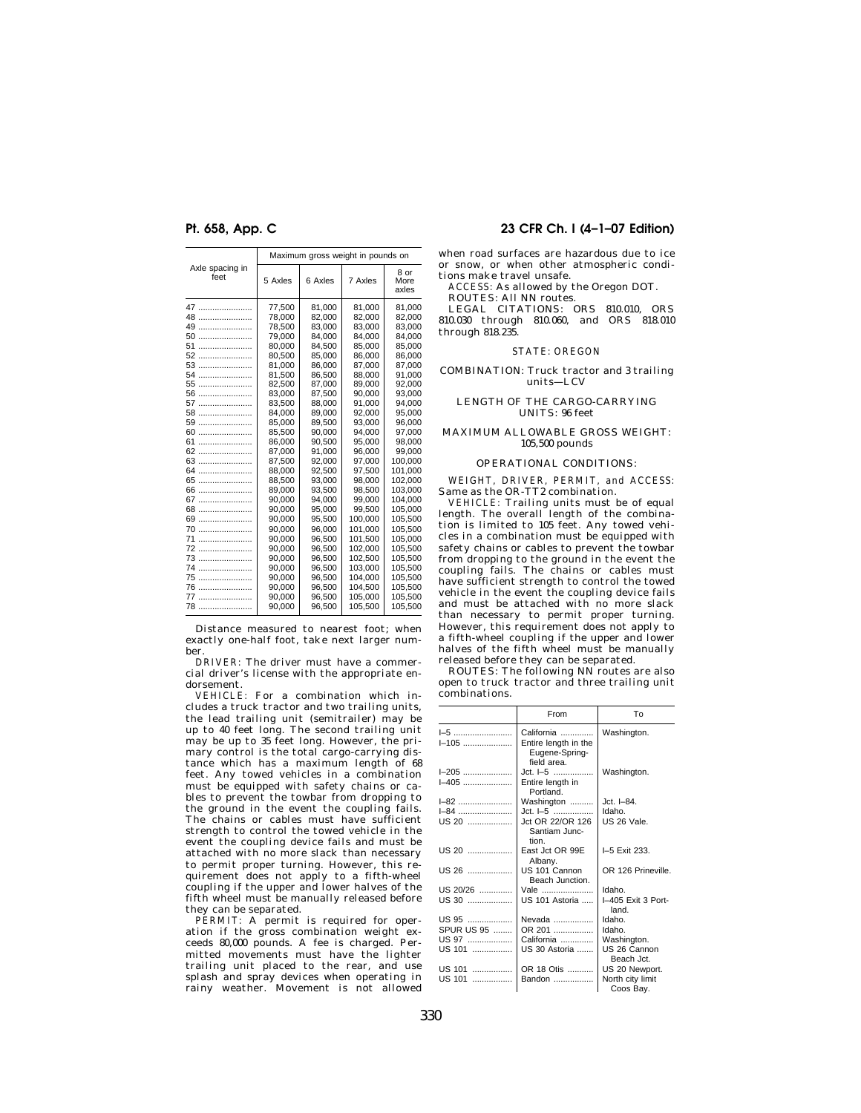|                         | Maximum gross weight in pounds on |         |         |                       |
|-------------------------|-----------------------------------|---------|---------|-----------------------|
| Axle spacing in<br>feet | 5 Axles                           | 6 Axles | 7 Axles | 8 or<br>More<br>axles |
| 47                      | 77,500                            | 81,000  | 81,000  | 81,000                |
| 48                      | 78,000                            | 82,000  | 82,000  | 82,000                |
| 49                      | 78,500                            | 83,000  | 83,000  | 83,000                |
| 50                      | 79,000                            | 84,000  | 84,000  | 84.000                |
| 51<br>                  | 80,000                            | 84,500  | 85,000  | 85,000                |
| 52                      | 80,500                            | 85.000  | 86.000  | 86.000                |
| 53                      | 81,000                            | 86,000  | 87,000  | 87,000                |
| 54                      | 81,500                            | 86,500  | 88,000  | 91,000                |
| 55                      | 82.500                            | 87.000  | 89.000  | 92.000                |
| 56                      | 83,000                            | 87,500  | 90,000  | 93,000                |
| 57                      | 83,500                            | 88.000  | 91,000  | 94.000                |
| 58                      | 84.000                            | 89.000  | 92.000  | 95.000                |
| 59                      | 85,000                            | 89,500  | 93,000  | 96,000                |
| 60                      | 85.500                            | 90.000  | 94.000  | 97.000                |
| 61<br>                  | 86,000                            | 90,500  | 95,000  | 98,000                |
| 62                      | 87,000                            | 91,000  | 96,000  | 99,000                |
| 63                      | 87,500                            | 92,000  | 97,000  | 100,000               |
| 64                      | 88,000                            | 92,500  | 97,500  | 101,000               |
| 65                      | 88,500                            | 93,000  | 98,000  | 102,000               |
| 66                      | 89,000                            | 93,500  | 98,500  | 103,000               |
| 67                      | 90,000                            | 94,000  | 99,000  | 104,000               |
| 68<br>                  | 90,000                            | 95,000  | 99,500  | 105.000               |
| 69                      | 90,000                            | 95,500  | 100,000 | 105,500               |
| 70                      | 90.000                            | 96.000  | 101.000 | 105.500               |
| 71                      | 90,000                            | 96,500  | 101,500 | 105,000               |
| 72                      | 90,000                            | 96,500  | 102,000 | 105,500               |
| 73                      | 90,000                            | 96,500  | 102,500 | 105,500               |
| 74                      | 90,000                            | 96,500  | 103,000 | 105,500               |
| 75                      | 90,000                            | 96,500  | 104,000 | 105,500               |
| 76                      | 90,000                            | 96,500  | 104,500 | 105,500               |
| 77                      | 90.000                            | 96,500  | 105.000 | 105,500               |
| 78                      | 90,000                            | 96,500  | 105,500 | 105,500               |

Distance measured to nearest foot; when exactly one-half foot, take next larger number.

*DRIVER:* The driver must have a commercial driver's license with the appropriate endorsement.

*VEHICLE:* For a combination which includes a truck tractor and two trailing units, the lead trailing unit (semitrailer) may be up to 40 feet long. The second trailing unit may be up to 35 feet long. However, the primary control is the total cargo-carrying distance which has a maximum length of 68 feet. Any towed vehicles in a combination must be equipped with safety chains or cables to prevent the towbar from dropping to the ground in the event the coupling fails. The chains or cables must have sufficient strength to control the towed vehicle in the event the coupling device fails and must be attached with no more slack than necessary to permit proper turning. However, this requirement does not apply to a fifth-wheel coupling if the upper and lower halves of the fifth wheel must be manually released before they can be separated.

*PERMIT:* A permit is required for operation if the gross combination weight exceeds 80,000 pounds. A fee is charged. Permitted movements must have the lighter trailing unit placed to the rear, and use splash and spray devices when operating in rainy weather. Movement is not allowed

# **Pt. 658, App. C 23 CFR Ch. I (4–1–07 Edition)**

when road surfaces are hazardous due to ice or snow, or when other atmospheric conditions make travel unsafe.

*ACCESS:* As allowed by the Oregon DOT.

ROUTES: All NN routes. LEGAL CITATIONS: ORS 810.010, ORS

810.030 through 810.060, and ORS 818.010 through 818.235.

# *STATE: OREGON*

COMBINATION: Truck tractor and 3 trailing units—LCV

LENGTH OF THE CARGO-CARRYING UNITS: 96 feet

# MAXIMUM ALLOWABLE GROSS WEIGHT: 105,500 pounds

# OPERATIONAL CONDITIONS:

*WEIGHT, DRIVER, PERMIT, and ACCESS:*  Same as the OR-TT2 combination.

*VEHICLE:* Trailing units must be of equal length. The overall length of the combination is limited to 105 feet. Any towed vehicles in a combination must be equipped with safety chains or cables to prevent the towbar from dropping to the ground in the event the coupling fails. The chains or cables must have sufficient strength to control the towed vehicle in the event the coupling device fails and must be attached with no more slack than necessary to permit proper turning. However, this requirement does not apply to a fifth-wheel coupling if the upper and lower halves of the fifth wheel must be manually released before they can be separated.

ROUTES: The following NN routes are also open to truck tractor and three trailing unit combinations.

|                        | From                                                                | Tο                            |
|------------------------|---------------------------------------------------------------------|-------------------------------|
| 1-5<br>$I - 105$       | California<br>Entire length in the<br>Eugene-Spring-<br>field area. | Washington.                   |
| $1 - 205$<br>$I - 405$ | Jct. I-5<br>Entire length in<br>Portland                            | Washington.                   |
| l-82                   | Washington                                                          | $Jct. I - 84.$                |
| I-84                   | Jct. I-5                                                            | Idaho.                        |
| US 20                  | Jct OR 22/OR 126<br>Santiam Junc-<br>tion.                          | US 26 Vale.                   |
| US 20                  | East Jct OR 99E<br>Albany.                                          | I-5 Exit 233.                 |
| US 26                  | US 101 Cannon<br>Beach Junction.                                    | OR 126 Prineville.            |
| US 20/26               | Vale                                                                | Idaho.                        |
| US 30                  | US 101 Astoria                                                      | I-405 Exit 3 Port-<br>land.   |
| $US.95$                | Nevada                                                              | Idaho.                        |
| SPUR US 95             | OR 201                                                              | Idaho.                        |
| US 97                  | California                                                          | Washington.                   |
| US 101                 | US 30 Astoria                                                       | US 26 Cannon<br>Beach Jct.    |
| US 101                 | OR 18 Otis                                                          | US 20 Newport.                |
| US 101                 | Bandon                                                              | North city limit<br>Coos Bay. |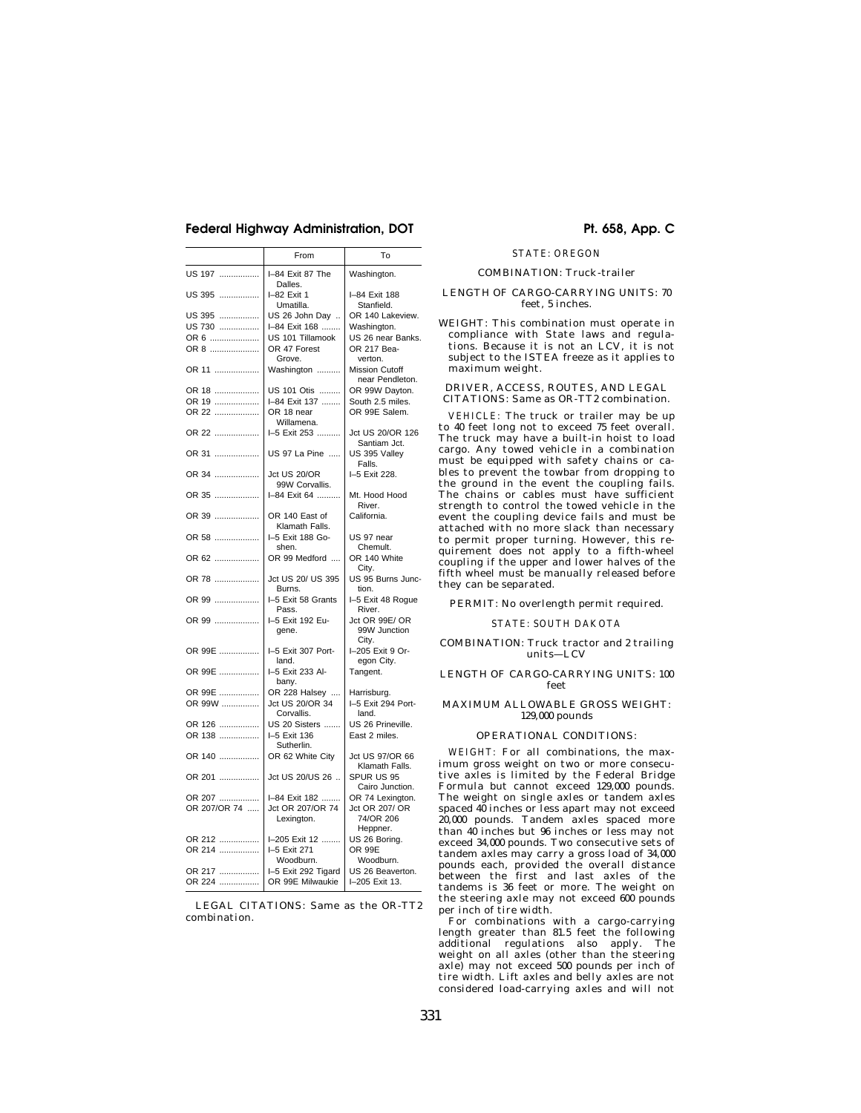# Federal Highway Administration, DOT **PH. 658, App. C**

|                  | From                                    | To                                       |
|------------------|-----------------------------------------|------------------------------------------|
| US 197           | I-84 Exit 87 The<br>Dalles.             | Washington.                              |
| US 395           | I-82 Exit 1<br>Umatilla.                | I-84 Exit 188<br>Stanfield.              |
| US 395           | US 26 John Day                          | OR 140 Lakeview.                         |
| US 730           | I-84 Exit 168                           | Washington.                              |
| OR 6             | US 101 Tillamook                        | US 26 near Banks.                        |
| OR 8             | OR 47 Forest<br>Grove.                  | OR 217 Bea-<br>verton.                   |
| OR 11            | Washington                              | <b>Mission Cutoff</b><br>near Pendleton. |
| OR 18            | US 101 Otis                             | OR 99W Dayton.                           |
| OR 19            | I-84 Exit 137                           | South 2.5 miles.                         |
| OR 22            | OR 18 near                              | OR 99E Salem.                            |
|                  | Willamena.                              |                                          |
| OR 22            | I-5 Exit 253                            | Jct US 20/OR 126<br>Santiam Jct.         |
| OR 31            | US 97 La Pine                           | US 395 Valley<br>Falls.                  |
| OR 34            | Jct US 20/OR<br>99W Corvallis.          | I-5 Exit 228.                            |
| OR 35            | I-84 Exit 64                            | Mt. Hood Hood<br>River.                  |
| OR 39            | OR 140 East of<br>Klamath Falls.        | California.                              |
| OR 58            | I-5 Exit 188 Go-<br>shen.               | US 97 near<br>Chemult.                   |
| OR 62            | OR 99 Medford                           | OR 140 White<br>City.                    |
| OR 78            | Jct US 20/ US 395<br>Burns.             | US 95 Burns Junc-<br>tion.               |
| OR 99            | I-5 Exit 58 Grants<br>Pass.             | I-5 Exit 48 Rogue<br>River.              |
| OR 99            | I-5 Exit 192 Eu-<br>gene.               | Jct OR 99E/ OR<br>99W Junction<br>City.  |
| OR 99E           | I-5 Exit 307 Port-<br>land.             | I-205 Exit 9 Or-<br>egon City.           |
| OR 99E           | I-5 Exit 233 AI-<br>bany.               | Tangent.                                 |
| OR 99E           | OR 228 Halsey                           | Harrisburg.                              |
| OR 99W           | Jct US 20/OR 34<br>Corvallis.           | I-5 Exit 294 Port-<br>land.              |
| OR 126           | US 20 Sisters                           | US 26 Prineville.                        |
| OR 138           | I-5 Exit 136<br>Sutherlin.              | East 2 miles.                            |
| OR 140           | OR 62 White City                        | Jct US 97/OR 66<br>Klamath Falls.        |
| OR 201           | Jct US 20/US 26                         | SPUR US 95<br>Cairo Junction.            |
| OR 207           | I-84 Exit 182                           | OR 74 Lexington.                         |
| OR 207/OR 74     | Jct OR 207/OR 74                        | Jct OR 207/ OR                           |
|                  | Lexington.                              | 74/OR 206                                |
|                  |                                         | Heppner.                                 |
| OR 212           | I-205 Exit 12                           | US 26 Boring.                            |
| OR 214           | I-5 Exit 271                            | <b>OR 99E</b>                            |
|                  | Woodburn.                               | Woodburn.                                |
| OR 217<br>OR 224 | I-5 Exit 292 Tigard<br>OR 99E Milwaukie | US 26 Beaverton.<br>I-205 Exit 13.       |

LEGAL CITATIONS: Same as the OR-TT2 combination.

# *STATE: OREGON*

# COMBINATION: Truck-trailer

# LENGTH OF CARGO-CARRYING UNITS: 70 feet, 5 inches.

WEIGHT: This combination must operate in compliance with State laws and regulations. Because it is not an LCV, it is not subject to the ISTEA freeze as it applies to maximum weight.

DRIVER, ACCESS, ROUTES, AND LEGAL CITATIONS: Same as OR-TT2 combination.

*VEHICLE:* The truck or trailer may be up to 40 feet long not to exceed 75 feet overall. The truck may have a built-in hoist to load cargo. Any towed vehicle in a combination must be equipped with safety chains or cables to prevent the towbar from dropping to the ground in the event the coupling fails. The chains or cables must have sufficient strength to control the towed vehicle in the event the coupling device fails and must be attached with no more slack than necessary to permit proper turning. However, this requirement does not apply to a fifth-wheel coupling if the upper and lower halves of the fifth wheel must be manually released before they can be separated.

# PERMIT: No overlength permit required.

*STATE: SOUTH DAKOTA* 

#### COMBINATION: Truck tractor and 2 trailing  $units$ —LCV

#### LENGTH OF CARGO-CARRYING UNITS: 100 feet

# MAXIMUM ALLOWABLE GROSS WEIGHT: 129,000 pounds

# OPERATIONAL CONDITIONS:

*WEIGHT:* For all combinations, the maximum gross weight on two or more consecutive axles is limited by the Federal Bridge Formula but cannot exceed 129,000 pounds. The weight on single axles or tandem axles spaced 40 inches or less apart may not exceed 20,000 pounds. Tandem axles spaced more than 40 inches but 96 inches or less may not exceed 34,000 pounds. Two consecutive sets of tandem axles may carry a gross load of 34,000 pounds each, provided the overall distance between the first and last axles of the tandems is 36 feet or more. The weight on the steering axle may not exceed 600 pounds per inch of tire width.

For combinations with a cargo-carrying length greater than 81.5 feet the following additional regulations also apply. The weight on all axles (other than the steering axle) may not exceed 500 pounds per inch of tire width. Lift axles and belly axles are not considered load-carrying axles and will not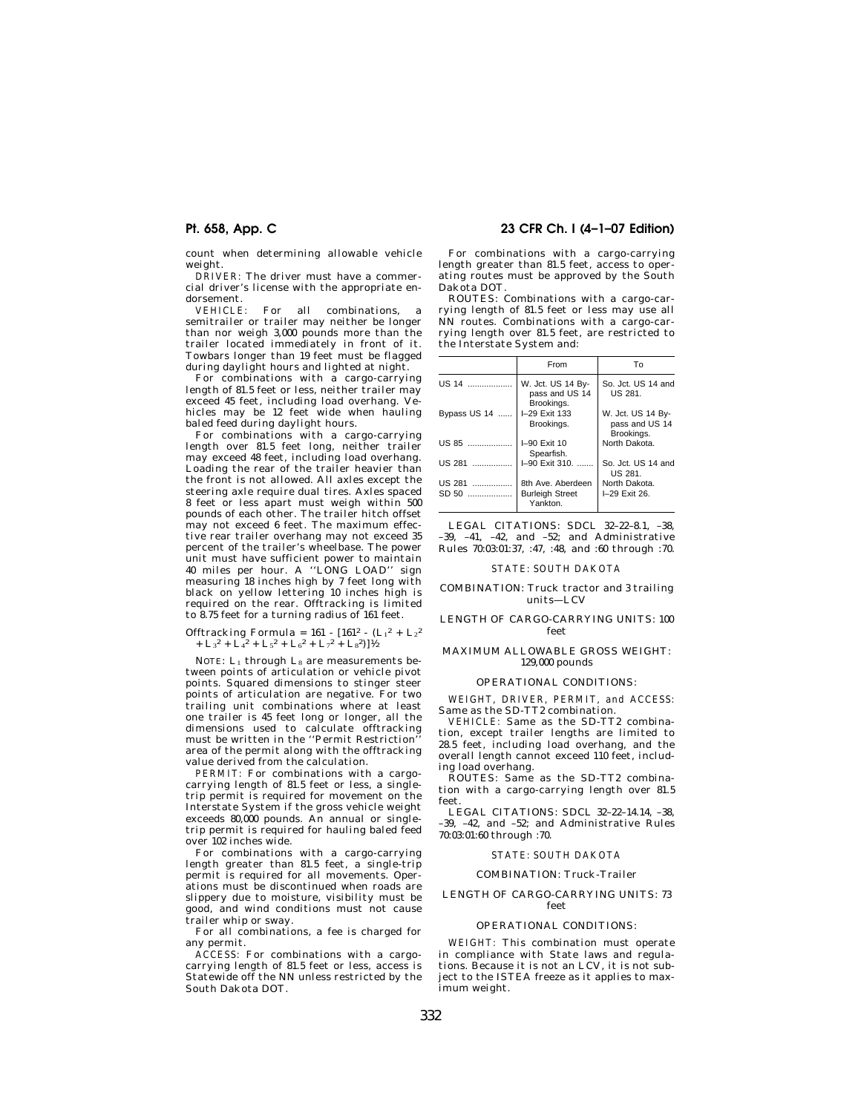**Pt. 658, App. C 23 CFR Ch. I (4–1–07 Edition)** 

count when determining allowable vehicle weight.

*DRIVER:* The driver must have a commercial driver's license with the appropriate endorsement.

*VEHICLE:* For all combinations, semitrailer or trailer may neither be longer than nor weigh 3,000 pounds more than the trailer located immediately in front of it. Towbars longer than 19 feet must be flagged during daylight hours and lighted at night.

For combinations with a cargo-carrying length of 81.5 feet or less, neither trailer may exceed 45 feet, including load overhang. Vehicles may be 12 feet wide when hauling baled feed during daylight hours.

For combinations with a cargo-carrying length over 81.5 feet long, neither trailer may exceed 48 feet, including load overhang. Loading the rear of the trailer heavier than the front is not allowed. All axles except the steering axle require dual tires. Axles spaced 8 feet or less apart must weigh within 500 pounds of each other. The trailer hitch offset may not exceed 6 feet. The maximum effective rear trailer overhang may not exceed 35 percent of the trailer's wheelbase. The power unit must have sufficient power to maintain 40 miles per hour. A ''LONG LOAD'' sign measuring 18 inches high by 7 feet long with black on yellow lettering 10 inches high is required on the rear. Offtracking is limited to 8.75 feet for a turning radius of 161 feet.

Offtracking Formula = 
$$
161 - [161^2 - (L_1^2 + L_2^2 + L_3^2 + L_4^2 + L_5^2 + L_6^2 + L_7^2 + L_8^2)]^{1/2}
$$

NOTE:  $L_1$  through  $L_8$  are measurements between points of articulation or vehicle pivot points. Squared dimensions to stinger steer points of articulation are negative. For two trailing unit combinations where at least one trailer is 45 feet long or longer, all the dimensions used to calculate offtracking must be written in the ''Permit Restriction'' area of the permit along with the offtracking value derived from the calculation.

*PERMIT:* For combinations with a cargocarrying length of 81.5 feet or less, a singletrip permit is required for movement on the Interstate System if the gross vehicle weight exceeds 80,000 pounds. An annual or singletrip permit is required for hauling baled feed over 102 inches wide.

For combinations with a cargo-carrying length greater than 81.5 feet, a single-trip permit is required for all movements. Operations must be discontinued when roads are slippery due to moisture, visibility must be good, and wind conditions must not cause trailer whip or sway.

For all combinations, a fee is charged for any permit.

*ACCESS:* For combinations with a cargocarrying length of 81.5 feet or less, access is Statewide off the NN unless restricted by the South Dakota DOT.

For combinations with a cargo-carrying length greater than 81.5 feet, access to operating routes must be approved by the South Dakota DOT.

ROUTES: Combinations with a cargo-carrying length of 81.5 feet or less may use all NN routes. Combinations with a cargo-carrying length over 81.5 feet, are restricted to the Interstate System and:

|                 | From                                                    | To                                                |
|-----------------|---------------------------------------------------------|---------------------------------------------------|
| US 14           | W. Jct. US 14 By-<br>pass and US 14<br>Brookings.       | So. Jct. US 14 and<br>US 281.                     |
| Bypass US 14    | I-29 Exit 133<br>Brookings.                             | W. Jct. US 14 By-<br>pass and US 14<br>Brookings. |
| US 85           | I-90 Exit 10<br>Spearfish.                              | North Dakota.                                     |
| US 281          | I-90 Exit 310.                                          | So. Jct. US 14 and<br>US 281.                     |
| US 281<br>SD 50 | 8th Ave. Aberdeen<br><b>Burleigh Street</b><br>Yankton. | North Dakota.<br>I-29 Exit 26.                    |

LEGAL CITATIONS: SDCL 32–22–8.1, –38, –39, –41, –42, and –52; and Administrative Rules 70:03:01:37, :47, :48, and :60 through :70.

# *STATE: SOUTH DAKOTA*

#### COMBINATION: Truck tractor and 3 trailing units—LCV

# LENGTH OF CARGO-CARRYING UNITS: 100 feet

# MAXIMUM ALLOWABLE GROSS WEIGHT: 129,000 pounds

### OPERATIONAL CONDITIONS:

*WEIGHT, DRIVER, PERMIT, and ACCESS:*  Same as the SD-TT2 combination.

*VEHICLE:* Same as the SD-TT2 combination, except trailer lengths are limited to 28.5 feet, including load overhang, and the overall length cannot exceed 110 feet, including load overhang.

ROUTES: Same as the SD-TT2 combination with a cargo-carrying length over 81.5 feet.

LEGAL CITATIONS: SDCL 32–22–14.14, –38, –39, –42, and –52; and Administrative Rules 70:03:01:60 through :70.

#### *STATE: SOUTH DAKOTA*

# COMBINATION: Truck-Trailer

# LENGTH OF CARGO-CARRYING UNITS: 73 feet

# OPERATIONAL CONDITIONS:

*WEIGHT:* This combination must operate in compliance with State laws and regulations. Because it is not an LCV, it is not subject to the ISTEA freeze as it applies to maximum weight.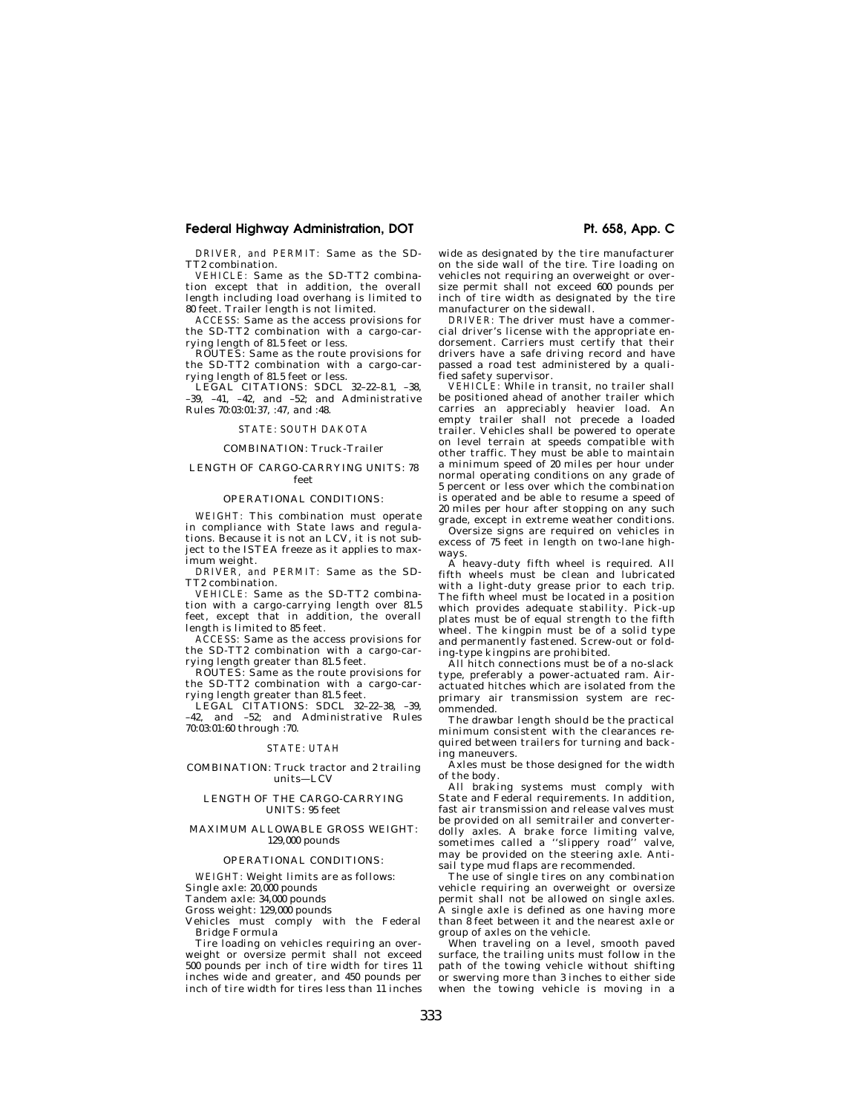# Federal Highway Administration, DOT **Pr. 658, App. C**

*DRIVER, and PERMIT:* Same as the SD-TT2 combination.

*VEHICLE:* Same as the SD-TT2 combination except that in addition, the overall length including load overhang is limited to 80 feet. Trailer length is not limited.

*ACCESS:* Same as the access provisions for the SD-TT2 combination with a cargo-car-

rying length of 81.5 feet or less. ROUTES: Same as the route provisions for the SD-TT2 combination with a cargo-carrying length of 81.5 feet or less.

LEGAL CITATIONS: SDCL 32–22–8.1, –38, –39, –41, –42, and –52; and Administrative Rules 70:03:01:37, :47, and :48.

#### *STATE: SOUTH DAKOTA*

# COMBINATION: Truck-Trailer

#### LENGTH OF CARGO-CARRYING UNITS: 78 feet

# OPERATIONAL CONDITIONS:

*WEIGHT:* This combination must operate in compliance with State laws and regulations. Because it is not an LCV, it is not subject to the ISTEA freeze as it applies to maximum weight.

*DRIVER, and PERMIT:* Same as the SD-TT2 combination.

*VEHICLE:* Same as the SD-TT2 combination with a cargo-carrying length over 81.5 feet, except that in addition, the overall length is limited to 85 feet.

*ACCESS:* Same as the access provisions for the SD-TT2 combination with a cargo-carrying length greater than 81.5 feet.

ROUTES: Same as the route provisions for the SD-TT2 combination with a cargo-car-

rying length greater than 81.5 feet. LEGAL CITATIONS: SDCL 32–22–38, –39, –42, and –52; and Administrative Rules 70:03:01:60 through :70.

#### *STATE: UTAH*

COMBINATION: Truck tractor and 2 trailing units—LCV

# LENGTH OF THE CARGO-CARRYING UNITS: 95 feet

# MAXIMUM ALLOWABLE GROSS WEIGHT: 129,000 pounds

# OPERATIONAL CONDITIONS:

*WEIGHT:* Weight limits are as follows:

Single axle: 20,000 pounds

Tandem axle: 34,000 pounds

Gross weight: 129,000 pounds

Vehicles must comply with the Federal Bridge Formula

Tire loading on vehicles requiring an overweight or oversize permit shall not exceed 500 pounds per inch of tire width for tires 11 inches wide and greater, and 450 pounds per inch of tire width for tires less than 11 inches wide as designated by the tire manufacturer on the side wall of the tire. Tire loading on vehicles not requiring an overweight or oversize permit shall not exceed 600 pounds per inch of tire width as designated by the tire manufacturer on the sidewall.

*DRIVER:* The driver must have a commercial driver's license with the appropriate endorsement. Carriers must certify that their drivers have a safe driving record and have passed a road test administered by a qualified safety supervisor.

*VEHICLE:* While in transit, no trailer shall be positioned ahead of another trailer which carries an appreciably heavier load. An empty trailer shall not precede a loaded trailer. Vehicles shall be powered to operate on level terrain at speeds compatible with other traffic. They must be able to maintain a minimum speed of 20 miles per hour under normal operating conditions on any grade of 5 percent or less over which the combination is operated and be able to resume a speed of 20 miles per hour after stopping on any such grade, except in extreme weather conditions. Oversize signs are required on vehicles in

excess of 75 feet in length on two-lane highways.

A heavy-duty fifth wheel is required. All fifth wheels must be clean and lubricated with a light-duty grease prior to each trip. The fifth wheel must be located in a position which provides adequate stability. Pick-up plates must be of equal strength to the fifth wheel. The kingpin must be of a solid type and permanently fastened. Screw-out or folding-type kingpins are prohibited.

All hitch connections must be of a no-slack type, preferably a power-actuated ram. Airactuated hitches which are isolated from the primary air transmission system are recommended.

The drawbar length should be the practical minimum consistent with the clearances required between trailers for turning and backing maneuvers.

Axles must be those designed for the width of the body.

All braking systems must comply with State and Federal requirements. In addition, fast air transmission and release valves must be provided on all semitrailer and converterdolly axles. A brake force limiting valve, sometimes called a ''slippery road'' valve, may be provided on the steering axle. Antisail type mud flaps are recommended.

The use of single tires on any combination vehicle requiring an overweight or oversize permit shall not be allowed on single axles. A single axle is defined as one having more than 8 feet between it and the nearest axle or group of axles on the vehicle.

When traveling on a level, smooth paved surface, the trailing units must follow in the path of the towing vehicle without shifting or swerving more than 3 inches to either side when the towing vehicle is moving in a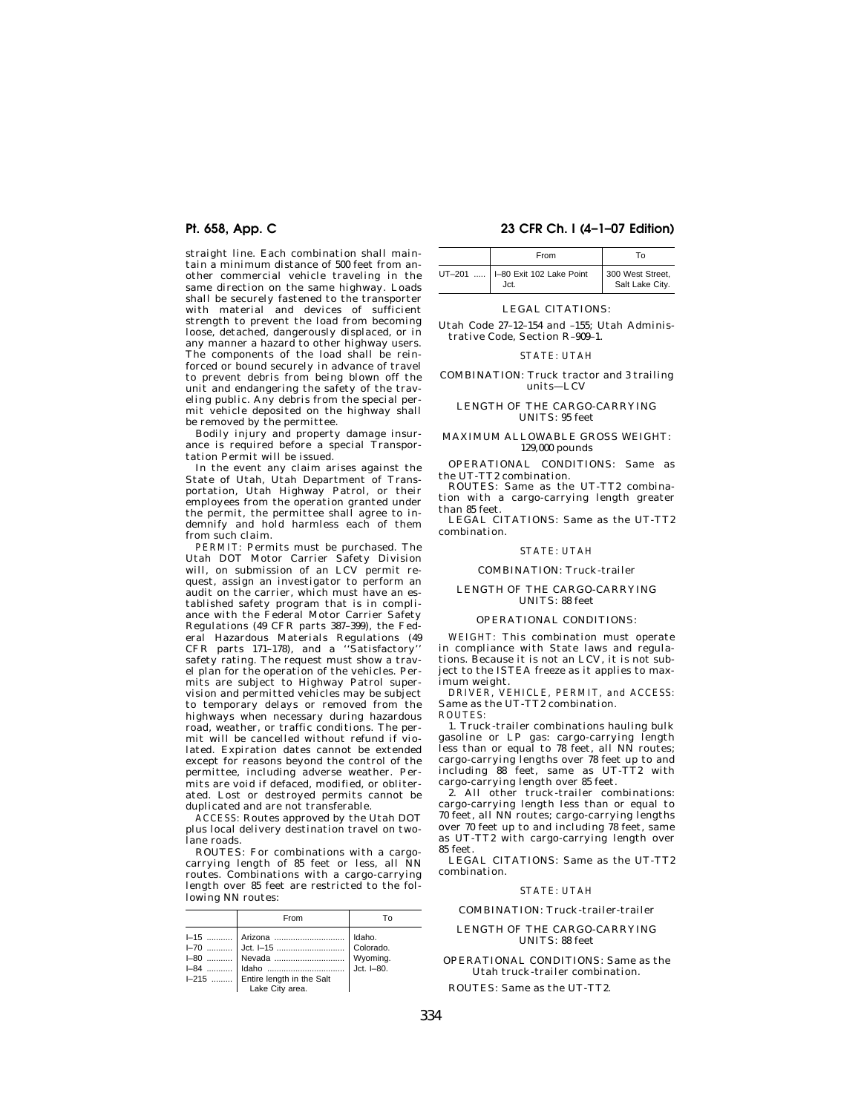straight line. Each combination shall maintain a minimum distance of 500 feet from another commercial vehicle traveling in the same direction on the same highway. Loads shall be securely fastened to the transporter with material and devices of sufficient strength to prevent the load from becoming loose, detached, dangerously displaced, or in any manner a hazard to other highway users. The components of the load shall be reinforced or bound securely in advance of travel to prevent debris from being blown off the unit and endangering the safety of the traveling public. Any debris from the special permit vehicle deposited on the highway shall be removed by the permittee.

Bodily injury and property damage insurance is required before a special Transportation Permit will be issued.

In the event any claim arises against the State of Utah, Utah Department of Transportation, Utah Highway Patrol, or their employees from the operation granted under the permit, the permittee shall agree to indemnify and hold harmless each of them from such claim.

*PERMIT:* Permits must be purchased. The Utah DOT Motor Carrier Safety Division will, on submission of an LCV permit request, assign an investigator to perform an audit on the carrier, which must have an established safety program that is in compliance with the Federal Motor Carrier Safety Regulations (49 CFR parts 387–399), the Federal Hazardous Materials Regulations (49 CFR parts 171–178), and a ''Satisfactory'' safety rating. The request must show a travel plan for the operation of the vehicles. Permits are subject to Highway Patrol supervision and permitted vehicles may be subject to temporary delays or removed from the highways when necessary during hazardous road, weather, or traffic conditions. The permit will be cancelled without refund if violated. Expiration dates cannot be extended except for reasons beyond the control of the permittee, including adverse weather. Permits are void if defaced, modified, or obliterated. Lost or destroyed permits cannot be duplicated and are not transferable.

*ACCESS:* Routes approved by the Utah DOT plus local delivery destination travel on twolane roads.

ROUTES: For combinations with a cargocarrying length of 85 feet or less, all NN routes. Combinations with a cargo-carrying length over 85 feet are restricted to the following NN routes:

| From                                                                                                                                         | Т٥ |
|----------------------------------------------------------------------------------------------------------------------------------------------|----|
| I-15    Arizona    Idaho.<br>I-70  Jct. I-15  Colorado.<br>I-80    Nevada    Wyoming.<br>I-215  Entire length in the Salt<br>Lake City area. |    |

# **Pt. 658, App. C 23 CFR Ch. I (4–1–07 Edition)**

| From                                       | Т٥                                  |
|--------------------------------------------|-------------------------------------|
| UT-201    I-80 Exit 102 Lake Point<br>Jct. | 300 West Street,<br>Salt Lake City. |

# LEGAL CITATIONS:

Utah Code 27–12–154 and –155; Utah Administrative Code, Section R–909–1.

# *STATE: UTAH*

COMBINATION: Truck tractor and 3 trailing units—LCV

#### LENGTH OF THE CARGO-CARRYING UNITS: 95 feet

#### MAXIMUM ALLOWABLE GROSS WEIGHT: 129,000 pounds

OPERATIONAL CONDITIONS: Same as the UT-TT2 combination.

ROUTES: Same as the UT-TT2 combination with a cargo-carrying length greater than 85 feet.

LEGAL CITATIONS: Same as the UT-TT2 combination.

#### *STATE: UTAH*

COMBINATION: Truck-trailer

#### LENGTH OF THE CARGO-CARRYING UNITS: 88 feet

# OPERATIONAL CONDITIONS:

*WEIGHT:* This combination must operate in compliance with State laws and regulations. Because it is not an LCV, it is not subject to the ISTEA freeze as it applies to maximum weight.

*DRIVER, VEHICLE, PERMIT, and ACCESS:*  Same as the UT-TT2 combination. *ROUTES:* 

1. Truck-trailer combinations hauling bulk gasoline or LP gas: cargo-carrying length less than or equal to 78 feet, all NN routes; cargo-carrying lengths over 78 feet up to and including 88 feet, same as UT-TT2 with cargo-carrying length over 85 feet.

2. All other truck-trailer combinations: cargo-carrying length less than or equal to 70 feet, all NN routes; cargo-carrying lengths over 70 feet up to and including 78 feet, same as UT-TT2 with cargo-carrying length over 85 feet.

LEGAL CITATIONS: Same as the UT-TT2 combination.

# *STATE: UTAH*

# COMBINATION: Truck-trailer-trailer

# LENGTH OF THE CARGO-CARRYING UNITS: 88 feet

OPERATIONAL CONDITIONS: Same as the Utah truck-trailer combination.

ROUTES: Same as the UT-TT2.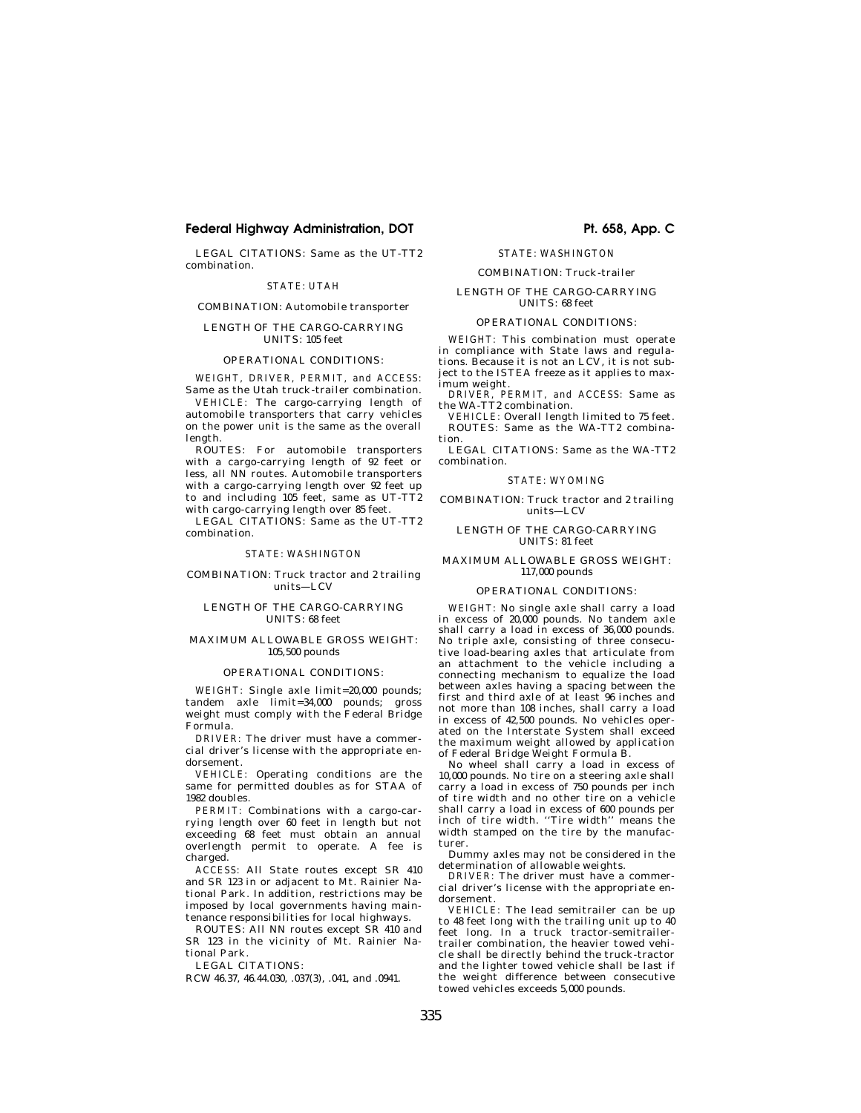# Federal Highway Administration, DOT **Philopheral Prime Pt. 658, App. C**

LEGAL CITATIONS: Same as the UT-TT2 combination.

# *STATE: UTAH*

# COMBINATION: Automobile transporter

# LENGTH OF THE CARGO-CARRYING UNITS: 105 feet

#### OPERATIONAL CONDITIONS:

*WEIGHT, DRIVER, PERMIT, and ACCESS:*  Same as the Utah truck-trailer combination.

*VEHICLE:* The cargo-carrying length of automobile transporters that carry vehicles on the power unit is the same as the overall length.

ROUTES: For automobile transporters with a cargo-carrying length of 92 feet or less, all NN routes. Automobile transporters with a cargo-carrying length over 92 feet up to and including 105 feet, same as UT-TT2 with cargo-carrying length over 85 feet.

LEGAL CITATIONS: Same as the UT-TT2 combination.

# *STATE: WASHINGTON*

#### COMBINATION: Truck tractor and 2 trailing units—LCV

# LENGTH OF THE CARGO-CARRYING UNITS: 68 feet

# MAXIMUM ALLOWABLE GROSS WEIGHT: 105,500 pounds

# OPERATIONAL CONDITIONS:

*WEIGHT:* Single axle limit=20,000 pounds; tandem axle limit=34,000 pounds; gross weight must comply with the Federal Bridge Formula.

*DRIVER:* The driver must have a commercial driver's license with the appropriate endorsement.

*VEHICLE:* Operating conditions are the same for permitted doubles as for STAA of 1982 doubles.

*PERMIT:* Combinations with a cargo-carrying length over 60 feet in length but not exceeding 68 feet must obtain an annual overlength permit to operate. A fee is charged.

*ACCESS:* All State routes except SR 410 and SR 123 in or adjacent to Mt. Rainier National Park. In addition, restrictions may be imposed by local governments having maintenance responsibilities for local highways.

ROUTES: All NN routes except SR 410 and SR 123 in the vicinity of Mt. Rainier National Park.

LEGAL CITATIONS:

RCW 46.37, 46.44.030, .037(3), .041, and .0941.

# *STATE: WASHINGTON*

# COMBINATION: Truck-trailer

# LENGTH OF THE CARGO-CARRYING UNITS: 68 feet

# OPERATIONAL CONDITIONS:

*WEIGHT:* This combination must operate in compliance with State laws and regulations. Because it is not an LCV, it is not subject to the ISTEA freeze as it applies to maximum weight.

*DRIVER, PERMIT, and ACCESS:* Same as the WA-TT2 combination.

*VEHICLE:* Overall length limited to 75 feet. ROUTES: Same as the WA-TT2 combination.

LEGAL CITATIONS: Same as the WA-TT2 combination.

#### *STATE: WYOMING*

COMBINATION: Truck tractor and 2 trailing units—LCV

#### LENGTH OF THE CARGO-CARRYING UNITS: 81 feet

# MAXIMUM ALLOWABLE GROSS WEIGHT: 117,000 pounds

# OPERATIONAL CONDITIONS:

*WEIGHT:* No single axle shall carry a load in excess of 20,000 pounds. No tandem axle shall carry a load in excess of 36,000 pounds. No triple axle, consisting of three consecutive load-bearing axles that articulate from an attachment to the vehicle including a connecting mechanism to equalize the load between axles having a spacing between the first and third axle of at least 96 inches and not more than 108 inches, shall carry a load in excess of 42,500 pounds. No vehicles operated on the Interstate System shall exceed the maximum weight allowed by application of Federal Bridge Weight Formula B.

No wheel shall carry a load in excess of 10,000 pounds. No tire on a steering axle shall carry a load in excess of 750 pounds per inch of tire width and no other tire on a vehicle shall carry a load in excess of 600 pounds per inch of tire width. ''Tire width'' means the width stamped on the tire by the manufacturer.

Dummy axles may not be considered in the determination of allowable weights.

*DRIVER:* The driver must have a commercial driver's license with the appropriate endorsement.

*VEHICLE:* The lead semitrailer can be up to 48 feet long with the trailing unit up to  $40$ feet long. In a truck tractor-semitrailertrailer combination, the heavier towed vehicle shall be directly behind the truck-tractor and the lighter towed vehicle shall be last if the weight difference between consecutive towed vehicles exceeds 5,000 pounds.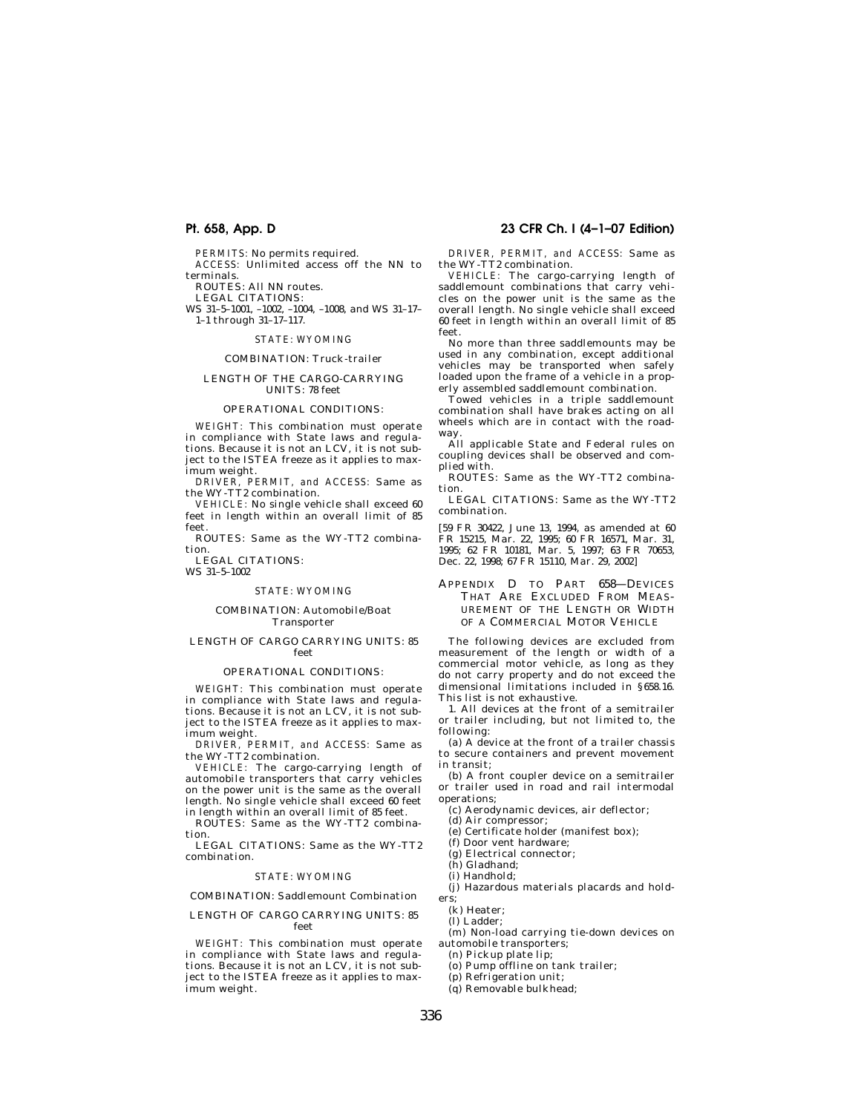*PERMITS:* No permits required. *ACCESS:* Unlimited access off the NN to

terminals.

ROUTES: All NN routes.

LEGAL CITATIONS:

WS 31–5–1001, –1002, –1004, –1008, and WS 31–17– 1–1 through 31–17–117.

# *STATE: WYOMING*

# COMBINATION: Truck-trailer

# LENGTH OF THE CARGO-CARRYING UNITS: 78 feet

#### OPERATIONAL CONDITIONS:

*WEIGHT:* This combination must operate in compliance with State laws and regulations. Because it is not an LCV, it is not subject to the ISTEA freeze as it applies to maximum weight.

*DRIVER, PERMIT, and ACCESS:* Same as the WY-TT2 combination.

*VEHICLE:* No single vehicle shall exceed 60 feet in length within an overall limit of 85 feet.

ROUTES: Same as the WY-TT2 combination.

LEGAL CITATIONS: WS 31–5–1002

# *STATE: WYOMING*

### COMBINATION: Automobile/Boat Transporter

#### LENGTH OF CARGO CARRYING UNITS: 85 feet

# OPERATIONAL CONDITIONS:

*WEIGHT:* This combination must operate in compliance with State laws and regulations. Because it is not an LCV, it is not subject to the ISTEA freeze as it applies to maximum weight.

*DRIVER, PERMIT, and ACCESS:* Same as the WY-TT2 combination.

*VEHICLE:* The cargo-carrying length of automobile transporters that carry vehicles on the power unit is the same as the overall length. No single vehicle shall exceed 60 feet in length within an overall limit of 85 feet.

ROUTES: Same as the WY-TT2 combination.

LEGAL CITATIONS: Same as the WY-TT2 combination.

# *STATE: WYOMING*

COMBINATION: Saddlemount Combination

#### LENGTH OF CARGO CARRYING UNITS: 85 feet

*WEIGHT:* This combination must operate in compliance with State laws and regulations. Because it is not an LCV, it is not subject to the ISTEA freeze as it applies to maximum weight.

# **Pt. 658, App. D 23 CFR Ch. I (4–1–07 Edition)**

*DRIVER, PERMIT, and ACCESS:* Same as the WY-TT2 combination.

*VEHICLE:* The cargo-carrying length of saddlemount combinations that carry vehicles on the power unit is the same as the overall length. No single vehicle shall exceed 60 feet in length within an overall limit of 85 feet.

No more than three saddlemounts may be used in any combination, except additional vehicles may be transported when safely loaded upon the frame of a vehicle in a properly assembled saddlemount combination.

Towed vehicles in a triple saddlemount combination shall have brakes acting on all wheels which are in contact with the roadway

All applicable State and Federal rules on coupling devices shall be observed and complied with.

ROUTES: Same as the WY-TT2 combination.

LEGAL CITATIONS: Same as the WY-TT2 combination.

[59 FR 30422, June 13, 1994, as amended at 60 FR 15215, Mar. 22, 1995; 60 FR 16571, Mar. 31, 1995; 62 FR 10181, Mar. 5, 1997; 63 FR 70653, Dec. 22, 1998; 67 FR 15110, Mar. 29, 2002]

# APPENDIX D TO PART 658—DEVICES THAT ARE EXCLUDED FROM MEAS-UREMENT OF THE LENGTH OR WIDTH OF A COMMERCIAL MOTOR VEHICLE

The following devices are excluded from measurement of the length or width of a commercial motor vehicle, as long as they do not carry property and do not exceed the dimensional limitations included in §658.16. This list is not exhaustive.

1. All devices at the front of a semitrailer or trailer including, but not limited to, the following:

(a) A device at the front of a trailer chassis to secure containers and prevent movement in transit;

(b) A front coupler device on a semitrailer or trailer used in road and rail intermodal operations;

(c) Aerodynamic devices, air deflector;

(d) Air compressor;

(e) Certificate holder (manifest box);

(f) Door vent hardware;

(g) Electrical connector; (h) Gladhand;

(i) Handhold;

(j) Hazardous materials placards and holders;

(k) Heater;

(l) Ladder;

(m) Non-load carrying tie-down devices on automobile transporters;

(n) Pickup plate lip;

(o) Pump offline on tank trailer;

(p) Refrigeration unit;

(q) Removable bulkhead;